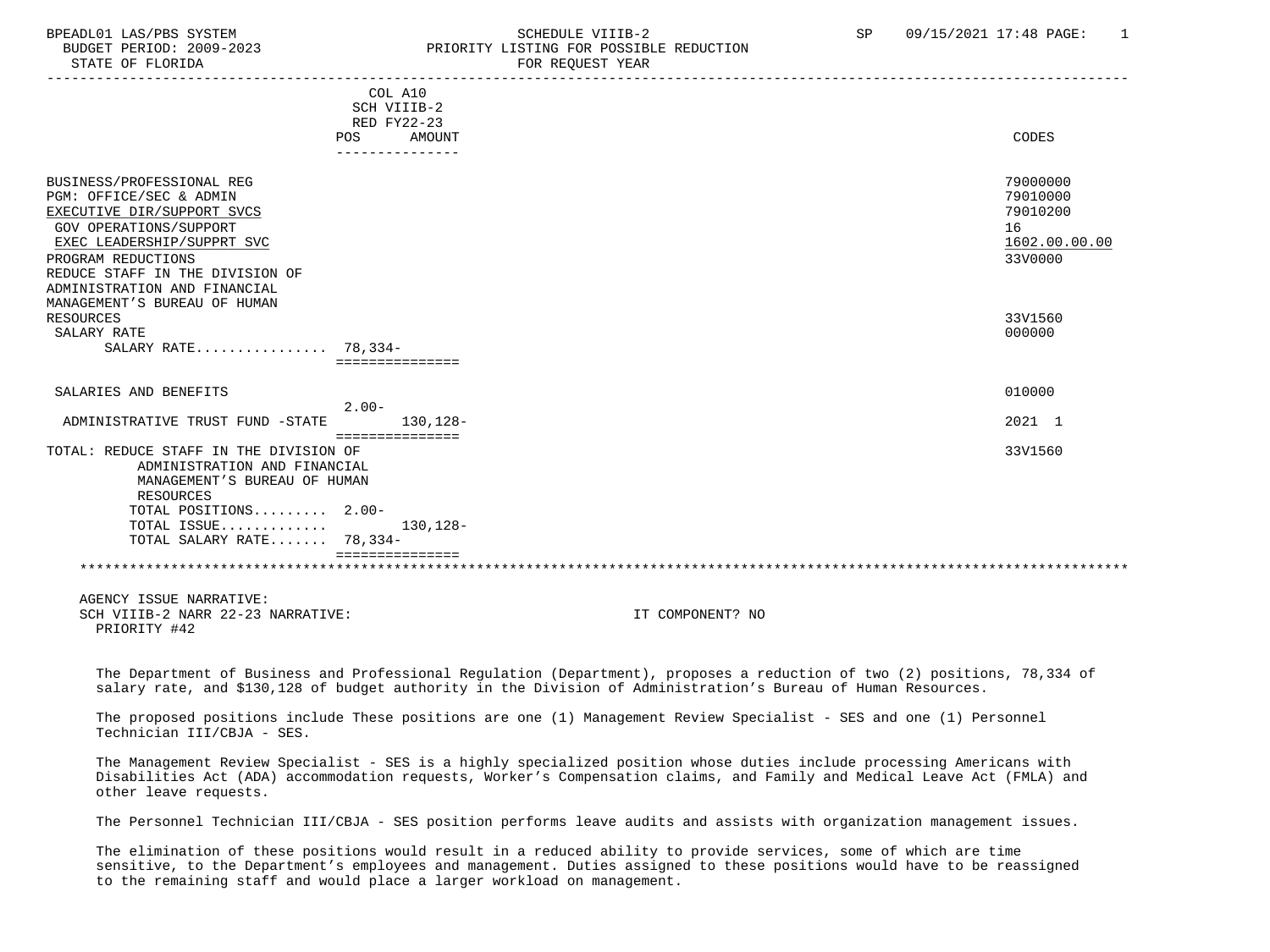# BPEADL01 LAS/PBS SYSTEM SCHEDULE VIIIB-2 SCHEDULE VIIIB-2 SP 09/15/2021 17:48 PAGE: 1 BUDGET PERIOD: 2009-2023 PRIORITY LISTING FOR POSSIBLE REDUCTION

|                                                                                                                                                                                                                                                                     | COL A10<br>SCH VIIIB-2<br>RED FY22-23<br><b>POS</b><br>--------------- | AMOUNT           | CODES                                                              |
|---------------------------------------------------------------------------------------------------------------------------------------------------------------------------------------------------------------------------------------------------------------------|------------------------------------------------------------------------|------------------|--------------------------------------------------------------------|
| BUSINESS/PROFESSIONAL REG<br>PGM: OFFICE/SEC & ADMIN<br>EXECUTIVE DIR/SUPPORT SVCS<br>GOV OPERATIONS/SUPPORT<br>EXEC LEADERSHIP/SUPPRT SVC<br>PROGRAM REDUCTIONS<br>REDUCE STAFF IN THE DIVISION OF<br>ADMINISTRATION AND FINANCIAL<br>MANAGEMENT'S BUREAU OF HUMAN |                                                                        |                  | 79000000<br>79010000<br>79010200<br>16<br>1602.00.00.00<br>33V0000 |
| RESOURCES<br>SALARY RATE<br>SALARY RATE 78,334-                                                                                                                                                                                                                     | ===============                                                        |                  | 33V1560<br>000000                                                  |
| SALARIES AND BENEFITS                                                                                                                                                                                                                                               |                                                                        |                  | 010000                                                             |
| ADMINISTRATIVE TRUST FUND -STATE                                                                                                                                                                                                                                    | $2.00-$<br>===============                                             | 130,128-         | 2021 1                                                             |
| TOTAL: REDUCE STAFF IN THE DIVISION OF<br>ADMINISTRATION AND FINANCIAL<br>MANAGEMENT'S BUREAU OF HUMAN<br>RESOURCES                                                                                                                                                 |                                                                        |                  | 33V1560                                                            |
| TOTAL POSITIONS 2.00-<br>TOTAL ISSUE<br>TOTAL SALARY RATE 78,334-                                                                                                                                                                                                   | ===============                                                        | 130,128-         |                                                                    |
|                                                                                                                                                                                                                                                                     |                                                                        |                  |                                                                    |
| AGENCY ISSUE NARRATIVE:<br>SCH VIIIB-2 NARR 22-23 NARRATIVE:<br>PRIORITY #42                                                                                                                                                                                        |                                                                        | IT COMPONENT? NO |                                                                    |

 The Department of Business and Professional Regulation (Department), proposes a reduction of two (2) positions, 78,334 of salary rate, and \$130,128 of budget authority in the Division of Administration's Bureau of Human Resources.

 The proposed positions include These positions are one (1) Management Review Specialist - SES and one (1) Personnel Technician III/CBJA - SES.

 The Management Review Specialist - SES is a highly specialized position whose duties include processing Americans with Disabilities Act (ADA) accommodation requests, Worker's Compensation claims, and Family and Medical Leave Act (FMLA) and other leave requests.

The Personnel Technician III/CBJA - SES position performs leave audits and assists with organization management issues.

 The elimination of these positions would result in a reduced ability to provide services, some of which are time sensitive, to the Department's employees and management. Duties assigned to these positions would have to be reassigned to the remaining staff and would place a larger workload on management.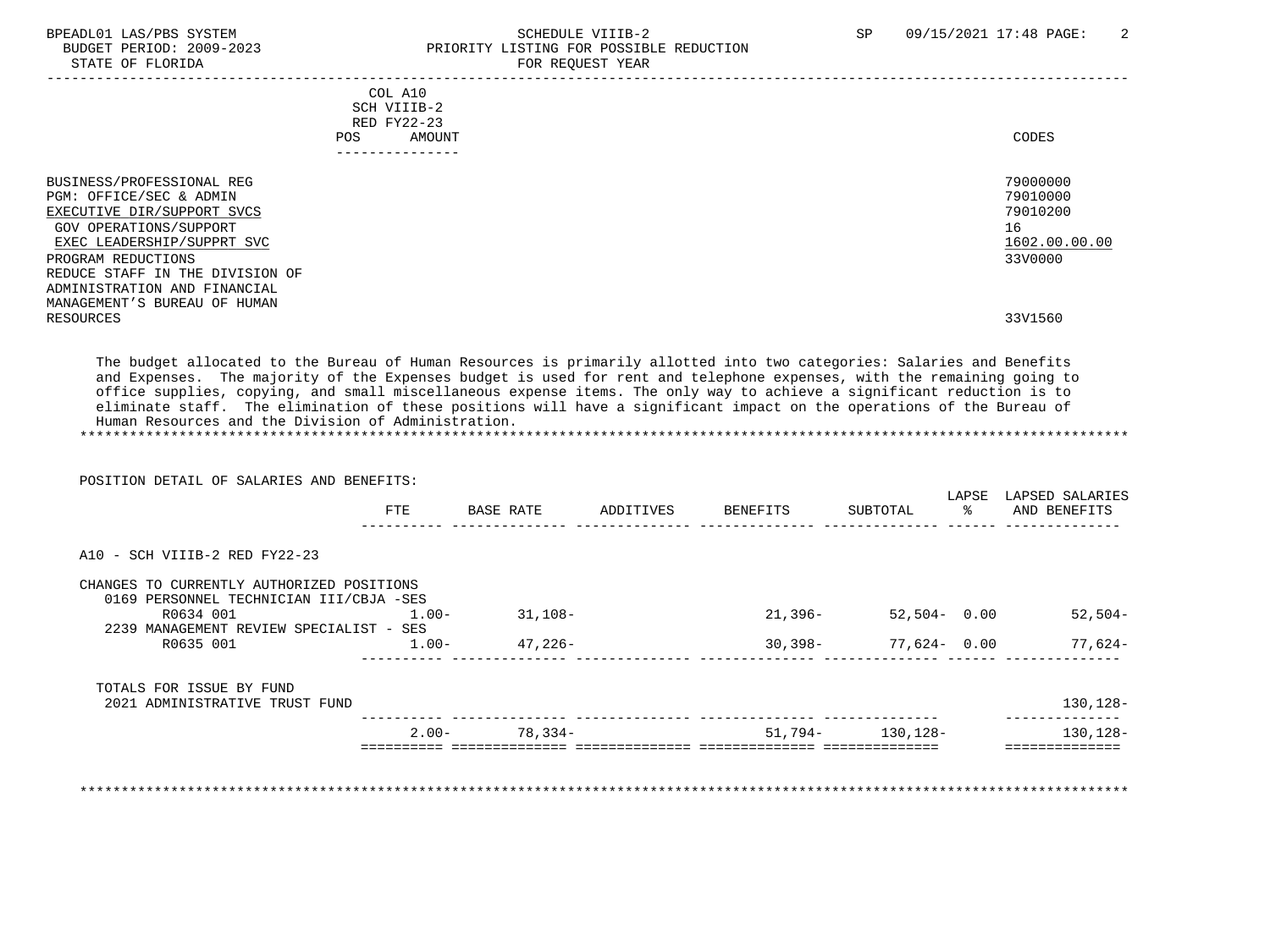#### BPEADL01 LAS/PBS SYSTEM SALL SALL SOMEDULE VIIIB-2 SP 09/15/2021 17:48 PAGE: 2 BUDGET PERIOD: 2009-2023 PRIORITY LISTING FOR POSSIBLE REDUCTION STATE OF FLORIDA FOR STATE OF  $\sim$  FOR REQUEST YEAR

|                                                                                                                                                                                                                                                                                  | COL A10<br>SCH VIIIB-2<br>RED FY22-23<br>AMOUNT<br>POS | CODES                                                                         |
|----------------------------------------------------------------------------------------------------------------------------------------------------------------------------------------------------------------------------------------------------------------------------------|--------------------------------------------------------|-------------------------------------------------------------------------------|
|                                                                                                                                                                                                                                                                                  | ---------------                                        |                                                                               |
| BUSINESS/PROFESSIONAL REG<br>PGM: OFFICE/SEC & ADMIN<br>EXECUTIVE DIR/SUPPORT SVCS<br>GOV OPERATIONS/SUPPORT<br>EXEC LEADERSHIP/SUPPRT SVC<br>PROGRAM REDUCTIONS<br>REDUCE STAFF IN THE DIVISION OF<br>ADMINISTRATION AND FINANCIAL<br>MANAGEMENT'S BUREAU OF HUMAN<br>RESOURCES |                                                        | 79000000<br>79010000<br>79010200<br>16<br>1602.00.00.00<br>33V0000<br>33V1560 |

 The budget allocated to the Bureau of Human Resources is primarily allotted into two categories: Salaries and Benefits and Expenses. The majority of the Expenses budget is used for rent and telephone expenses, with the remaining going to office supplies, copying, and small miscellaneous expense items. The only way to achieve a significant reduction is to eliminate staff. The elimination of these positions will have a significant impact on the operations of the Bureau of Human Resources and the Division of Administration. \*\*\*\*\*\*\*\*\*\*\*\*\*\*\*\*\*\*\*\*\*\*\*\*\*\*\*\*\*\*\*\*\*\*\*\*\*\*\*\*\*\*\*\*\*\*\*\*\*\*\*\*\*\*\*\*\*\*\*\*\*\*\*\*\*\*\*\*\*\*\*\*\*\*\*\*\*\*\*\*\*\*\*\*\*\*\*\*\*\*\*\*\*\*\*\*\*\*\*\*\*\*\*\*\*\*\*\*\*\*\*\*\*\*\*\*\*\*\*\*\*\*\*\*\*\*\*

 POSITION DETAIL OF SALARIES AND BENEFITS: LAPSE LAPSED SALARIES FTE BASE RATE ADDITIVES BENEFITS SUBTOTAL % AND BENEFITS ---------- -------------- -------------- -------------- -------------- ------ -------------- A10 - SCH VIIIB-2 RED FY22-23 CHANGES TO CURRENTLY AUTHORIZED POSITIONS 0169 PERSONNEL TECHNICIAN III/CBJA -SES R0634 001 1.00- 31,108- 21,396- 52,504- 0.00 52,504- 2239 MANAGEMENT REVIEW SPECIALIST - SES R0635 001 1.00- 47,226- 30,398- 77,624- 0.00 77,624- ---------- -------------- -------------- -------------- -------------- ------ -------------- TOTALS FOR ISSUE BY FUND 2021 ADMINISTRATIVE TRUST FUND 130,128- ---------- -------------- -------------- -------------- -------------- --------------  $2.00 - 78,334 - 51,794 - 130,128 -$ ========== ============== ============== ============== ============== ==============

\*\*\*\*\*\*\*\*\*\*\*\*\*\*\*\*\*\*\*\*\*\*\*\*\*\*\*\*\*\*\*\*\*\*\*\*\*\*\*\*\*\*\*\*\*\*\*\*\*\*\*\*\*\*\*\*\*\*\*\*\*\*\*\*\*\*\*\*\*\*\*\*\*\*\*\*\*\*\*\*\*\*\*\*\*\*\*\*\*\*\*\*\*\*\*\*\*\*\*\*\*\*\*\*\*\*\*\*\*\*\*\*\*\*\*\*\*\*\*\*\*\*\*\*\*\*\*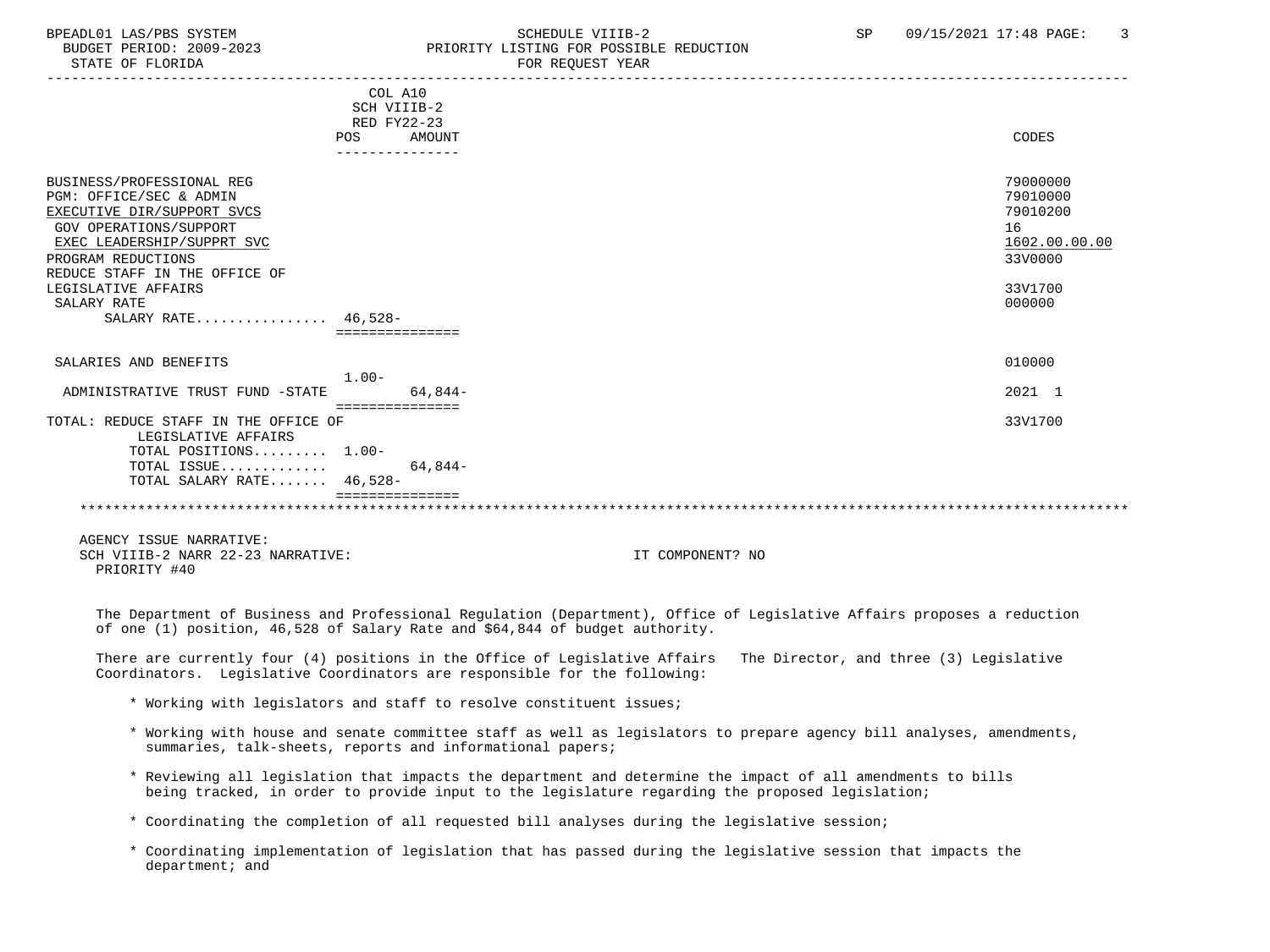### BPEADL01 LAS/PBS SYSTEM SCHEDULE VIIIB-2 SCHEDULE VIIIB-2 SP 09/15/2021 17:48 PAGE: 3<br>BUDGET PERIOD: 2009-2023 PRIORITY LISTING FOR POSSIBLE REDUCTION BUDGET PERIOD: 2009-2023<br>
STATE OF FLORIDA<br>
FOR REOUEST YEAR FOR REQUEST YEAR

|                                      | COL A10          |         |               |
|--------------------------------------|------------------|---------|---------------|
|                                      | SCH VIIIB-2      |         |               |
|                                      | RED FY22-23      |         |               |
|                                      | <b>POS</b>       | AMOUNT  | CODES         |
|                                      |                  |         |               |
| BUSINESS/PROFESSIONAL REG            |                  |         | 79000000      |
| PGM: OFFICE/SEC & ADMIN              |                  |         | 79010000      |
| EXECUTIVE DIR/SUPPORT SVCS           |                  |         | 79010200      |
| GOV OPERATIONS/SUPPORT               |                  |         | 16            |
| EXEC LEADERSHIP/SUPPRT SVC           |                  |         | 1602.00.00.00 |
|                                      |                  |         |               |
| PROGRAM REDUCTIONS                   |                  |         | 33V0000       |
| REDUCE STAFF IN THE OFFICE OF        |                  |         |               |
| LEGISLATIVE AFFAIRS                  |                  |         | 33V1700       |
| SALARY RATE                          |                  |         | 000000        |
| SALARY RATE $46,528-$                |                  |         |               |
|                                      |                  |         |               |
| SALARIES AND BENEFITS                |                  |         | 010000        |
|                                      | $1.00-$          |         |               |
| ADMINISTRATIVE TRUST FUND -STATE     |                  | 64,844- | 2021 1        |
|                                      | ================ |         |               |
| TOTAL: REDUCE STAFF IN THE OFFICE OF |                  |         | 33V1700       |
| LEGISLATIVE AFFAIRS                  |                  |         |               |
| TOTAL POSITIONS 1.00-                |                  |         |               |
| TOTAL ISSUE                          |                  | 64.844- |               |
| TOTAL SALARY RATE 46,528-            |                  |         |               |
|                                      |                  |         |               |
|                                      |                  |         |               |

 AGENCY ISSUE NARRATIVE: SCH VIIIB-2 NARR 22-23 NARRATIVE: IT COMPONENT? NO PRIORITY #40

 The Department of Business and Professional Regulation (Department), Office of Legislative Affairs proposes a reduction of one (1) position, 46,528 of Salary Rate and \$64,844 of budget authority.

 There are currently four (4) positions in the Office of Legislative Affairs The Director, and three (3) Legislative Coordinators. Legislative Coordinators are responsible for the following:

- \* Working with legislators and staff to resolve constituent issues;
- \* Working with house and senate committee staff as well as legislators to prepare agency bill analyses, amendments, summaries, talk-sheets, reports and informational papers;
- \* Reviewing all legislation that impacts the department and determine the impact of all amendments to bills being tracked, in order to provide input to the legislature regarding the proposed legislation;

\* Coordinating the completion of all requested bill analyses during the legislative session;

 \* Coordinating implementation of legislation that has passed during the legislative session that impacts the department; and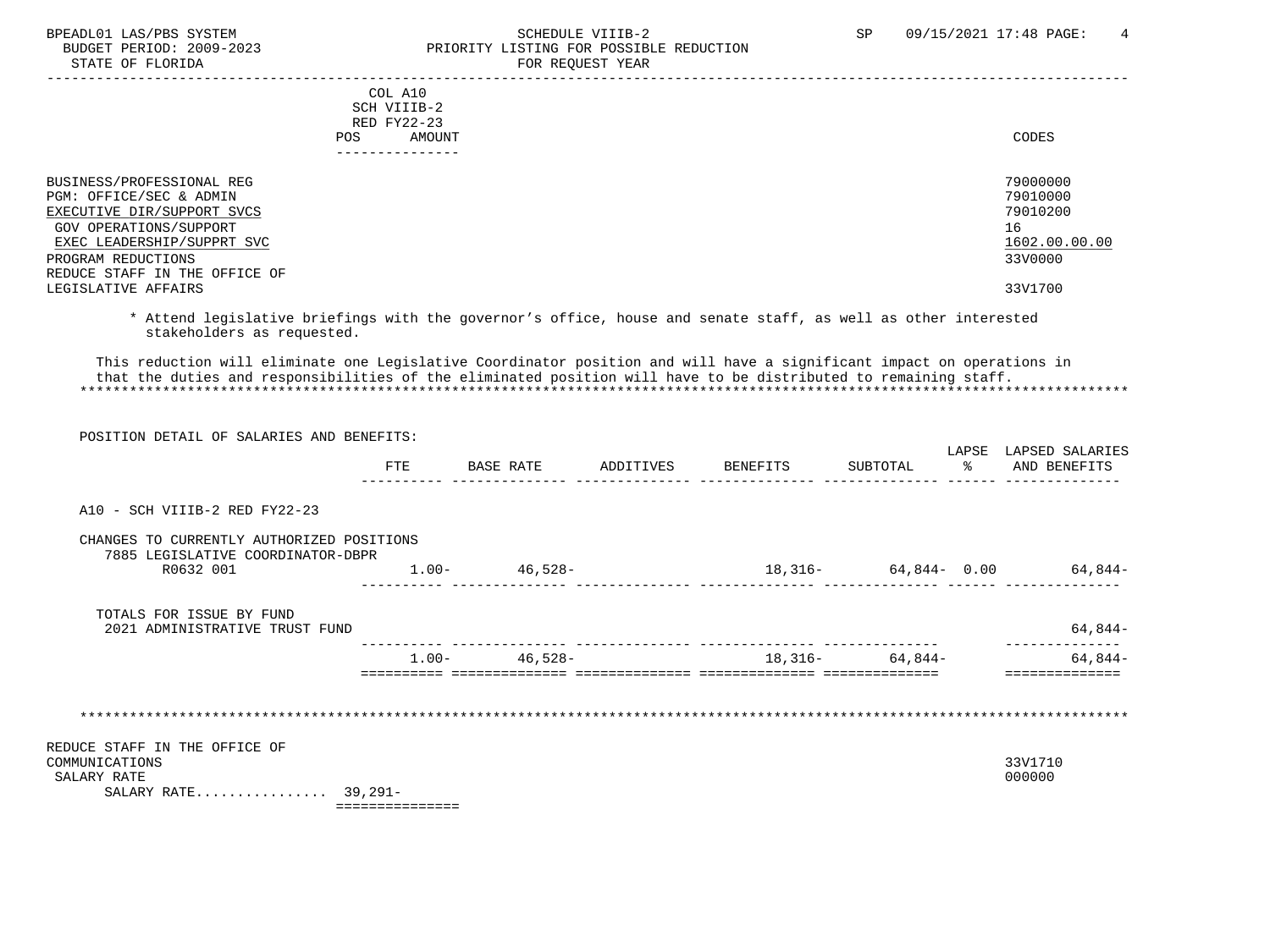STATE OF FLORIDA

# BPEADL01 LAS/PBS SYSTEM SOHEDULE VIIIB-2 SCHEDULE VIIIB-2 SP 09/15/2021 17:48 PAGE: 4<br>BUDGET PERIOD: 2009-2023 PRIORITY LISTING FOR POSSIBLE REDUCTION PRIORITY LISTING FOR POSSIBLE REDUCTION<br>FOR REOUEST YEAR

| CODES         |
|---------------|
| 79000000      |
| 79010000      |
| 79010200      |
| 16            |
| 1602.00.00.00 |
| 33V0000       |
|               |
| 33V1700       |
|               |

 \* Attend legislative briefings with the governor's office, house and senate staff, as well as other interested stakeholders as requested.

 This reduction will eliminate one Legislative Coordinator position and will have a significant impact on operations in that the duties and responsibilities of the eliminated position will have to be distributed to remaining staff. \*\*\*\*\*\*\*\*\*\*\*\*\*\*\*\*\*\*\*\*\*\*\*\*\*\*\*\*\*\*\*\*\*\*\*\*\*\*\*\*\*\*\*\*\*\*\*\*\*\*\*\*\*\*\*\*\*\*\*\*\*\*\*\*\*\*\*\*\*\*\*\*\*\*\*\*\*\*\*\*\*\*\*\*\*\*\*\*\*\*\*\*\*\*\*\*\*\*\*\*\*\*\*\*\*\*\*\*\*\*\*\*\*\*\*\*\*\*\*\*\*\*\*\*\*\*\*

| POSITION DETAIL OF SALARIES AND BENEFITS:                                             |     |                   |                                 |  |                                                              |
|---------------------------------------------------------------------------------------|-----|-------------------|---------------------------------|--|--------------------------------------------------------------|
|                                                                                       | FTE |                   | BASE RATE ADDITIVES BENEFITS    |  | LAPSE LAPSED SALARIES<br>SUBTOTAL $\frac{1}{6}$ AND BENEFITS |
| A10 - SCH VIIIB-2 RED FY22-23                                                         |     |                   |                                 |  |                                                              |
| CHANGES TO CURRENTLY AUTHORIZED POSITIONS<br>7885 LEGISLATIVE COORDINATOR-DBPR        |     |                   |                                 |  |                                                              |
| R0632 001                                                                             |     | $1.00 - 46,528 -$ | $18,316-$ 64,844- 0.00 64,844-  |  |                                                              |
| TOTALS FOR ISSUE BY FUND<br>2021 ADMINISTRATIVE TRUST FUND                            |     |                   |                                 |  | $64,844-$                                                    |
|                                                                                       |     |                   | $1.00-$ 46,528- 18,316- 64,844- |  | $64,844-$                                                    |
|                                                                                       |     |                   |                                 |  |                                                              |
| REDUCE STAFF IN THE OFFICE OF<br>COMMUNICATIONS<br>SALARY RATE<br>SALARY RATE 39,291- |     |                   |                                 |  | 33V1710<br>000000                                            |

===============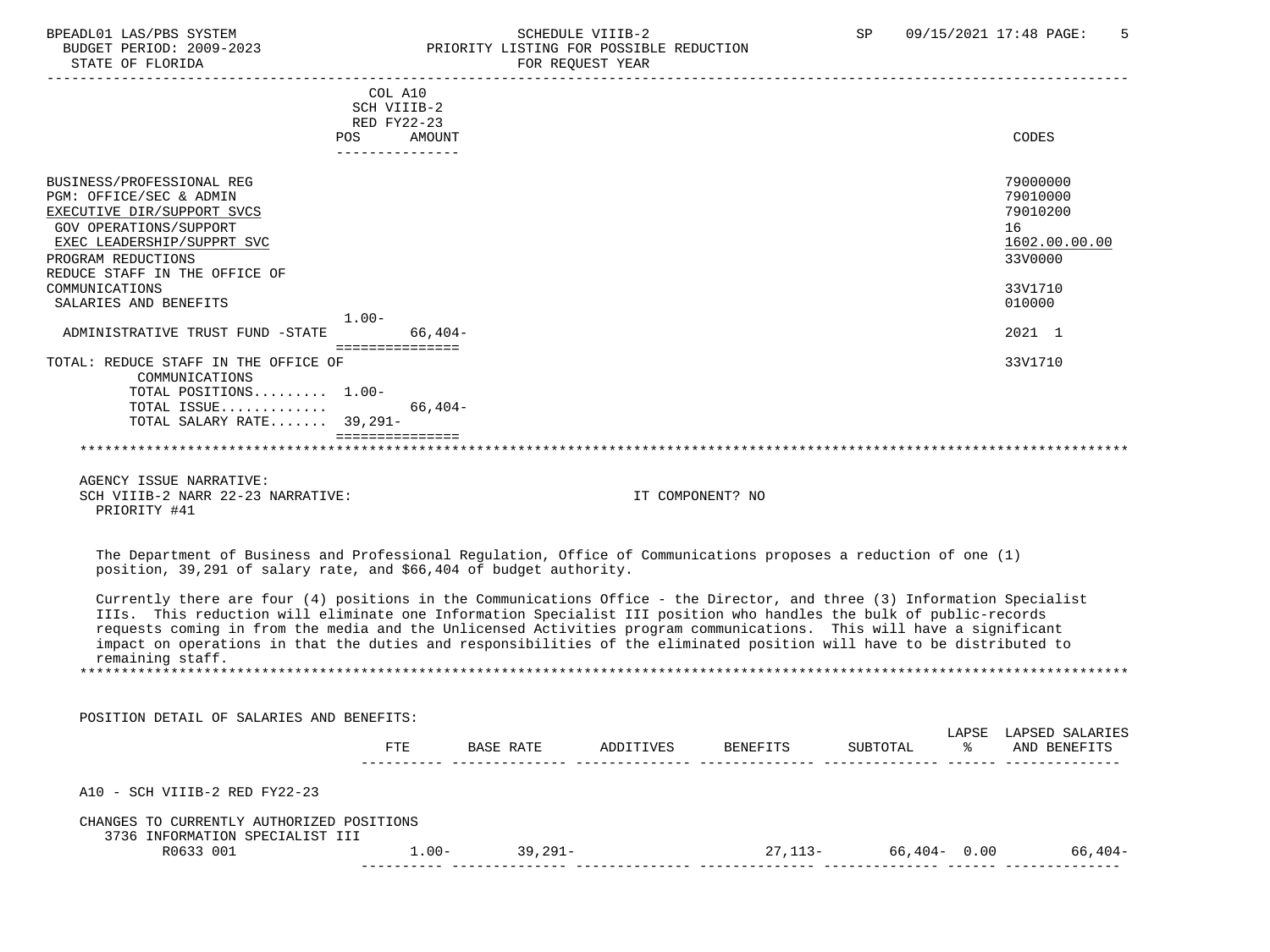#### BPEADL01 LAS/PBS SYSTEM SALLE STRID SCHEDULE VIIIB-2 SP 09/15/2021 17:48 PAGE: 5<br>BUDGET PERIOD: 2009-2023 SP PRIORITY LISTING FOR POSSIBLE REDUCTION BUDGET PERIOD: 2009-2023 PRIORITY LISTING FOR POSSIBLE REDUCTION FOR REOUEST YEAR

|                                                                                                                                                                                        | COL A10<br>SCH VIIIB-2 |                   |           |                  |          |   |                                |
|----------------------------------------------------------------------------------------------------------------------------------------------------------------------------------------|------------------------|-------------------|-----------|------------------|----------|---|--------------------------------|
|                                                                                                                                                                                        | RED FY22-23            |                   |           |                  |          |   |                                |
|                                                                                                                                                                                        | <b>POS</b><br>AMOUNT   |                   |           |                  |          |   | CODES                          |
|                                                                                                                                                                                        | ---------------        |                   |           |                  |          |   |                                |
|                                                                                                                                                                                        |                        |                   |           |                  |          |   |                                |
| BUSINESS/PROFESSIONAL REG                                                                                                                                                              |                        |                   |           |                  |          |   | 79000000                       |
| PGM: OFFICE/SEC & ADMIN                                                                                                                                                                |                        |                   |           |                  |          |   | 79010000                       |
| EXECUTIVE DIR/SUPPORT SVCS                                                                                                                                                             |                        |                   |           |                  |          |   | 79010200                       |
| GOV OPERATIONS/SUPPORT                                                                                                                                                                 |                        |                   |           |                  |          |   | 16                             |
| EXEC LEADERSHIP/SUPPRT SVC                                                                                                                                                             |                        |                   |           |                  |          |   | 1602.00.00.00                  |
| PROGRAM REDUCTIONS                                                                                                                                                                     |                        |                   |           |                  |          |   | 33V0000                        |
| REDUCE STAFF IN THE OFFICE OF                                                                                                                                                          |                        |                   |           |                  |          |   |                                |
| COMMUNICATIONS                                                                                                                                                                         |                        |                   |           |                  |          |   | 33V1710                        |
| SALARIES AND BENEFITS                                                                                                                                                                  |                        |                   |           |                  |          |   | 010000                         |
|                                                                                                                                                                                        | $1.00-$                |                   |           |                  |          |   |                                |
| ADMINISTRATIVE TRUST FUND -STATE                                                                                                                                                       | $66,404-$              |                   |           |                  |          |   | 2021 1                         |
|                                                                                                                                                                                        | ===============        |                   |           |                  |          |   |                                |
| TOTAL: REDUCE STAFF IN THE OFFICE OF                                                                                                                                                   |                        |                   |           |                  |          |   | 33V1710                        |
| COMMUNICATIONS                                                                                                                                                                         |                        |                   |           |                  |          |   |                                |
| TOTAL POSITIONS 1.00-                                                                                                                                                                  |                        |                   |           |                  |          |   |                                |
| TOTAL ISSUE                                                                                                                                                                            | 66,404-                |                   |           |                  |          |   |                                |
| TOTAL SALARY RATE $39.291 -$                                                                                                                                                           |                        |                   |           |                  |          |   |                                |
|                                                                                                                                                                                        | ===============        |                   |           |                  |          |   |                                |
| AGENCY ISSUE NARRATIVE:<br>SCH VIIIB-2 NARR 22-23 NARRATIVE:<br>PRIORITY #41                                                                                                           |                        |                   |           | IT COMPONENT? NO |          |   |                                |
| The Department of Business and Professional Regulation, Office of Communications proposes a reduction of one (1)<br>position, 39,291 of salary rate, and \$66,404 of budget authority. |                        |                   |           |                  |          |   |                                |
|                                                                                                                                                                                        |                        |                   |           |                  |          |   |                                |
| Currently there are four (4) positions in the Communications Office - the Director, and three (3) Information Specialist                                                               |                        |                   |           |                  |          |   |                                |
| IIIs. This reduction will eliminate one Information Specialist III position who handles the bulk of public-records                                                                     |                        |                   |           |                  |          |   |                                |
| requests coming in from the media and the Unlicensed Activities program communications. This will have a significant                                                                   |                        |                   |           |                  |          |   |                                |
| impact on operations in that the duties and responsibilities of the eliminated position will have to be distributed to                                                                 |                        |                   |           |                  |          |   |                                |
| remaining staff.                                                                                                                                                                       |                        |                   |           |                  |          |   |                                |
|                                                                                                                                                                                        |                        |                   |           |                  |          |   |                                |
|                                                                                                                                                                                        |                        |                   |           |                  |          |   |                                |
| POSITION DETAIL OF SALARIES AND BENEFITS:                                                                                                                                              |                        |                   |           |                  |          |   |                                |
|                                                                                                                                                                                        |                        |                   |           |                  |          |   | LAPSE LAPSED SALARIES          |
|                                                                                                                                                                                        | FTE                    | BASE RATE         | ADDITIVES | <b>BENEFITS</b>  | SUBTOTAL | ႜ | AND BENEFITS                   |
|                                                                                                                                                                                        |                        |                   |           |                  |          |   |                                |
|                                                                                                                                                                                        |                        |                   |           |                  |          |   |                                |
| A10 - SCH VIIIB-2 RED FY22-23                                                                                                                                                          |                        |                   |           |                  |          |   |                                |
| CHANGES TO CURRENTLY AUTHORIZED POSITIONS                                                                                                                                              |                        |                   |           |                  |          |   |                                |
| 3736 INFORMATION SPECIALIST III                                                                                                                                                        |                        |                   |           |                  |          |   |                                |
| R0633 001                                                                                                                                                                              |                        | $1.00 - 39,291 -$ |           |                  |          |   | $27,113-$ 66,404- 0.00 66,404- |
|                                                                                                                                                                                        |                        |                   |           |                  |          |   |                                |
|                                                                                                                                                                                        |                        |                   |           |                  |          |   |                                |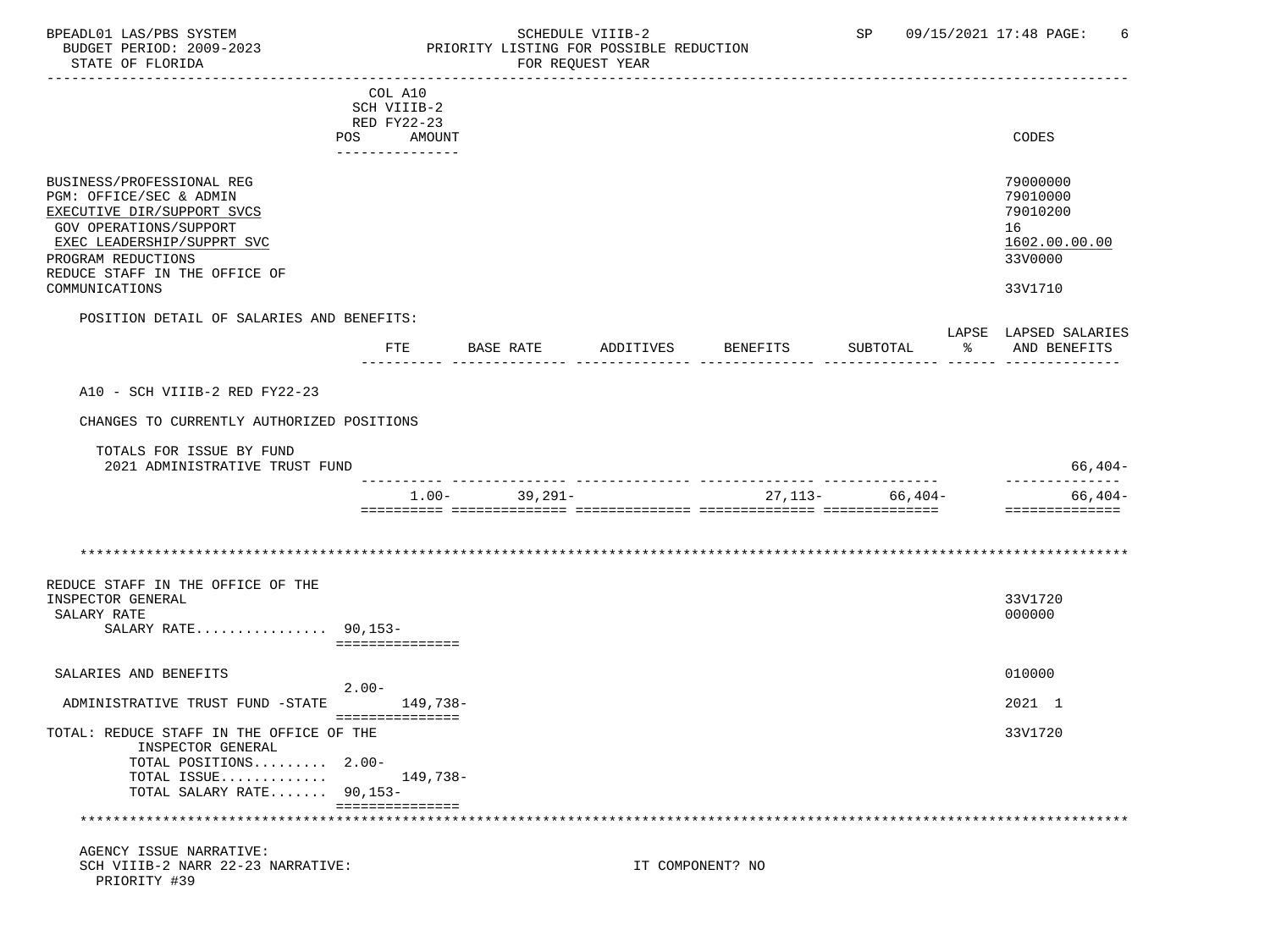### BPEADL01 LAS/PBS SYSTEM SALLE STREDULE VIIIB-2 SCHEDULE VIIIB-2 SP 09/15/2021 17:48 PAGE: 6<br>BUDGET PERIOD: 2009-2023 PRIORITY LISTING FOR POSSIBLE REDUCTION BUDGET PERIOD: 2009-2023 PRIORITY LISTING FOR POSSIBLE REDUCTION<br>FOR REQUEST YEAR FOR REQUEST YEAR

|                                                               | COL A10<br>SCH VIIIB-2 |                   |           |                  |                                |   |                                       |
|---------------------------------------------------------------|------------------------|-------------------|-----------|------------------|--------------------------------|---|---------------------------------------|
|                                                               | RED FY22-23            |                   |           |                  |                                |   |                                       |
|                                                               | POS AMOUNT             |                   |           |                  |                                |   | CODES                                 |
|                                                               | _______________        |                   |           |                  |                                |   |                                       |
| BUSINESS/PROFESSIONAL REG                                     |                        |                   |           |                  |                                |   | 79000000                              |
| PGM: OFFICE/SEC & ADMIN                                       |                        |                   |           |                  |                                |   | 79010000                              |
| EXECUTIVE DIR/SUPPORT SVCS                                    |                        |                   |           |                  |                                |   | 79010200                              |
| GOV OPERATIONS/SUPPORT                                        |                        |                   |           |                  |                                |   | 16                                    |
| EXEC LEADERSHIP/SUPPRT SVC                                    |                        |                   |           |                  |                                |   | 1602.00.00.00                         |
| PROGRAM REDUCTIONS<br>REDUCE STAFF IN THE OFFICE OF           |                        |                   |           |                  |                                |   | 33V0000                               |
| COMMUNICATIONS                                                |                        |                   |           |                  |                                |   | 33V1710                               |
|                                                               |                        |                   |           |                  |                                |   |                                       |
| POSITION DETAIL OF SALARIES AND BENEFITS:                     |                        |                   |           |                  |                                |   |                                       |
|                                                               | FTE                    | BASE RATE         | ADDITIVES | BENEFITS         | SUBTOTAL                       | ႜ | LAPSE LAPSED SALARIES<br>AND BENEFITS |
|                                                               |                        |                   |           |                  |                                |   |                                       |
|                                                               |                        |                   |           |                  |                                |   |                                       |
| A10 - SCH VIIIB-2 RED FY22-23                                 |                        |                   |           |                  |                                |   |                                       |
| CHANGES TO CURRENTLY AUTHORIZED POSITIONS                     |                        |                   |           |                  |                                |   |                                       |
| TOTALS FOR ISSUE BY FUND                                      |                        |                   |           |                  |                                |   |                                       |
| 2021 ADMINISTRATIVE TRUST FUND                                |                        |                   |           |                  |                                |   | $66,404-$                             |
|                                                               |                        |                   |           |                  | ______________________________ |   | ______________                        |
|                                                               |                        | $1.00 - 39,291 -$ |           |                  | $27,113-$ 66,404-              |   | 66,404-                               |
|                                                               |                        |                   |           |                  |                                |   | ==============                        |
|                                                               |                        |                   |           |                  |                                |   |                                       |
|                                                               |                        |                   |           |                  |                                |   |                                       |
| REDUCE STAFF IN THE OFFICE OF THE                             |                        |                   |           |                  |                                |   |                                       |
| INSPECTOR GENERAL                                             |                        |                   |           |                  |                                |   | 33V1720                               |
| SALARY RATE                                                   |                        |                   |           |                  |                                |   | 000000                                |
| SALARY RATE 90,153-                                           |                        |                   |           |                  |                                |   |                                       |
|                                                               | ===============        |                   |           |                  |                                |   |                                       |
| SALARIES AND BENEFITS                                         |                        |                   |           |                  |                                |   | 010000                                |
|                                                               | $2.00-$                |                   |           |                  |                                |   |                                       |
| ADMINISTRATIVE TRUST FUND -STATE                              | 149,738-               |                   |           |                  |                                |   | 2021 1                                |
|                                                               | ===============        |                   |           |                  |                                |   |                                       |
| TOTAL: REDUCE STAFF IN THE OFFICE OF THE<br>INSPECTOR GENERAL |                        |                   |           |                  |                                |   | 33V1720                               |
| TOTAL POSITIONS 2.00-                                         |                        |                   |           |                  |                                |   |                                       |
| TOTAL ISSUE                                                   | 149,738-               |                   |           |                  |                                |   |                                       |
| TOTAL SALARY RATE 90,153-                                     |                        |                   |           |                  |                                |   |                                       |
|                                                               | ===============        |                   |           |                  |                                |   |                                       |
| AGENCY ISSUE NARRATIVE:                                       |                        |                   |           |                  |                                |   |                                       |
| SCH VIIIB-2 NARR 22-23 NARRATIVE:                             |                        |                   |           | IT COMPONENT? NO |                                |   |                                       |
| PRIORITY #39                                                  |                        |                   |           |                  |                                |   |                                       |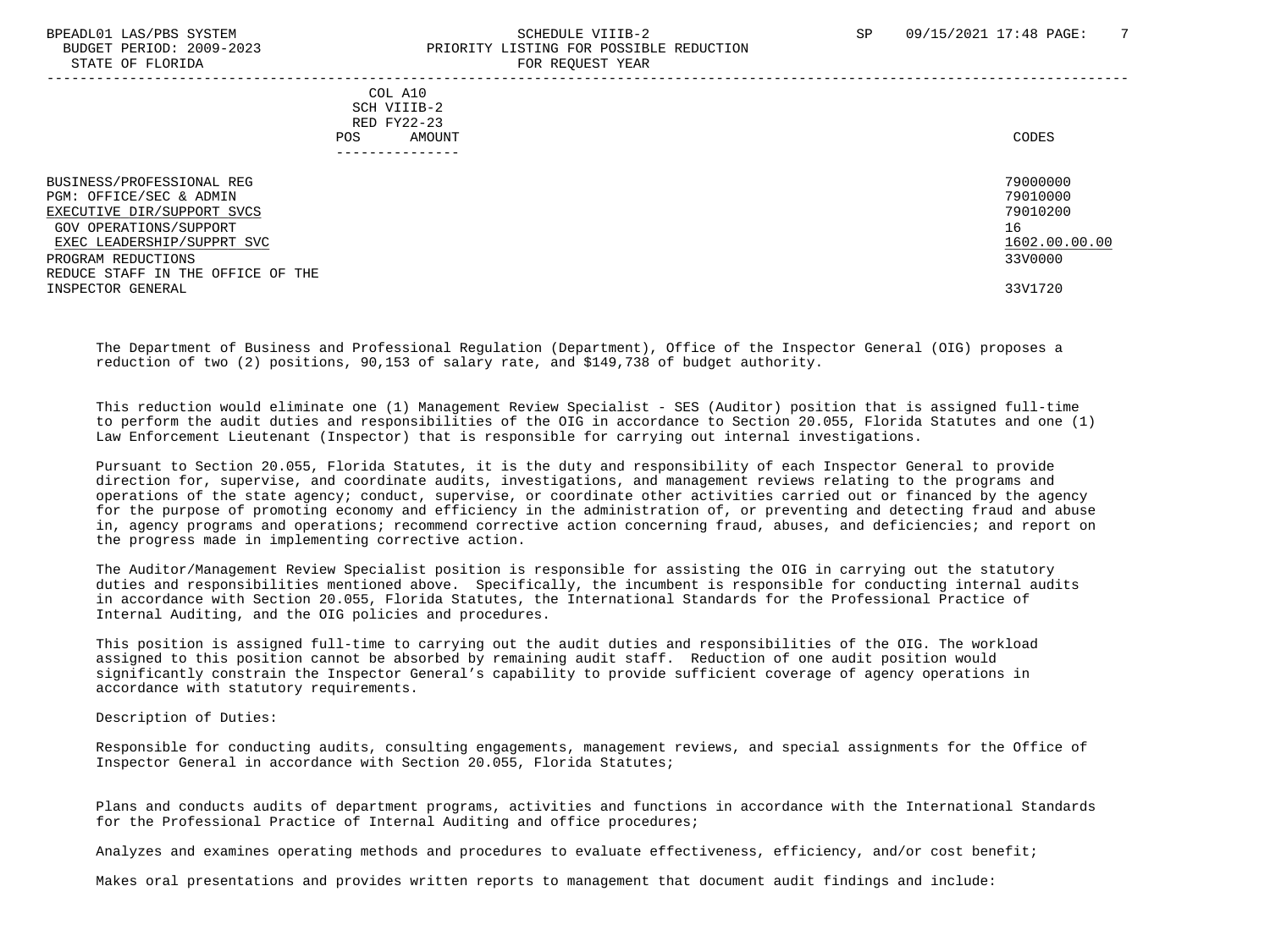#### BPEADL01 LAS/PBS SYSTEM SALL SALL SOMEDULE VIIIB-2 SP 09/15/2021 17:48 PAGE: 7 BUDGET PERIOD: 2009-2023 PRIORITY LISTING FOR POSSIBLE REDUCTION STATE OF FLORIDA **FOR REQUEST YEAR**

 ----------------------------------------------------------------------------------------------------------------------------------- COL A10 SCH VIIIB-2 RED FY22-23 POS AMOUNT NOTES AND AND A RESERVE AND A RESERVE AND LODGED AND LODGED AND LODGED AND LODGED AND LODGED AND LODGED AT A LODGED AND LODGED AT A LODGED AND LODGED AT A LODGED AND LODGED AT A LODGED AND LODGED AT A LODGED AND --------------- BUSINESS/PROFESSIONAL REG 79000000 PGM: OFFICE/SEC & ADMIN 79010000<br>EXECUTIVE DIR/SUPPORT SVCS 79010200 EXECUTIVE DIR/SUPPORT SVCS GOV OPERATIONS/SUPPORT 16 EXEC LEADERSHIP/SUPPRT SVC 1602.00.00.00 \_\_\_\_\_\_\_\_\_\_\_\_\_\_\_\_\_\_\_\_\_\_\_\_\_\_ \_\_\_\_\_\_\_\_\_\_\_\_\_ PROGRAM REDUCTIONS REDUCE STAFF IN THE OFFICE OF THE INSPECTOR GENERAL 33V1720

 The Department of Business and Professional Regulation (Department), Office of the Inspector General (OIG) proposes a reduction of two (2) positions, 90,153 of salary rate, and \$149,738 of budget authority.

 This reduction would eliminate one (1) Management Review Specialist - SES (Auditor) position that is assigned full-time to perform the audit duties and responsibilities of the OIG in accordance to Section 20.055, Florida Statutes and one (1) Law Enforcement Lieutenant (Inspector) that is responsible for carrying out internal investigations.

 Pursuant to Section 20.055, Florida Statutes, it is the duty and responsibility of each Inspector General to provide direction for, supervise, and coordinate audits, investigations, and management reviews relating to the programs and operations of the state agency; conduct, supervise, or coordinate other activities carried out or financed by the agency for the purpose of promoting economy and efficiency in the administration of, or preventing and detecting fraud and abuse in, agency programs and operations; recommend corrective action concerning fraud, abuses, and deficiencies; and report on the progress made in implementing corrective action.

 The Auditor/Management Review Specialist position is responsible for assisting the OIG in carrying out the statutory duties and responsibilities mentioned above. Specifically, the incumbent is responsible for conducting internal audits in accordance with Section 20.055, Florida Statutes, the International Standards for the Professional Practice of Internal Auditing, and the OIG policies and procedures.

 This position is assigned full-time to carrying out the audit duties and responsibilities of the OIG. The workload assigned to this position cannot be absorbed by remaining audit staff. Reduction of one audit position would significantly constrain the Inspector General's capability to provide sufficient coverage of agency operations in accordance with statutory requirements.

Description of Duties:

 Responsible for conducting audits, consulting engagements, management reviews, and special assignments for the Office of Inspector General in accordance with Section 20.055, Florida Statutes;

 Plans and conducts audits of department programs, activities and functions in accordance with the International Standards for the Professional Practice of Internal Auditing and office procedures;

Analyzes and examines operating methods and procedures to evaluate effectiveness, efficiency, and/or cost benefit;

Makes oral presentations and provides written reports to management that document audit findings and include: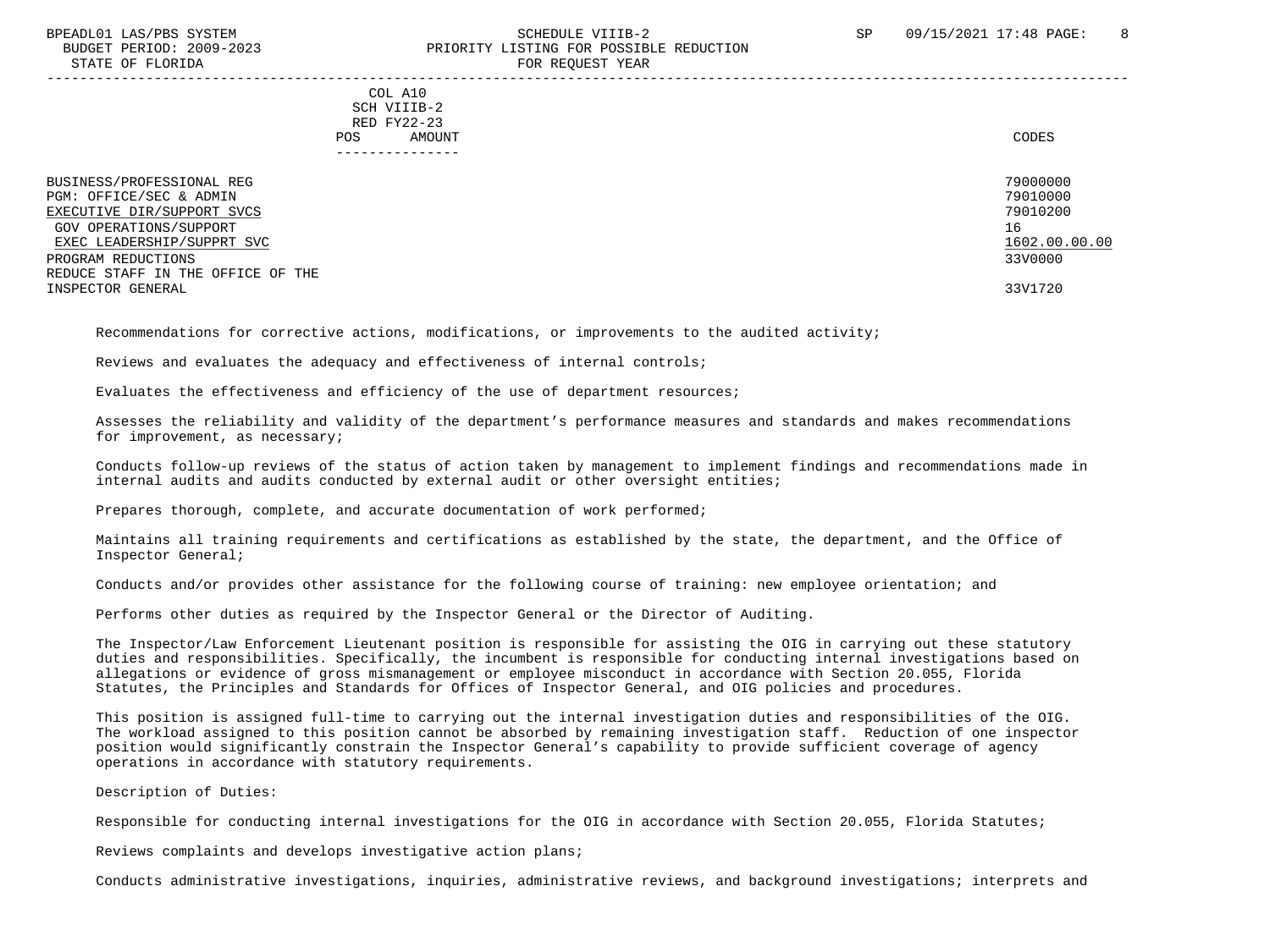#### BPEADL01 LAS/PBS SYSTEM SALL SALL SOMEDULE VIIIB-2 SP 09/15/2021 17:48 PAGE: 8 BUDGET PERIOD: 2009-2023 PRIORITY LISTING FOR POSSIBLE REDUCTION STATE OF FLORIDA **FOR REQUEST YEAR** -----------------------------------------------------------------------------------------------------------------------------------

 COL A10 SCH VIIIB-2 RED FY22-23 POS AMOUNT NOTES AND AND A RESERVE AND A RESERVE AND LODGED AND LODGED AND LODGED AND LODGED AND LODGED AND LODGED AT A LODGED AND LODGED AT A LODGED AND LODGED AT A LODGED AND LODGED AT A LODGED AND LODGED AT A LODGED AND ---------------

| BUSINESS/PROFESSIONAL REG         | 79000000      |
|-----------------------------------|---------------|
| PGM: OFFICE/SEC & ADMIN           | 79010000      |
| EXECUTIVE DIR/SUPPORT SVCS        | 79010200      |
| GOV OPERATIONS/SUPPORT            | 16            |
| EXEC LEADERSHIP/SUPPRT SVC        | 1602.00.00.00 |
| PROGRAM REDUCTIONS                | 33V0000       |
| REDUCE STAFF IN THE OFFICE OF THE |               |
| INSPECTOR GENERAL                 | 33V1720       |

Recommendations for corrective actions, modifications, or improvements to the audited activity;

Reviews and evaluates the adequacy and effectiveness of internal controls;

Evaluates the effectiveness and efficiency of the use of department resources;

 Assesses the reliability and validity of the department's performance measures and standards and makes recommendations for improvement, as necessary;

 Conducts follow-up reviews of the status of action taken by management to implement findings and recommendations made in internal audits and audits conducted by external audit or other oversight entities;

Prepares thorough, complete, and accurate documentation of work performed;

 Maintains all training requirements and certifications as established by the state, the department, and the Office of Inspector General;

Conducts and/or provides other assistance for the following course of training: new employee orientation; and

Performs other duties as required by the Inspector General or the Director of Auditing.

 The Inspector/Law Enforcement Lieutenant position is responsible for assisting the OIG in carrying out these statutory duties and responsibilities. Specifically, the incumbent is responsible for conducting internal investigations based on allegations or evidence of gross mismanagement or employee misconduct in accordance with Section 20.055, Florida Statutes, the Principles and Standards for Offices of Inspector General, and OIG policies and procedures.

 This position is assigned full-time to carrying out the internal investigation duties and responsibilities of the OIG. The workload assigned to this position cannot be absorbed by remaining investigation staff. Reduction of one inspector position would significantly constrain the Inspector General's capability to provide sufficient coverage of agency operations in accordance with statutory requirements.

Description of Duties:

Responsible for conducting internal investigations for the OIG in accordance with Section 20.055, Florida Statutes;

Reviews complaints and develops investigative action plans;

Conducts administrative investigations, inquiries, administrative reviews, and background investigations; interprets and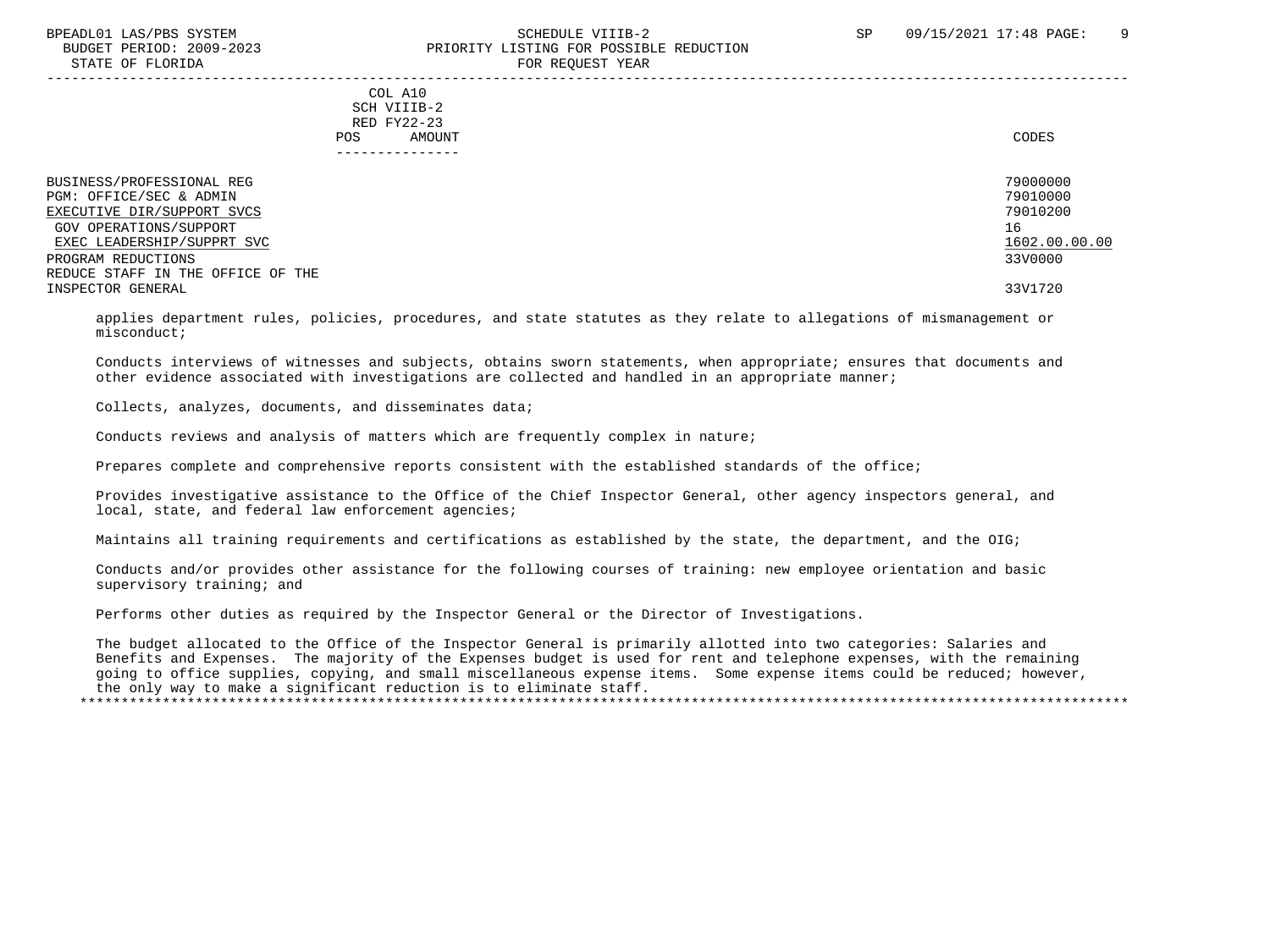### BPEADL01 LAS/PBS SYSTEM SALL SALL SCHEDULE VIIIB-2 SP 09/15/2021 17:48 PAGE: 9 BUDGET PERIOD: 2009-2023 PRIORITY LISTING FOR POSSIBLE REDUCTION STATE OF FLORIDA FOR STATE OF STATE OF STATE OF STATE OF STATE OF STATE OF STATE OF STATE OF STATE OF STATE OF STATE OF STATE OF STATE OF STATE OF STATE OF STATE OF STATE OF STATE OF STATE OF STATE OF STATE OF STATE OF STA

-----------------------------------------------------------------------------------------------------------------------------------

 COL A10 SCH VIIIB-2 RED FY22-23 POS AMOUNT NOTES AND AND A RESERVE AND A RESERVE AND LODGED AND LODGED AND LODGED AND LODGED AND LODGED AND LODGED AT A LODGED AND LODGED AT A LODGED AND LODGED AT A LODGED AND LODGED AT A LODGED AND LODGED AT A LODGED AND ---------------

| BUSINESS/PROFESSIONAL REG         | 79000000      |
|-----------------------------------|---------------|
| PGM: OFFICE/SEC & ADMIN           | 79010000      |
| EXECUTIVE DIR/SUPPORT SVCS        | 79010200      |
| GOV OPERATIONS/SUPPORT            | 16            |
| EXEC LEADERSHIP/SUPPRT SVC        | 1602.00.00.00 |
| PROGRAM REDUCTIONS                | 33V0000       |
| REDUCE STAFF IN THE OFFICE OF THE |               |
| INSPECTOR GENERAL                 | 33V1720       |

 applies department rules, policies, procedures, and state statutes as they relate to allegations of mismanagement or misconduct;

 Conducts interviews of witnesses and subjects, obtains sworn statements, when appropriate; ensures that documents and other evidence associated with investigations are collected and handled in an appropriate manner;

Collects, analyzes, documents, and disseminates data;

Conducts reviews and analysis of matters which are frequently complex in nature;

Prepares complete and comprehensive reports consistent with the established standards of the office;

 Provides investigative assistance to the Office of the Chief Inspector General, other agency inspectors general, and local, state, and federal law enforcement agencies;

Maintains all training requirements and certifications as established by the state, the department, and the OIG;

 Conducts and/or provides other assistance for the following courses of training: new employee orientation and basic supervisory training; and

Performs other duties as required by the Inspector General or the Director of Investigations.

 The budget allocated to the Office of the Inspector General is primarily allotted into two categories: Salaries and Benefits and Expenses. The majority of the Expenses budget is used for rent and telephone expenses, with the remaining going to office supplies, copying, and small miscellaneous expense items. Some expense items could be reduced; however, the only way to make a significant reduction is to eliminate staff. \*\*\*\*\*\*\*\*\*\*\*\*\*\*\*\*\*\*\*\*\*\*\*\*\*\*\*\*\*\*\*\*\*\*\*\*\*\*\*\*\*\*\*\*\*\*\*\*\*\*\*\*\*\*\*\*\*\*\*\*\*\*\*\*\*\*\*\*\*\*\*\*\*\*\*\*\*\*\*\*\*\*\*\*\*\*\*\*\*\*\*\*\*\*\*\*\*\*\*\*\*\*\*\*\*\*\*\*\*\*\*\*\*\*\*\*\*\*\*\*\*\*\*\*\*\*\*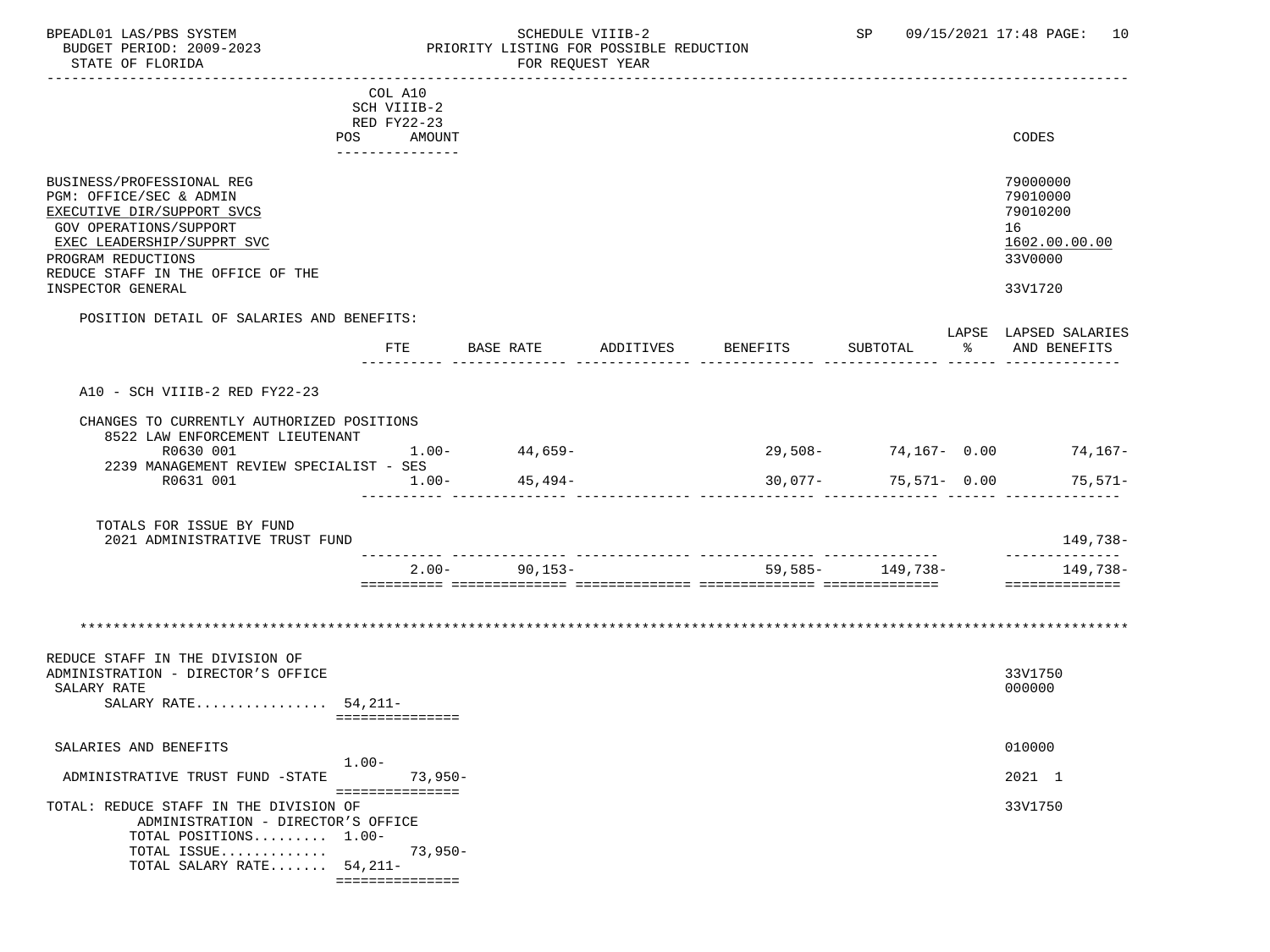### BPEADL01 LAS/PBS SYSTEM STRING THE SCHEDULE VIIIB-2 SP 09/15/2021 17:48 PAGE: 10<br>BUDGET PERIOD: 2009-2023 PRIORITY LISTING FOR POSSIBLE REDUCTION BUDGET PERIOD: 2009-2023 PRIORITY LISTING FOR POSSIBLE REDUCTION<br>STATE OF FLORIDA POR REQUEST YEAR FOR REQUEST YEAR

| COL A10<br>SCH VIIIB-2<br>RED FY22-23<br>CODES<br>POS AMOUNT<br>---------------<br>79000000<br>BUSINESS/PROFESSIONAL REG<br>PGM: OFFICE/SEC & ADMIN<br>79010000<br>79010200<br>EXECUTIVE DIR/SUPPORT SVCS<br><b>GOV OPERATIONS/SUPPORT</b><br>16<br>1602.00.00.00<br>EXEC LEADERSHIP/SUPPRT SVC<br>33V0000<br>PROGRAM REDUCTIONS<br>REDUCE STAFF IN THE OFFICE OF THE<br>33V1720<br>INSPECTOR GENERAL<br>POSITION DETAIL OF SALARIES AND BENEFITS:<br>LAPSE LAPSED SALARIES<br>ETE<br>BASE RATE ADDITIVES BENEFITS<br>SUBTOTAL<br>% AND BENEFITS<br>A10 - SCH VIIIB-2 RED FY22-23<br>CHANGES TO CURRENTLY AUTHORIZED POSITIONS<br>8522 LAW ENFORCEMENT LIEUTENANT<br>$44,659-$<br>$1.00 -$<br>$29,508 - 74,167 - 0.00$ 74,167-<br>R0630 001<br>2239 MANAGEMENT REVIEW SPECIALIST - SES<br>$45,494-$<br>$30,077 - 75,571 - 0.00$ 75,571-<br>R0631 001<br>$1.00-$<br>TOTALS FOR ISSUE BY FUND<br>149,738-<br>2021 ADMINISTRATIVE TRUST FUND<br>______________<br>$2.00 - 90,153 -$<br>59,585 - 149,738 -<br>149,738-<br>==============<br>REDUCE STAFF IN THE DIVISION OF<br>33V1750<br>ADMINISTRATION - DIRECTOR'S OFFICE<br>SALARY RATE<br>000000<br>SALARY RATE $54,211-$<br>===============<br>010000<br>SALARIES AND BENEFITS<br>$1.00-$<br>ADMINISTRATIVE TRUST FUND -STATE 73,950-<br>2021 1<br>===============<br>33V1750<br>TOTAL: REDUCE STAFF IN THE DIVISION OF<br>ADMINISTRATION - DIRECTOR'S OFFICE<br>TOTAL POSITIONS 1.00-<br>$73,950-$<br>TOTAL ISSUE<br>TOTAL SALARY RATE $54,211-$ |  |  |  |  |
|-----------------------------------------------------------------------------------------------------------------------------------------------------------------------------------------------------------------------------------------------------------------------------------------------------------------------------------------------------------------------------------------------------------------------------------------------------------------------------------------------------------------------------------------------------------------------------------------------------------------------------------------------------------------------------------------------------------------------------------------------------------------------------------------------------------------------------------------------------------------------------------------------------------------------------------------------------------------------------------------------------------------------------------------------------------------------------------------------------------------------------------------------------------------------------------------------------------------------------------------------------------------------------------------------------------------------------------------------------------------------------------------------------------------------------------------------------------------------------------------------------|--|--|--|--|
|                                                                                                                                                                                                                                                                                                                                                                                                                                                                                                                                                                                                                                                                                                                                                                                                                                                                                                                                                                                                                                                                                                                                                                                                                                                                                                                                                                                                                                                                                                     |  |  |  |  |
|                                                                                                                                                                                                                                                                                                                                                                                                                                                                                                                                                                                                                                                                                                                                                                                                                                                                                                                                                                                                                                                                                                                                                                                                                                                                                                                                                                                                                                                                                                     |  |  |  |  |
|                                                                                                                                                                                                                                                                                                                                                                                                                                                                                                                                                                                                                                                                                                                                                                                                                                                                                                                                                                                                                                                                                                                                                                                                                                                                                                                                                                                                                                                                                                     |  |  |  |  |
|                                                                                                                                                                                                                                                                                                                                                                                                                                                                                                                                                                                                                                                                                                                                                                                                                                                                                                                                                                                                                                                                                                                                                                                                                                                                                                                                                                                                                                                                                                     |  |  |  |  |
|                                                                                                                                                                                                                                                                                                                                                                                                                                                                                                                                                                                                                                                                                                                                                                                                                                                                                                                                                                                                                                                                                                                                                                                                                                                                                                                                                                                                                                                                                                     |  |  |  |  |
|                                                                                                                                                                                                                                                                                                                                                                                                                                                                                                                                                                                                                                                                                                                                                                                                                                                                                                                                                                                                                                                                                                                                                                                                                                                                                                                                                                                                                                                                                                     |  |  |  |  |
|                                                                                                                                                                                                                                                                                                                                                                                                                                                                                                                                                                                                                                                                                                                                                                                                                                                                                                                                                                                                                                                                                                                                                                                                                                                                                                                                                                                                                                                                                                     |  |  |  |  |
|                                                                                                                                                                                                                                                                                                                                                                                                                                                                                                                                                                                                                                                                                                                                                                                                                                                                                                                                                                                                                                                                                                                                                                                                                                                                                                                                                                                                                                                                                                     |  |  |  |  |
|                                                                                                                                                                                                                                                                                                                                                                                                                                                                                                                                                                                                                                                                                                                                                                                                                                                                                                                                                                                                                                                                                                                                                                                                                                                                                                                                                                                                                                                                                                     |  |  |  |  |
|                                                                                                                                                                                                                                                                                                                                                                                                                                                                                                                                                                                                                                                                                                                                                                                                                                                                                                                                                                                                                                                                                                                                                                                                                                                                                                                                                                                                                                                                                                     |  |  |  |  |
|                                                                                                                                                                                                                                                                                                                                                                                                                                                                                                                                                                                                                                                                                                                                                                                                                                                                                                                                                                                                                                                                                                                                                                                                                                                                                                                                                                                                                                                                                                     |  |  |  |  |
|                                                                                                                                                                                                                                                                                                                                                                                                                                                                                                                                                                                                                                                                                                                                                                                                                                                                                                                                                                                                                                                                                                                                                                                                                                                                                                                                                                                                                                                                                                     |  |  |  |  |
|                                                                                                                                                                                                                                                                                                                                                                                                                                                                                                                                                                                                                                                                                                                                                                                                                                                                                                                                                                                                                                                                                                                                                                                                                                                                                                                                                                                                                                                                                                     |  |  |  |  |
|                                                                                                                                                                                                                                                                                                                                                                                                                                                                                                                                                                                                                                                                                                                                                                                                                                                                                                                                                                                                                                                                                                                                                                                                                                                                                                                                                                                                                                                                                                     |  |  |  |  |
|                                                                                                                                                                                                                                                                                                                                                                                                                                                                                                                                                                                                                                                                                                                                                                                                                                                                                                                                                                                                                                                                                                                                                                                                                                                                                                                                                                                                                                                                                                     |  |  |  |  |
|                                                                                                                                                                                                                                                                                                                                                                                                                                                                                                                                                                                                                                                                                                                                                                                                                                                                                                                                                                                                                                                                                                                                                                                                                                                                                                                                                                                                                                                                                                     |  |  |  |  |
|                                                                                                                                                                                                                                                                                                                                                                                                                                                                                                                                                                                                                                                                                                                                                                                                                                                                                                                                                                                                                                                                                                                                                                                                                                                                                                                                                                                                                                                                                                     |  |  |  |  |
|                                                                                                                                                                                                                                                                                                                                                                                                                                                                                                                                                                                                                                                                                                                                                                                                                                                                                                                                                                                                                                                                                                                                                                                                                                                                                                                                                                                                                                                                                                     |  |  |  |  |
|                                                                                                                                                                                                                                                                                                                                                                                                                                                                                                                                                                                                                                                                                                                                                                                                                                                                                                                                                                                                                                                                                                                                                                                                                                                                                                                                                                                                                                                                                                     |  |  |  |  |
|                                                                                                                                                                                                                                                                                                                                                                                                                                                                                                                                                                                                                                                                                                                                                                                                                                                                                                                                                                                                                                                                                                                                                                                                                                                                                                                                                                                                                                                                                                     |  |  |  |  |
|                                                                                                                                                                                                                                                                                                                                                                                                                                                                                                                                                                                                                                                                                                                                                                                                                                                                                                                                                                                                                                                                                                                                                                                                                                                                                                                                                                                                                                                                                                     |  |  |  |  |
|                                                                                                                                                                                                                                                                                                                                                                                                                                                                                                                                                                                                                                                                                                                                                                                                                                                                                                                                                                                                                                                                                                                                                                                                                                                                                                                                                                                                                                                                                                     |  |  |  |  |
|                                                                                                                                                                                                                                                                                                                                                                                                                                                                                                                                                                                                                                                                                                                                                                                                                                                                                                                                                                                                                                                                                                                                                                                                                                                                                                                                                                                                                                                                                                     |  |  |  |  |
|                                                                                                                                                                                                                                                                                                                                                                                                                                                                                                                                                                                                                                                                                                                                                                                                                                                                                                                                                                                                                                                                                                                                                                                                                                                                                                                                                                                                                                                                                                     |  |  |  |  |
|                                                                                                                                                                                                                                                                                                                                                                                                                                                                                                                                                                                                                                                                                                                                                                                                                                                                                                                                                                                                                                                                                                                                                                                                                                                                                                                                                                                                                                                                                                     |  |  |  |  |
|                                                                                                                                                                                                                                                                                                                                                                                                                                                                                                                                                                                                                                                                                                                                                                                                                                                                                                                                                                                                                                                                                                                                                                                                                                                                                                                                                                                                                                                                                                     |  |  |  |  |
|                                                                                                                                                                                                                                                                                                                                                                                                                                                                                                                                                                                                                                                                                                                                                                                                                                                                                                                                                                                                                                                                                                                                                                                                                                                                                                                                                                                                                                                                                                     |  |  |  |  |
|                                                                                                                                                                                                                                                                                                                                                                                                                                                                                                                                                                                                                                                                                                                                                                                                                                                                                                                                                                                                                                                                                                                                                                                                                                                                                                                                                                                                                                                                                                     |  |  |  |  |
|                                                                                                                                                                                                                                                                                                                                                                                                                                                                                                                                                                                                                                                                                                                                                                                                                                                                                                                                                                                                                                                                                                                                                                                                                                                                                                                                                                                                                                                                                                     |  |  |  |  |
|                                                                                                                                                                                                                                                                                                                                                                                                                                                                                                                                                                                                                                                                                                                                                                                                                                                                                                                                                                                                                                                                                                                                                                                                                                                                                                                                                                                                                                                                                                     |  |  |  |  |
|                                                                                                                                                                                                                                                                                                                                                                                                                                                                                                                                                                                                                                                                                                                                                                                                                                                                                                                                                                                                                                                                                                                                                                                                                                                                                                                                                                                                                                                                                                     |  |  |  |  |
|                                                                                                                                                                                                                                                                                                                                                                                                                                                                                                                                                                                                                                                                                                                                                                                                                                                                                                                                                                                                                                                                                                                                                                                                                                                                                                                                                                                                                                                                                                     |  |  |  |  |
|                                                                                                                                                                                                                                                                                                                                                                                                                                                                                                                                                                                                                                                                                                                                                                                                                                                                                                                                                                                                                                                                                                                                                                                                                                                                                                                                                                                                                                                                                                     |  |  |  |  |
|                                                                                                                                                                                                                                                                                                                                                                                                                                                                                                                                                                                                                                                                                                                                                                                                                                                                                                                                                                                                                                                                                                                                                                                                                                                                                                                                                                                                                                                                                                     |  |  |  |  |
|                                                                                                                                                                                                                                                                                                                                                                                                                                                                                                                                                                                                                                                                                                                                                                                                                                                                                                                                                                                                                                                                                                                                                                                                                                                                                                                                                                                                                                                                                                     |  |  |  |  |
|                                                                                                                                                                                                                                                                                                                                                                                                                                                                                                                                                                                                                                                                                                                                                                                                                                                                                                                                                                                                                                                                                                                                                                                                                                                                                                                                                                                                                                                                                                     |  |  |  |  |
|                                                                                                                                                                                                                                                                                                                                                                                                                                                                                                                                                                                                                                                                                                                                                                                                                                                                                                                                                                                                                                                                                                                                                                                                                                                                                                                                                                                                                                                                                                     |  |  |  |  |
|                                                                                                                                                                                                                                                                                                                                                                                                                                                                                                                                                                                                                                                                                                                                                                                                                                                                                                                                                                                                                                                                                                                                                                                                                                                                                                                                                                                                                                                                                                     |  |  |  |  |
|                                                                                                                                                                                                                                                                                                                                                                                                                                                                                                                                                                                                                                                                                                                                                                                                                                                                                                                                                                                                                                                                                                                                                                                                                                                                                                                                                                                                                                                                                                     |  |  |  |  |
|                                                                                                                                                                                                                                                                                                                                                                                                                                                                                                                                                                                                                                                                                                                                                                                                                                                                                                                                                                                                                                                                                                                                                                                                                                                                                                                                                                                                                                                                                                     |  |  |  |  |
|                                                                                                                                                                                                                                                                                                                                                                                                                                                                                                                                                                                                                                                                                                                                                                                                                                                                                                                                                                                                                                                                                                                                                                                                                                                                                                                                                                                                                                                                                                     |  |  |  |  |
|                                                                                                                                                                                                                                                                                                                                                                                                                                                                                                                                                                                                                                                                                                                                                                                                                                                                                                                                                                                                                                                                                                                                                                                                                                                                                                                                                                                                                                                                                                     |  |  |  |  |
|                                                                                                                                                                                                                                                                                                                                                                                                                                                                                                                                                                                                                                                                                                                                                                                                                                                                                                                                                                                                                                                                                                                                                                                                                                                                                                                                                                                                                                                                                                     |  |  |  |  |
|                                                                                                                                                                                                                                                                                                                                                                                                                                                                                                                                                                                                                                                                                                                                                                                                                                                                                                                                                                                                                                                                                                                                                                                                                                                                                                                                                                                                                                                                                                     |  |  |  |  |
|                                                                                                                                                                                                                                                                                                                                                                                                                                                                                                                                                                                                                                                                                                                                                                                                                                                                                                                                                                                                                                                                                                                                                                                                                                                                                                                                                                                                                                                                                                     |  |  |  |  |
|                                                                                                                                                                                                                                                                                                                                                                                                                                                                                                                                                                                                                                                                                                                                                                                                                                                                                                                                                                                                                                                                                                                                                                                                                                                                                                                                                                                                                                                                                                     |  |  |  |  |
|                                                                                                                                                                                                                                                                                                                                                                                                                                                                                                                                                                                                                                                                                                                                                                                                                                                                                                                                                                                                                                                                                                                                                                                                                                                                                                                                                                                                                                                                                                     |  |  |  |  |
|                                                                                                                                                                                                                                                                                                                                                                                                                                                                                                                                                                                                                                                                                                                                                                                                                                                                                                                                                                                                                                                                                                                                                                                                                                                                                                                                                                                                                                                                                                     |  |  |  |  |
|                                                                                                                                                                                                                                                                                                                                                                                                                                                                                                                                                                                                                                                                                                                                                                                                                                                                                                                                                                                                                                                                                                                                                                                                                                                                                                                                                                                                                                                                                                     |  |  |  |  |
|                                                                                                                                                                                                                                                                                                                                                                                                                                                                                                                                                                                                                                                                                                                                                                                                                                                                                                                                                                                                                                                                                                                                                                                                                                                                                                                                                                                                                                                                                                     |  |  |  |  |
|                                                                                                                                                                                                                                                                                                                                                                                                                                                                                                                                                                                                                                                                                                                                                                                                                                                                                                                                                                                                                                                                                                                                                                                                                                                                                                                                                                                                                                                                                                     |  |  |  |  |
|                                                                                                                                                                                                                                                                                                                                                                                                                                                                                                                                                                                                                                                                                                                                                                                                                                                                                                                                                                                                                                                                                                                                                                                                                                                                                                                                                                                                                                                                                                     |  |  |  |  |
|                                                                                                                                                                                                                                                                                                                                                                                                                                                                                                                                                                                                                                                                                                                                                                                                                                                                                                                                                                                                                                                                                                                                                                                                                                                                                                                                                                                                                                                                                                     |  |  |  |  |

===============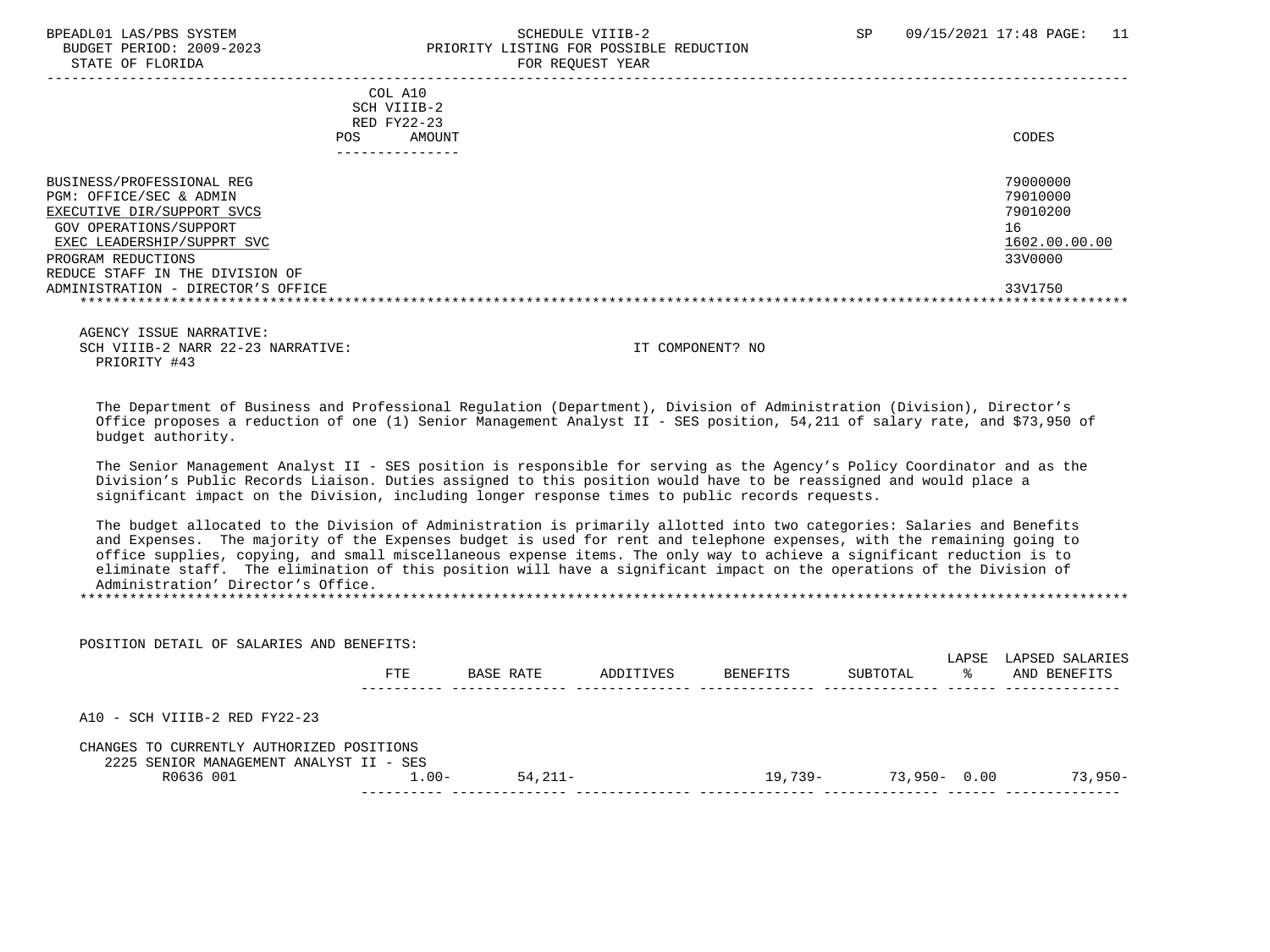STATE OF FLORIDA FOR STATE OF STATE OF STATE OF STATE OF STATE OF STATE OF STATE OF STATE OF STATE OF STATE OF STATE OF STATE OF STATE OF STATE OF STATE OF STATE OF STATE OF STATE OF STATE OF STATE OF STATE OF STATE OF STA

# BPEADL01 LAS/PBS SYSTEM SALL SALL SOMEDULE VIIIB-2 SP 09/15/2021 17:48 PAGE: 11 BUDGET PERIOD: 2009-2023 PRIORITY LISTING FOR POSSIBLE REDUCTION

 ----------------------------------------------------------------------------------------------------------------------------------- COL A10 SCH VIIIB-2 RED FY22-23 POS AMOUNT NOTES AND AND A RESERVE AND A RESERVE AND LODGED AND LODGED AND LODGED AND LODGED AND LODGED AND LODGED AT A LODGED AND LODGED AT A LODGED AND LODGED AT A LODGED AND LODGED AT A LODGED AND LODGED AT A LODGED AND --------------- BUSINESS/PROFESSIONAL REG 79000000 PGM (199000000 PGM) and the control of the control of the control of the control of the control of the control of the control of the control of the control of the control of the control o PGM: OFFICE/SEC & ADMIN 79010000<br>EXECUTIVE DIR/SUPPORT SVCS 79010200 EXECUTIVE DIR/SUPPORT SVCS GOV OPERATIONS/SUPPORT 16  $\frac{\texttt{EXEC} \texttt{LEADERSHIP/SUPPRT} \texttt{SVC}}{3300000}$ PROGRAM REDUCTIONS REDUCE STAFF IN THE DIVISION OF ADMINISTRATION - DIRECTOR'S OFFICE 33V1750 \*\*\*\*\*\*\*\*\*\*\*\*\*\*\*\*\*\*\*\*\*\*\*\*\*\*\*\*\*\*\*\*\*\*\*\*\*\*\*\*\*\*\*\*\*\*\*\*\*\*\*\*\*\*\*\*\*\*\*\*\*\*\*\*\*\*\*\*\*\*\*\*\*\*\*\*\*\*\*\*\*\*\*\*\*\*\*\*\*\*\*\*\*\*\*\*\*\*\*\*\*\*\*\*\*\*\*\*\*\*\*\*\*\*\*\*\*\*\*\*\*\*\*\*\*\*\*

 AGENCY ISSUE NARRATIVE: SCH VIIIB-2 NARR 22-23 NARRATIVE: IT COMPONENT? NO PRIORITY #43

POSITION DETAIL OF SALARIES AND BENEFITS:

 The Department of Business and Professional Regulation (Department), Division of Administration (Division), Director's Office proposes a reduction of one (1) Senior Management Analyst II - SES position, 54,211 of salary rate, and \$73,950 of budget authority.

 The Senior Management Analyst II - SES position is responsible for serving as the Agency's Policy Coordinator and as the Division's Public Records Liaison. Duties assigned to this position would have to be reassigned and would place a significant impact on the Division, including longer response times to public records requests.

 The budget allocated to the Division of Administration is primarily allotted into two categories: Salaries and Benefits and Expenses. The majority of the Expenses budget is used for rent and telephone expenses, with the remaining going to office supplies, copying, and small miscellaneous expense items. The only way to achieve a significant reduction is to eliminate staff. The elimination of this position will have a significant impact on the operations of the Division of Administration' Director's Office.

\*\*\*\*\*\*\*\*\*\*\*\*\*\*\*\*\*\*\*\*\*\*\*\*\*\*\*\*\*\*\*\*\*\*\*\*\*\*\*\*\*\*\*\*\*\*\*\*\*\*\*\*\*\*\*\*\*\*\*\*\*\*\*\*\*\*\*\*\*\*\*\*\*\*\*\*\*\*\*\*\*\*\*\*\*\*\*\*\*\*\*\*\*\*\*\*\*\*\*\*\*\*\*\*\*\*\*\*\*\*\*\*\*\*\*\*\*\*\*\*\*\*\*\*\*\*\*

| RUSIIIUN DEIAIL UP SALARIES AND DENEPIIS.                                            |         |           |           |           |                 | LAPSE | LAPSED SALARIES |
|--------------------------------------------------------------------------------------|---------|-----------|-----------|-----------|-----------------|-------|-----------------|
|                                                                                      | FTE     | BASE RATE | ADDITIVES | BENEFITS  | SUBTOTAL        | °≈    | AND BENEFITS    |
| $A10 - SCH VIIIB-2 RED FY22-23$                                                      |         |           |           |           |                 |       |                 |
| CHANGES TO CURRENTLY AUTHORIZED POSITIONS<br>2225 SENIOR MANAGEMENT ANALYST II - SES |         |           |           |           |                 |       |                 |
| R0636 001                                                                            | $1.00-$ | $54.211-$ |           | $19.739-$ | $73,950 - 0.00$ |       | $73,950-$       |
|                                                                                      |         |           |           |           |                 |       |                 |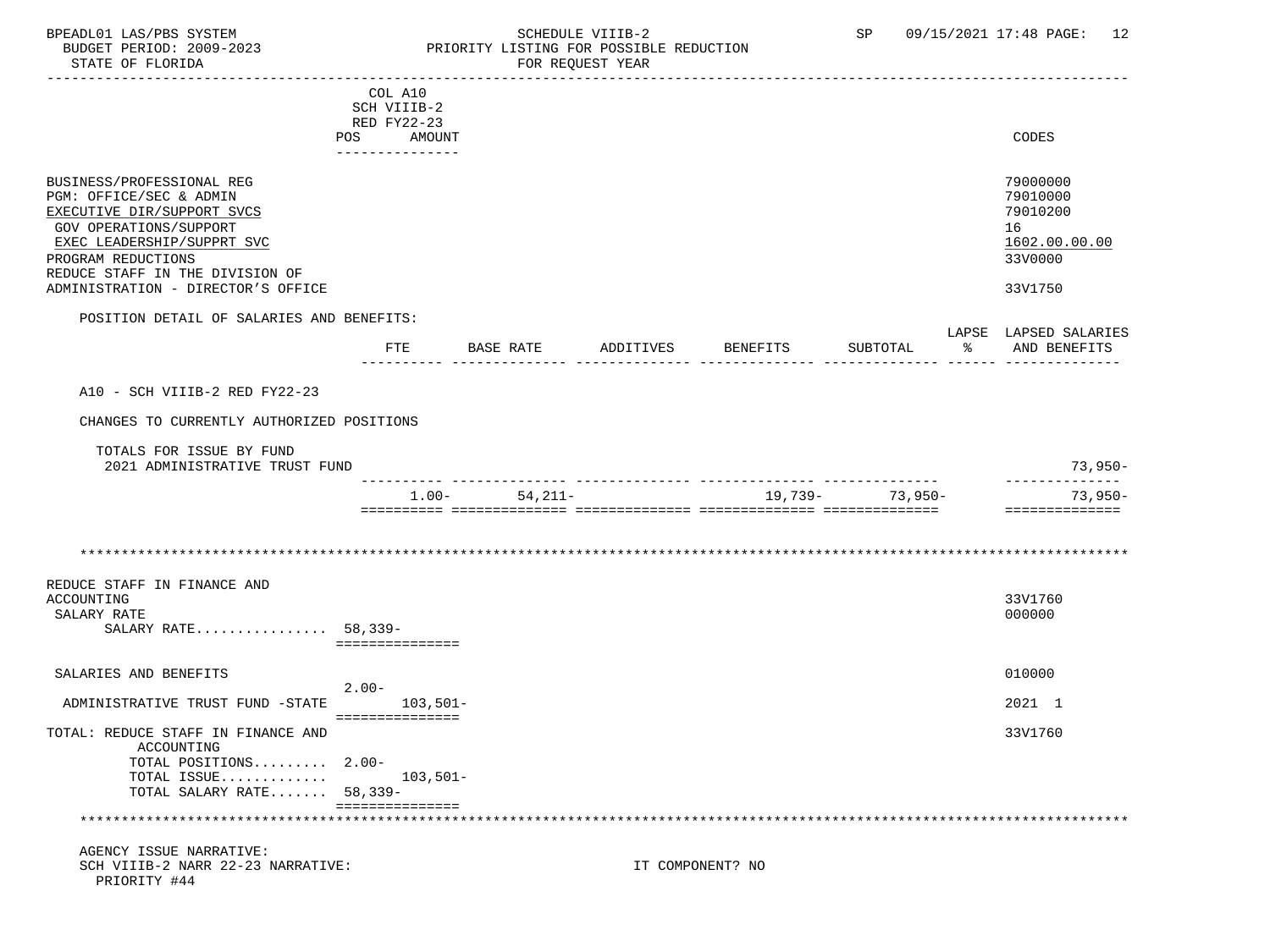## BPEADL01 LAS/PBS SYSTEM SALL SOME SCHEDULE VIIIB-2 SCHEDULE SP 09/15/2021 17:48 PAGE: 12 BUDGET PERIOD: 2009-2023 PRIORITY LISTING FOR POSSIBLE REDUCTION

| -------------------------                                                                                                                                                                           |                                   |             |           |                  |                     |                                                                    |
|-----------------------------------------------------------------------------------------------------------------------------------------------------------------------------------------------------|-----------------------------------|-------------|-----------|------------------|---------------------|--------------------------------------------------------------------|
|                                                                                                                                                                                                     | COL A10                           |             |           |                  |                     |                                                                    |
|                                                                                                                                                                                                     | SCH VIIIB-2                       |             |           |                  |                     |                                                                    |
|                                                                                                                                                                                                     | RED FY22-23                       |             |           |                  |                     |                                                                    |
|                                                                                                                                                                                                     | POS<br>AMOUNT<br>________________ |             |           |                  |                     | CODES                                                              |
|                                                                                                                                                                                                     |                                   |             |           |                  |                     |                                                                    |
| BUSINESS/PROFESSIONAL REG<br>PGM: OFFICE/SEC & ADMIN<br>EXECUTIVE DIR/SUPPORT SVCS<br>GOV OPERATIONS/SUPPORT<br>EXEC LEADERSHIP/SUPPRT SVC<br>PROGRAM REDUCTIONS<br>REDUCE STAFF IN THE DIVISION OF |                                   |             |           |                  |                     | 79000000<br>79010000<br>79010200<br>16<br>1602.00.00.00<br>33V0000 |
| ADMINISTRATION - DIRECTOR'S OFFICE                                                                                                                                                                  |                                   |             |           |                  |                     | 33V1750                                                            |
| POSITION DETAIL OF SALARIES AND BENEFITS:                                                                                                                                                           |                                   |             |           |                  |                     |                                                                    |
|                                                                                                                                                                                                     |                                   |             |           |                  |                     | LAPSE LAPSED SALARIES                                              |
|                                                                                                                                                                                                     | FTE                               | BASE RATE   | ADDITIVES | BENEFITS         | SUBTOTAL            | % AND BENEFITS                                                     |
|                                                                                                                                                                                                     |                                   |             |           |                  |                     |                                                                    |
| A10 - SCH VIIIB-2 RED FY22-23                                                                                                                                                                       |                                   |             |           |                  |                     |                                                                    |
| CHANGES TO CURRENTLY AUTHORIZED POSITIONS                                                                                                                                                           |                                   |             |           |                  |                     |                                                                    |
| TOTALS FOR ISSUE BY FUND<br>2021 ADMINISTRATIVE TRUST FUND                                                                                                                                          |                                   |             |           |                  |                     | $73,950-$                                                          |
|                                                                                                                                                                                                     |                                   |             |           |                  | --- --------------- | --------------                                                     |
|                                                                                                                                                                                                     | $1.00-$                           | $54, 211 -$ |           | 19,739-          | 73,950-             | $73,950-$                                                          |
|                                                                                                                                                                                                     |                                   |             |           |                  |                     | ==============                                                     |
|                                                                                                                                                                                                     |                                   |             |           |                  |                     |                                                                    |
|                                                                                                                                                                                                     |                                   |             |           |                  |                     |                                                                    |
|                                                                                                                                                                                                     |                                   |             |           |                  |                     |                                                                    |
| REDUCE STAFF IN FINANCE AND                                                                                                                                                                         |                                   |             |           |                  |                     |                                                                    |
| ACCOUNTING                                                                                                                                                                                          |                                   |             |           |                  |                     | 33V1760                                                            |
| SALARY RATE                                                                                                                                                                                         |                                   |             |           |                  |                     | 000000                                                             |
| SALARY RATE 58,339-                                                                                                                                                                                 |                                   |             |           |                  |                     |                                                                    |
|                                                                                                                                                                                                     | ===============                   |             |           |                  |                     |                                                                    |
|                                                                                                                                                                                                     |                                   |             |           |                  |                     |                                                                    |
| SALARIES AND BENEFITS                                                                                                                                                                               |                                   |             |           |                  |                     | 010000                                                             |
|                                                                                                                                                                                                     | $2.00 -$                          |             |           |                  |                     |                                                                    |
| ADMINISTRATIVE TRUST FUND -STATE                                                                                                                                                                    | $103,501-$<br>===============     |             |           |                  |                     | 2021 1                                                             |
| TOTAL: REDUCE STAFF IN FINANCE AND<br>ACCOUNTING                                                                                                                                                    |                                   |             |           |                  |                     | 33V1760                                                            |
| TOTAL POSITIONS 2.00-                                                                                                                                                                               |                                   |             |           |                  |                     |                                                                    |
| TOTAL ISSUE                                                                                                                                                                                         | $103,501-$                        |             |           |                  |                     |                                                                    |
| TOTAL SALARY RATE 58,339-                                                                                                                                                                           |                                   |             |           |                  |                     |                                                                    |
|                                                                                                                                                                                                     | ===============                   |             |           |                  |                     |                                                                    |
| ******************************                                                                                                                                                                      |                                   |             |           |                  |                     |                                                                    |
|                                                                                                                                                                                                     |                                   |             |           |                  |                     |                                                                    |
| AGENCY ISSUE NARRATIVE:                                                                                                                                                                             |                                   |             |           |                  |                     |                                                                    |
| SCH VIIIB-2 NARR 22-23 NARRATIVE:                                                                                                                                                                   |                                   |             |           | IT COMPONENT? NO |                     |                                                                    |

PRIORITY #44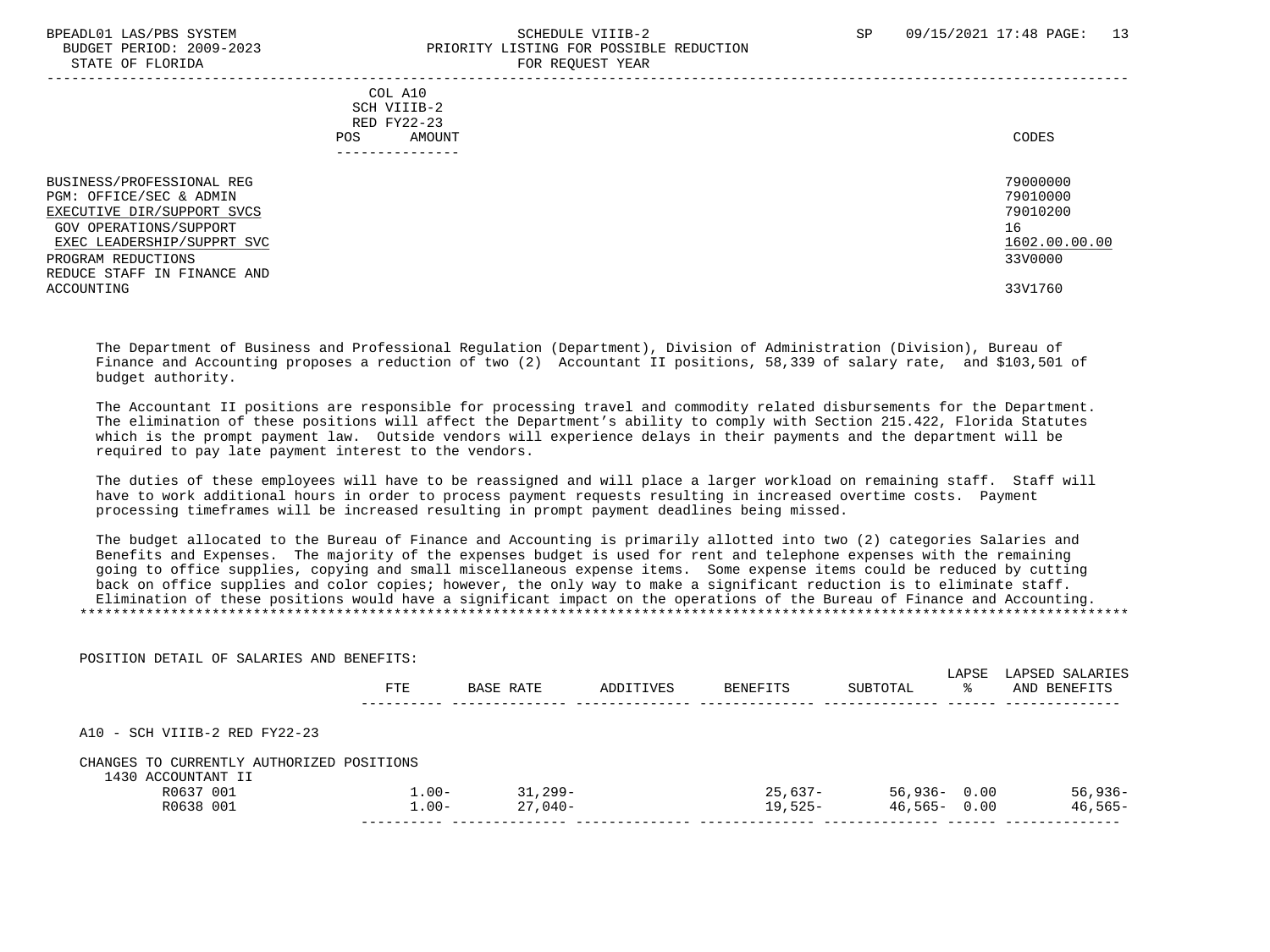STATE OF FLORIDA

POSITION DETAIL OF SALARIES AND BENEFITS:

# BPEADL01 LAS/PBS SYSTEM SALL SALL SOMEDULE VIIIB-2 SP 09/15/2021 17:48 PAGE: 13 BUDGET PERIOD: 2009-2023<br>
STATE OF FLORIDA

| $0.11111$ $0.1$ $1.01111$                                                                                                                                                                                     | $1011$ $1000001$ $1011$                                              |                                                                               |
|---------------------------------------------------------------------------------------------------------------------------------------------------------------------------------------------------------------|----------------------------------------------------------------------|-------------------------------------------------------------------------------|
|                                                                                                                                                                                                               | COL A10<br>SCH VIIIB-2<br>RED FY22-23<br>AMOUNT<br>POS<br>__________ | CODES                                                                         |
| BUSINESS/PROFESSIONAL REG<br>PGM: OFFICE/SEC & ADMIN<br>EXECUTIVE DIR/SUPPORT SVCS<br>GOV OPERATIONS/SUPPORT<br>EXEC LEADERSHIP/SUPPRT SVC<br>PROGRAM REDUCTIONS<br>REDUCE STAFF IN FINANCE AND<br>ACCOUNTING |                                                                      | 79000000<br>79010000<br>79010200<br>16<br>1602.00.00.00<br>33V0000<br>33V1760 |

 The Department of Business and Professional Regulation (Department), Division of Administration (Division), Bureau of Finance and Accounting proposes a reduction of two (2) Accountant II positions, 58,339 of salary rate, and \$103,501 of budget authority.

 The Accountant II positions are responsible for processing travel and commodity related disbursements for the Department. The elimination of these positions will affect the Department's ability to comply with Section 215.422, Florida Statutes which is the prompt payment law. Outside vendors will experience delays in their payments and the department will be required to pay late payment interest to the vendors.

 The duties of these employees will have to be reassigned and will place a larger workload on remaining staff. Staff will have to work additional hours in order to process payment requests resulting in increased overtime costs. Payment processing timeframes will be increased resulting in prompt payment deadlines being missed.

 The budget allocated to the Bureau of Finance and Accounting is primarily allotted into two (2) categories Salaries and Benefits and Expenses. The majority of the expenses budget is used for rent and telephone expenses with the remaining going to office supplies, copying and small miscellaneous expense items. Some expense items could be reduced by cutting back on office supplies and color copies; however, the only way to make a significant reduction is to eliminate staff. Elimination of these positions would have a significant impact on the operations of the Bureau of Finance and Accounting. \*\*\*\*\*\*\*\*\*\*\*\*\*\*\*\*\*\*\*\*\*\*\*\*\*\*\*\*\*\*\*\*\*\*\*\*\*\*\*\*\*\*\*\*\*\*\*\*\*\*\*\*\*\*\*\*\*\*\*\*\*\*\*\*\*\*\*\*\*\*\*\*\*\*\*\*\*\*\*\*\*\*\*\*\*\*\*\*\*\*\*\*\*\*\*\*\*\*\*\*\*\*\*\*\*\*\*\*\*\*\*\*\*\*\*\*\*\*\*\*\*\*\*\*\*\*\*

|                                                                 | <b>FTE</b> | BASE RATE | ADDITIVES | BENEFITS | SUBTOTAL        | LAPSE<br>°≈ | LAPSED SALARIES<br>AND BENEFITS |
|-----------------------------------------------------------------|------------|-----------|-----------|----------|-----------------|-------------|---------------------------------|
| A10 - SCH VIIIB-2 RED FY22-23                                   |            |           |           |          |                 |             |                                 |
|                                                                 |            |           |           |          |                 |             |                                 |
| CHANGES TO CURRENTLY AUTHORIZED POSITIONS<br>1430 ACCOUNTANT II |            |           |           |          |                 |             |                                 |
| R0637 001                                                       | $1.00 -$   | 31,299-   |           | 25,637-  | $56,936 - 0.00$ |             | $56,936-$                       |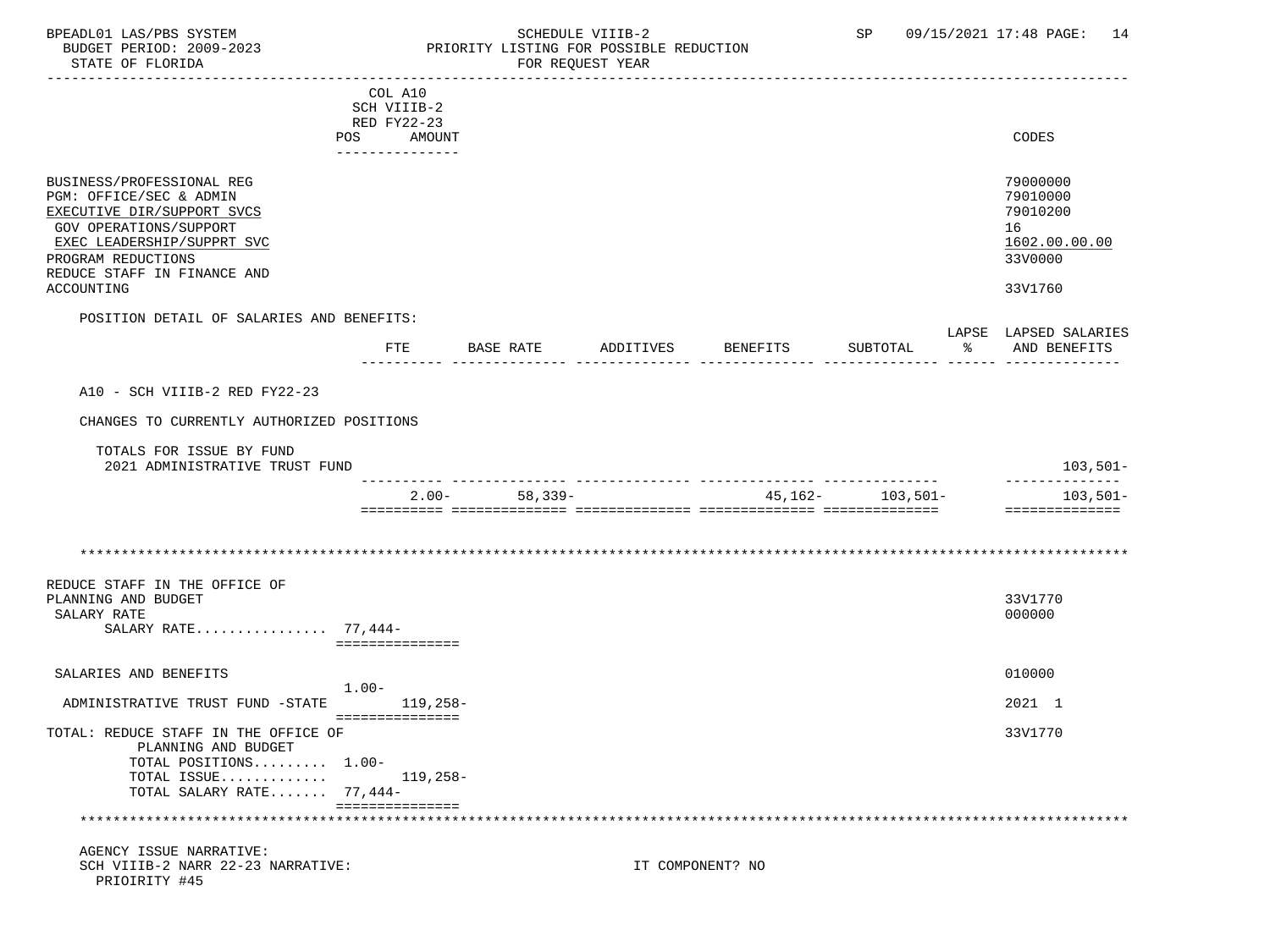## BPEADL01 LAS/PBS SYSTEM SALL SOME SCHEDULE VIIIB-2 SCHEDULE SP 09/15/2021 17:48 PAGE: 14 BUDGET PERIOD: 2009-2023 PRIORITY LISTING FOR POSSIBLE REDUCTION

|                                           | COL A10         |                   |           |                  |                                   |    |                       |
|-------------------------------------------|-----------------|-------------------|-----------|------------------|-----------------------------------|----|-----------------------|
|                                           | SCH VIIIB-2     |                   |           |                  |                                   |    |                       |
|                                           | RED FY22-23     |                   |           |                  |                                   |    |                       |
|                                           | POS AMOUNT      |                   |           |                  |                                   |    | CODES                 |
|                                           | _______________ |                   |           |                  |                                   |    |                       |
|                                           |                 |                   |           |                  |                                   |    |                       |
| BUSINESS/PROFESSIONAL REG                 |                 |                   |           |                  |                                   |    | 79000000              |
| PGM: OFFICE/SEC & ADMIN                   |                 |                   |           |                  |                                   |    | 79010000              |
| EXECUTIVE DIR/SUPPORT SVCS                |                 |                   |           |                  |                                   |    | 79010200              |
| <b>GOV OPERATIONS/SUPPORT</b>             |                 |                   |           |                  |                                   |    | 16                    |
| EXEC LEADERSHIP/SUPPRT SVC                |                 |                   |           |                  |                                   |    | 1602.00.00.00         |
| PROGRAM REDUCTIONS                        |                 |                   |           |                  |                                   |    | 33V0000               |
| REDUCE STAFF IN FINANCE AND               |                 |                   |           |                  |                                   |    |                       |
| ACCOUNTING                                |                 |                   |           |                  |                                   |    | 33V1760               |
|                                           |                 |                   |           |                  |                                   |    |                       |
| POSITION DETAIL OF SALARIES AND BENEFITS: |                 |                   |           |                  |                                   |    |                       |
|                                           |                 |                   |           |                  |                                   |    | LAPSE LAPSED SALARIES |
|                                           | FTE             | BASE RATE         | ADDITIVES | <b>BENEFITS</b>  | SUBTOTAL                          | ွေ | AND BENEFITS          |
|                                           |                 |                   |           |                  |                                   |    |                       |
|                                           |                 |                   |           |                  |                                   |    |                       |
| A10 - SCH VIIIB-2 RED FY22-23             |                 |                   |           |                  |                                   |    |                       |
| CHANGES TO CURRENTLY AUTHORIZED POSITIONS |                 |                   |           |                  |                                   |    |                       |
|                                           |                 |                   |           |                  |                                   |    |                       |
| TOTALS FOR ISSUE BY FUND                  |                 |                   |           |                  |                                   |    |                       |
| 2021 ADMINISTRATIVE TRUST FUND            |                 |                   |           |                  |                                   |    | $103,501-$            |
|                                           |                 |                   |           |                  | _________________________________ |    | --------------        |
|                                           |                 | $2.00 - 58.339 -$ |           |                  | $45,162-103,501-$                 |    | 103,501-              |
|                                           |                 |                   |           |                  |                                   |    | ==============        |
|                                           |                 |                   |           |                  |                                   |    |                       |
|                                           |                 |                   |           |                  |                                   |    |                       |
|                                           |                 |                   |           |                  |                                   |    |                       |
| REDUCE STAFF IN THE OFFICE OF             |                 |                   |           |                  |                                   |    |                       |
| PLANNING AND BUDGET                       |                 |                   |           |                  |                                   |    | 33V1770               |
|                                           |                 |                   |           |                  |                                   |    |                       |
| SALARY RATE<br>SALARY RATE $77,444-$      |                 |                   |           |                  |                                   |    | 000000                |
|                                           | =============== |                   |           |                  |                                   |    |                       |
|                                           |                 |                   |           |                  |                                   |    |                       |
| SALARIES AND BENEFITS                     |                 |                   |           |                  |                                   |    | 010000                |
|                                           | $1.00-$         |                   |           |                  |                                   |    |                       |
| ADMINISTRATIVE TRUST FUND -STATE          |                 | 119,258-          |           |                  |                                   |    | 2021 1                |
|                                           | =============== |                   |           |                  |                                   |    |                       |
| TOTAL: REDUCE STAFF IN THE OFFICE OF      |                 |                   |           |                  |                                   |    | 33V1770               |
| PLANNING AND BUDGET                       |                 |                   |           |                  |                                   |    |                       |
| TOTAL POSITIONS 1.00-                     |                 |                   |           |                  |                                   |    |                       |
| TOTAL ISSUE                               |                 | 119,258-          |           |                  |                                   |    |                       |
| TOTAL SALARY RATE 77,444-                 |                 |                   |           |                  |                                   |    |                       |
|                                           | =============== |                   |           |                  |                                   |    |                       |
|                                           |                 |                   |           |                  |                                   |    |                       |
|                                           |                 |                   |           |                  |                                   |    |                       |
| AGENCY ISSUE NARRATIVE:                   |                 |                   |           |                  |                                   |    |                       |
| SCH VIIIB-2 NARR 22-23 NARRATIVE:         |                 |                   |           | IT COMPONENT? NO |                                   |    |                       |
| PRIOIRITY #45                             |                 |                   |           |                  |                                   |    |                       |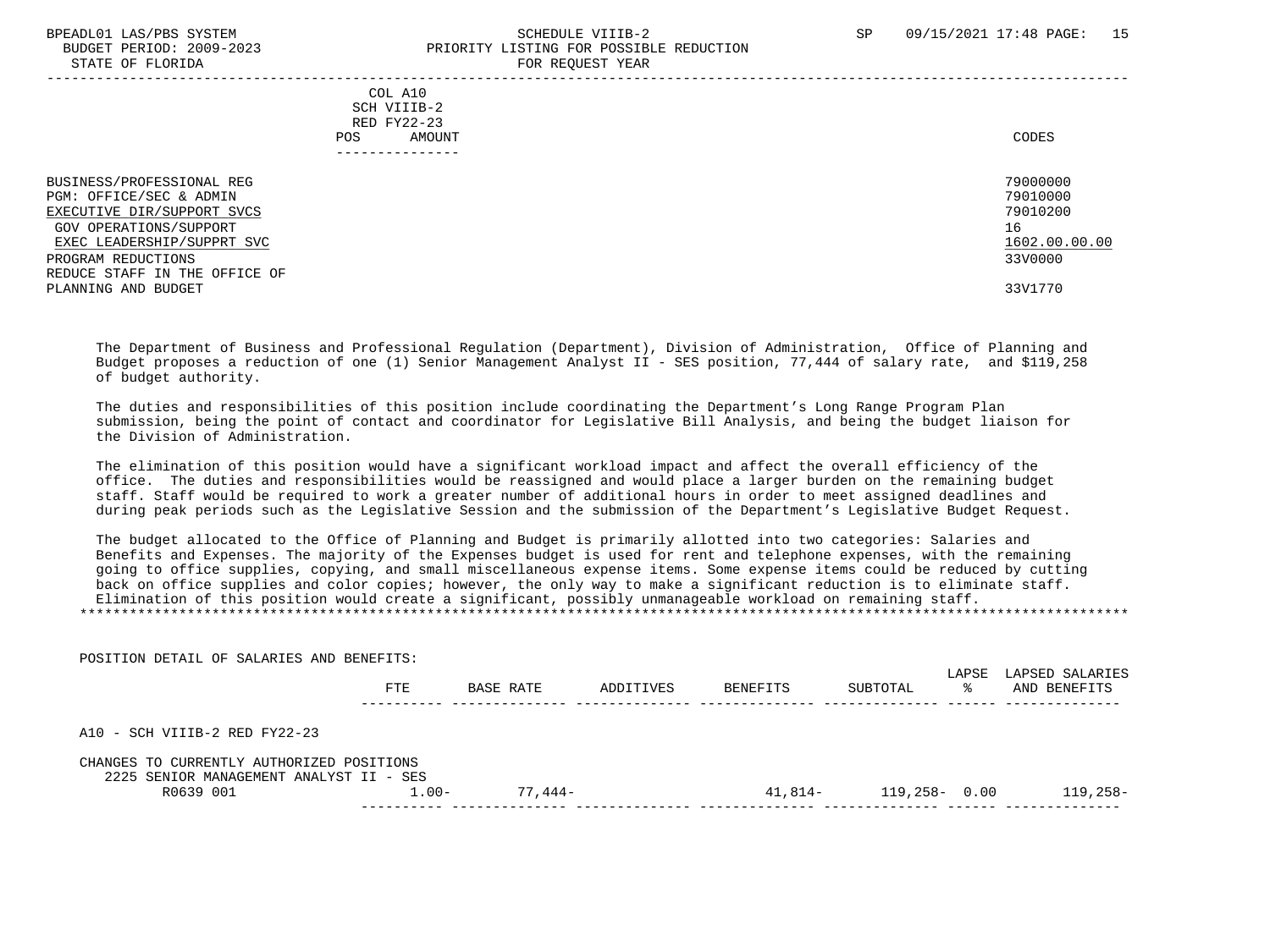STATE OF FLORIDA

POSITION DETAIL OF SALARIES AND BENEFITS:

# BPEADL01 LAS/PBS SYSTEM SALL SALL SOMEDULE VIIIB-2 SP 09/15/2021 17:48 PAGE: 15 BUDGET PERIOD: 2009-2023<br>
STATE OF FLORIDA

| $0.11111$ $0.1$ $1.10111$                                                                                                                                                                                                       | ron nogobor rom                                                               |
|---------------------------------------------------------------------------------------------------------------------------------------------------------------------------------------------------------------------------------|-------------------------------------------------------------------------------|
| COL A10<br>SCH VIIIB-2<br>RED FY22-23<br><b>POS</b><br>AMOUNT<br>------------                                                                                                                                                   | CODES                                                                         |
| BUSINESS/PROFESSIONAL REG<br>PGM: OFFICE/SEC & ADMIN<br>EXECUTIVE DIR/SUPPORT SVCS<br><b>GOV OPERATIONS/SUPPORT</b><br>EXEC LEADERSHIP/SUPPRT SVC<br>PROGRAM REDUCTIONS<br>REDUCE STAFF IN THE OFFICE OF<br>PLANNING AND BUDGET | 79000000<br>79010000<br>79010200<br>16<br>1602.00.00.00<br>33V0000<br>33V1770 |

 The Department of Business and Professional Regulation (Department), Division of Administration, Office of Planning and Budget proposes a reduction of one (1) Senior Management Analyst II - SES position, 77,444 of salary rate, and \$119,258 of budget authority.

 The duties and responsibilities of this position include coordinating the Department's Long Range Program Plan submission, being the point of contact and coordinator for Legislative Bill Analysis, and being the budget liaison for the Division of Administration.

 The elimination of this position would have a significant workload impact and affect the overall efficiency of the office. The duties and responsibilities would be reassigned and would place a larger burden on the remaining budget staff. Staff would be required to work a greater number of additional hours in order to meet assigned deadlines and during peak periods such as the Legislative Session and the submission of the Department's Legislative Budget Request.

 The budget allocated to the Office of Planning and Budget is primarily allotted into two categories: Salaries and Benefits and Expenses. The majority of the Expenses budget is used for rent and telephone expenses, with the remaining going to office supplies, copying, and small miscellaneous expense items. Some expense items could be reduced by cutting back on office supplies and color copies; however, the only way to make a significant reduction is to eliminate staff. Elimination of this position would create a significant, possibly unmanageable workload on remaining staff. \*\*\*\*\*\*\*\*\*\*\*\*\*\*\*\*\*\*\*\*\*\*\*\*\*\*\*\*\*\*\*\*\*\*\*\*\*\*\*\*\*\*\*\*\*\*\*\*\*\*\*\*\*\*\*\*\*\*\*\*\*\*\*\*\*\*\*\*\*\*\*\*\*\*\*\*\*\*\*\*\*\*\*\*\*\*\*\*\*\*\*\*\*\*\*\*\*\*\*\*\*\*\*\*\*\*\*\*\*\*\*\*\*\*\*\*\*\*\*\*\*\*\*\*\*\*\*

| PUSIIIUN DEIAIL UP SALAKIES AND BENEFIIS.                                            |            |           |           |                 |                  | LAPSE | LAPSED SALARIES |
|--------------------------------------------------------------------------------------|------------|-----------|-----------|-----------------|------------------|-------|-----------------|
|                                                                                      | <b>FTE</b> | BASE RATE | ADDITIVES | <b>BENEFITS</b> | SUBTOTAL         | ୁ ⊱   | AND BENEFITS    |
| $A10 - SCH VIIIB-2 RED FY22-23$                                                      |            |           |           |                 |                  |       |                 |
| CHANGES TO CURRENTLY AUTHORIZED POSITIONS<br>2225 SENIOR MANAGEMENT ANALYST II - SES |            |           |           |                 |                  |       |                 |
| R0639 001                                                                            | $1.00 -$   | 77.444-   |           | $41.814-$       | $119,258 - 0.00$ |       | $119.258 -$     |
|                                                                                      |            |           |           |                 |                  |       |                 |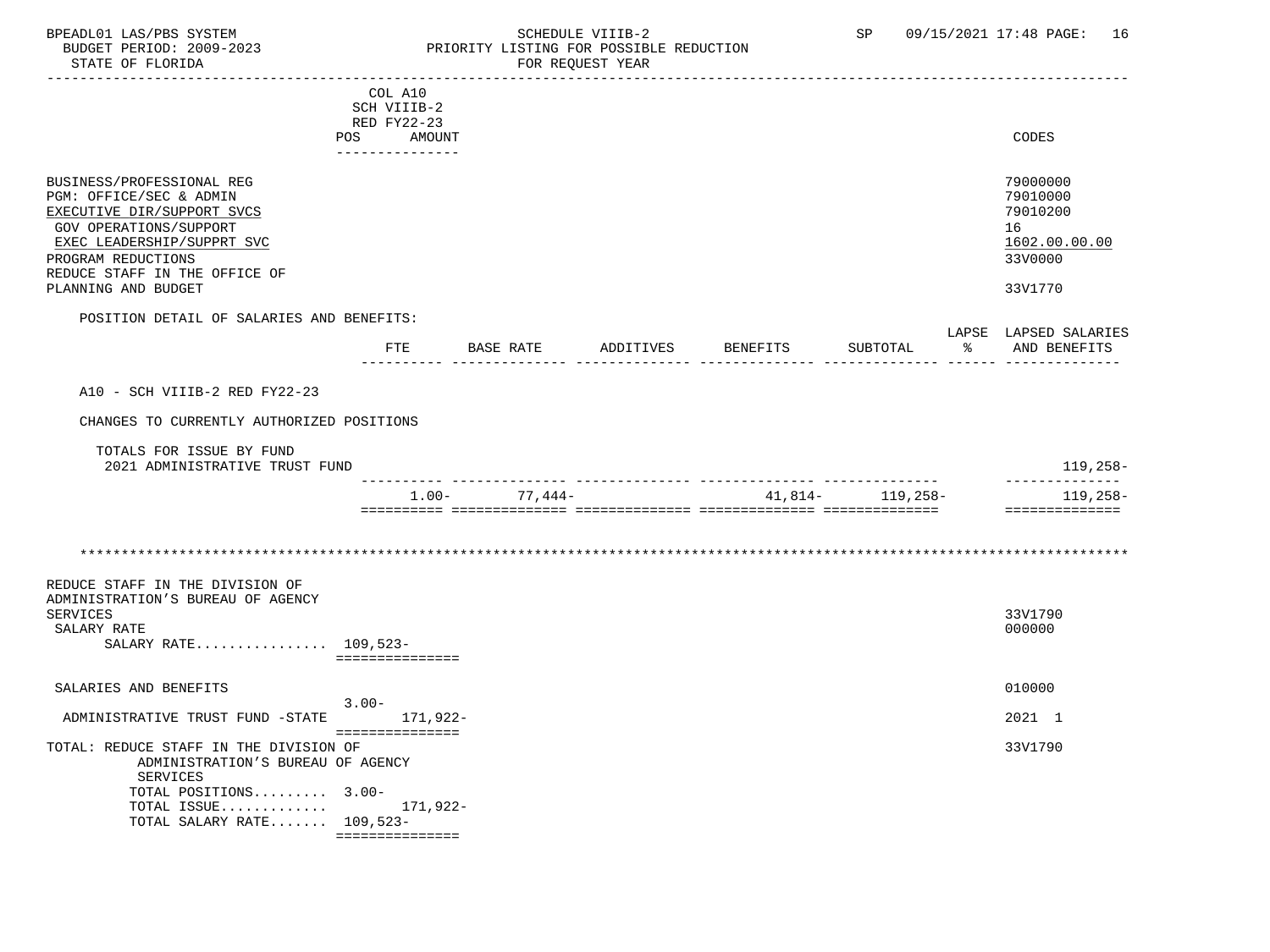## BPEADL01 LAS/PBS SYSTEM SALL SOME SCHEDULE VIIIB-2 SCHEDULE SP 09/15/2021 17:48 PAGE: 16 BUDGET PERIOD: 2009-2023 PRIORITY LISTING FOR POSSIBLE REDUCTION

|                                                                                                                                                                                                                          | COL A10<br>SCH VIIIB-2<br>RED FY22-23 |          |               |           |          |                     |   |                                                                               |
|--------------------------------------------------------------------------------------------------------------------------------------------------------------------------------------------------------------------------|---------------------------------------|----------|---------------|-----------|----------|---------------------|---|-------------------------------------------------------------------------------|
|                                                                                                                                                                                                                          | POS<br>---------------                | AMOUNT   |               |           |          |                     |   | CODES                                                                         |
| BUSINESS/PROFESSIONAL REG<br>PGM: OFFICE/SEC & ADMIN<br>EXECUTIVE DIR/SUPPORT SVCS<br>GOV OPERATIONS/SUPPORT<br>EXEC LEADERSHIP/SUPPRT SVC<br>PROGRAM REDUCTIONS<br>REDUCE STAFF IN THE OFFICE OF<br>PLANNING AND BUDGET |                                       |          |               |           |          |                     |   | 79000000<br>79010000<br>79010200<br>16<br>1602.00.00.00<br>33V0000<br>33V1770 |
| POSITION DETAIL OF SALARIES AND BENEFITS:                                                                                                                                                                                |                                       |          |               |           |          |                     |   | LAPSE LAPSED SALARIES                                                         |
|                                                                                                                                                                                                                          |                                       |          | FTE BASE RATE | ADDITIVES | BENEFITS | SUBTOTAL            | ႜ | AND BENEFITS                                                                  |
| A10 - SCH VIIIB-2 RED FY22-23                                                                                                                                                                                            |                                       |          |               |           |          |                     |   |                                                                               |
| CHANGES TO CURRENTLY AUTHORIZED POSITIONS                                                                                                                                                                                |                                       |          |               |           |          |                     |   |                                                                               |
| TOTALS FOR ISSUE BY FUND<br>2021 ADMINISTRATIVE TRUST FUND                                                                                                                                                               |                                       |          |               |           |          | -- ---------------- |   | 119,258-<br>______________                                                    |
|                                                                                                                                                                                                                          |                                       | $1.00 -$ | $77,444-$     |           |          | $41,814-119,258-$   |   | 119,258-<br>==============                                                    |
|                                                                                                                                                                                                                          |                                       |          |               |           |          |                     |   |                                                                               |
| REDUCE STAFF IN THE DIVISION OF<br>ADMINISTRATION'S BUREAU OF AGENCY<br>SERVICES<br>SALARY RATE<br>SALARY RATE 109,523-                                                                                                  | ===============                       |          |               |           |          |                     |   | 33V1790<br>000000                                                             |
| SALARIES AND BENEFITS                                                                                                                                                                                                    | $3.00 -$                              |          |               |           |          |                     |   | 010000                                                                        |
| ADMINISTRATIVE TRUST FUND -STATE                                                                                                                                                                                         | ===============                       | 171,922- |               |           |          |                     |   | 2021 1                                                                        |
| TOTAL: REDUCE STAFF IN THE DIVISION OF<br>ADMINISTRATION'S BUREAU OF AGENCY<br>SERVICES<br>TOTAL POSITIONS 3.00-<br>TOTAL ISSUE $171,922-$<br>TOTAL SALARY RATE $109,523-$                                               | ===============                       |          |               |           |          |                     |   | 33V1790                                                                       |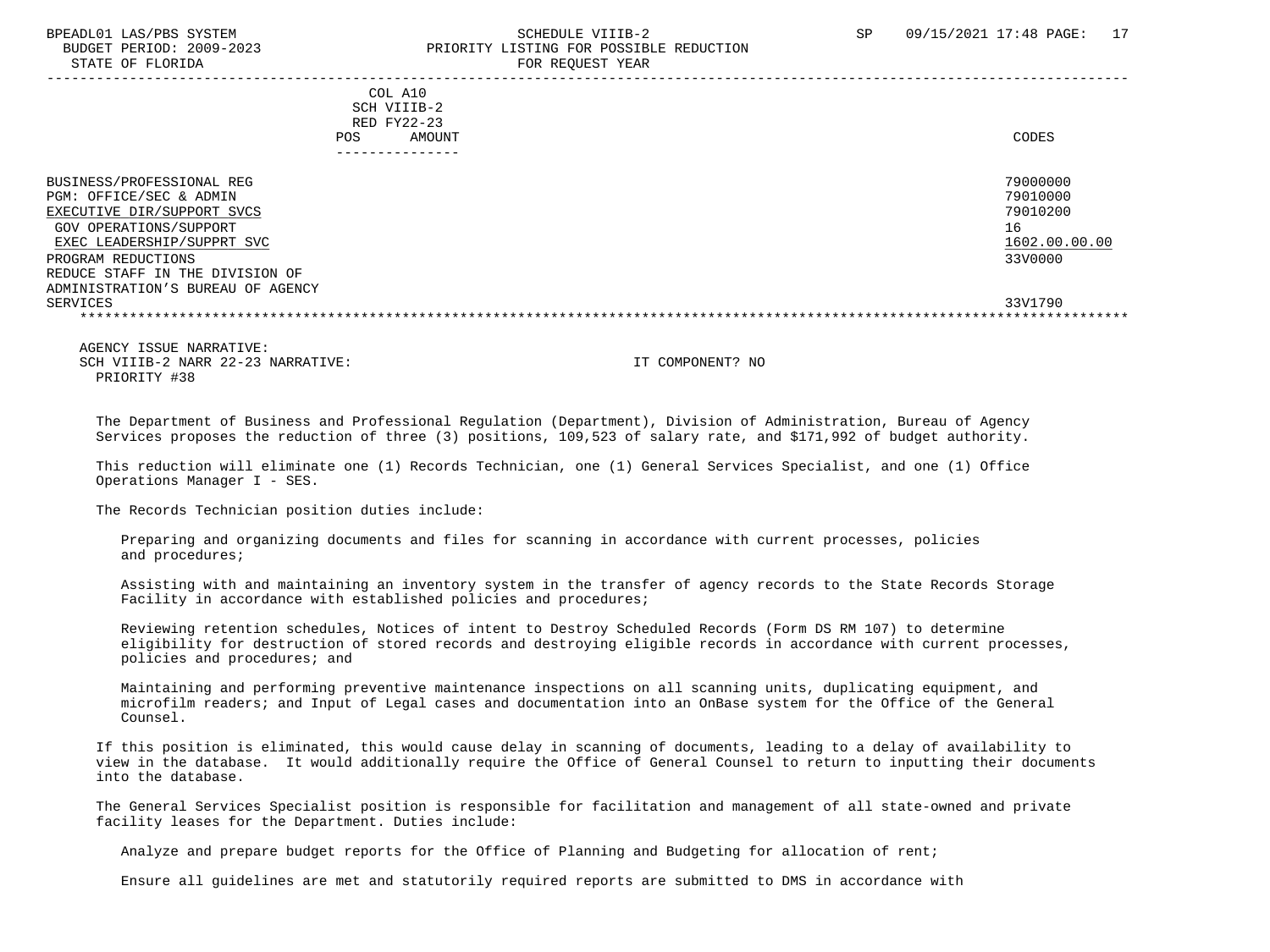#### BPEADL01 LAS/PBS SYSTEM SALL STRINGER STRINGER STRINGER SCHEDULE VIIIB-2 SP 09/15/2021 17:48 PAGE: 17 BUDGET PERIOD: 2009-2023 PRIORITY LISTING FOR POSSIBLE REDUCTION STATE OF FLORIDA **FOR REQUEST YEAR**

|                                                                                                                                                                                                                                          | COL A10<br>SCH VIIIB-2<br>RED FY22-23<br>AMOUNT<br>POS. | CODES                                                              |
|------------------------------------------------------------------------------------------------------------------------------------------------------------------------------------------------------------------------------------------|---------------------------------------------------------|--------------------------------------------------------------------|
| BUSINESS/PROFESSIONAL REG<br>PGM: OFFICE/SEC & ADMIN<br>EXECUTIVE DIR/SUPPORT SVCS<br>GOV OPERATIONS/SUPPORT<br>EXEC LEADERSHIP/SUPPRT SVC<br>PROGRAM REDUCTIONS<br>REDUCE STAFF IN THE DIVISION OF<br>ADMINISTRATION'S BUREAU OF AGENCY |                                                         | 79000000<br>79010000<br>79010200<br>16<br>1602.00.00.00<br>33V0000 |
| SERVICES                                                                                                                                                                                                                                 |                                                         | 33V1790                                                            |
|                                                                                                                                                                                                                                          |                                                         |                                                                    |

 AGENCY ISSUE NARRATIVE: SCH VIIIB-2 NARR 22-23 NARRATIVE: IT COMPONENT? NO PRIORITY #38

 The Department of Business and Professional Regulation (Department), Division of Administration, Bureau of Agency Services proposes the reduction of three (3) positions, 109,523 of salary rate, and \$171,992 of budget authority.

 This reduction will eliminate one (1) Records Technician, one (1) General Services Specialist, and one (1) Office Operations Manager I - SES.

The Records Technician position duties include:

 Preparing and organizing documents and files for scanning in accordance with current processes, policies and procedures;

 Assisting with and maintaining an inventory system in the transfer of agency records to the State Records Storage Facility in accordance with established policies and procedures;

 Reviewing retention schedules, Notices of intent to Destroy Scheduled Records (Form DS RM 107) to determine eligibility for destruction of stored records and destroying eligible records in accordance with current processes, policies and procedures; and

 Maintaining and performing preventive maintenance inspections on all scanning units, duplicating equipment, and microfilm readers; and Input of Legal cases and documentation into an OnBase system for the Office of the General Counsel.

 If this position is eliminated, this would cause delay in scanning of documents, leading to a delay of availability to view in the database. It would additionally require the Office of General Counsel to return to inputting their documents into the database.

 The General Services Specialist position is responsible for facilitation and management of all state-owned and private facility leases for the Department. Duties include:

Analyze and prepare budget reports for the Office of Planning and Budgeting for allocation of rent;

Ensure all guidelines are met and statutorily required reports are submitted to DMS in accordance with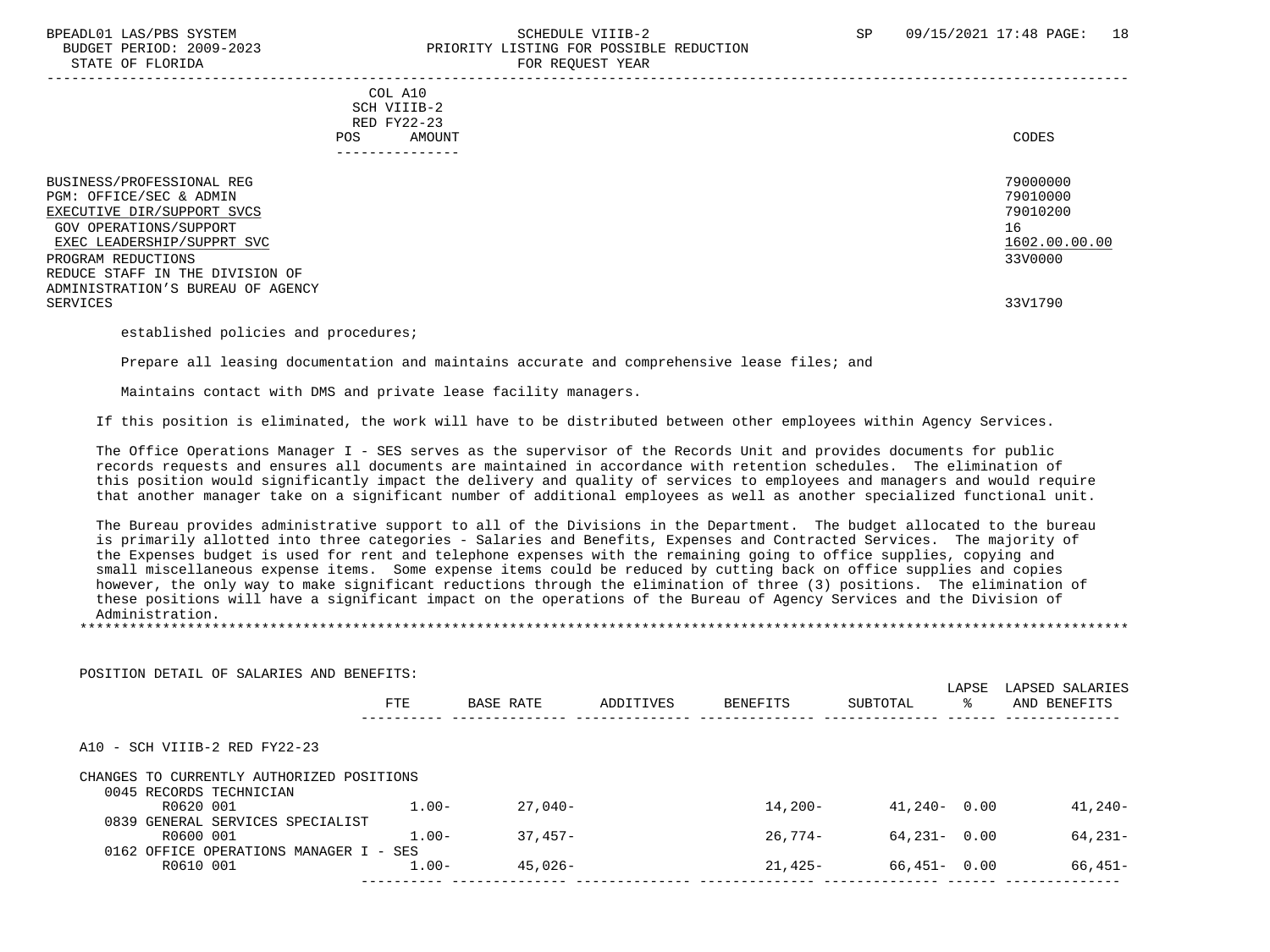#### BPEADL01 LAS/PBS SYSTEM SALL SALL SOMEDULE VIIIB-2 SP 09/15/2021 17:48 PAGE: 18 BUDGET PERIOD: 2009-2023 PRIORITY LISTING FOR POSSIBLE REDUCTION STATE OF FLORIDA FOR STATE OF  $\sim$  FOR REQUEST YEAR -----------------------------------------------------------------------------------------------------------------------------------

 COL A10 SCH VIIIB-2 RED FY22-23 POS AMOUNT NOTES AND AND A RESERVE AND A RESERVE AND LODGED AND LODGED AND LODGED AND LODGED AND LODGED AND LODGED AT A LODGED AND LODGED AT A LODGED AND LODGED AT A LODGED AND LODGED AT A LODGED AND LODGED AT A LODGED AND ---------------

| BUSINESS/PROFESSIONAL REG<br>PGM: OFFICE/SEC & ADMIN<br>EXECUTIVE DIR/SUPPORT SVCS<br>GOV OPERATIONS/SUPPORT<br>EXEC LEADERSHIP/SUPPRT SVC | 79000000<br>79010000<br>79010200<br>16<br>1602.00.00.00 |
|--------------------------------------------------------------------------------------------------------------------------------------------|---------------------------------------------------------|
| PROGRAM REDUCTIONS                                                                                                                         | 33V0000                                                 |
| REDUCE STAFF IN THE DIVISION OF                                                                                                            |                                                         |
| ADMINISTRATION'S BUREAU OF AGENCY                                                                                                          |                                                         |
| SERVICES                                                                                                                                   | 33V1790                                                 |
|                                                                                                                                            |                                                         |

established policies and procedures;

Prepare all leasing documentation and maintains accurate and comprehensive lease files; and

Maintains contact with DMS and private lease facility managers.

If this position is eliminated, the work will have to be distributed between other employees within Agency Services.

 The Office Operations Manager I - SES serves as the supervisor of the Records Unit and provides documents for public records requests and ensures all documents are maintained in accordance with retention schedules. The elimination of this position would significantly impact the delivery and quality of services to employees and managers and would require that another manager take on a significant number of additional employees as well as another specialized functional unit.

 The Bureau provides administrative support to all of the Divisions in the Department. The budget allocated to the bureau is primarily allotted into three categories - Salaries and Benefits, Expenses and Contracted Services. The majority of the Expenses budget is used for rent and telephone expenses with the remaining going to office supplies, copying and small miscellaneous expense items. Some expense items could be reduced by cutting back on office supplies and copies however, the only way to make significant reductions through the elimination of three (3) positions. The elimination of these positions will have a significant impact on the operations of the Bureau of Agency Services and the Division of Administration. \*\*\*\*\*\*\*\*\*\*\*\*\*\*\*\*\*\*\*\*\*\*\*\*\*\*\*\*\*\*\*\*\*\*\*\*\*\*\*\*\*\*\*\*\*\*\*\*\*\*\*\*\*\*\*\*\*\*\*\*\*\*\*\*\*\*\*\*\*\*\*\*\*\*\*\*\*\*\*\*\*\*\*\*\*\*\*\*\*\*\*\*\*\*\*\*\*\*\*\*\*\*\*\*\*\*\*\*\*\*\*\*\*\*\*\*\*\*\*\*\*\*\*\*\*\*\*

| POSITION DETAIL OF SALARIES AND BENEFITS:                            |          |            |           |            |                 | LAPSE | LAPSED SALARIES |
|----------------------------------------------------------------------|----------|------------|-----------|------------|-----------------|-------|-----------------|
|                                                                      | FTE      | BASE RATE  | ADDITIVES | BENEFITS   | SUBTOTAL        | ႜႜ    | AND BENEFITS    |
| $A10 - SCH VIIIB-2 RED FY22-23$                                      |          |            |           |            |                 |       |                 |
| CHANGES TO CURRENTLY AUTHORIZED POSITIONS<br>0045 RECORDS TECHNICIAN |          |            |           |            |                 |       |                 |
| R0620 001                                                            | $1.00 -$ | $27.040 -$ |           | $14.200 -$ | $41.240 - 0.00$ |       | 41,240-         |
| 0839 GENERAL SERVICES SPECIALIST                                     |          |            |           |            |                 |       |                 |
| R0600 001                                                            | $1.00 -$ | $37.457-$  |           | $26.774-$  | $64.231 - 0.00$ |       | 64,231-         |
| 0162 OFFICE OPERATIONS MANAGER I - SES                               |          |            |           |            |                 |       |                 |
| R0610 001                                                            | $1.00 -$ | $45.026 -$ |           | $21.425-$  | $66,451 - 0.00$ |       | 66,451-         |
|                                                                      |          |            |           |            |                 |       |                 |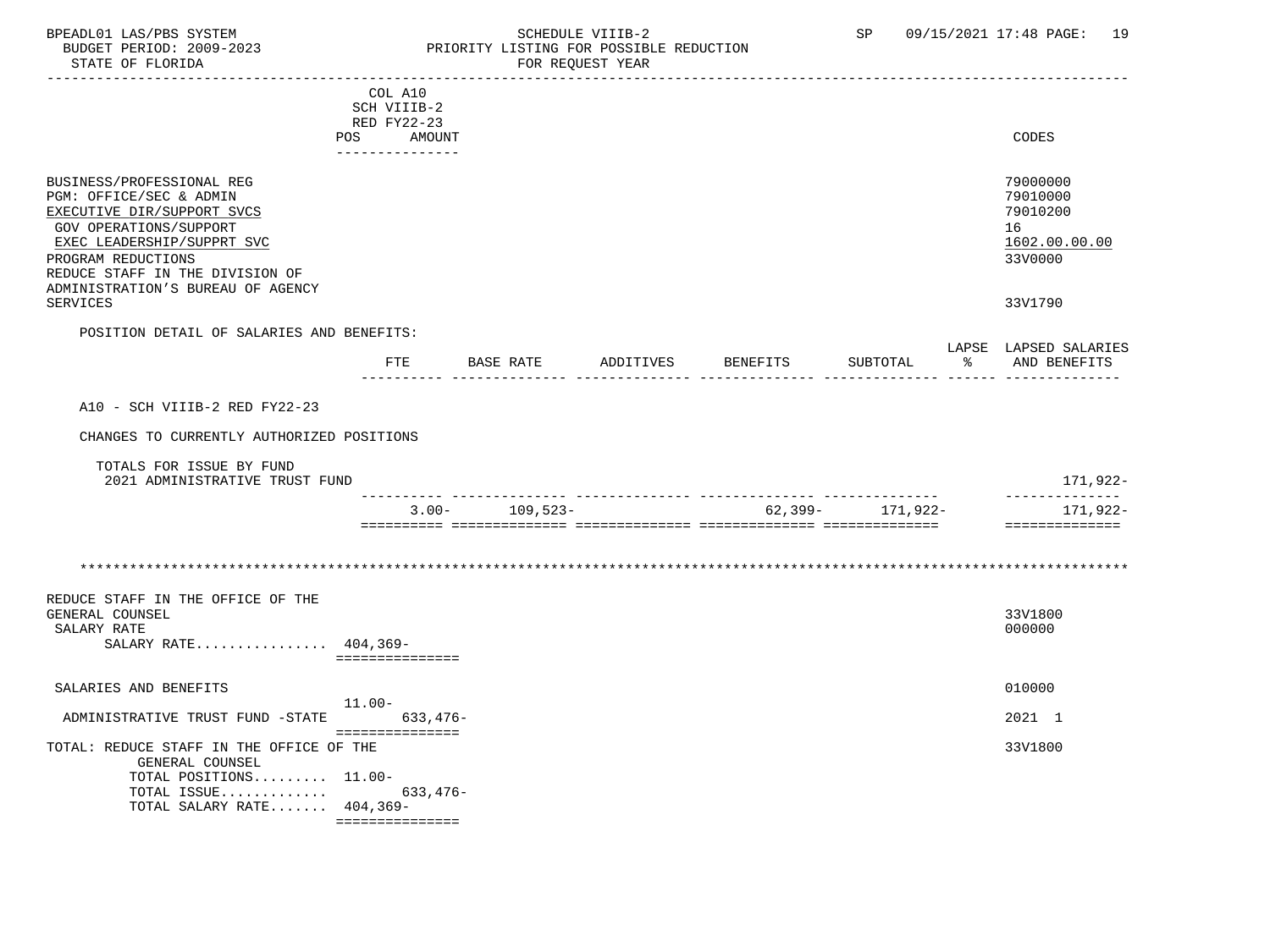## BPEADL01 LAS/PBS SYSTEM SALL SOME SCHEDULE VIIIB-2 SCHEDULE SP 09/15/2021 17:48 PAGE: 19 BUDGET PERIOD: 2009-2023 PRIORITY LISTING FOR POSSIBLE REDUCTION

| ---------------------------------                          |           |                       |           |           |          |                      |    |                           |
|------------------------------------------------------------|-----------|-----------------------|-----------|-----------|----------|----------------------|----|---------------------------|
|                                                            |           | COL A10               |           |           |          |                      |    |                           |
|                                                            |           | SCH VIIIB-2           |           |           |          |                      |    |                           |
|                                                            | POS       | RED FY22-23<br>AMOUNT |           |           |          |                      |    | CODES                     |
|                                                            |           | ---------------       |           |           |          |                      |    |                           |
| BUSINESS/PROFESSIONAL REG                                  |           |                       |           |           |          |                      |    | 79000000                  |
| PGM: OFFICE/SEC & ADMIN<br>EXECUTIVE DIR/SUPPORT SVCS      |           |                       |           |           |          |                      |    | 79010000<br>79010200      |
| GOV OPERATIONS/SUPPORT                                     |           |                       |           |           |          |                      |    | 16                        |
| EXEC LEADERSHIP/SUPPRT SVC                                 |           |                       |           |           |          |                      |    | 1602.00.00.00             |
| PROGRAM REDUCTIONS                                         |           |                       |           |           |          |                      |    | 33V0000                   |
| REDUCE STAFF IN THE DIVISION OF                            |           |                       |           |           |          |                      |    |                           |
| ADMINISTRATION'S BUREAU OF AGENCY                          |           |                       |           |           |          |                      |    |                           |
| <b>SERVICES</b>                                            |           |                       |           |           |          |                      |    | 33V1790                   |
| POSITION DETAIL OF SALARIES AND BENEFITS:                  |           |                       |           |           |          |                      |    |                           |
|                                                            |           |                       |           |           |          |                      |    | LAPSE LAPSED SALARIES     |
|                                                            |           | FTE                   | BASE RATE | ADDITIVES | BENEFITS | SUBTOTAL             | ႜႂ | AND BENEFITS              |
|                                                            |           |                       |           |           |          |                      |    |                           |
| A10 - SCH VIIIB-2 RED FY22-23                              |           |                       |           |           |          |                      |    |                           |
| CHANGES TO CURRENTLY AUTHORIZED POSITIONS                  |           |                       |           |           |          |                      |    |                           |
|                                                            |           |                       |           |           |          |                      |    |                           |
| TOTALS FOR ISSUE BY FUND<br>2021 ADMINISTRATIVE TRUST FUND |           |                       |           |           |          | -- ---------------   |    | 171,922-<br>------------- |
|                                                            |           | $3.00-$               | 109,523-  |           |          | $62,399 - 171,922 -$ |    | 171,922-                  |
|                                                            |           |                       |           |           |          |                      |    | ==============            |
|                                                            |           |                       |           |           |          |                      |    |                           |
|                                                            |           |                       |           |           |          |                      |    |                           |
|                                                            |           |                       |           |           |          |                      |    |                           |
| REDUCE STAFF IN THE OFFICE OF THE                          |           |                       |           |           |          |                      |    |                           |
| GENERAL COUNSEL<br>SALARY RATE                             |           |                       |           |           |          |                      |    | 33V1800<br>000000         |
| SALARY RATE 404,369-                                       |           |                       |           |           |          |                      |    |                           |
|                                                            |           | ===============       |           |           |          |                      |    |                           |
|                                                            |           |                       |           |           |          |                      |    |                           |
| SALARIES AND BENEFITS                                      |           |                       |           |           |          |                      |    | 010000                    |
|                                                            | $11.00 -$ |                       |           |           |          |                      |    |                           |
| ADMINISTRATIVE TRUST FUND -STATE 633,476-                  |           | ===============       |           |           |          |                      |    | 2021 1                    |
| TOTAL: REDUCE STAFF IN THE OFFICE OF THE                   |           |                       |           |           |          |                      |    | 33V1800                   |
| GENERAL COUNSEL<br>TOTAL POSITIONS 11.00-                  |           |                       |           |           |          |                      |    |                           |
| TOTAL ISSUE                                                |           | 633,476-              |           |           |          |                      |    |                           |
| TOTAL SALARY RATE 404,369-                                 |           |                       |           |           |          |                      |    |                           |
|                                                            |           |                       |           |           |          |                      |    |                           |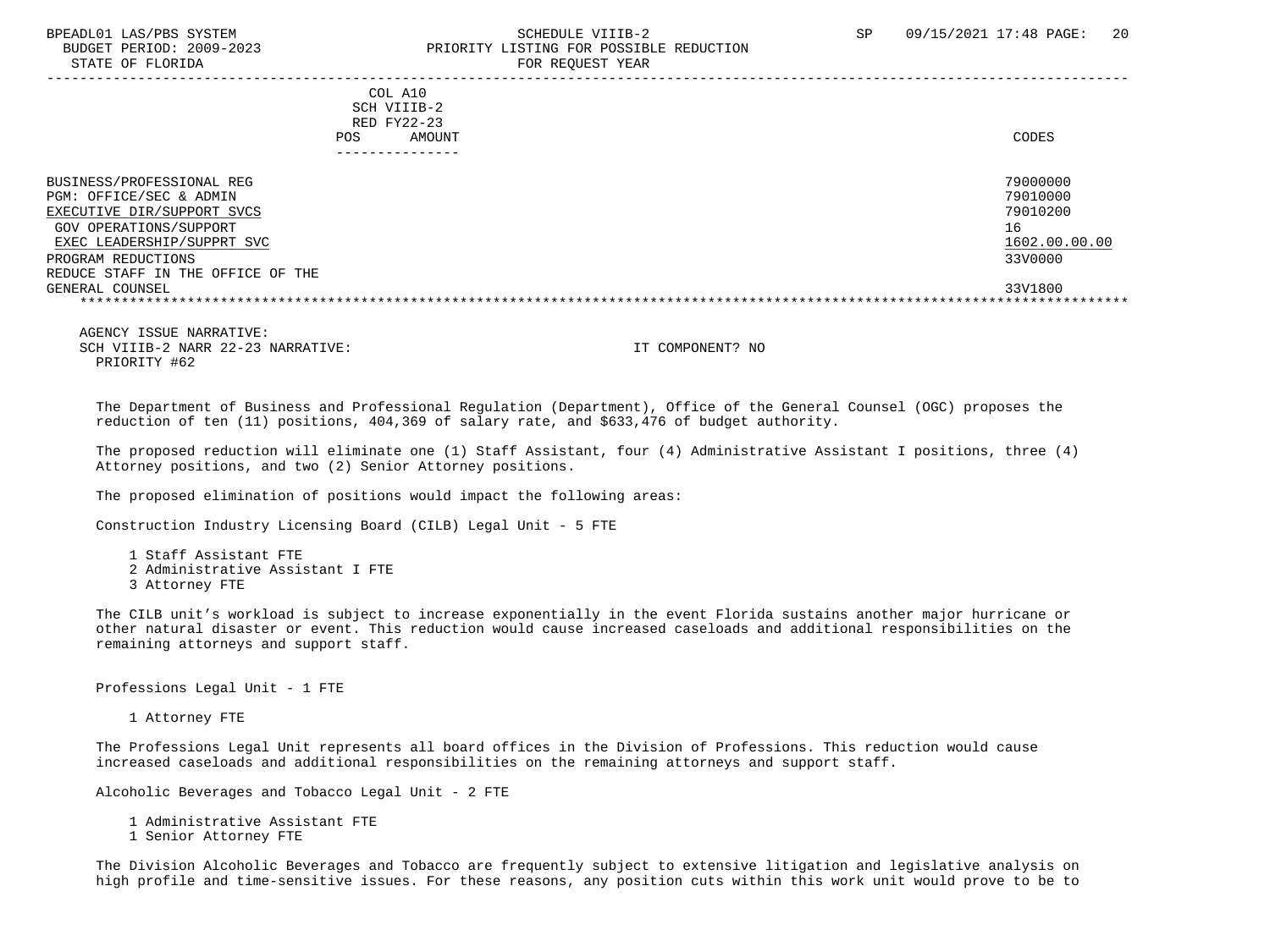STATE OF FLORIDA FOR REQUEST YEAR

# BPEADL01 LAS/PBS SYSTEM SALL SALL SOMEDULE VIIIB-2 SP 09/15/2021 17:48 PAGE: 20 BUDGET PERIOD: 2009-2023 PRIORITY LISTING FOR POSSIBLE REDUCTION

 ----------------------------------------------------------------------------------------------------------------------------------- COL A10 SCH VIIIB-2 RED FY22-23 POS AMOUNT NOTES AND AND A RESERVE AND A RESERVE AND LODGED AND LODGED AND LODGED AND LODGED AND LODGED AND LODGED AT A LODGED AND LODGED AT A LODGED AND LODGED AT A LODGED AND LODGED AT A LODGED AND LODGED AT A LODGED AND --------------- BUSINESS/PROFESSIONAL REG 20000000 PROFESSIONAL REG PGM: OFFICE/SEC & ADMIN 79010000<br>EXECUTIVE DIR/SUPPORT SVCS 79010200 EXECUTIVE DIR/SUPPORT SVCS GOV OPERATIONS/SUPPORT 16 EXEC LEADERSHIP/SUPPRT SVC 1602.00.00.00 \_\_\_\_\_\_\_\_\_\_\_\_\_\_\_\_\_\_\_\_\_\_\_\_\_\_ \_\_\_\_\_\_\_\_\_\_\_\_\_ PROGRAM REDUCTIONS

 REDUCE STAFF IN THE OFFICE OF THE GENERAL COUNSEL 33V1800 \*\*\*\*\*\*\*\*\*\*\*\*\*\*\*\*\*\*\*\*\*\*\*\*\*\*\*\*\*\*\*\*\*\*\*\*\*\*\*\*\*\*\*\*\*\*\*\*\*\*\*\*\*\*\*\*\*\*\*\*\*\*\*\*\*\*\*\*\*\*\*\*\*\*\*\*\*\*\*\*\*\*\*\*\*\*\*\*\*\*\*\*\*\*\*\*\*\*\*\*\*\*\*\*\*\*\*\*\*\*\*\*\*\*\*\*\*\*\*\*\*\*\*\*\*\*\*

 AGENCY ISSUE NARRATIVE: SCH VIIIB-2 NARR 22-23 NARRATIVE: IT COMPONENT? NO PRIORITY #62

 The Department of Business and Professional Regulation (Department), Office of the General Counsel (OGC) proposes the reduction of ten (11) positions, 404,369 of salary rate, and \$633,476 of budget authority.

 The proposed reduction will eliminate one (1) Staff Assistant, four (4) Administrative Assistant I positions, three (4) Attorney positions, and two (2) Senior Attorney positions.

The proposed elimination of positions would impact the following areas:

Construction Industry Licensing Board (CILB) Legal Unit - 5 FTE

 1 Staff Assistant FTE 2 Administrative Assistant I FTE 3 Attorney FTE

 The CILB unit's workload is subject to increase exponentially in the event Florida sustains another major hurricane or other natural disaster or event. This reduction would cause increased caseloads and additional responsibilities on the remaining attorneys and support staff.

Professions Legal Unit - 1 FTE

1 Attorney FTE

 The Professions Legal Unit represents all board offices in the Division of Professions. This reduction would cause increased caseloads and additional responsibilities on the remaining attorneys and support staff.

Alcoholic Beverages and Tobacco Legal Unit - 2 FTE

1 Administrative Assistant FTE

1 Senior Attorney FTE

 The Division Alcoholic Beverages and Tobacco are frequently subject to extensive litigation and legislative analysis on high profile and time-sensitive issues. For these reasons, any position cuts within this work unit would prove to be to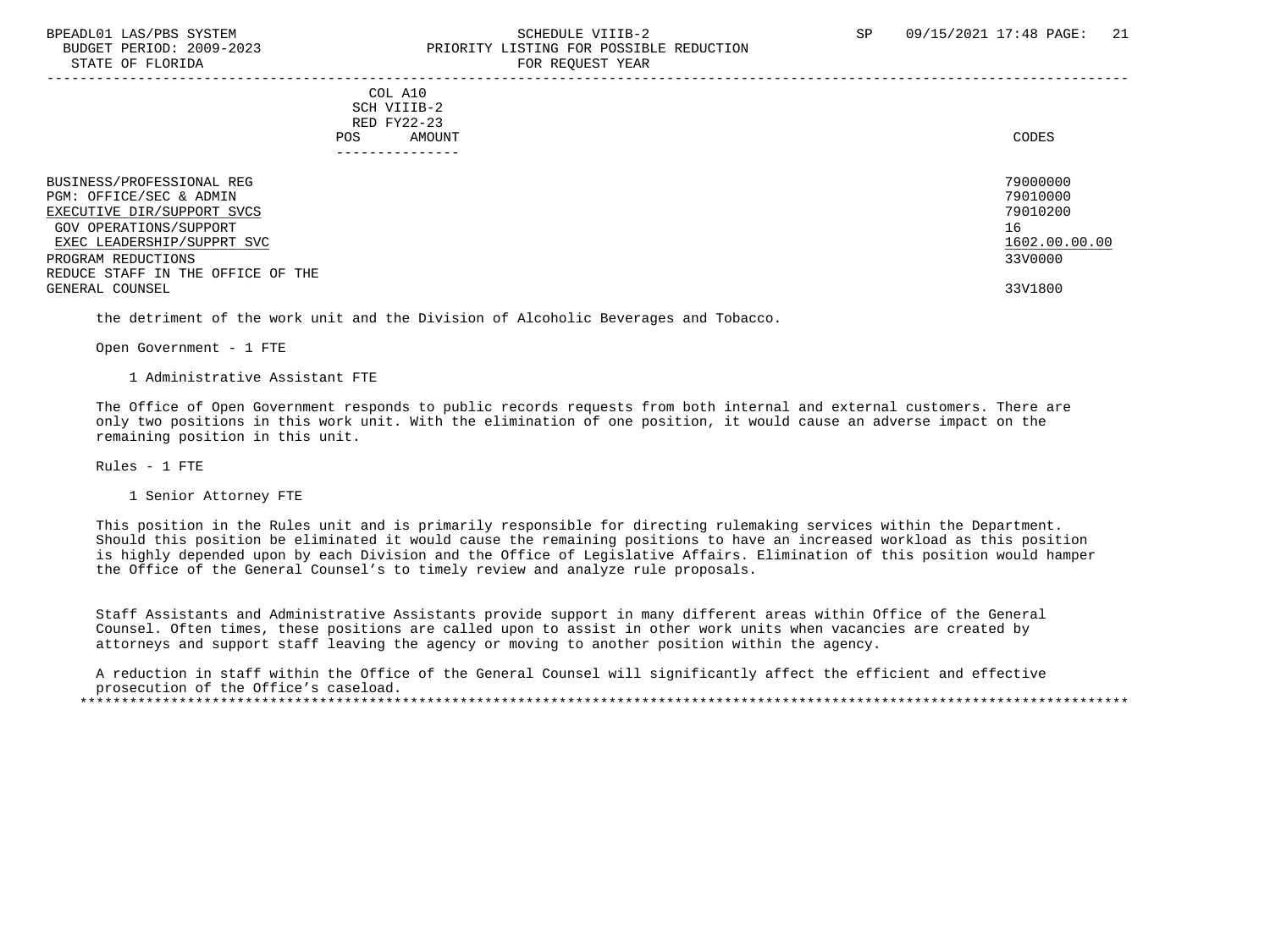#### BPEADL01 LAS/PBS SYSTEM SALL SALL SOMEDULE VIIIB-2 SP 09/15/2021 17:48 PAGE: 21 BUDGET PERIOD: 2009-2023 PRIORITY LISTING FOR POSSIBLE REDUCTION STATE OF FLORIDA FOR STATE OF STATE OF STATE OF STATE OF STATE OF STATE OF STATE OF STATE OF STATE OF STATE OF STATE OF STATE OF STATE OF STATE OF STATE OF STATE OF STATE OF STATE OF STATE OF STATE OF STATE OF STATE OF STA

-----------------------------------------------------------------------------------------------------------------------------------

 COL A10 SCH VIIIB-2 RED FY22-23 POS AMOUNT NOTES AND AND A RESERVE AND A RESERVE AND LODGED AND LODGED AND LODGED AND LODGED AND LODGED AND LODGED AT A LODGED AND LODGED AT A LODGED AND LODGED AT A LODGED AND LODGED AT A LODGED AND LODGED AT A LODGED AND

| BUSINESS/PROFESSIONAL REG         | 79000000      |
|-----------------------------------|---------------|
| PGM: OFFICE/SEC & ADMIN           | 79010000      |
| EXECUTIVE DIR/SUPPORT SVCS        | 79010200      |
| GOV OPERATIONS/SUPPORT            | 16            |
| EXEC LEADERSHIP/SUPPRT SVC        | 1602.00.00.00 |
| PROGRAM REDUCTIONS                | 33V0000       |
| REDUCE STAFF IN THE OFFICE OF THE |               |
| GENERAL COUNSEL                   | 33V1800       |

the detriment of the work unit and the Division of Alcoholic Beverages and Tobacco.

Open Government - 1 FTE

1 Administrative Assistant FTE

 The Office of Open Government responds to public records requests from both internal and external customers. There are only two positions in this work unit. With the elimination of one position, it would cause an adverse impact on the remaining position in this unit.

Rules - 1 FTE

1 Senior Attorney FTE

 This position in the Rules unit and is primarily responsible for directing rulemaking services within the Department. Should this position be eliminated it would cause the remaining positions to have an increased workload as this position is highly depended upon by each Division and the Office of Legislative Affairs. Elimination of this position would hamper the Office of the General Counsel's to timely review and analyze rule proposals.

 Staff Assistants and Administrative Assistants provide support in many different areas within Office of the General Counsel. Often times, these positions are called upon to assist in other work units when vacancies are created by attorneys and support staff leaving the agency or moving to another position within the agency.

 A reduction in staff within the Office of the General Counsel will significantly affect the efficient and effective prosecution of the Office's caseload. \*\*\*\*\*\*\*\*\*\*\*\*\*\*\*\*\*\*\*\*\*\*\*\*\*\*\*\*\*\*\*\*\*\*\*\*\*\*\*\*\*\*\*\*\*\*\*\*\*\*\*\*\*\*\*\*\*\*\*\*\*\*\*\*\*\*\*\*\*\*\*\*\*\*\*\*\*\*\*\*\*\*\*\*\*\*\*\*\*\*\*\*\*\*\*\*\*\*\*\*\*\*\*\*\*\*\*\*\*\*\*\*\*\*\*\*\*\*\*\*\*\*\*\*\*\*\*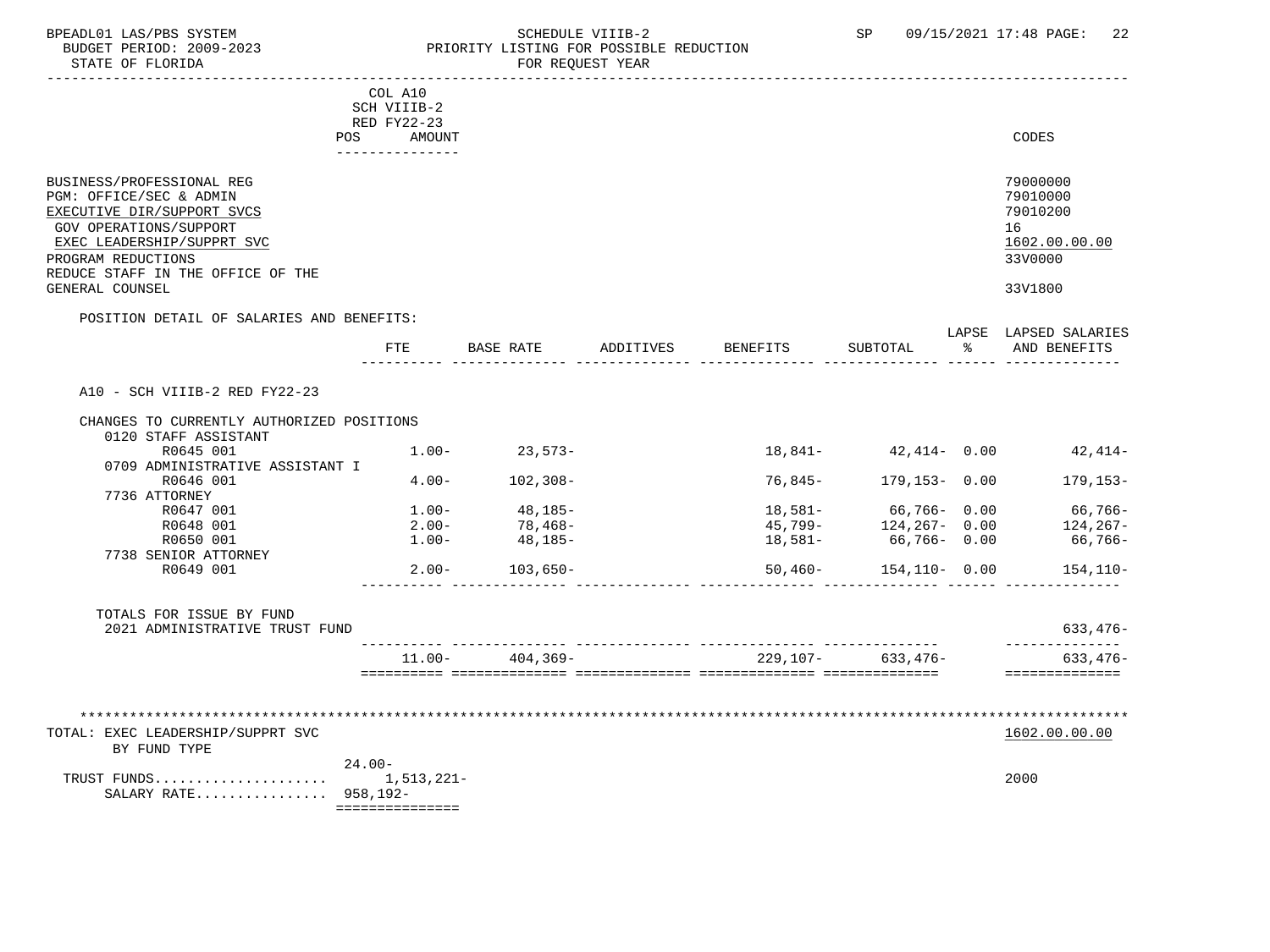### BPEADL01 LAS/PBS SYSTEM SALL SOME SCHEDULE VIIIB-2 SCHEDULE SP 09/15/2021 17:48 PAGE: 22 BUDGET PERIOD: 2009-2023 PRIORITY LISTING FOR POSSIBLE REDUCTION

|                                                                                                                                               | COL A10<br>SCH VIIIB-2        |                                   |           |          |                       |                                                                       |
|-----------------------------------------------------------------------------------------------------------------------------------------------|-------------------------------|-----------------------------------|-----------|----------|-----------------------|-----------------------------------------------------------------------|
|                                                                                                                                               | RED FY22-23                   |                                   |           |          |                       |                                                                       |
|                                                                                                                                               | POS AMOUNT<br>--------------- |                                   |           |          |                       | CODES                                                                 |
| BUSINESS/PROFESSIONAL REG<br>PGM: OFFICE/SEC & ADMIN                                                                                          |                               |                                   |           |          |                       | 79000000<br>79010000                                                  |
| EXECUTIVE DIR/SUPPORT SVCS<br>GOV OPERATIONS/SUPPORT<br>EXEC LEADERSHIP/SUPPRT SVC<br>PROGRAM REDUCTIONS<br>REDUCE STAFF IN THE OFFICE OF THE |                               |                                   |           |          |                       | 79010200<br>16<br>1602.00.00.00<br>33V0000                            |
| GENERAL COUNSEL                                                                                                                               |                               |                                   |           |          |                       | 33V1800                                                               |
| POSITION DETAIL OF SALARIES AND BENEFITS:                                                                                                     |                               |                                   |           |          |                       |                                                                       |
|                                                                                                                                               | FTE                           | BASE RATE                         | ADDITIVES | BENEFITS | SUBTOTAL              | LAPSE LAPSED SALARIES<br>% AND BENEFITS                               |
| A10 - SCH VIIIB-2 RED FY22-23                                                                                                                 |                               |                                   |           |          |                       |                                                                       |
|                                                                                                                                               |                               |                                   |           |          |                       |                                                                       |
| CHANGES TO CURRENTLY AUTHORIZED POSITIONS                                                                                                     |                               |                                   |           |          |                       |                                                                       |
| 0120 STAFF ASSISTANT<br>R0645 001                                                                                                             |                               | $1.00 - 23.573 -$                 |           |          | 18,841- 42,414- 0.00  | $42,414-$                                                             |
| 0709 ADMINISTRATIVE ASSISTANT I                                                                                                               |                               |                                   |           |          |                       |                                                                       |
| R0646 001                                                                                                                                     |                               | $4.00 - 102,308 -$                |           |          | 76,845- 179,153- 0.00 | 179,153-                                                              |
| 7736 ATTORNEY                                                                                                                                 |                               |                                   |           |          |                       |                                                                       |
| R0647 001                                                                                                                                     |                               | $1.00 - 48,185 - 2.00 - 78,468 -$ |           |          |                       | $18,581 66,766-$ 0.00 $66,766-$<br>45,799- $124,267-$ 0.00 $124,267-$ |
| R0648 001                                                                                                                                     |                               |                                   |           |          |                       |                                                                       |
| R0650 001                                                                                                                                     |                               | $1.00 - 48,185 -$                 |           |          | 18,581- 66,766- 0.00  | 66,766-                                                               |
| 7738 SENIOR ATTORNEY                                                                                                                          |                               |                                   |           |          |                       |                                                                       |
| R0649 001                                                                                                                                     |                               | $2.00 - 103,650 -$                |           |          | 50,460- 154,110- 0.00 | 154,110-                                                              |
| TOTALS FOR ISSUE BY FUND                                                                                                                      |                               |                                   |           |          |                       | $633, 476 -$                                                          |
| 2021 ADMINISTRATIVE TRUST FUND                                                                                                                |                               |                                   |           |          |                       | ______________                                                        |
|                                                                                                                                               |                               | $11.00 - 404.369 -$               |           |          | 229,107- 633,476-     | $633, 476 -$<br>==============                                        |
|                                                                                                                                               |                               |                                   |           |          |                       |                                                                       |
| ****************************<br>TOTAL: EXEC LEADERSHIP/SUPPRT SVC                                                                             |                               |                                   |           |          |                       | 1602.00.00.00                                                         |
| BY FUND TYPE                                                                                                                                  |                               |                                   |           |          |                       |                                                                       |
|                                                                                                                                               | $24.00 -$                     |                                   |           |          |                       | 2000                                                                  |
| SALARY RATE 958,192-                                                                                                                          | ===============               |                                   |           |          |                       |                                                                       |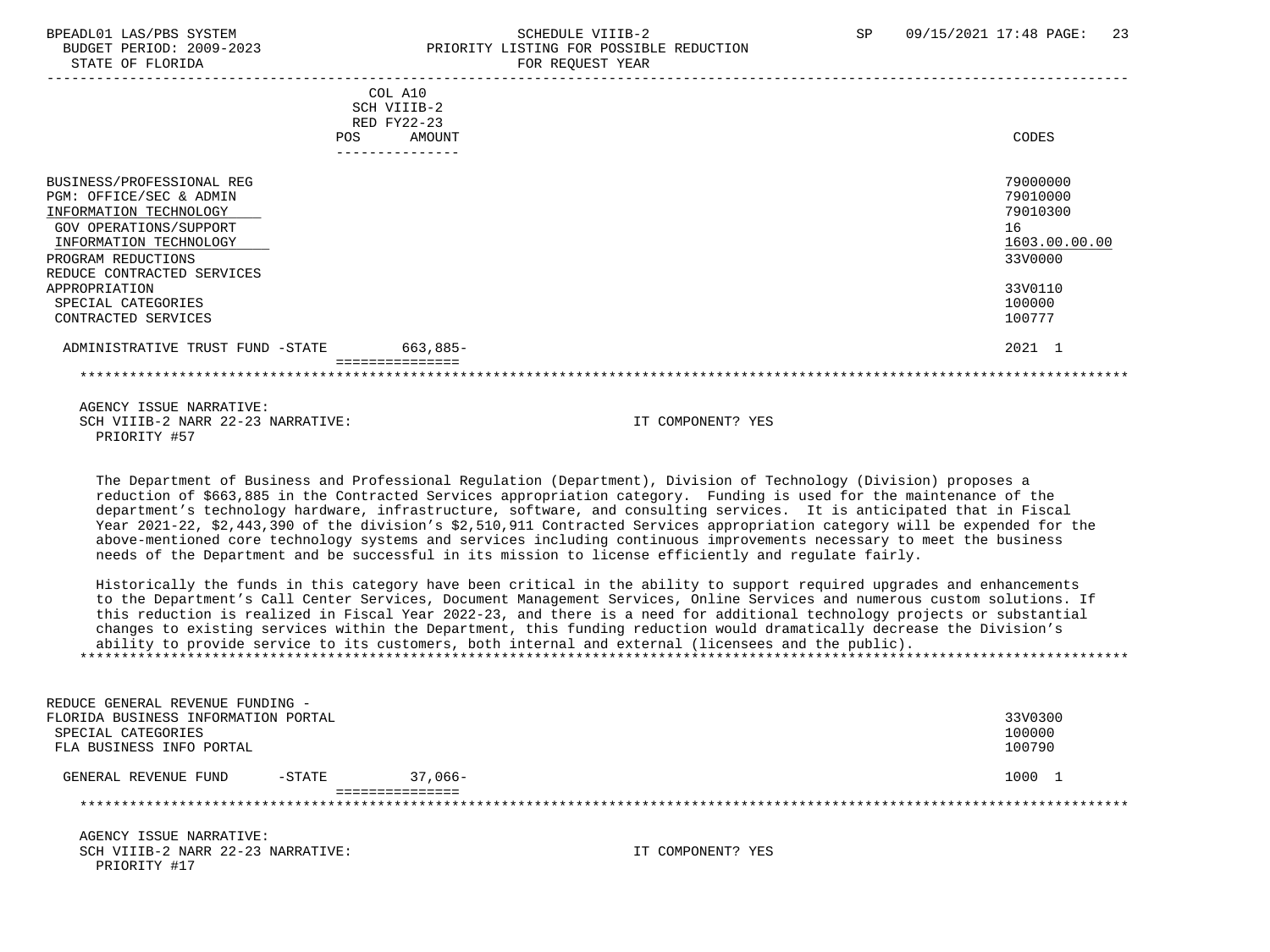STATE OF FLORIDA FOR STATE OF STATE OF STATE OF STATE OF STATE ASSESSMENT OF STATE OF STATE OF STATE OF STATE O

# BPEADL01 LAS/PBS SYSTEM SALL SALL SCHEDULE VIIIB-2 SP 09/15/2021 17:48 PAGE: 23 BUDGET PERIOD: 2009-2023 PRIORITY LISTING FOR POSSIBLE REDUCTION

|                                  | COL A10                   |               |
|----------------------------------|---------------------------|---------------|
|                                  | SCH VIIIB-2               |               |
|                                  | RED FY22-23               |               |
| <b>POS</b>                       | AMOUNT                    | CODES         |
|                                  | _ _ _ _ _ _ _ _ _ _ _ _ _ |               |
| BUSINESS/PROFESSIONAL REG        |                           | 79000000      |
| PGM: OFFICE/SEC & ADMIN          |                           | 79010000      |
| INFORMATION TECHNOLOGY           |                           | 79010300      |
| GOV OPERATIONS/SUPPORT           |                           | 16            |
|                                  |                           |               |
| INFORMATION TECHNOLOGY           |                           | 1603.00.00.00 |
| PROGRAM REDUCTIONS               |                           | 33V0000       |
| REDUCE CONTRACTED SERVICES       |                           |               |
| APPROPRIATION                    |                           | 33V0110       |
| SPECIAL CATEGORIES               |                           | 100000        |
| CONTRACTED SERVICES              |                           | 100777        |
| ADMINISTRATIVE TRUST FUND -STATE | 663,885-                  | 2021 1        |
|                                  |                           |               |
|                                  |                           |               |

 AGENCY ISSUE NARRATIVE: SCH VIIIB-2 NARR 22-23 NARRATIVE: IT COMPONENT? YES PRIORITY #57

 The Department of Business and Professional Regulation (Department), Division of Technology (Division) proposes a reduction of \$663,885 in the Contracted Services appropriation category. Funding is used for the maintenance of the department's technology hardware, infrastructure, software, and consulting services. It is anticipated that in Fiscal Year 2021-22, \$2,443,390 of the division's \$2,510,911 Contracted Services appropriation category will be expended for the above-mentioned core technology systems and services including continuous improvements necessary to meet the business needs of the Department and be successful in its mission to license efficiently and regulate fairly.

 Historically the funds in this category have been critical in the ability to support required upgrades and enhancements to the Department's Call Center Services, Document Management Services, Online Services and numerous custom solutions. If this reduction is realized in Fiscal Year 2022-23, and there is a need for additional technology projects or substantial changes to existing services within the Department, this funding reduction would dramatically decrease the Division's ability to provide service to its customers, both internal and external (licensees and the public). \*\*\*\*\*\*\*\*\*\*\*\*\*\*\*\*\*\*\*\*\*\*\*\*\*\*\*\*\*\*\*\*\*\*\*\*\*\*\*\*\*\*\*\*\*\*\*\*\*\*\*\*\*\*\*\*\*\*\*\*\*\*\*\*\*\*\*\*\*\*\*\*\*\*\*\*\*\*\*\*\*\*\*\*\*\*\*\*\*\*\*\*\*\*\*\*\*\*\*\*\*\*\*\*\*\*\*\*\*\*\*\*\*\*\*\*\*\*\*\*\*\*\*\*\*\*\*

| REDUCE GENERAL REVENUE FUNDING -    |           |            |         |
|-------------------------------------|-----------|------------|---------|
| FLORIDA BUSINESS INFORMATION PORTAL |           |            | 33V0300 |
| SPECIAL CATEGORIES                  |           |            | 100000  |
| FLA BUSINESS INFO PORTAL            |           |            | 100790  |
| GENERAL REVENUE FUND                | $-$ STATE | $37.066 -$ | 1000 1  |
|                                     |           |            |         |
|                                     |           |            |         |
|                                     |           |            |         |

 AGENCY ISSUE NARRATIVE: SCH VIIIB-2 NARR 22-23 NARRATIVE: IT COMPONENT? YES PRIORITY #17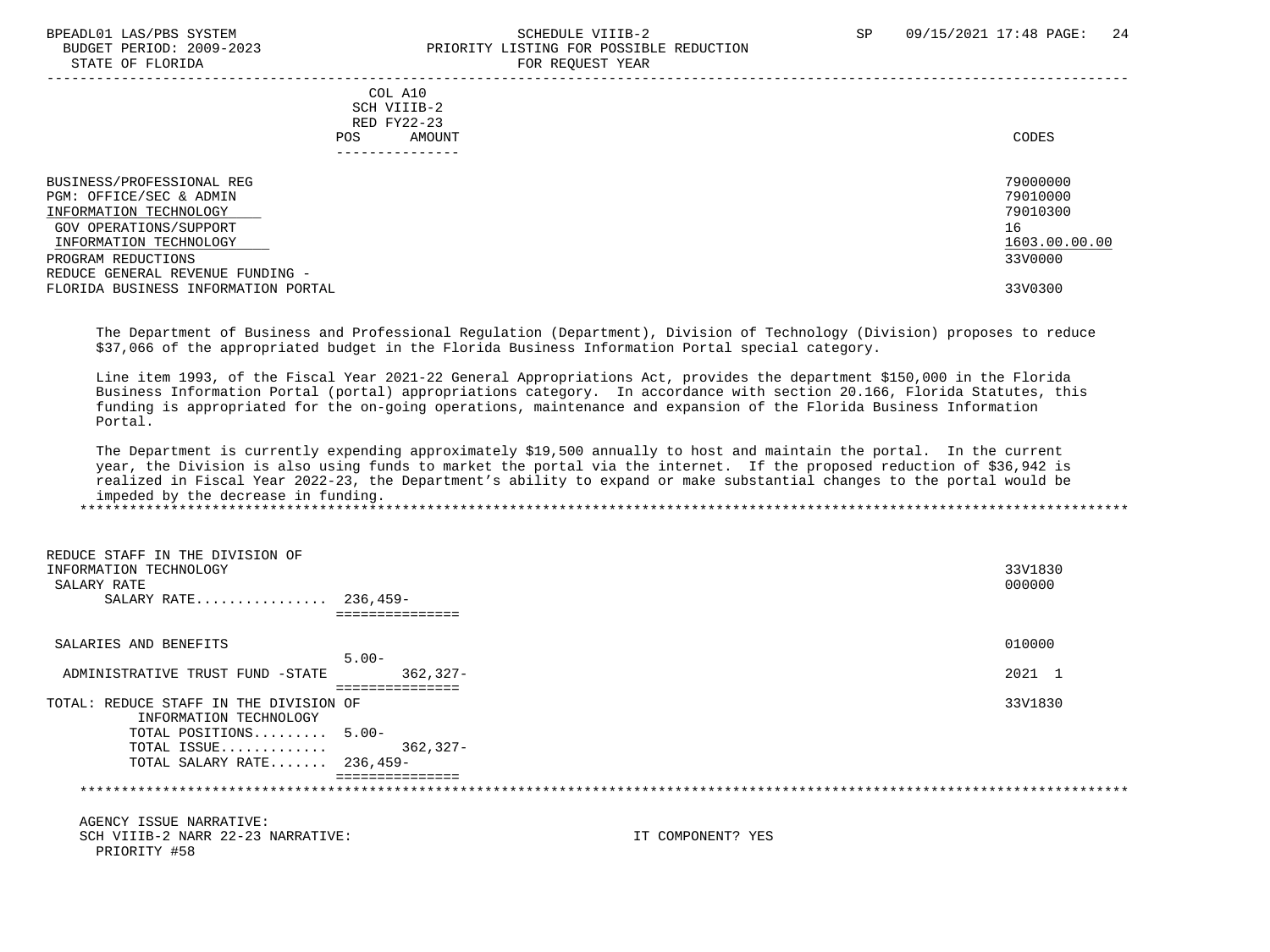#### BPEADL01 LAS/PBS SYSTEM SALL SALL SOMEDULE VIIIB-2 SP 09/15/2021 17:48 PAGE: 24 BUDGET PERIOD: 2009-2023<br>
STATE OF FLORIDA STATE OF FLORIDA FOR REQUEST YEAR

| COL A10<br>SCH VIIIB-2<br>RED FY22-23<br>AMOUNT<br>POS.<br>-------------- | CODES               |
|---------------------------------------------------------------------------|---------------------|
|                                                                           | 79000000            |
|                                                                           | 79010000            |
|                                                                           | 79010300            |
|                                                                           | 16                  |
|                                                                           | 1603.00.00.00       |
|                                                                           | 33V0000             |
|                                                                           |                     |
|                                                                           | 33V0300             |
|                                                                           | L'OIL TUDQUEDI TEUT |

 The Department of Business and Professional Regulation (Department), Division of Technology (Division) proposes to reduce \$37,066 of the appropriated budget in the Florida Business Information Portal special category.

 Line item 1993, of the Fiscal Year 2021-22 General Appropriations Act, provides the department \$150,000 in the Florida Business Information Portal (portal) appropriations category. In accordance with section 20.166, Florida Statutes, this funding is appropriated for the on-going operations, maintenance and expansion of the Florida Business Information Portal.

 The Department is currently expending approximately \$19,500 annually to host and maintain the portal. In the current year, the Division is also using funds to market the portal via the internet. If the proposed reduction of \$36,942 is realized in Fiscal Year 2022-23, the Department's ability to expand or make substantial changes to the portal would be impeded by the decrease in funding. \*\*\*\*\*\*\*\*\*\*\*\*\*\*\*\*\*\*\*\*\*\*\*\*\*\*\*\*\*\*\*\*\*\*\*\*\*\*\*\*\*\*\*\*\*\*\*\*\*\*\*\*\*\*\*\*\*\*\*\*\*\*\*\*\*\*\*\*\*\*\*\*\*\*\*\*\*\*\*\*\*\*\*\*\*\*\*\*\*\*\*\*\*\*\*\*\*\*\*\*\*\*\*\*\*\*\*\*\*\*\*\*\*\*\*\*\*\*\*\*\*\*\*\*\*\*\*

| REDUCE STAFF IN THE DIVISION OF<br>INFORMATION TECHNOLOGY<br>SALARY RATE<br>SALARY RATE 236,459- |                   | 33V1830<br>000000 |
|--------------------------------------------------------------------------------------------------|-------------------|-------------------|
| SALARIES AND BENEFITS                                                                            |                   | 010000            |
|                                                                                                  | $5.00 -$          |                   |
| ADMINISTRATIVE TRUST FUND -STATE                                                                 | $362, 327 -$      | 2021 1            |
|                                                                                                  | ===============   |                   |
| TOTAL: REDUCE STAFF IN THE DIVISION OF                                                           |                   | 33V1830           |
| INFORMATION TECHNOLOGY                                                                           |                   |                   |
| TOTAL POSITIONS 5.00-                                                                            |                   |                   |
| TOTAL ISSUE                                                                                      | 362,327-          |                   |
| TOTAL SALARY RATE 236,459-                                                                       |                   |                   |
| AGENCY ISSUE NARRATIVE:<br>SCH VIIIB-2 NARR 22-23 NARRATIVE:                                     | IT COMPONENT? YES |                   |
| PRIORITY #58                                                                                     |                   |                   |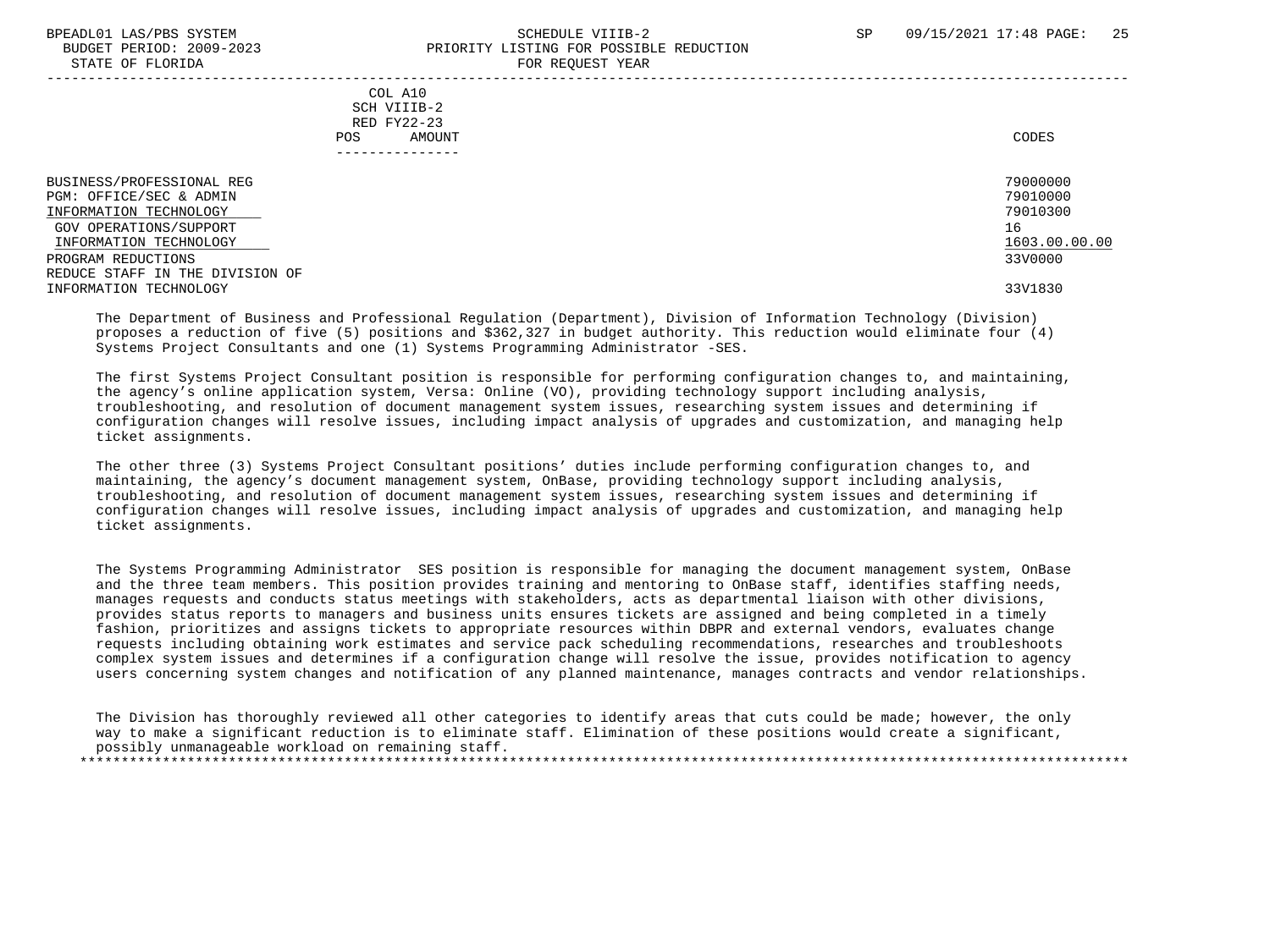#### BPEADL01 LAS/PBS SYSTEM SALL SALL SOMEDULE VIIIB-2 SP 09/15/2021 17:48 PAGE: 25 BUDGET PERIOD: 2009-2023 PRIORITY LISTING FOR POSSIBLE REDUCTION STATE OF FLORIDA FOR REQUEST YEAR -----------------------------------------------------------------------------------------------------------------------------------

 COL A10 SCH VIIIB-2 RED FY22-23 POS AMOUNT NOTES AND AND A RESERVE AND A RESERVE AND LODGED AND LODGED AND LODGED AND LODGED AND LODGED AND LODGED AT A LODGED AND LODGED AT A LODGED AND LODGED AT A LODGED AND LODGED AT A LODGED AND LODGED AT A LODGED AND ---------------

 BUSINESS/PROFESSIONAL REG 79000000 PGM: OFFICE/SEC & ADMIN 79010000<br>TNFORMATION TECHNOLOGY 79010300 INFORMATION TECHNOLOGY GOV OPERATIONS/SUPPORT 16<br>
INFORMATION TECHNOLOGY 1603.00.00 POLOGY 1603.00.00 POLOGY 1603.00.00 POLOGY 1603.00.00 INFORMATION TECHNOLOGY 1603.00.00.00 \_\_\_\_\_\_\_\_\_\_\_\_\_\_\_\_\_\_\_\_\_\_\_\_\_\_ \_\_\_\_\_\_\_\_\_\_\_\_\_ PROGRAM REDUCTIONS REDUCE STAFF IN THE DIVISION OF INFORMATION TECHNOLOGY 33V1830

 The Department of Business and Professional Regulation (Department), Division of Information Technology (Division) proposes a reduction of five (5) positions and \$362,327 in budget authority. This reduction would eliminate four (4) Systems Project Consultants and one (1) Systems Programming Administrator -SES.

 The first Systems Project Consultant position is responsible for performing configuration changes to, and maintaining, the agency's online application system, Versa: Online (VO), providing technology support including analysis, troubleshooting, and resolution of document management system issues, researching system issues and determining if configuration changes will resolve issues, including impact analysis of upgrades and customization, and managing help ticket assignments.

 The other three (3) Systems Project Consultant positions' duties include performing configuration changes to, and maintaining, the agency's document management system, OnBase, providing technology support including analysis, troubleshooting, and resolution of document management system issues, researching system issues and determining if configuration changes will resolve issues, including impact analysis of upgrades and customization, and managing help ticket assignments.

 The Systems Programming Administrator SES position is responsible for managing the document management system, OnBase and the three team members. This position provides training and mentoring to OnBase staff, identifies staffing needs, manages requests and conducts status meetings with stakeholders, acts as departmental liaison with other divisions, provides status reports to managers and business units ensures tickets are assigned and being completed in a timely fashion, prioritizes and assigns tickets to appropriate resources within DBPR and external vendors, evaluates change requests including obtaining work estimates and service pack scheduling recommendations, researches and troubleshoots complex system issues and determines if a configuration change will resolve the issue, provides notification to agency users concerning system changes and notification of any planned maintenance, manages contracts and vendor relationships.

 The Division has thoroughly reviewed all other categories to identify areas that cuts could be made; however, the only way to make a significant reduction is to eliminate staff. Elimination of these positions would create a significant, possibly unmanageable workload on remaining staff. \*\*\*\*\*\*\*\*\*\*\*\*\*\*\*\*\*\*\*\*\*\*\*\*\*\*\*\*\*\*\*\*\*\*\*\*\*\*\*\*\*\*\*\*\*\*\*\*\*\*\*\*\*\*\*\*\*\*\*\*\*\*\*\*\*\*\*\*\*\*\*\*\*\*\*\*\*\*\*\*\*\*\*\*\*\*\*\*\*\*\*\*\*\*\*\*\*\*\*\*\*\*\*\*\*\*\*\*\*\*\*\*\*\*\*\*\*\*\*\*\*\*\*\*\*\*\*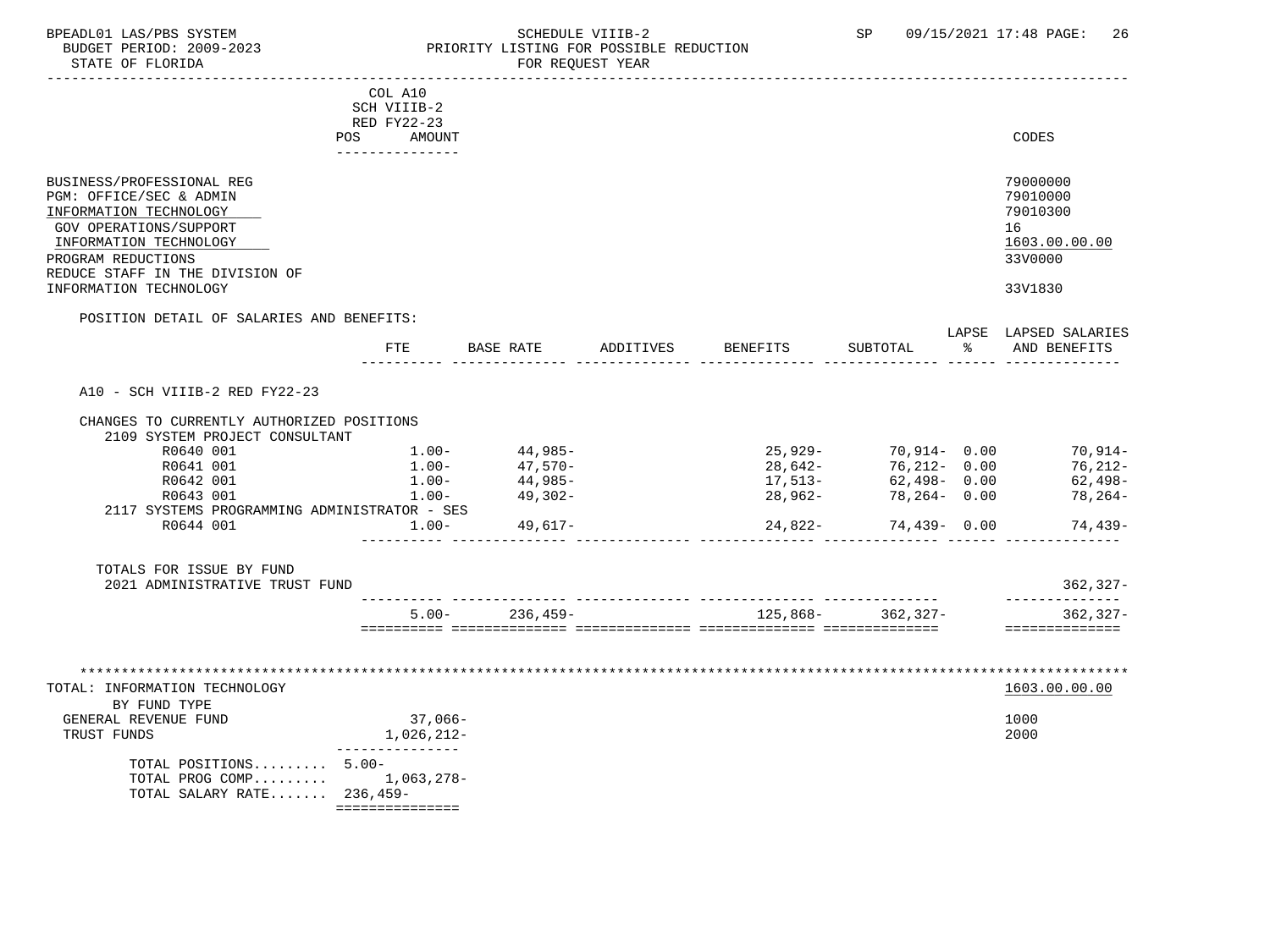STATE OF FLORIDA **FOR STATE OF STATE OF STATE OF STATE** 

### BPEADL01 LAS/PBS SYSTEM SALL SOME SCHEDULE VIIIB-2 SCHEDULE SP 09/15/2021 17:48 PAGE: 26 BUDGET PERIOD: 2009-2023 PRIORITY LISTING FOR POSSIBLE REDUCTION

|                                                                                                                                                                                                                       | COL A10<br>SCH VIIIB-2                                 |                    |           |                    |                      |    |                                                                               |
|-----------------------------------------------------------------------------------------------------------------------------------------------------------------------------------------------------------------------|--------------------------------------------------------|--------------------|-----------|--------------------|----------------------|----|-------------------------------------------------------------------------------|
|                                                                                                                                                                                                                       | RED FY22-23<br>AMOUNT<br><b>POS</b><br>--------------- |                    |           |                    |                      |    | CODES                                                                         |
| BUSINESS/PROFESSIONAL REG<br>PGM: OFFICE/SEC & ADMIN<br>INFORMATION TECHNOLOGY<br>GOV OPERATIONS/SUPPORT<br>INFORMATION TECHNOLOGY<br>PROGRAM REDUCTIONS<br>REDUCE STAFF IN THE DIVISION OF<br>INFORMATION TECHNOLOGY |                                                        |                    |           |                    |                      |    | 79000000<br>79010000<br>79010300<br>16<br>1603.00.00.00<br>33V0000<br>33V1830 |
| POSITION DETAIL OF SALARIES AND BENEFITS:                                                                                                                                                                             |                                                        |                    |           |                    |                      |    |                                                                               |
|                                                                                                                                                                                                                       | <b>FTE</b>                                             | BASE RATE          | ADDITIVES | <b>BENEFITS</b>    | SUBTOTAL             | ႜႂ | LAPSE LAPSED SALARIES<br>AND BENEFITS                                         |
| A10 - SCH VIIIB-2 RED FY22-23                                                                                                                                                                                         |                                                        |                    |           |                    |                      |    |                                                                               |
| CHANGES TO CURRENTLY AUTHORIZED POSITIONS                                                                                                                                                                             |                                                        |                    |           |                    |                      |    |                                                                               |
| 2109 SYSTEM PROJECT CONSULTANT<br>R0640 001                                                                                                                                                                           | $1.00-$                                                | 44,985-            |           |                    | 25,929- 70,914- 0.00 |    | $70, 914 -$                                                                   |
| R0641 001                                                                                                                                                                                                             | $1.00-$                                                | $47,570-$          |           | $28,642-$          | $76,212 - 0.00$      |    | $76, 212 -$                                                                   |
| R0642 001                                                                                                                                                                                                             | $1.00-$                                                | 44,985-            |           | 17,513-<br>28.962- | $62,498 - 0.00$      |    | 62,498-                                                                       |
| R0643 001                                                                                                                                                                                                             | $1.00-$                                                | 49,302-            |           | 28,962-            | 78,264-0.00          |    | 78,264-                                                                       |
| 2117 SYSTEMS PROGRAMMING ADMINISTRATOR - SES<br>R0644 001                                                                                                                                                             | $1.00 -$                                               |                    |           |                    |                      |    |                                                                               |
|                                                                                                                                                                                                                       |                                                        | 49,617-            |           | 24,822-            | $74,439 - 0.00$      |    | 74,439-                                                                       |
| TOTALS FOR ISSUE BY FUND<br>2021 ADMINISTRATIVE TRUST FUND                                                                                                                                                            |                                                        |                    |           |                    |                      |    | $362, 327 -$                                                                  |
|                                                                                                                                                                                                                       |                                                        | $5.00 - 236,459 -$ |           | 125,868-           | 362,327-             |    | --------------<br>$362, 327 -$                                                |
| TOTAL: INFORMATION TECHNOLOGY<br>BY FUND TYPE<br>GENERAL REVENUE FUND<br>TRUST FUNDS<br>TOTAL POSITIONS 5.00-<br>TOTAL PROG COMP $1,063,278-$<br>TOTAL SALARY RATE 236,459-                                           | 37,066-<br>1,026,212-<br>. _ _ _ _ _ _ _ _ _           |                    |           |                    |                      |    | ==============<br>1603.00.00.00<br>1000<br>2000                               |

===============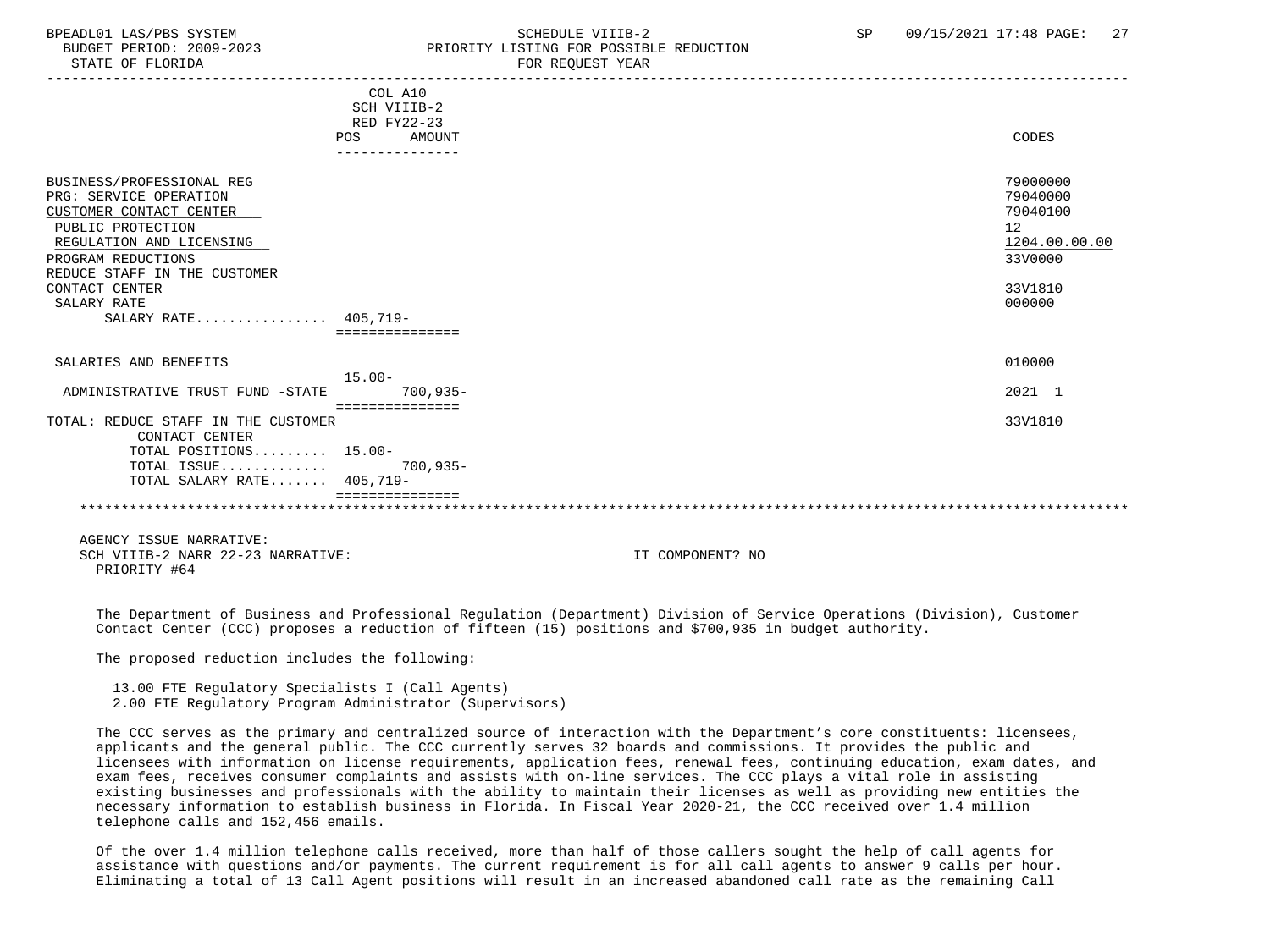## BPEADL01 LAS/PBS SYSTEM SALL SALL SOMEDULE VIIIB-2 SP 09/15/2021 17:48 PAGE: 27 BUDGET PERIOD: 2009-2023 PRIORITY LISTING FOR POSSIBLE REDUCTION

-----------------------------------------------------------------------------------------------------------------------------------

|                                                                                                                                                                                       | COL A10<br>SCH VIIIB-2<br>RED FY22-23<br>POS<br><b>AMOUNT</b> | CODES                                                              |
|---------------------------------------------------------------------------------------------------------------------------------------------------------------------------------------|---------------------------------------------------------------|--------------------------------------------------------------------|
| BUSINESS/PROFESSIONAL REG<br>PRG: SERVICE OPERATION<br>CUSTOMER CONTACT CENTER<br>PUBLIC PROTECTION<br>REGULATION AND LICENSING<br>PROGRAM REDUCTIONS<br>REDUCE STAFF IN THE CUSTOMER |                                                               | 79000000<br>79040000<br>79040100<br>12<br>1204.00.00.00<br>33V0000 |
| CONTACT CENTER<br>SALARY RATE<br>SALARY RATE 405.719-                                                                                                                                 |                                                               | 33V1810<br>000000                                                  |
|                                                                                                                                                                                       |                                                               |                                                                    |
| SALARIES AND BENEFITS                                                                                                                                                                 | $15.00 -$                                                     | 010000                                                             |
| ADMINISTRATIVE TRUST FUND -STATE                                                                                                                                                      | $700, 935 -$                                                  | 2021 1                                                             |
| TOTAL: REDUCE STAFF IN THE CUSTOMER<br>CONTACT CENTER                                                                                                                                 | ----------------                                              | 33V1810                                                            |
| TOTAL POSITIONS 15.00-<br>TOTAL ISSUE<br>TOTAL SALARY RATE 405,719-                                                                                                                   | $700.935 -$                                                   |                                                                    |
|                                                                                                                                                                                       |                                                               |                                                                    |

 AGENCY ISSUE NARRATIVE: SCH VIIIB-2 NARR 22-23 NARRATIVE: IT COMPONENT? NO PRIORITY #64

 The Department of Business and Professional Regulation (Department) Division of Service Operations (Division), Customer Contact Center (CCC) proposes a reduction of fifteen (15) positions and \$700,935 in budget authority.

The proposed reduction includes the following:

 13.00 FTE Regulatory Specialists I (Call Agents) 2.00 FTE Regulatory Program Administrator (Supervisors)

 The CCC serves as the primary and centralized source of interaction with the Department's core constituents: licensees, applicants and the general public. The CCC currently serves 32 boards and commissions. It provides the public and licensees with information on license requirements, application fees, renewal fees, continuing education, exam dates, and exam fees, receives consumer complaints and assists with on-line services. The CCC plays a vital role in assisting existing businesses and professionals with the ability to maintain their licenses as well as providing new entities the necessary information to establish business in Florida. In Fiscal Year 2020-21, the CCC received over 1.4 million telephone calls and 152,456 emails.

 Of the over 1.4 million telephone calls received, more than half of those callers sought the help of call agents for assistance with questions and/or payments. The current requirement is for all call agents to answer 9 calls per hour. Eliminating a total of 13 Call Agent positions will result in an increased abandoned call rate as the remaining Call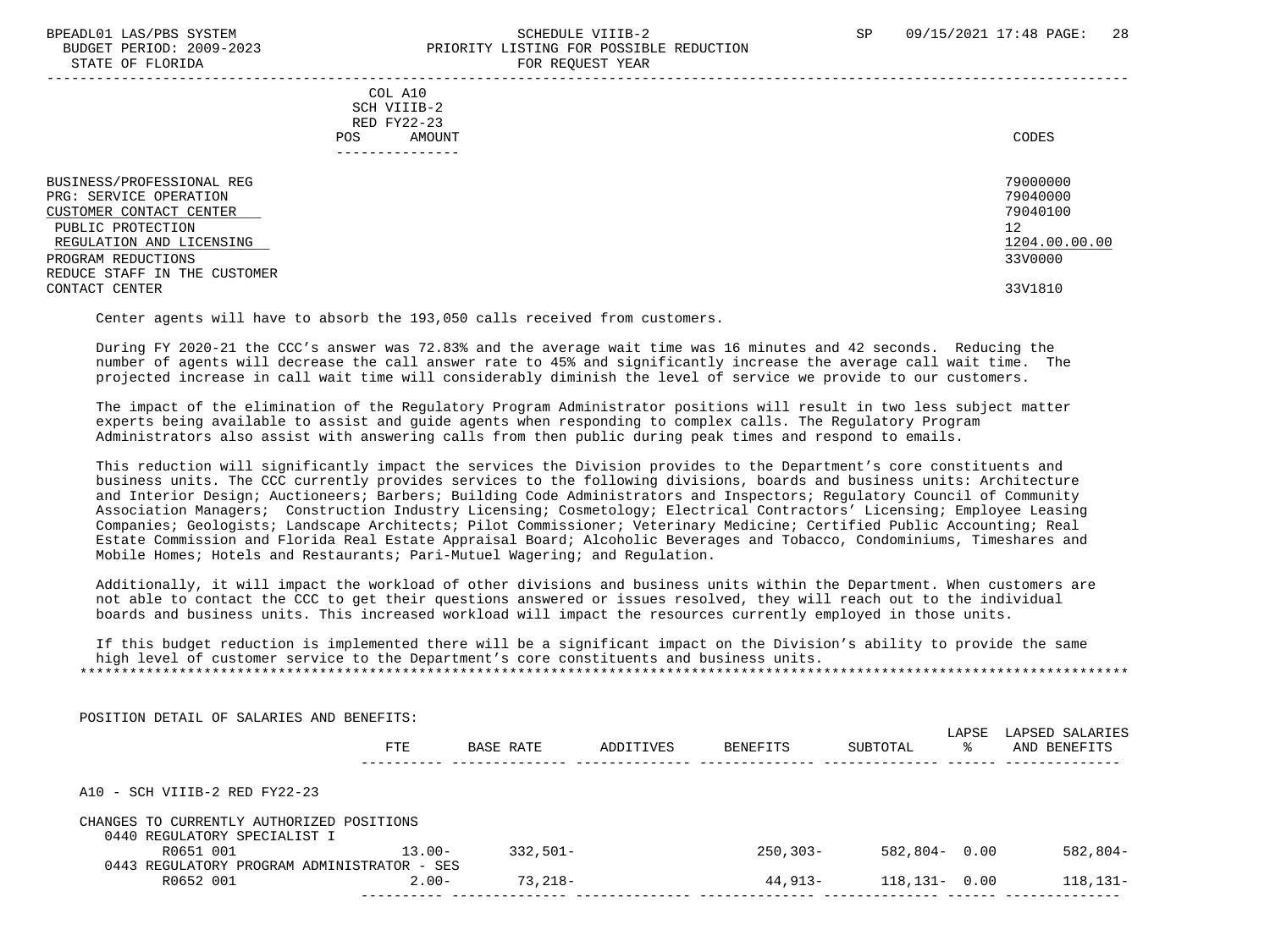STATE OF FLORIDA

# BPEADL01 LAS/PBS SYSTEM SALL SALL SOMEDULE VIIIB-2 SP 09/15/2021 17:48 PAGE: 28 BUDGET PERIOD: 2009-2023<br>
STATE OF FLORIDA

| COL A10<br>SCH VIIIB-2<br>RED FY22-23<br>AMOUNT<br>POS.                                                                                                                               | CODES                                                              |
|---------------------------------------------------------------------------------------------------------------------------------------------------------------------------------------|--------------------------------------------------------------------|
| BUSINESS/PROFESSIONAL REG<br>PRG: SERVICE OPERATION<br>CUSTOMER CONTACT CENTER<br>PUBLIC PROTECTION<br>REGULATION AND LICENSING<br>PROGRAM REDUCTIONS<br>REDUCE STAFF IN THE CUSTOMER | 79000000<br>79040000<br>79040100<br>12<br>1204.00.00.00<br>33V0000 |
| CONTACT CENTER                                                                                                                                                                        | 33V1810                                                            |

Center agents will have to absorb the 193,050 calls received from customers.

 During FY 2020-21 the CCC's answer was 72.83% and the average wait time was 16 minutes and 42 seconds. Reducing the number of agents will decrease the call answer rate to 45% and significantly increase the average call wait time. The projected increase in call wait time will considerably diminish the level of service we provide to our customers.

 The impact of the elimination of the Regulatory Program Administrator positions will result in two less subject matter experts being available to assist and guide agents when responding to complex calls. The Regulatory Program Administrators also assist with answering calls from then public during peak times and respond to emails.

 This reduction will significantly impact the services the Division provides to the Department's core constituents and business units. The CCC currently provides services to the following divisions, boards and business units: Architecture and Interior Design; Auctioneers; Barbers; Building Code Administrators and Inspectors; Regulatory Council of Community Association Managers; Construction Industry Licensing; Cosmetology; Electrical Contractors' Licensing; Employee Leasing Companies; Geologists; Landscape Architects; Pilot Commissioner; Veterinary Medicine; Certified Public Accounting; Real Estate Commission and Florida Real Estate Appraisal Board; Alcoholic Beverages and Tobacco, Condominiums, Timeshares and Mobile Homes; Hotels and Restaurants; Pari-Mutuel Wagering; and Regulation.

 Additionally, it will impact the workload of other divisions and business units within the Department. When customers are not able to contact the CCC to get their questions answered or issues resolved, they will reach out to the individual boards and business units. This increased workload will impact the resources currently employed in those units.

 If this budget reduction is implemented there will be a significant impact on the Division's ability to provide the same high level of customer service to the Department's core constituents and business units. \*\*\*\*\*\*\*\*\*\*\*\*\*\*\*\*\*\*\*\*\*\*\*\*\*\*\*\*\*\*\*\*\*\*\*\*\*\*\*\*\*\*\*\*\*\*\*\*\*\*\*\*\*\*\*\*\*\*\*\*\*\*\*\*\*\*\*\*\*\*\*\*\*\*\*\*\*\*\*\*\*\*\*\*\*\*\*\*\*\*\*\*\*\*\*\*\*\*\*\*\*\*\*\*\*\*\*\*\*\*\*\*\*\*\*\*\*\*\*\*\*\*\*\*\*\*\*

| POSITION DETAIL OF SALARIES AND BENEFITS:   |           |             |           |              |                   | LAPSE | LAPSED SALARIES |
|---------------------------------------------|-----------|-------------|-----------|--------------|-------------------|-------|-----------------|
|                                             | FTE       | BASE RATE   | ADDITIVES | BENEFITS     | SUBTOTAL          | ႜႜ    | AND BENEFITS    |
| $A10 - SCH VIIIB-2 RED FY22-23$             |           |             |           |              |                   |       |                 |
| CHANGES TO CURRENTLY AUTHORIZED POSITIONS   |           |             |           |              |                   |       |                 |
| 0440 REGULATORY SPECIALIST I                |           |             |           |              |                   |       |                 |
| R0651 001                                   | $13.00 -$ | $332.501 -$ |           | $250, 303 -$ | $582,804 - 0.00$  |       | $582,804-$      |
| 0443 REGULATORY PROGRAM ADMINISTRATOR - SES |           |             |           |              |                   |       |                 |
| R0652 001                                   | $2.00 -$  | $73.218-$   |           | 44,913-      | $118, 131 - 0.00$ |       | $118, 131 -$    |
|                                             |           |             |           |              |                   |       |                 |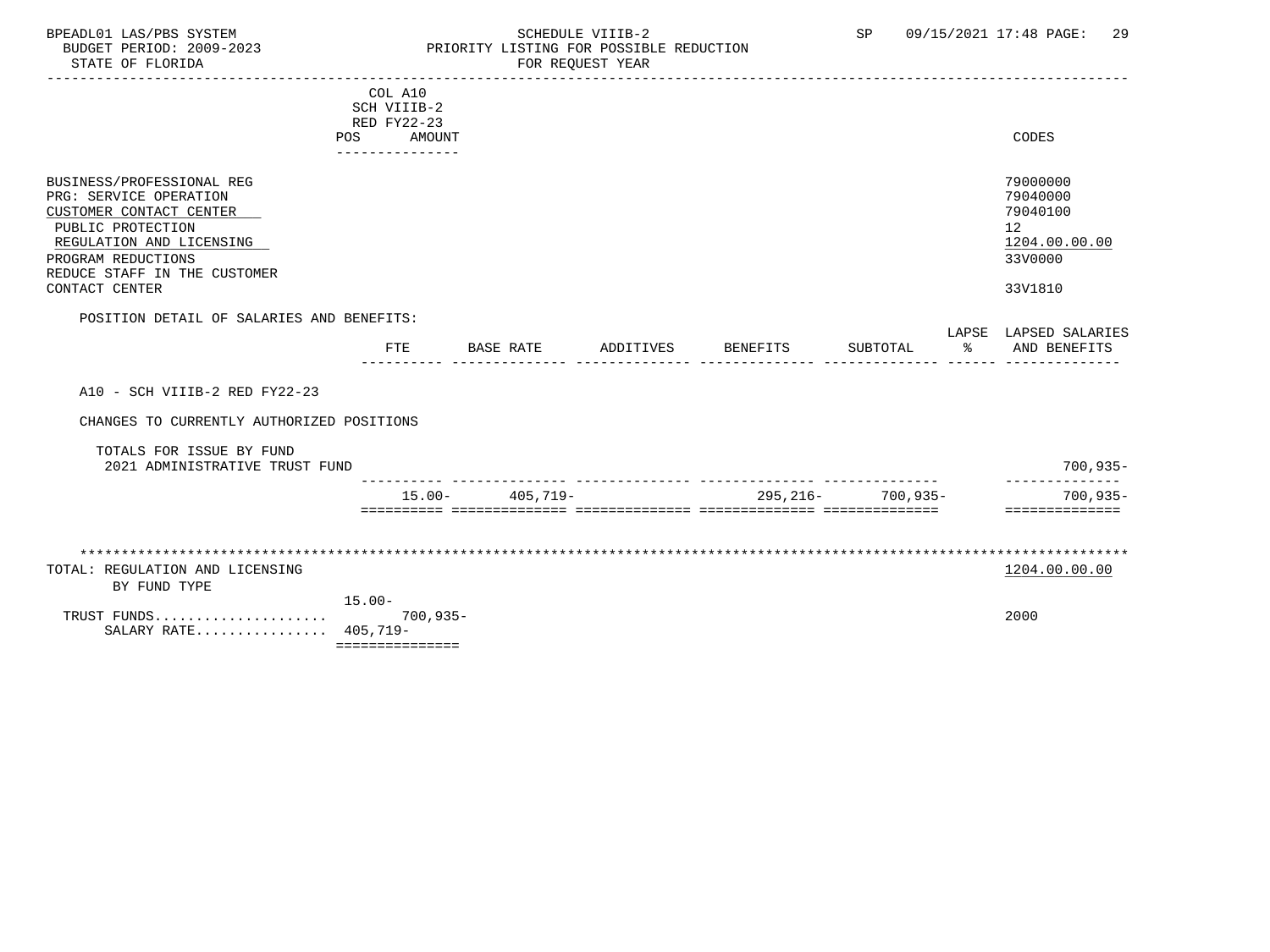## BPEADL01 LAS/PBS SYSTEM SALL SOME SCHEDULE VIIIB-2 SCHEDULE SP 09/15/2021 17:48 PAGE: 29 BUDGET PERIOD: 2009-2023 PRIORITY LISTING FOR POSSIBLE REDUCTION

|                                                                                                                                                                                                         | COL A10<br>SCH VIIIB-2<br>RED FY22-23<br><b>POS</b><br>AMOUNT |                     |           |          |                   |      | CODES                                                                         |
|---------------------------------------------------------------------------------------------------------------------------------------------------------------------------------------------------------|---------------------------------------------------------------|---------------------|-----------|----------|-------------------|------|-------------------------------------------------------------------------------|
| BUSINESS/PROFESSIONAL REG<br>PRG: SERVICE OPERATION<br>CUSTOMER CONTACT CENTER<br>PUBLIC PROTECTION<br>REGULATION AND LICENSING<br>PROGRAM REDUCTIONS<br>REDUCE STAFF IN THE CUSTOMER<br>CONTACT CENTER |                                                               |                     |           |          |                   |      | 79000000<br>79040000<br>79040100<br>12<br>1204.00.00.00<br>33V0000<br>33V1810 |
| POSITION DETAIL OF SALARIES AND BENEFITS:                                                                                                                                                               | FTE                                                           | <b>BASE RATE</b>    | ADDITIVES | BENEFITS | SUBTOTAL          | ာ အေ | LAPSE LAPSED SALARIES<br>AND BENEFITS                                         |
| A10 - SCH VIIIB-2 RED FY22-23                                                                                                                                                                           |                                                               |                     |           |          |                   |      |                                                                               |
| CHANGES TO CURRENTLY AUTHORIZED POSITIONS                                                                                                                                                               |                                                               |                     |           |          |                   |      |                                                                               |
| TOTALS FOR ISSUE BY FUND<br>2021 ADMINISTRATIVE TRUST FUND                                                                                                                                              |                                                               |                     |           |          |                   |      | $700, 935 -$                                                                  |
|                                                                                                                                                                                                         |                                                               | $15.00 - 405,719 -$ |           |          | 295,216- 700,935- |      | $700, 935 -$<br>==============                                                |
|                                                                                                                                                                                                         |                                                               |                     |           |          |                   |      |                                                                               |
| TOTAL: REGULATION AND LICENSING<br>BY FUND TYPE                                                                                                                                                         |                                                               |                     |           |          |                   |      | 1204.00.00.00                                                                 |
| TRUST FUNDS<br>SALARY RATE 405,719-                                                                                                                                                                     | $15.00 -$<br>$700,935-$<br>===============                    |                     |           |          |                   |      | 2000                                                                          |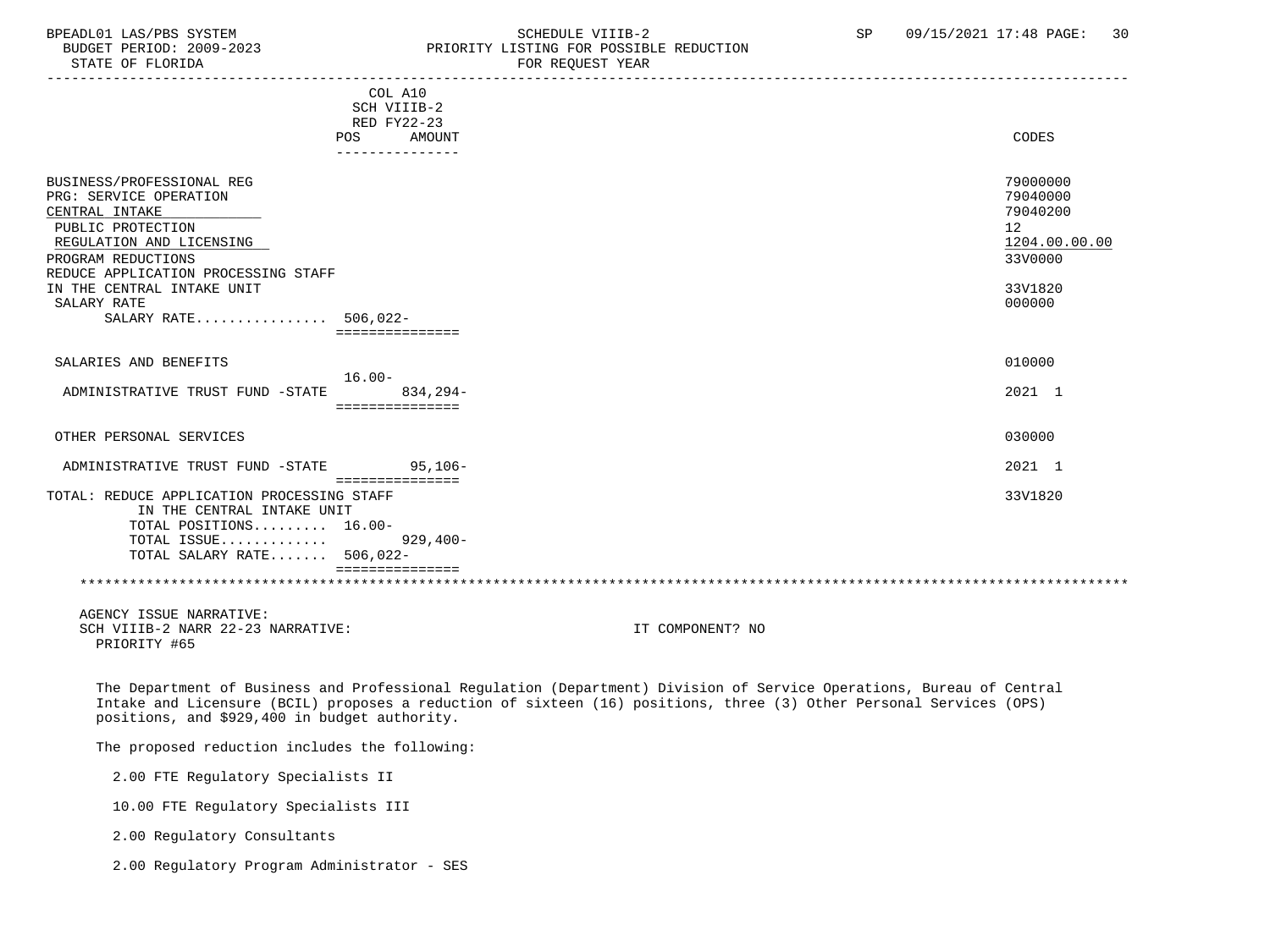### BPEADL01 LAS/PBS SYSTEM SOHEDULE VIIIB-2 SCHEDULE VIIIB-2 SP 09/15/2021 17:48 PAGE: 30<br>BUDGET PERIOD: 2009-2023 PRIORITY LISTING FOR POSSIBLE REDUCTION BUDGET PERIOD: 2009-2023 PRIORITY LISTING FOR POSSIBLE REDUCTION<br>FOR REQUEST YEAR FOR REQUEST YEAR

|                                            | COL A10<br>SCH VIIIB-2<br>RED FY22-23<br>AMOUNT<br>POS | CODES           |
|--------------------------------------------|--------------------------------------------------------|-----------------|
|                                            |                                                        |                 |
|                                            |                                                        |                 |
| BUSINESS/PROFESSIONAL REG                  |                                                        | 79000000        |
| PRG: SERVICE OPERATION                     |                                                        | 79040000        |
|                                            |                                                        | 79040200        |
| CENTRAL INTAKE                             |                                                        |                 |
| PUBLIC PROTECTION                          |                                                        | 12 <sup>°</sup> |
| REGULATION AND LICENSING                   |                                                        | 1204.00.00.00   |
| PROGRAM REDUCTIONS                         |                                                        | 33V0000         |
| REDUCE APPLICATION PROCESSING STAFF        |                                                        |                 |
| IN THE CENTRAL INTAKE UNIT                 |                                                        | 33V1820         |
| SALARY RATE                                |                                                        | 000000          |
| SALARY RATE 506,022-                       |                                                        |                 |
|                                            |                                                        |                 |
|                                            |                                                        |                 |
| SALARIES AND BENEFITS                      |                                                        | 010000          |
|                                            | $16.00 -$                                              |                 |
| ADMINISTRATIVE TRUST FUND -STATE           | $834.294-$                                             | 2021 1          |
|                                            | ===============                                        |                 |
|                                            |                                                        |                 |
| OTHER PERSONAL SERVICES                    |                                                        | 030000          |
|                                            |                                                        |                 |
| ADMINISTRATIVE TRUST FUND -STATE           | $95.106 -$                                             | 2021 1          |
|                                            | ===============                                        |                 |
| TOTAL: REDUCE APPLICATION PROCESSING STAFF |                                                        | 33V1820         |
| IN THE CENTRAL INTAKE UNIT                 |                                                        |                 |
|                                            |                                                        |                 |
| TOTAL POSITIONS 16.00-                     |                                                        |                 |
| TOTAL ISSUE                                | 929,400-                                               |                 |
| TOTAL SALARY RATE 506,022-                 |                                                        |                 |
|                                            |                                                        |                 |
|                                            |                                                        |                 |
|                                            |                                                        |                 |

 AGENCY ISSUE NARRATIVE: SCH VIIIB-2 NARR 22-23 NARRATIVE: IT COMPONENT? NO PRIORITY #65

 The Department of Business and Professional Regulation (Department) Division of Service Operations, Bureau of Central Intake and Licensure (BCIL) proposes a reduction of sixteen (16) positions, three (3) Other Personal Services (OPS) positions, and \$929,400 in budget authority.

The proposed reduction includes the following:

2.00 FTE Regulatory Specialists II

10.00 FTE Regulatory Specialists III

2.00 Regulatory Consultants

2.00 Regulatory Program Administrator - SES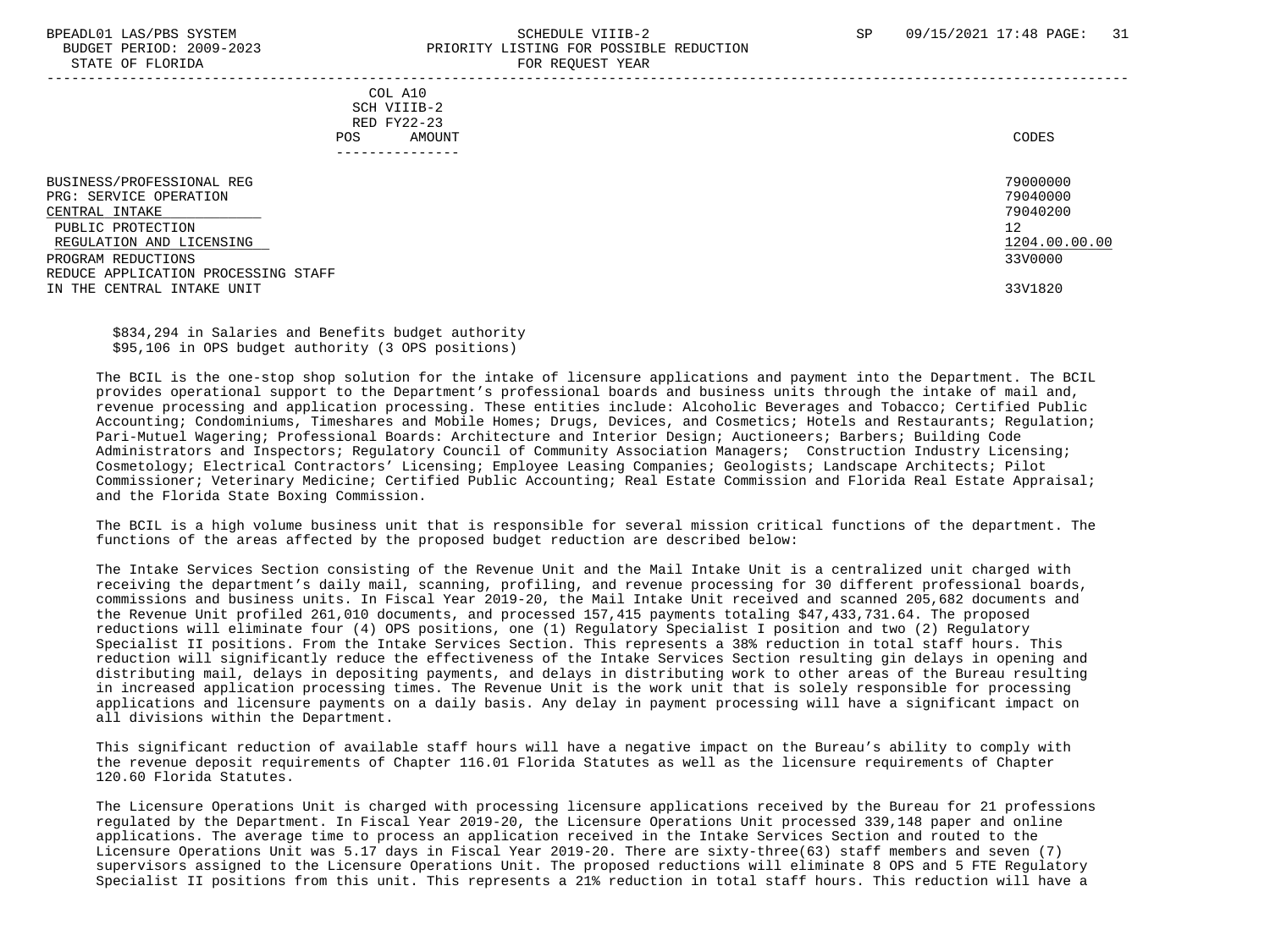STATE OF FLORIDA

# BPEADL01 LAS/PBS SYSTEM SALL SALL SOMEDULE VIIIB-2 SP 09/15/2021 17:48 PAGE: 31 BUDGET PERIOD: 2009-2023<br>
PRIORITY LISTING FOR POSSIBLE REDUCTION

| DIAIL OF FLORIDA                                                                                                                                                                                                  | LOV VPÄNDI IPHV                                         |                                                                               |
|-------------------------------------------------------------------------------------------------------------------------------------------------------------------------------------------------------------------|---------------------------------------------------------|-------------------------------------------------------------------------------|
|                                                                                                                                                                                                                   | COL A10<br>SCH VIIIB-2<br>RED FY22-23<br>AMOUNT<br>POS. | CODES                                                                         |
| BUSINESS/PROFESSIONAL REG<br>PRG: SERVICE OPERATION<br>CENTRAL INTAKE<br>PUBLIC PROTECTION<br>REGULATION AND LICENSING<br>PROGRAM REDUCTIONS<br>REDUCE APPLICATION PROCESSING STAFF<br>IN THE CENTRAL INTAKE UNIT |                                                         | 79000000<br>79040000<br>79040200<br>12<br>1204.00.00.00<br>33V0000<br>33V1820 |

 \$834,294 in Salaries and Benefits budget authority \$95,106 in OPS budget authority (3 OPS positions)

 The BCIL is the one-stop shop solution for the intake of licensure applications and payment into the Department. The BCIL provides operational support to the Department's professional boards and business units through the intake of mail and, revenue processing and application processing. These entities include: Alcoholic Beverages and Tobacco; Certified Public Accounting; Condominiums, Timeshares and Mobile Homes; Drugs, Devices, and Cosmetics; Hotels and Restaurants; Regulation; Pari-Mutuel Wagering; Professional Boards: Architecture and Interior Design; Auctioneers; Barbers; Building Code Administrators and Inspectors; Regulatory Council of Community Association Managers; Construction Industry Licensing; Cosmetology; Electrical Contractors' Licensing; Employee Leasing Companies; Geologists; Landscape Architects; Pilot Commissioner; Veterinary Medicine; Certified Public Accounting; Real Estate Commission and Florida Real Estate Appraisal; and the Florida State Boxing Commission.

 The BCIL is a high volume business unit that is responsible for several mission critical functions of the department. The functions of the areas affected by the proposed budget reduction are described below:

 The Intake Services Section consisting of the Revenue Unit and the Mail Intake Unit is a centralized unit charged with receiving the department's daily mail, scanning, profiling, and revenue processing for 30 different professional boards, commissions and business units. In Fiscal Year 2019-20, the Mail Intake Unit received and scanned 205,682 documents and the Revenue Unit profiled 261,010 documents, and processed 157,415 payments totaling \$47,433,731.64. The proposed reductions will eliminate four (4) OPS positions, one (1) Regulatory Specialist I position and two (2) Regulatory Specialist II positions. From the Intake Services Section. This represents a 38% reduction in total staff hours. This reduction will significantly reduce the effectiveness of the Intake Services Section resulting gin delays in opening and distributing mail, delays in depositing payments, and delays in distributing work to other areas of the Bureau resulting in increased application processing times. The Revenue Unit is the work unit that is solely responsible for processing applications and licensure payments on a daily basis. Any delay in payment processing will have a significant impact on all divisions within the Department.

 This significant reduction of available staff hours will have a negative impact on the Bureau's ability to comply with the revenue deposit requirements of Chapter 116.01 Florida Statutes as well as the licensure requirements of Chapter 120.60 Florida Statutes.

 The Licensure Operations Unit is charged with processing licensure applications received by the Bureau for 21 professions regulated by the Department. In Fiscal Year 2019-20, the Licensure Operations Unit processed 339,148 paper and online applications. The average time to process an application received in the Intake Services Section and routed to the Licensure Operations Unit was 5.17 days in Fiscal Year 2019-20. There are sixty-three(63) staff members and seven (7) supervisors assigned to the Licensure Operations Unit. The proposed reductions will eliminate 8 OPS and 5 FTE Regulatory Specialist II positions from this unit. This represents a 21% reduction in total staff hours. This reduction will have a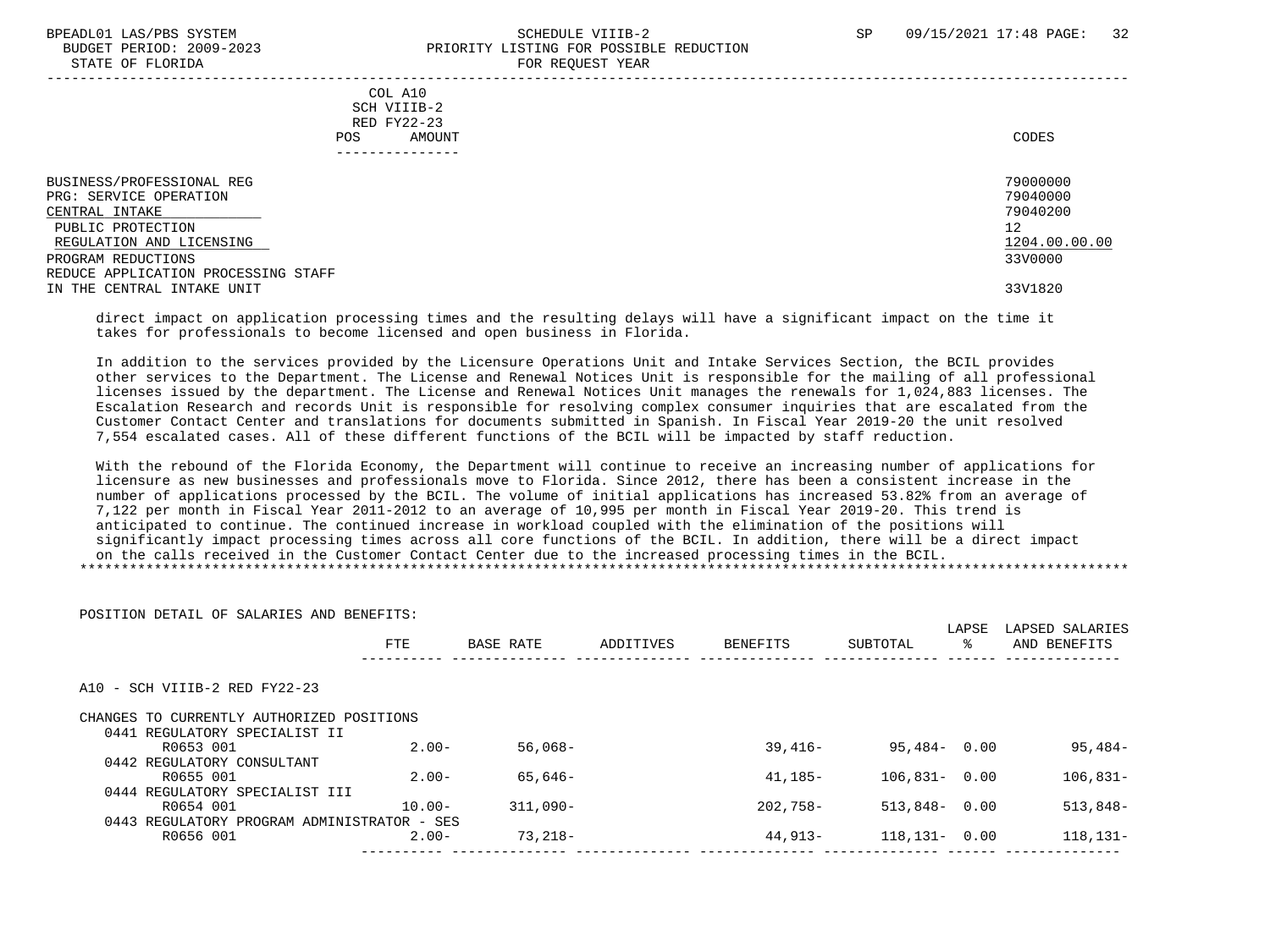STATE OF FLORIDA

POSITION DETAIL OF SALARIES AND BENEFITS:

# BPEADL01 LAS/PBS SYSTEM SALL SALL SOMEDULE VIIIB-2 SP 09/15/2021 17:48 PAGE: 32 BUDGET PERIOD: 2009-2023<br>
STATE OF FLORIDA

| $0.1111$ $0.1$ $1.101111$                                                                                                                                                                                         | ron nogonor rom                                         |                                                                               |
|-------------------------------------------------------------------------------------------------------------------------------------------------------------------------------------------------------------------|---------------------------------------------------------|-------------------------------------------------------------------------------|
|                                                                                                                                                                                                                   | COL A10<br>SCH VIIIB-2<br>RED FY22-23<br>AMOUNT<br>POS. | CODES                                                                         |
| BUSINESS/PROFESSIONAL REG<br>PRG: SERVICE OPERATION<br>CENTRAL INTAKE<br>PUBLIC PROTECTION<br>REGULATION AND LICENSING<br>PROGRAM REDUCTIONS<br>REDUCE APPLICATION PROCESSING STAFF<br>IN THE CENTRAL INTAKE UNIT |                                                         | 79000000<br>79040000<br>79040200<br>12<br>1204.00.00.00<br>33V0000<br>33V1820 |

 direct impact on application processing times and the resulting delays will have a significant impact on the time it takes for professionals to become licensed and open business in Florida.

 In addition to the services provided by the Licensure Operations Unit and Intake Services Section, the BCIL provides other services to the Department. The License and Renewal Notices Unit is responsible for the mailing of all professional licenses issued by the department. The License and Renewal Notices Unit manages the renewals for 1,024,883 licenses. The Escalation Research and records Unit is responsible for resolving complex consumer inquiries that are escalated from the Customer Contact Center and translations for documents submitted in Spanish. In Fiscal Year 2019-20 the unit resolved 7,554 escalated cases. All of these different functions of the BCIL will be impacted by staff reduction.

 With the rebound of the Florida Economy, the Department will continue to receive an increasing number of applications for licensure as new businesses and professionals move to Florida. Since 2012, there has been a consistent increase in the number of applications processed by the BCIL. The volume of initial applications has increased 53.82% from an average of 7,122 per month in Fiscal Year 2011-2012 to an average of 10,995 per month in Fiscal Year 2019-20. This trend is anticipated to continue. The continued increase in workload coupled with the elimination of the positions will significantly impact processing times across all core functions of the BCIL. In addition, there will be a direct impact on the calls received in the Customer Contact Center due to the increased processing times in the BCIL. \*\*\*\*\*\*\*\*\*\*\*\*\*\*\*\*\*\*\*\*\*\*\*\*\*\*\*\*\*\*\*\*\*\*\*\*\*\*\*\*\*\*\*\*\*\*\*\*\*\*\*\*\*\*\*\*\*\*\*\*\*\*\*\*\*\*\*\*\*\*\*\*\*\*\*\*\*\*\*\*\*\*\*\*\*\*\*\*\*\*\*\*\*\*\*\*\*\*\*\*\*\*\*\*\*\*\*\*\*\*\*\*\*\*\*\*\*\*\*\*\*\*\*\*\*\*\*

|                                             | <b>FTE</b> | BASE RATE  | ADDITIVES | BENEFITS   | SUBTOTAL          | LAPSE<br>°≈ | LAPSED SALARIES<br>AND BENEFITS |
|---------------------------------------------|------------|------------|-----------|------------|-------------------|-------------|---------------------------------|
|                                             |            |            |           |            |                   |             |                                 |
| A10 - SCH VIIIB-2 RED FY22-23               |            |            |           |            |                   |             |                                 |
| CHANGES TO CURRENTLY AUTHORIZED POSITIONS   |            |            |           |            |                   |             |                                 |
| 0441 REGULATORY SPECIALIST II               |            |            |           |            |                   |             |                                 |
| R0653 001                                   | $2.00 -$   | $56.068 -$ |           | $39.416 -$ | $95.484 - 0.00$   |             | $95,484-$                       |
| 0442 REGULATORY CONSULTANT                  |            |            |           |            |                   |             |                                 |
| R0655 001                                   | $2.00 -$   | 65,646-    |           | $41.185-$  | $106.831 - 0.00$  |             | $106.831-$                      |
| 0444 REGULATORY SPECIALIST III              |            |            |           |            |                   |             |                                 |
| R0654 001                                   | $10.00 -$  | $311,090-$ |           | $202.758-$ | $513,848 - 0.00$  |             | $513,848-$                      |
| 0443 REGULATORY PROGRAM ADMINISTRATOR - SES |            |            |           |            |                   |             |                                 |
| R0656 001                                   | $2.00-$    | $73.218-$  |           | 44,913-    | $118, 131 - 0.00$ |             | $118, 131 -$                    |
|                                             |            |            |           |            |                   |             |                                 |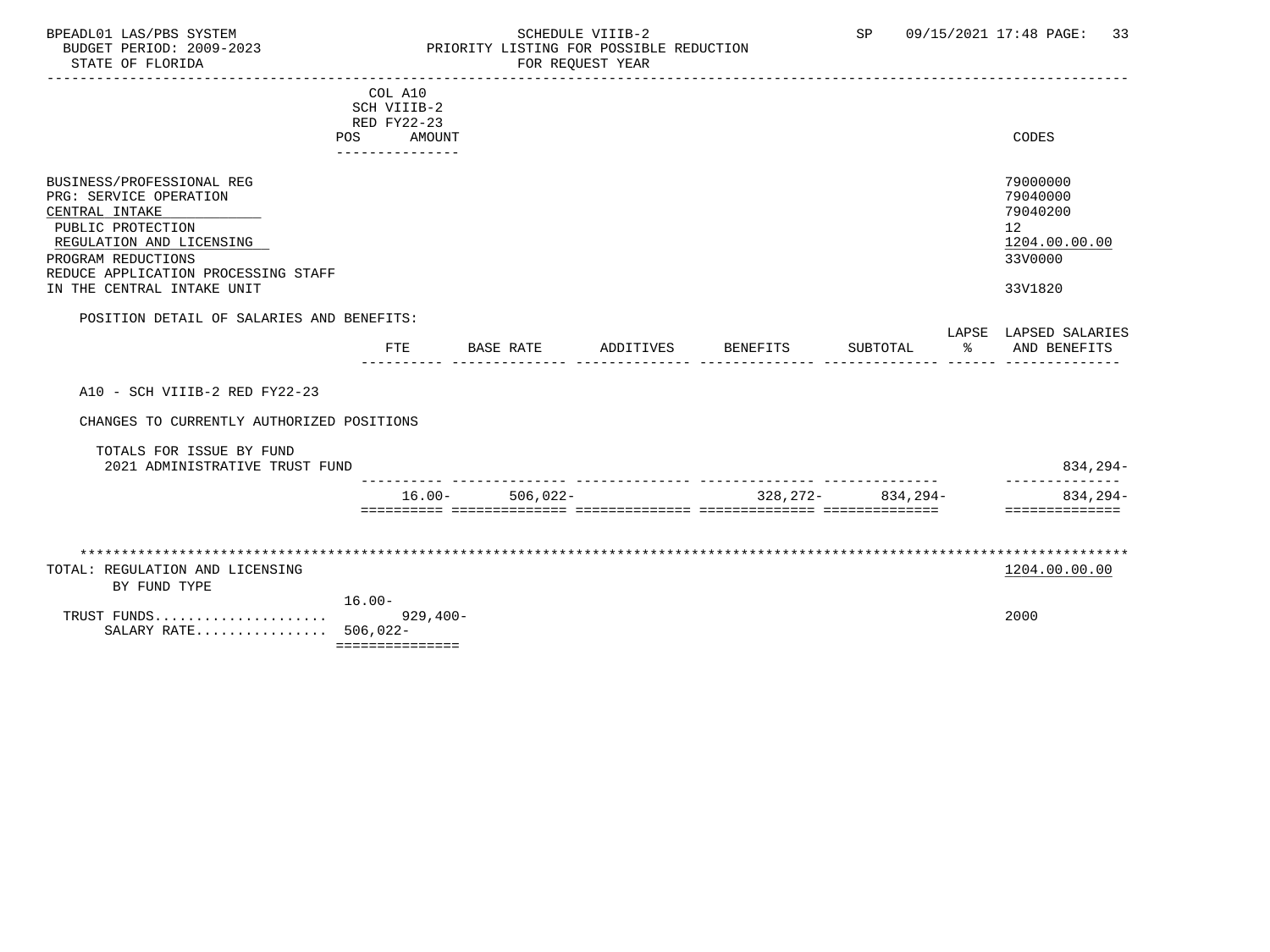### BPEADL01 LAS/PBS SYSTEM SALL SOME SCHEDULE VIIIB-2 SCHEDULE SP 09/15/2021 17:48 PAGE: 33 BUDGET PERIOD: 2009-2023 PRIORITY LISTING FOR POSSIBLE REDUCTION

|                                           | COL A10              |            |           |          |                         |    |                       |
|-------------------------------------------|----------------------|------------|-----------|----------|-------------------------|----|-----------------------|
|                                           | SCH VIIIB-2          |            |           |          |                         |    |                       |
|                                           | RED FY22-23          |            |           |          |                         |    |                       |
|                                           | <b>POS</b><br>AMOUNT |            |           |          |                         |    | CODES                 |
|                                           | ---------------      |            |           |          |                         |    |                       |
|                                           |                      |            |           |          |                         |    |                       |
| BUSINESS/PROFESSIONAL REG                 |                      |            |           |          |                         |    | 79000000              |
| PRG: SERVICE OPERATION                    |                      |            |           |          |                         |    | 79040000              |
| CENTRAL INTAKE                            |                      |            |           |          |                         |    | 79040200              |
| PUBLIC PROTECTION                         |                      |            |           |          |                         |    | 12                    |
| REGULATION AND LICENSING                  |                      |            |           |          |                         |    | 1204.00.00.00         |
| PROGRAM REDUCTIONS                        |                      |            |           |          |                         |    | 33V0000               |
| REDUCE APPLICATION PROCESSING STAFF       |                      |            |           |          |                         |    |                       |
| IN THE CENTRAL INTAKE UNIT                |                      |            |           |          |                         |    | 33V1820               |
|                                           |                      |            |           |          |                         |    |                       |
| POSITION DETAIL OF SALARIES AND BENEFITS: |                      |            |           |          |                         |    |                       |
|                                           |                      |            |           |          |                         |    | LAPSE LAPSED SALARIES |
|                                           | FTE                  | BASE RATE  | ADDITIVES | BENEFITS | SUBTOTAL                | ႜၟ | AND BENEFITS          |
|                                           |                      |            |           |          |                         |    |                       |
|                                           |                      |            |           |          |                         |    |                       |
| A10 - SCH VIIIB-2 RED FY22-23             |                      |            |           |          |                         |    |                       |
|                                           |                      |            |           |          |                         |    |                       |
| CHANGES TO CURRENTLY AUTHORIZED POSITIONS |                      |            |           |          |                         |    |                       |
|                                           |                      |            |           |          |                         |    |                       |
| TOTALS FOR ISSUE BY FUND                  |                      |            |           |          |                         |    |                       |
| 2021 ADMINISTRATIVE TRUST FUND            |                      |            |           |          |                         |    | $834, 294 -$          |
|                                           |                      |            |           |          |                         |    |                       |
|                                           | $16.00 -$            | $506,022-$ |           |          | $328, 272 - 834, 294 -$ |    | 834,294-              |
|                                           |                      |            |           |          |                         |    | ==============        |
|                                           |                      |            |           |          |                         |    |                       |
|                                           |                      |            |           |          |                         |    |                       |
|                                           |                      |            |           |          |                         |    |                       |
| TOTAL: REGULATION AND LICENSING           |                      |            |           |          |                         |    | 1204.00.00.00         |
| BY FUND TYPE                              |                      |            |           |          |                         |    |                       |
|                                           | $16.00 -$            |            |           |          |                         |    |                       |
| TRUST FUNDS                               | $929,400-$           |            |           |          |                         |    | 2000                  |
| SALARY RATE 506,022-                      |                      |            |           |          |                         |    |                       |
|                                           | ===============      |            |           |          |                         |    |                       |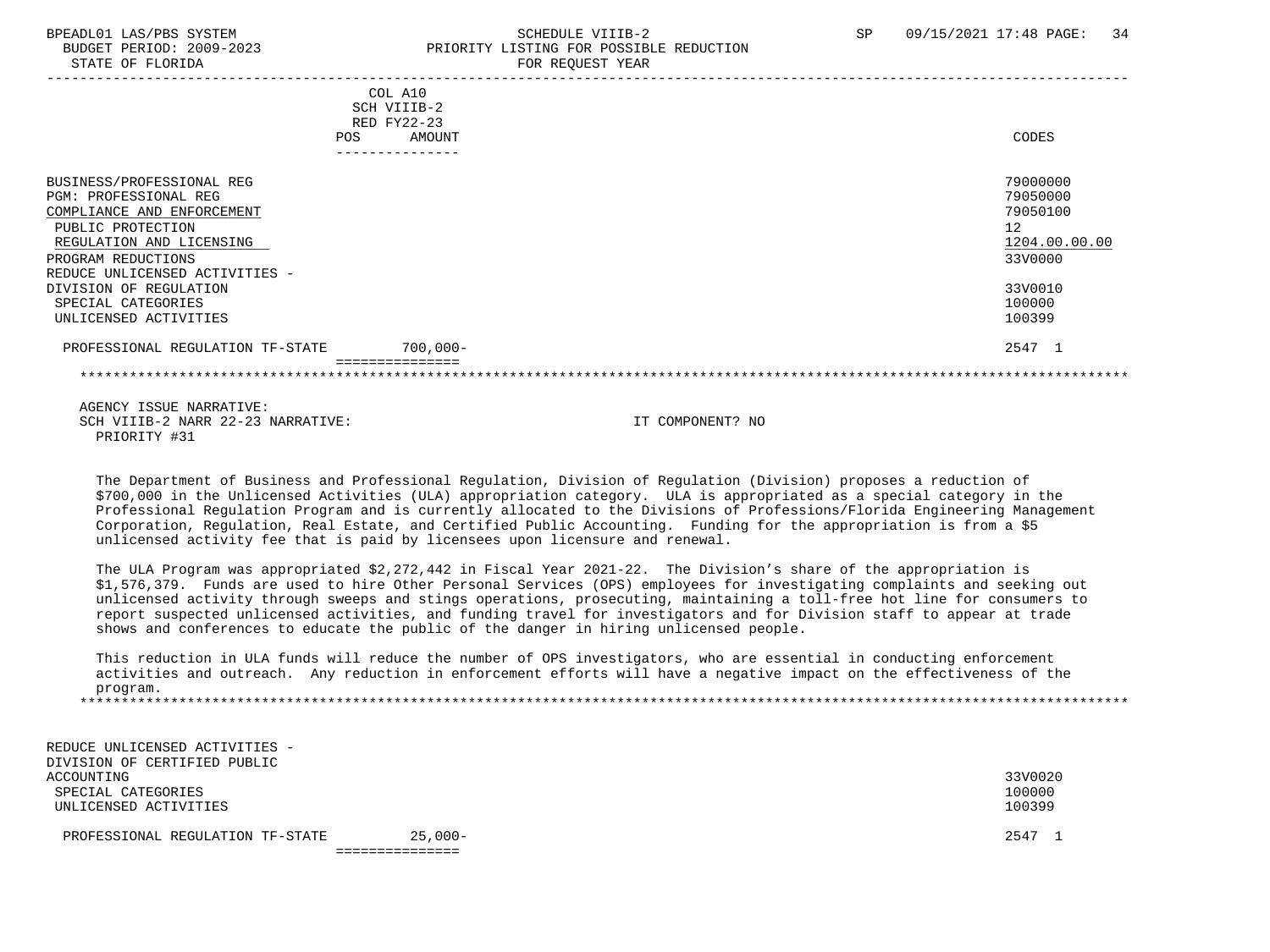# BPEADL01 LAS/PBS SYSTEM SALL SALL SOMEDULE VIIIB-2 SP 09/15/2021 17:48 PAGE: 34 BUDGET PERIOD: 2009-2023 PRIORITY LISTING FOR POSSIBLE REDUCTION

| <b>POS</b>                                                                                                                                                                                | COL A10<br>SCH VIIIB-2<br>RED FY22-23<br>AMOUNT | CODES                                                              |
|-------------------------------------------------------------------------------------------------------------------------------------------------------------------------------------------|-------------------------------------------------|--------------------------------------------------------------------|
|                                                                                                                                                                                           |                                                 |                                                                    |
| BUSINESS/PROFESSIONAL REG<br>PGM: PROFESSIONAL REG<br>COMPLIANCE AND ENFORCEMENT<br>PUBLIC PROTECTION<br>REGULATION AND LICENSING<br>PROGRAM REDUCTIONS<br>REDUCE UNLICENSED ACTIVITIES - |                                                 | 79000000<br>79050000<br>79050100<br>12<br>1204.00.00.00<br>33V0000 |
| DIVISION OF REGULATION<br>SPECIAL CATEGORIES<br>UNLICENSED ACTIVITIES                                                                                                                     |                                                 | 33V0010<br>100000<br>100399                                        |
| PROFESSIONAL REGULATION TF-STATE                                                                                                                                                          | $700,000 -$                                     | 2547 1                                                             |
|                                                                                                                                                                                           |                                                 |                                                                    |

 AGENCY ISSUE NARRATIVE: SCH VIIIB-2 NARR 22-23 NARRATIVE: IT COMPONENT? NO PRIORITY #31

 The Department of Business and Professional Regulation, Division of Regulation (Division) proposes a reduction of \$700,000 in the Unlicensed Activities (ULA) appropriation category. ULA is appropriated as a special category in the Professional Regulation Program and is currently allocated to the Divisions of Professions/Florida Engineering Management Corporation, Regulation, Real Estate, and Certified Public Accounting. Funding for the appropriation is from a \$5 unlicensed activity fee that is paid by licensees upon licensure and renewal.

 The ULA Program was appropriated \$2,272,442 in Fiscal Year 2021-22. The Division's share of the appropriation is \$1,576,379. Funds are used to hire Other Personal Services (OPS) employees for investigating complaints and seeking out unlicensed activity through sweeps and stings operations, prosecuting, maintaining a toll-free hot line for consumers to report suspected unlicensed activities, and funding travel for investigators and for Division staff to appear at trade shows and conferences to educate the public of the danger in hiring unlicensed people.

 This reduction in ULA funds will reduce the number of OPS investigators, who are essential in conducting enforcement activities and outreach. Any reduction in enforcement efforts will have a negative impact on the effectiveness of the program. \*\*\*\*\*\*\*\*\*\*\*\*\*\*\*\*\*\*\*\*\*\*\*\*\*\*\*\*\*\*\*\*\*\*\*\*\*\*\*\*\*\*\*\*\*\*\*\*\*\*\*\*\*\*\*\*\*\*\*\*\*\*\*\*\*\*\*\*\*\*\*\*\*\*\*\*\*\*\*\*\*\*\*\*\*\*\*\*\*\*\*\*\*\*\*\*\*\*\*\*\*\*\*\*\*\*\*\*\*\*\*\*\*\*\*\*\*\*\*\*\*\*\*\*\*\*\*

 REDUCE UNLICENSED ACTIVITIES - DIVISION OF CERTIFIED PUBLIC ACCOUNTING 33V0020 SPECIAL CATEGORIES 100000 POSTAGORIES 100000 POSTAGORIES 100000 POSTAGORIES 100000 POSTAGORIES 100000 POSTAGORIES INLICENSED ACTIVITIES PROFESSIONAL REGULATION TF-STATE 25,000- 2547 1

===============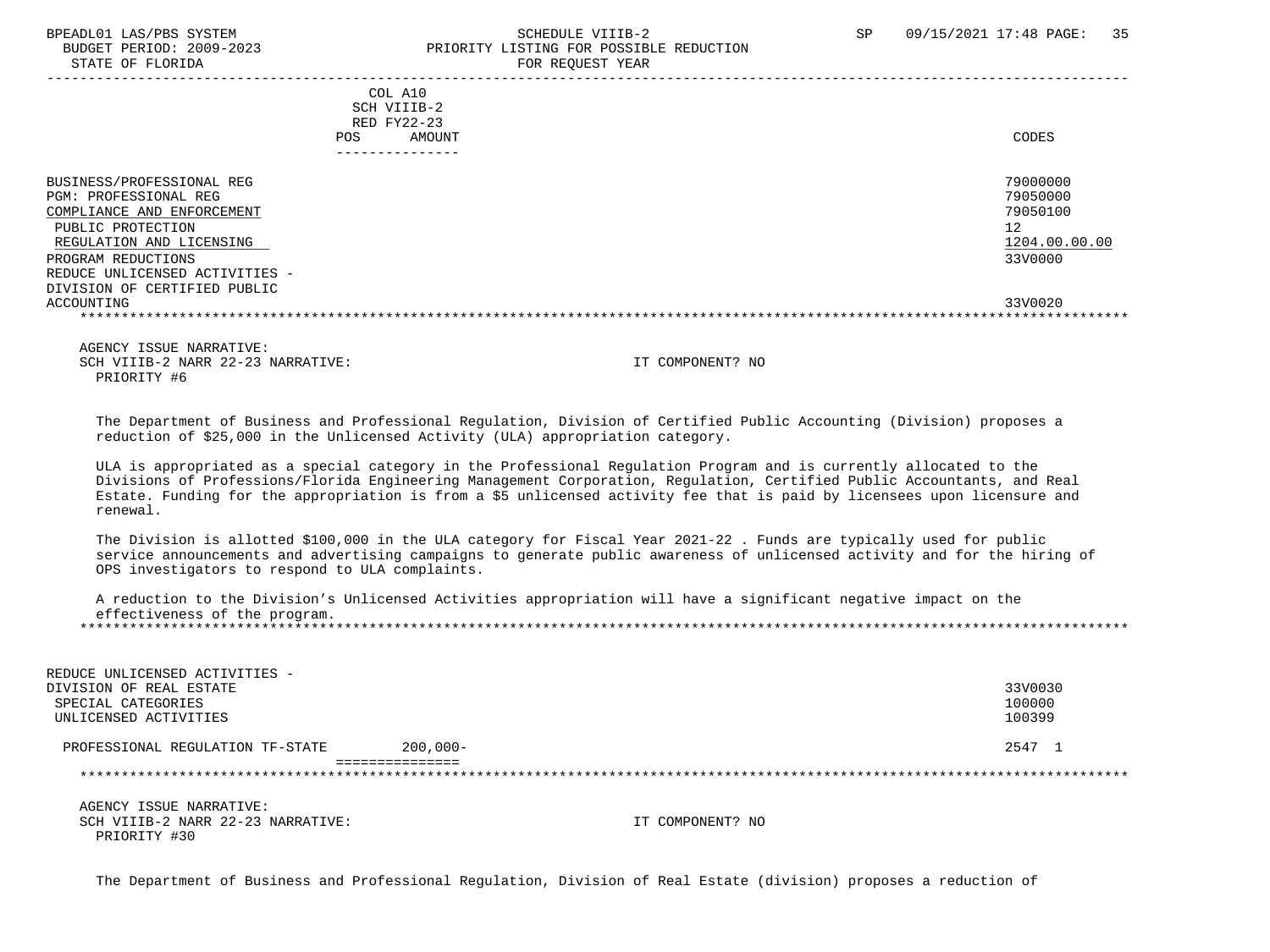# BPEADL01 LAS/PBS SYSTEM SCHEDULE VIIIB-2 SCHEDULE VIIIB-2 SP 09/15/2021 17:48 PAGE: 35 PRIORITY LISTING FOR POSSIBLE REDUCTION

|                                                                                                                                                                                                                                                | COL A10<br>SCH VIIIB-2<br>RED FY22-23<br><b>POS</b> | AMOUNT |  | CODES                                                                         |
|------------------------------------------------------------------------------------------------------------------------------------------------------------------------------------------------------------------------------------------------|-----------------------------------------------------|--------|--|-------------------------------------------------------------------------------|
|                                                                                                                                                                                                                                                | ---------------                                     |        |  |                                                                               |
| BUSINESS/PROFESSIONAL REG<br><b>PGM: PROFESSIONAL REG</b><br>COMPLIANCE AND ENFORCEMENT<br>PUBLIC PROTECTION<br>REGULATION AND LICENSING<br>PROGRAM REDUCTIONS<br>REDUCE UNLICENSED ACTIVITIES -<br>DIVISION OF CERTIFIED PUBLIC<br>ACCOUNTING |                                                     |        |  | 79000000<br>79050000<br>79050100<br>12<br>1204.00.00.00<br>33V0000<br>33V0020 |
|                                                                                                                                                                                                                                                |                                                     |        |  |                                                                               |
|                                                                                                                                                                                                                                                |                                                     |        |  |                                                                               |

 AGENCY ISSUE NARRATIVE: SCH VIIIB-2 NARR 22-23 NARRATIVE: IT COMPONENT? NO PRIORITY #6

 The Department of Business and Professional Regulation, Division of Certified Public Accounting (Division) proposes a reduction of \$25,000 in the Unlicensed Activity (ULA) appropriation category.

 ULA is appropriated as a special category in the Professional Regulation Program and is currently allocated to the Divisions of Professions/Florida Engineering Management Corporation, Regulation, Certified Public Accountants, and Real Estate. Funding for the appropriation is from a \$5 unlicensed activity fee that is paid by licensees upon licensure and renewal.

 The Division is allotted \$100,000 in the ULA category for Fiscal Year 2021-22 . Funds are typically used for public service announcements and advertising campaigns to generate public awareness of unlicensed activity and for the hiring of OPS investigators to respond to ULA complaints.

| A reduction to the Division's Unlicensed Activities appropriation will have a significant negative impact on the |
|------------------------------------------------------------------------------------------------------------------|
| effectiveness of the program.                                                                                    |
|                                                                                                                  |

| REDUCE UNLICENSED ACTIVITIES -<br>DIVISION OF REAL ESTATE<br>SPECIAL CATEGORIES<br>UNLICENSED ACTIVITIES |                 | 33V0030<br>100000<br>100399 |
|----------------------------------------------------------------------------------------------------------|-----------------|-----------------------------|
| PROFESSIONAL REGULATION TF-STATE                                                                         | $200.000 -$     | 2547 1                      |
|                                                                                                          | =============== |                             |
| AGENCY ISSUE NARRATIVE:                                                                                  |                 |                             |

SCH VIIIB-2 NARR 22-23 NARRATIVE: IT COMPONENT? NO PRIORITY #30

The Department of Business and Professional Regulation, Division of Real Estate (division) proposes a reduction of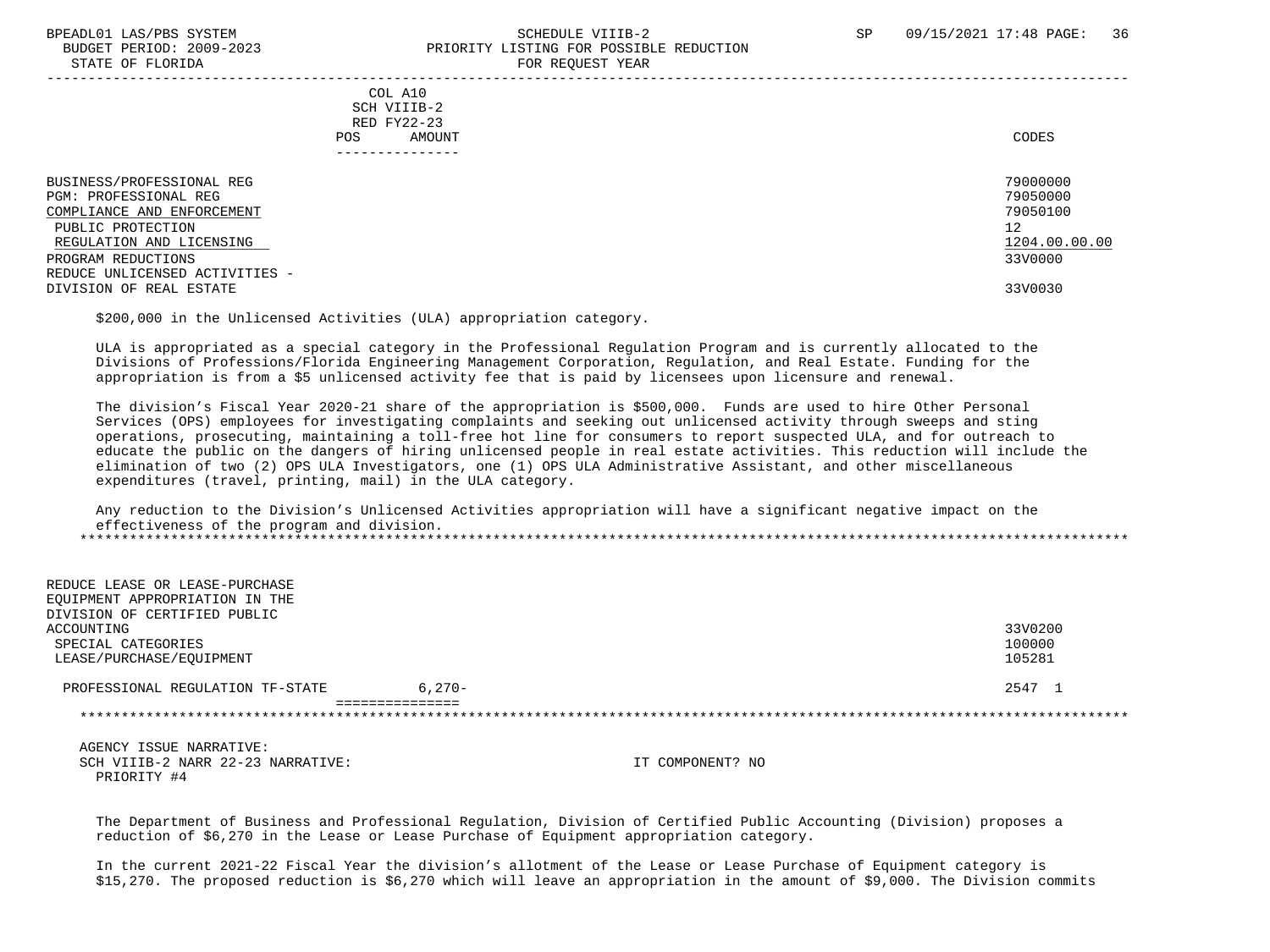#### BPEADL01 LAS/PBS SYSTEM SALL SALL SOMEDULE VIIIB-2 SP 09/15/2021 17:48 PAGE: 36 BUDGET PERIOD: 2009-2023 PRIORITY LISTING FOR POSSIBLE REDUCTION STATE OF FLORIDA **FOR REQUEST YEAR**

 ----------------------------------------------------------------------------------------------------------------------------------- COL A10 SCH VIIIB-2 RED FY22-23 POS AMOUNT NOTES AND RESERVE AND RESERVE AND RESERVE AND RESERVE AND RESERVE AND RESERVE AND RESERVE AND RESERVE AND RESERVE AND RESERVE A LODGE STATES OF A LODGE STATES OF A LODGE STATES OF A LODGE STATES OF A LODGE STATE --------------- BUSINESS/PROFESSIONAL REG 20000000 PGM: PROFESSIONAL REG 79050000<br>COMPLIANCE AND ENFORCEMENT 79050100 COMPLIANCE AND ENFORCEMENT PUBLIC PROTECTION 12<br>REGULATION AND LICENSING NEWSLAUDS AND REGULATION AND LICENSING 1204.00.00.00 REGULATION AND LICENSING  $\frac{1204.00}{3300000}$ PROGRAM REDUCTIONS REDUCE UNLICENSED ACTIVITIES - DIVISION OF REAL ESTATE 33V0030

\$200,000 in the Unlicensed Activities (ULA) appropriation category.

 ULA is appropriated as a special category in the Professional Regulation Program and is currently allocated to the Divisions of Professions/Florida Engineering Management Corporation, Regulation, and Real Estate. Funding for the appropriation is from a \$5 unlicensed activity fee that is paid by licensees upon licensure and renewal.

 The division's Fiscal Year 2020-21 share of the appropriation is \$500,000. Funds are used to hire Other Personal Services (OPS) employees for investigating complaints and seeking out unlicensed activity through sweeps and sting operations, prosecuting, maintaining a toll-free hot line for consumers to report suspected ULA, and for outreach to educate the public on the dangers of hiring unlicensed people in real estate activities. This reduction will include the elimination of two (2) OPS ULA Investigators, one (1) OPS ULA Administrative Assistant, and other miscellaneous expenditures (travel, printing, mail) in the ULA category.

 Any reduction to the Division's Unlicensed Activities appropriation will have a significant negative impact on the effectiveness of the program and division. \*\*\*\*\*\*\*\*\*\*\*\*\*\*\*\*\*\*\*\*\*\*\*\*\*\*\*\*\*\*\*\*\*\*\*\*\*\*\*\*\*\*\*\*\*\*\*\*\*\*\*\*\*\*\*\*\*\*\*\*\*\*\*\*\*\*\*\*\*\*\*\*\*\*\*\*\*\*\*\*\*\*\*\*\*\*\*\*\*\*\*\*\*\*\*\*\*\*\*\*\*\*\*\*\*\*\*\*\*\*\*\*\*\*\*\*\*\*\*\*\*\*\*\*\*\*\*

| REDUCE LEASE OR LEASE-PURCHASE   |           |         |
|----------------------------------|-----------|---------|
| EOUIPMENT APPROPRIATION IN THE   |           |         |
| DIVISION OF CERTIFIED PUBLIC     |           |         |
| ACCOUNTING                       |           | 33V0200 |
| SPECIAL CATEGORIES               |           | 100000  |
| LEASE/PURCHASE/EOUIPMENT         |           | 105281  |
|                                  |           |         |
| PROFESSIONAL REGULATION TF-STATE | $6.270 -$ | 2547 1  |
|                                  |           |         |
|                                  |           |         |

 AGENCY ISSUE NARRATIVE: SCH VIIIB-2 NARR 22-23 NARRATIVE: IT COMPONENT? NO PRIORITY #4

 The Department of Business and Professional Regulation, Division of Certified Public Accounting (Division) proposes a reduction of \$6,270 in the Lease or Lease Purchase of Equipment appropriation category.

 In the current 2021-22 Fiscal Year the division's allotment of the Lease or Lease Purchase of Equipment category is \$15,270. The proposed reduction is \$6,270 which will leave an appropriation in the amount of \$9,000. The Division commits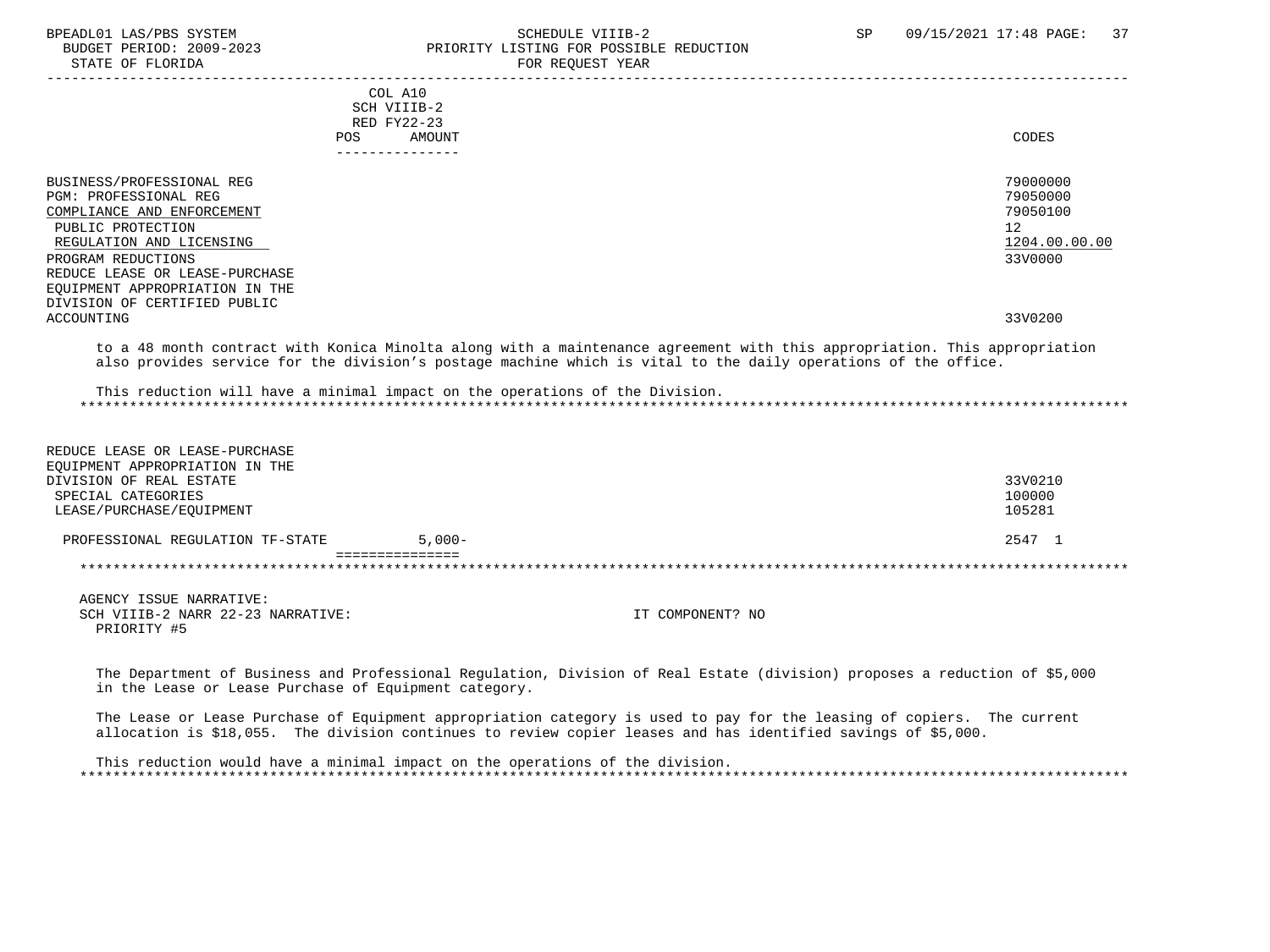BPEADL01 LAS/PBS SYSTEM STREADULE SCHEDULE VIIIB-2 SCHEDULE VIIIB-2 SP 09/15/2021 17:48 PAGE: 37 BUDGET PERIOD: 2009-2023 PRIORITY LISTING FOR POSSIBLE REDUCTION<br>STATE OF FLORIDA

# FOR REQUEST YEAR

|                                                                  | COL A10                                                                                                                                                                                                                                                                                                                     |               |
|------------------------------------------------------------------|-----------------------------------------------------------------------------------------------------------------------------------------------------------------------------------------------------------------------------------------------------------------------------------------------------------------------------|---------------|
|                                                                  | SCH VIIIB-2                                                                                                                                                                                                                                                                                                                 |               |
|                                                                  | RED FY22-23                                                                                                                                                                                                                                                                                                                 |               |
|                                                                  | POS AMOUNT                                                                                                                                                                                                                                                                                                                  | <b>CODES</b>  |
|                                                                  | ---------------                                                                                                                                                                                                                                                                                                             |               |
|                                                                  |                                                                                                                                                                                                                                                                                                                             |               |
| BUSINESS/PROFESSIONAL REG                                        |                                                                                                                                                                                                                                                                                                                             | 79000000      |
| <b>PGM: PROFESSIONAL REG</b>                                     |                                                                                                                                                                                                                                                                                                                             | 79050000      |
| COMPLIANCE AND ENFORCEMENT                                       |                                                                                                                                                                                                                                                                                                                             | 79050100      |
| PUBLIC PROTECTION                                                |                                                                                                                                                                                                                                                                                                                             | 12            |
| REGULATION AND LICENSING                                         |                                                                                                                                                                                                                                                                                                                             | 1204.00.00.00 |
|                                                                  |                                                                                                                                                                                                                                                                                                                             |               |
| PROGRAM REDUCTIONS                                               |                                                                                                                                                                                                                                                                                                                             | 33V0000       |
| REDUCE LEASE OR LEASE-PURCHASE                                   |                                                                                                                                                                                                                                                                                                                             |               |
| EQUIPMENT APPROPRIATION IN THE                                   |                                                                                                                                                                                                                                                                                                                             |               |
| DIVISION OF CERTIFIED PUBLIC                                     |                                                                                                                                                                                                                                                                                                                             |               |
| ACCOUNTING                                                       |                                                                                                                                                                                                                                                                                                                             | 33V0200       |
|                                                                  | to a 48 month contract with Konica Minolta along with a maintenance agreement with this appropriation. This appropriation<br>also provides service for the division's postage machine which is vital to the daily operations of the office.<br>This reduction will have a minimal impact on the operations of the Division. |               |
|                                                                  |                                                                                                                                                                                                                                                                                                                             |               |
| REDUCE LEASE OR LEASE-PURCHASE<br>EQUIPMENT APPROPRIATION IN THE |                                                                                                                                                                                                                                                                                                                             |               |
| DIVISION OF REAL ESTATE                                          |                                                                                                                                                                                                                                                                                                                             | 33V0210       |
| SPECIAL CATEGORIES                                               |                                                                                                                                                                                                                                                                                                                             | 100000        |
| LEASE/PURCHASE/EQUIPMENT                                         |                                                                                                                                                                                                                                                                                                                             | 105281        |
|                                                                  |                                                                                                                                                                                                                                                                                                                             |               |
| PROFESSIONAL REGULATION TF-STATE                                 | $5.000 -$                                                                                                                                                                                                                                                                                                                   | 2547 1        |
|                                                                  |                                                                                                                                                                                                                                                                                                                             |               |

 AGENCY ISSUE NARRATIVE: SCH VIIIB-2 NARR 22-23 NARRATIVE: IT COMPONENT? NO PRIORITY #5

 The Department of Business and Professional Regulation, Division of Real Estate (division) proposes a reduction of \$5,000 in the Lease or Lease Purchase of Equipment category.

 The Lease or Lease Purchase of Equipment appropriation category is used to pay for the leasing of copiers. The current allocation is \$18,055. The division continues to review copier leases and has identified savings of \$5,000.

 This reduction would have a minimal impact on the operations of the division. \*\*\*\*\*\*\*\*\*\*\*\*\*\*\*\*\*\*\*\*\*\*\*\*\*\*\*\*\*\*\*\*\*\*\*\*\*\*\*\*\*\*\*\*\*\*\*\*\*\*\*\*\*\*\*\*\*\*\*\*\*\*\*\*\*\*\*\*\*\*\*\*\*\*\*\*\*\*\*\*\*\*\*\*\*\*\*\*\*\*\*\*\*\*\*\*\*\*\*\*\*\*\*\*\*\*\*\*\*\*\*\*\*\*\*\*\*\*\*\*\*\*\*\*\*\*\*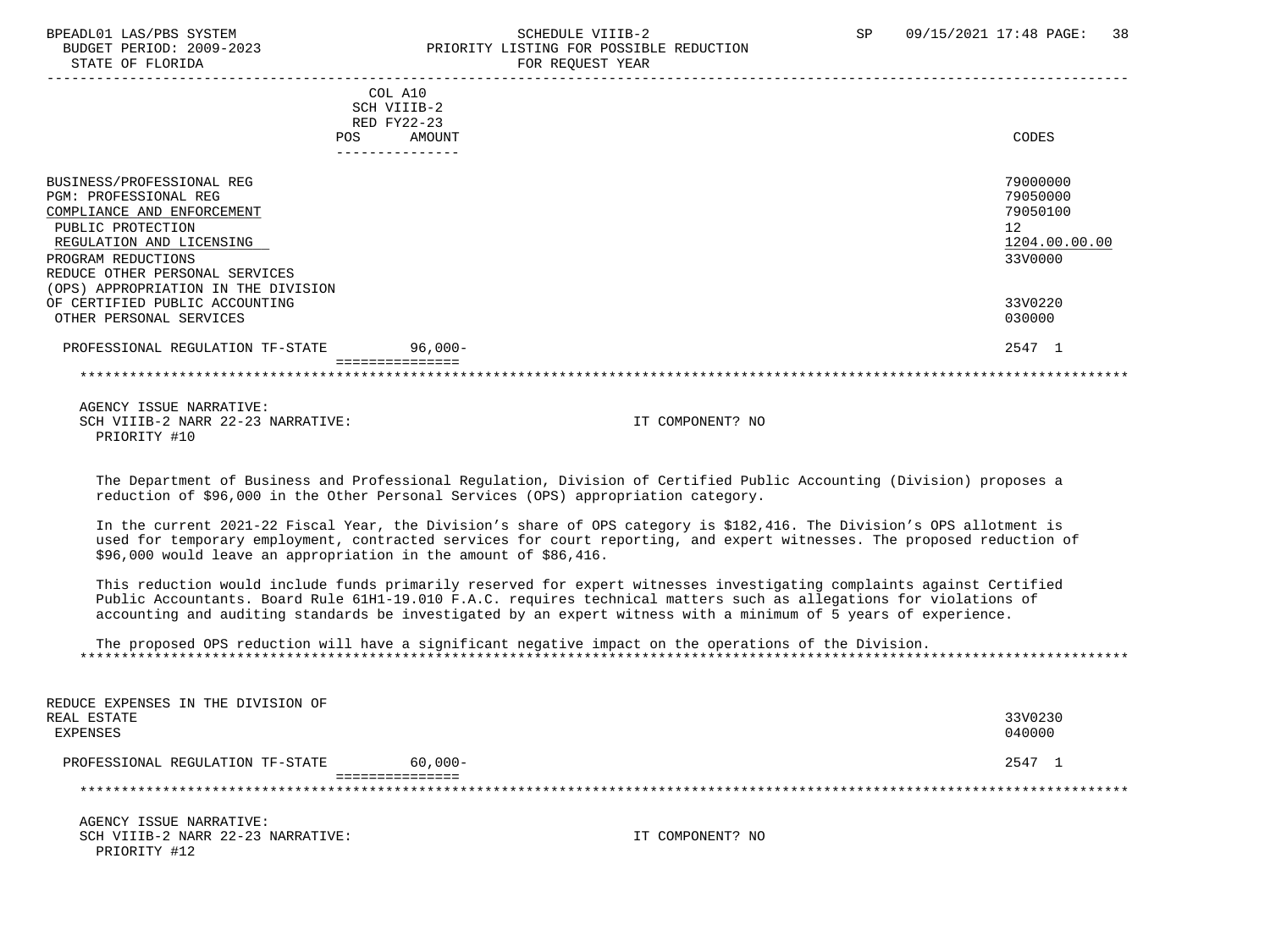#### BPEADL01 LAS/PBS SYSTEM SOHEDULE VIIIB-2 SCHEDULE VIIIB-2 SP 09/15/2021 17:48 PAGE: 38 BUDGET PERIOD: 2009-2023 PRIORITY LISTING FOR POSSIBLE REDUCTION<br>STATE OF FLORIDA FOR REQUEST YEAR

|                                        | COL A10<br>SCH VIIIB-2 |               |
|----------------------------------------|------------------------|---------------|
|                                        | RED FY22-23            |               |
| <b>POS</b>                             | AMOUNT                 | CODES         |
|                                        |                        |               |
|                                        |                        |               |
| BUSINESS/PROFESSIONAL REG              |                        | 79000000      |
| <b>PGM: PROFESSIONAL REG</b>           |                        | 79050000      |
| COMPLIANCE AND ENFORCEMENT             |                        | 79050100      |
| PUBLIC PROTECTION                      |                        | 12            |
| REGULATION AND LICENSING               |                        | 1204.00.00.00 |
| PROGRAM REDUCTIONS                     |                        | 33V0000       |
| REDUCE OTHER PERSONAL SERVICES         |                        |               |
| APPROPRIATION IN THE DIVISION<br>(OPS) |                        |               |
| OF CERTIFIED PUBLIC ACCOUNTING         |                        | 33V0220       |
| OTHER PERSONAL SERVICES                |                        | 030000        |
| PROFESSIONAL REGULATION TF-STATE       | $96,000-$              | 2547 1        |
|                                        |                        |               |

 AGENCY ISSUE NARRATIVE: SCH VIIIB-2 NARR 22-23 NARRATIVE: IT COMPONENT? NO PRIORITY #10

 The Department of Business and Professional Regulation, Division of Certified Public Accounting (Division) proposes a reduction of \$96,000 in the Other Personal Services (OPS) appropriation category.

 In the current 2021-22 Fiscal Year, the Division's share of OPS category is \$182,416. The Division's OPS allotment is used for temporary employment, contracted services for court reporting, and expert witnesses. The proposed reduction of \$96,000 would leave an appropriation in the amount of \$86,416.

 This reduction would include funds primarily reserved for expert witnesses investigating complaints against Certified Public Accountants. Board Rule 61H1-19.010 F.A.C. requires technical matters such as allegations for violations of accounting and auditing standards be investigated by an expert witness with a minimum of 5 years of experience.

 The proposed OPS reduction will have a significant negative impact on the operations of the Division. \*\*\*\*\*\*\*\*\*\*\*\*\*\*\*\*\*\*\*\*\*\*\*\*\*\*\*\*\*\*\*\*\*\*\*\*\*\*\*\*\*\*\*\*\*\*\*\*\*\*\*\*\*\*\*\*\*\*\*\*\*\*\*\*\*\*\*\*\*\*\*\*\*\*\*\*\*\*\*\*\*\*\*\*\*\*\*\*\*\*\*\*\*\*\*\*\*\*\*\*\*\*\*\*\*\*\*\*\*\*\*\*\*\*\*\*\*\*\*\*\*\*\*\*\*\*\*

| REDUCE EXPENSES IN THE DIVISION OF<br>REAL ESTATE<br>EXPENSES |           |                  | 33V0230<br>040000 |
|---------------------------------------------------------------|-----------|------------------|-------------------|
| PROFESSIONAL REGULATION TF-STATE                              | $60,000-$ |                  | 2547 1            |
|                                                               |           |                  |                   |
|                                                               |           |                  |                   |
| AGENCY ISSUE NARRATIVE:                                       |           |                  |                   |
| SCH VIIIB-2 NARR 22-23 NARRATIVE:                             |           | IT COMPONENT? NO |                   |
| PRIORITY #12                                                  |           |                  |                   |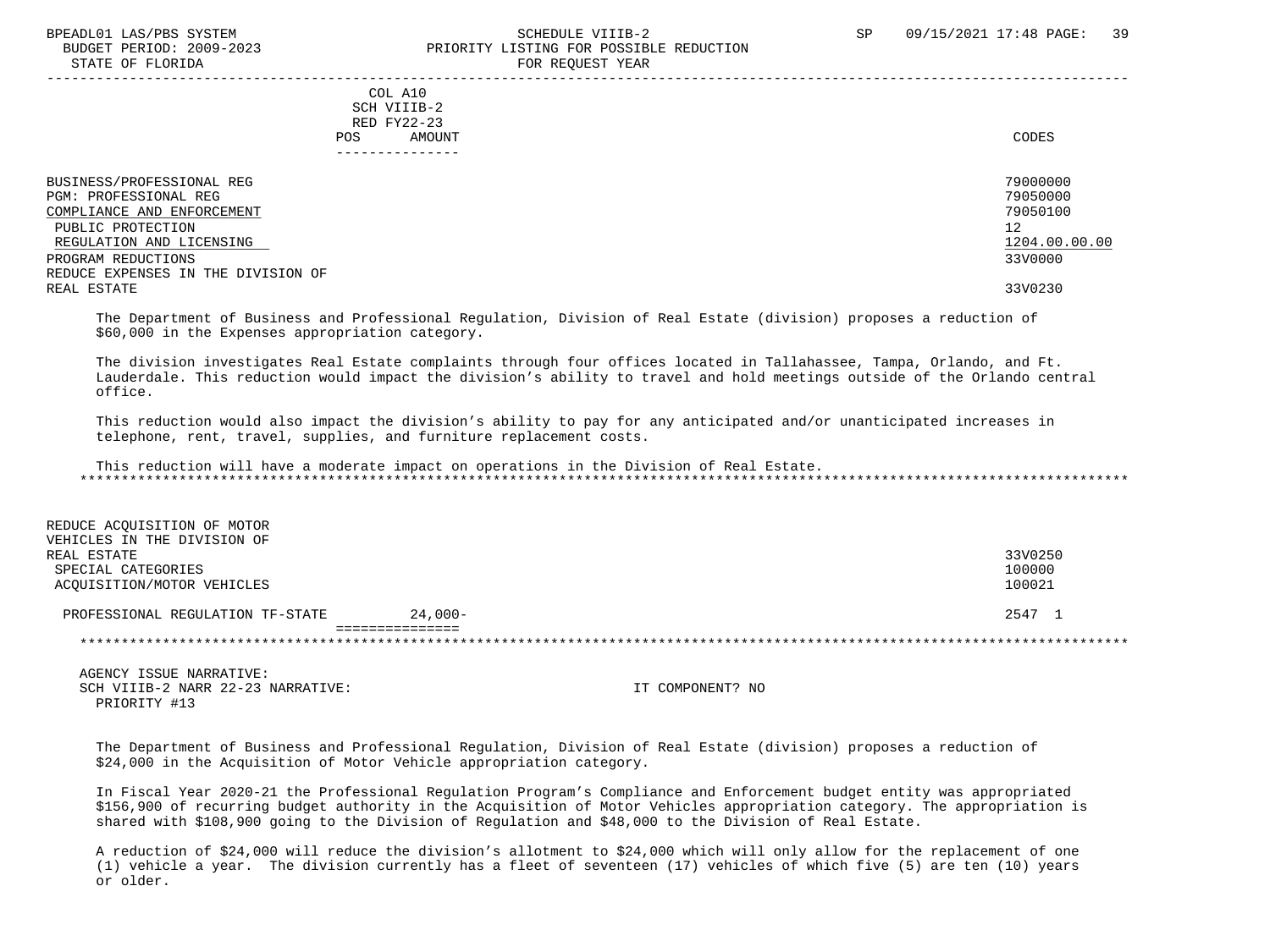#### BPEADL01 LAS/PBS SYSTEM SALL SALL SOMEDULE VIIIB-2 SP 09/15/2021 17:48 PAGE: 39 BUDGET PERIOD: 2009-2023 PRIORITY LISTING FOR POSSIBLE REDUCTION STATE OF FLORIDA **FOR REQUEST YEAR**

| POS.                                                                                                                                                                                          | COL A10<br>SCH VIIIB-2<br>RED FY22-23<br>AMOUNT<br>------------ | CODES                                                              |
|-----------------------------------------------------------------------------------------------------------------------------------------------------------------------------------------------|-----------------------------------------------------------------|--------------------------------------------------------------------|
| BUSINESS/PROFESSIONAL REG<br>PGM: PROFESSIONAL REG<br>COMPLIANCE AND ENFORCEMENT<br>PUBLIC PROTECTION<br>REGULATION AND LICENSING<br>PROGRAM REDUCTIONS<br>REDUCE EXPENSES IN THE DIVISION OF |                                                                 | 79000000<br>79050000<br>79050100<br>12<br>1204.00.00.00<br>33V0000 |
| REAL ESTATE                                                                                                                                                                                   |                                                                 | 33V0230                                                            |

 The Department of Business and Professional Regulation, Division of Real Estate (division) proposes a reduction of \$60,000 in the Expenses appropriation category.

 The division investigates Real Estate complaints through four offices located in Tallahassee, Tampa, Orlando, and Ft. Lauderdale. This reduction would impact the division's ability to travel and hold meetings outside of the Orlando central office.

 This reduction would also impact the division's ability to pay for any anticipated and/or unanticipated increases in telephone, rent, travel, supplies, and furniture replacement costs.

 This reduction will have a moderate impact on operations in the Division of Real Estate. \*\*\*\*\*\*\*\*\*\*\*\*\*\*\*\*\*\*\*\*\*\*\*\*\*\*\*\*\*\*\*\*\*\*\*\*\*\*\*\*\*\*\*\*\*\*\*\*\*\*\*\*\*\*\*\*\*\*\*\*\*\*\*\*\*\*\*\*\*\*\*\*\*\*\*\*\*\*\*\*\*\*\*\*\*\*\*\*\*\*\*\*\*\*\*\*\*\*\*\*\*\*\*\*\*\*\*\*\*\*\*\*\*\*\*\*\*\*\*\*\*\*\*\*\*\*\*

| REDUCE ACOUISITION OF MOTOR      |            |         |
|----------------------------------|------------|---------|
| VEHICLES IN THE DIVISION OF      |            |         |
| REAL ESTATE                      |            | 33V0250 |
| SPECIAL CATEGORIES               |            | 100000  |
| ACOUISITION/MOTOR VEHICLES       |            | 100021  |
| PROFESSIONAL REGULATION TF-STATE | $24.000 -$ | 2547 1  |
|                                  |            |         |
|                                  |            |         |

 AGENCY ISSUE NARRATIVE: SCH VIIIB-2 NARR 22-23 NARRATIVE: IT COMPONENT? NO PRIORITY #13

 The Department of Business and Professional Regulation, Division of Real Estate (division) proposes a reduction of \$24,000 in the Acquisition of Motor Vehicle appropriation category.

 In Fiscal Year 2020-21 the Professional Regulation Program's Compliance and Enforcement budget entity was appropriated \$156,900 of recurring budget authority in the Acquisition of Motor Vehicles appropriation category. The appropriation is shared with \$108,900 going to the Division of Regulation and \$48,000 to the Division of Real Estate.

 A reduction of \$24,000 will reduce the division's allotment to \$24,000 which will only allow for the replacement of one (1) vehicle a year. The division currently has a fleet of seventeen (17) vehicles of which five (5) are ten (10) years or older.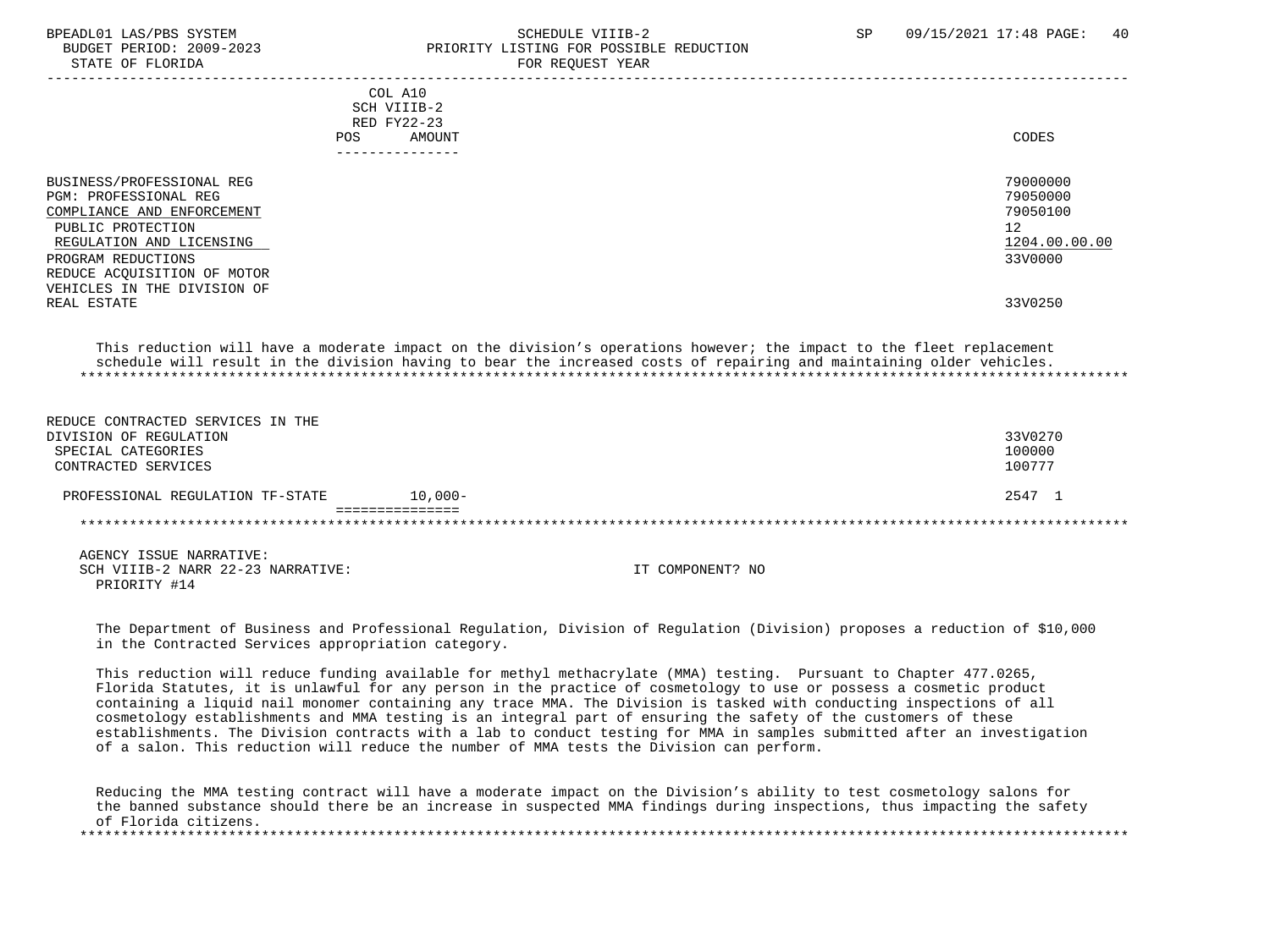#### BPEADL01 LAS/PBS SYSTEM SALL AS A STREADLE SCHEDULE VIIIB-2 SP 09/15/2021 17:48 PAGE: 40 BUDGET PERIOD: 2009-2023<br>
STATE OF FLORIDA<br>
PRIORITY LISTING FOR POSSIBLE REDUCTION FOR REQUEST YEAR

| POS.                                                                                                                                                                                                                                 | COL A10<br>SCH VIIIB-2<br>RED FY22-23<br>AMOUNT<br>------------- | CODES                                                                         |
|--------------------------------------------------------------------------------------------------------------------------------------------------------------------------------------------------------------------------------------|------------------------------------------------------------------|-------------------------------------------------------------------------------|
| BUSINESS/PROFESSIONAL REG<br>PGM: PROFESSIONAL REG<br>COMPLIANCE AND ENFORCEMENT<br>PUBLIC PROTECTION<br>REGULATION AND LICENSING<br>PROGRAM REDUCTIONS<br>REDUCE ACQUISITION OF MOTOR<br>VEHICLES IN THE DIVISION OF<br>REAL ESTATE |                                                                  | 79000000<br>79050000<br>79050100<br>12<br>1204.00.00.00<br>33V0000<br>33V0250 |

 This reduction will have a moderate impact on the division's operations however; the impact to the fleet replacement schedule will result in the division having to bear the increased costs of repairing and maintaining older vehicles. \*\*\*\*\*\*\*\*\*\*\*\*\*\*\*\*\*\*\*\*\*\*\*\*\*\*\*\*\*\*\*\*\*\*\*\*\*\*\*\*\*\*\*\*\*\*\*\*\*\*\*\*\*\*\*\*\*\*\*\*\*\*\*\*\*\*\*\*\*\*\*\*\*\*\*\*\*\*\*\*\*\*\*\*\*\*\*\*\*\*\*\*\*\*\*\*\*\*\*\*\*\*\*\*\*\*\*\*\*\*\*\*\*\*\*\*\*\*\*\*\*\*\*\*\*\*\*

| REDUCE CONTRACTED SERVICES IN THE |            |         |
|-----------------------------------|------------|---------|
| DIVISION OF REGULATION            |            | 33V0270 |
| SPECIAL CATEGORIES                |            | 100000  |
| CONTRACTED SERVICES               |            | 100777  |
| PROFESSIONAL REGULATION TF-STATE  | $10.000 -$ | 2547 1  |
|                                   |            |         |
|                                   |            |         |
|                                   |            |         |

 AGENCY ISSUE NARRATIVE: SCH VIIIB-2 NARR 22-23 NARRATIVE: IT COMPONENT? NO PRIORITY #14

 The Department of Business and Professional Regulation, Division of Regulation (Division) proposes a reduction of \$10,000 in the Contracted Services appropriation category.

 This reduction will reduce funding available for methyl methacrylate (MMA) testing. Pursuant to Chapter 477.0265, Florida Statutes, it is unlawful for any person in the practice of cosmetology to use or possess a cosmetic product containing a liquid nail monomer containing any trace MMA. The Division is tasked with conducting inspections of all cosmetology establishments and MMA testing is an integral part of ensuring the safety of the customers of these establishments. The Division contracts with a lab to conduct testing for MMA in samples submitted after an investigation of a salon. This reduction will reduce the number of MMA tests the Division can perform.

 Reducing the MMA testing contract will have a moderate impact on the Division's ability to test cosmetology salons for the banned substance should there be an increase in suspected MMA findings during inspections, thus impacting the safety of Florida citizens. \*\*\*\*\*\*\*\*\*\*\*\*\*\*\*\*\*\*\*\*\*\*\*\*\*\*\*\*\*\*\*\*\*\*\*\*\*\*\*\*\*\*\*\*\*\*\*\*\*\*\*\*\*\*\*\*\*\*\*\*\*\*\*\*\*\*\*\*\*\*\*\*\*\*\*\*\*\*\*\*\*\*\*\*\*\*\*\*\*\*\*\*\*\*\*\*\*\*\*\*\*\*\*\*\*\*\*\*\*\*\*\*\*\*\*\*\*\*\*\*\*\*\*\*\*\*\*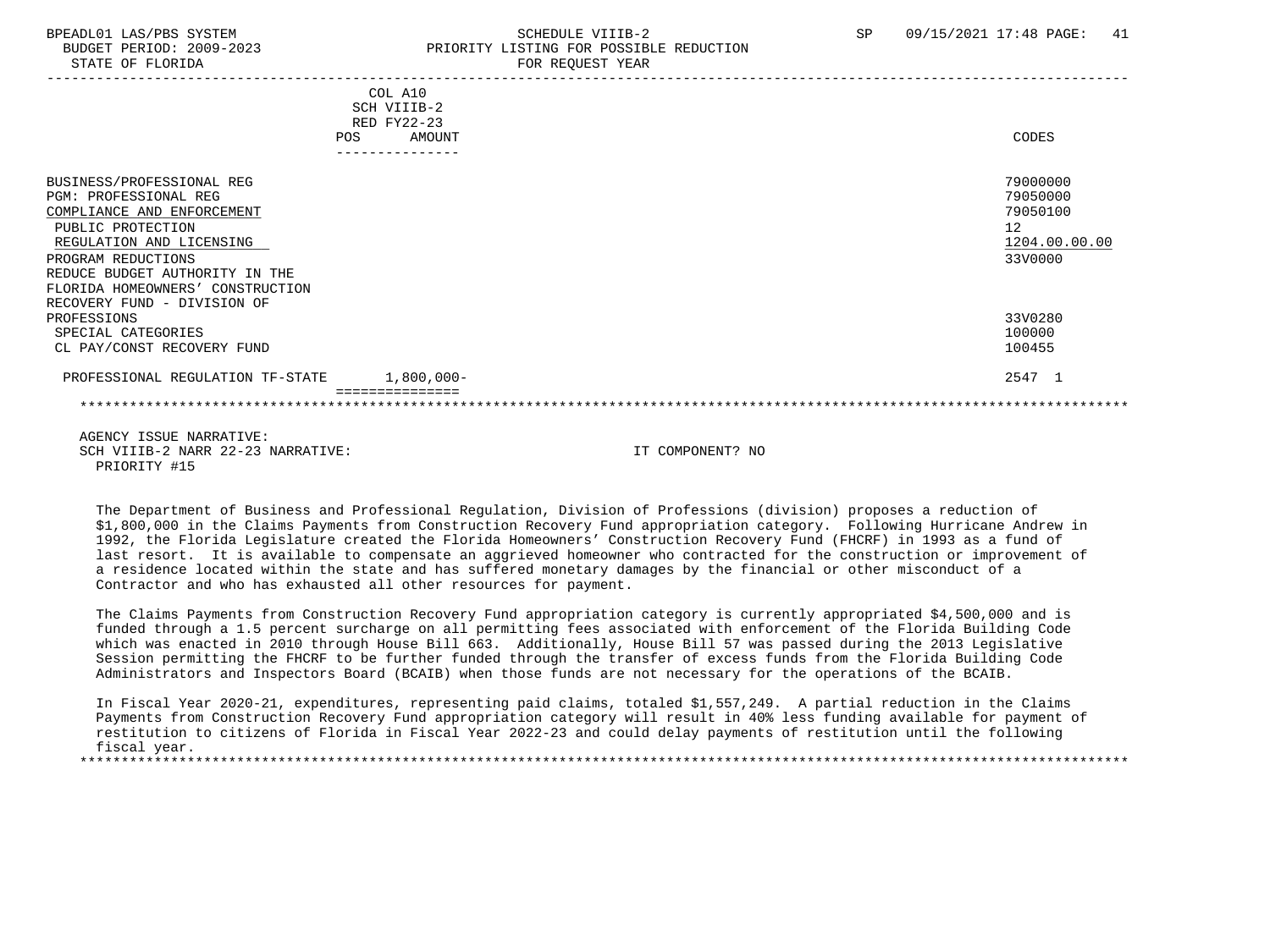## BPEADL01 LAS/PBS SYSTEM SALL SALL SOMEDULE VIIIB-2 SP 09/15/2021 17:48 PAGE: 41 BUDGET PERIOD: 2009-2023 PRIORITY LISTING FOR POSSIBLE REDUCTION

|                                                                                                                                                                                                                                                                     |     | COL A10<br>SCH VIIIB-2<br>RED FY22-23 |                                                                    |
|---------------------------------------------------------------------------------------------------------------------------------------------------------------------------------------------------------------------------------------------------------------------|-----|---------------------------------------|--------------------------------------------------------------------|
|                                                                                                                                                                                                                                                                     | POS | AMOUNT<br>---------------             | CODES                                                              |
| BUSINESS/PROFESSIONAL REG<br><b>PGM: PROFESSIONAL REG</b><br>COMPLIANCE AND ENFORCEMENT<br>PUBLIC PROTECTION<br>REGULATION AND LICENSING<br>PROGRAM REDUCTIONS<br>REDUCE BUDGET AUTHORITY IN THE<br>FLORIDA HOMEOWNERS' CONSTRUCTION<br>RECOVERY FUND - DIVISION OF |     |                                       | 79000000<br>79050000<br>79050100<br>12<br>1204.00.00.00<br>33V0000 |
| PROFESSIONS<br>SPECIAL CATEGORIES<br>CL PAY/CONST RECOVERY FUND                                                                                                                                                                                                     |     |                                       | 33V0280<br>100000<br>100455                                        |
| PROFESSIONAL REGULATION TF-STATE                                                                                                                                                                                                                                    |     | $1,800,000 -$                         | 2547 1                                                             |
|                                                                                                                                                                                                                                                                     |     |                                       |                                                                    |
| AGENCY ISSUE NARRATIVE:                                                                                                                                                                                                                                             |     |                                       |                                                                    |

 AGENCY ISSUE NARRATIVE: SCH VIIIB-2 NARR 22-23 NARRATIVE: IT COMPONENT? NO PRIORITY #15

 The Department of Business and Professional Regulation, Division of Professions (division) proposes a reduction of \$1,800,000 in the Claims Payments from Construction Recovery Fund appropriation category. Following Hurricane Andrew in 1992, the Florida Legislature created the Florida Homeowners' Construction Recovery Fund (FHCRF) in 1993 as a fund of last resort. It is available to compensate an aggrieved homeowner who contracted for the construction or improvement of a residence located within the state and has suffered monetary damages by the financial or other misconduct of a Contractor and who has exhausted all other resources for payment.

 The Claims Payments from Construction Recovery Fund appropriation category is currently appropriated \$4,500,000 and is funded through a 1.5 percent surcharge on all permitting fees associated with enforcement of the Florida Building Code which was enacted in 2010 through House Bill 663. Additionally, House Bill 57 was passed during the 2013 Legislative Session permitting the FHCRF to be further funded through the transfer of excess funds from the Florida Building Code Administrators and Inspectors Board (BCAIB) when those funds are not necessary for the operations of the BCAIB.

 In Fiscal Year 2020-21, expenditures, representing paid claims, totaled \$1,557,249. A partial reduction in the Claims Payments from Construction Recovery Fund appropriation category will result in 40% less funding available for payment of restitution to citizens of Florida in Fiscal Year 2022-23 and could delay payments of restitution until the following fiscal year. \*\*\*\*\*\*\*\*\*\*\*\*\*\*\*\*\*\*\*\*\*\*\*\*\*\*\*\*\*\*\*\*\*\*\*\*\*\*\*\*\*\*\*\*\*\*\*\*\*\*\*\*\*\*\*\*\*\*\*\*\*\*\*\*\*\*\*\*\*\*\*\*\*\*\*\*\*\*\*\*\*\*\*\*\*\*\*\*\*\*\*\*\*\*\*\*\*\*\*\*\*\*\*\*\*\*\*\*\*\*\*\*\*\*\*\*\*\*\*\*\*\*\*\*\*\*\*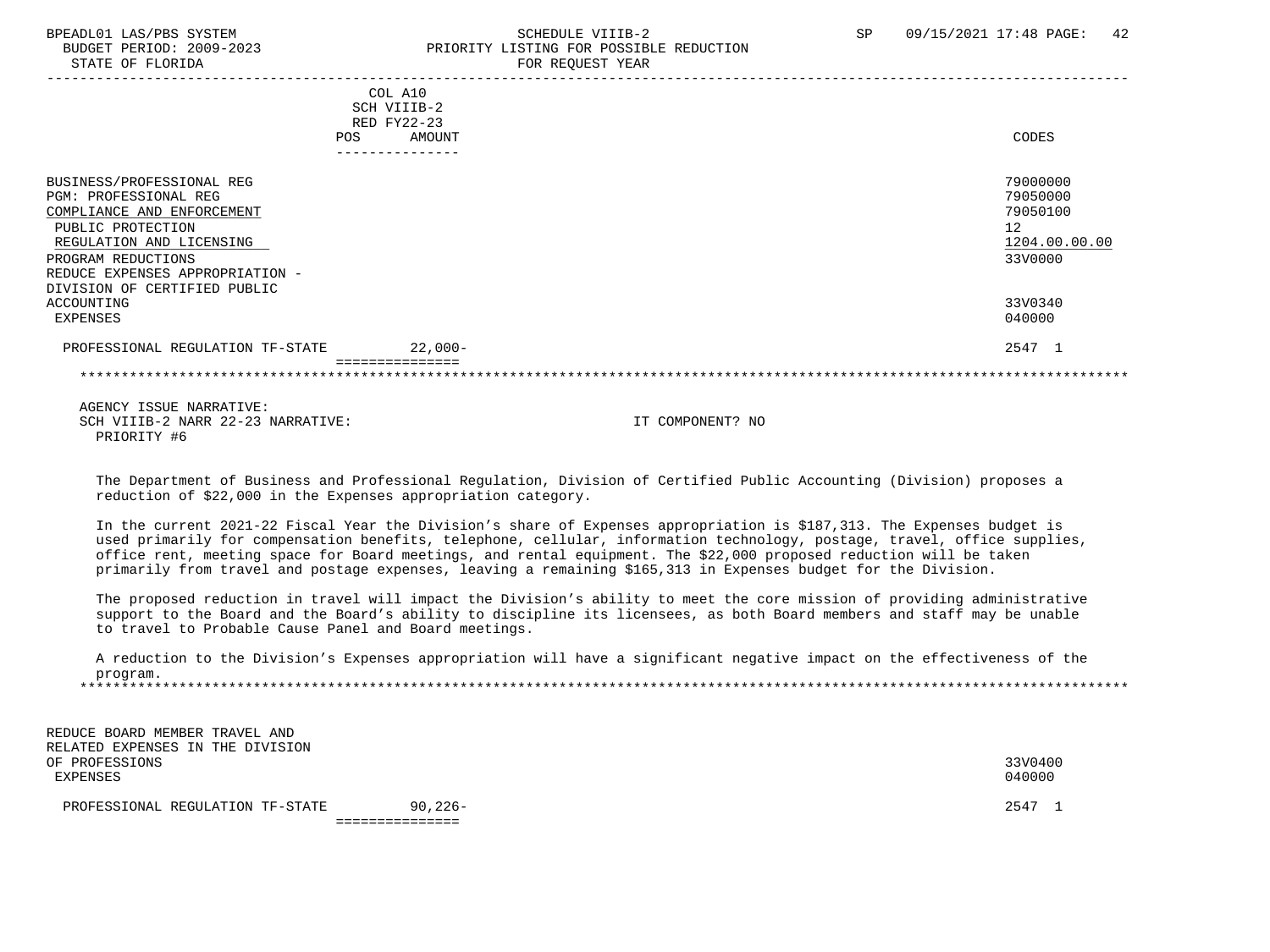# BPEADL01 LAS/PBS SYSTEM SALL SALL SCHEDULE VIIIB-2 SP 09/15/2021 17:48 PAGE: 42 BUDGET PERIOD: 2009-2023 PRIORITY LISTING FOR POSSIBLE REDUCTION

| POS.                                                                                                                                                                                                                                     | COL A10<br>SCH VIIIB-2<br>RED FY22-23<br>AMOUNT | CODES                                                                         |
|------------------------------------------------------------------------------------------------------------------------------------------------------------------------------------------------------------------------------------------|-------------------------------------------------|-------------------------------------------------------------------------------|
|                                                                                                                                                                                                                                          |                                                 |                                                                               |
| BUSINESS/PROFESSIONAL REG<br>PGM: PROFESSIONAL REG<br>COMPLIANCE AND ENFORCEMENT<br>PUBLIC PROTECTION<br>REGULATION AND LICENSING<br>PROGRAM REDUCTIONS<br>REDUCE EXPENSES APPROPRIATION -<br>DIVISION OF CERTIFIED PUBLIC<br>ACCOUNTING |                                                 | 79000000<br>79050000<br>79050100<br>12<br>1204.00.00.00<br>33V0000<br>33V0340 |
| EXPENSES                                                                                                                                                                                                                                 |                                                 | 040000                                                                        |
| PROFESSIONAL REGULATION TF-STATE                                                                                                                                                                                                         | $22.000 -$                                      | 2547 1                                                                        |
|                                                                                                                                                                                                                                          |                                                 |                                                                               |

 AGENCY ISSUE NARRATIVE: SCH VIIIB-2 NARR 22-23 NARRATIVE: IT COMPONENT? NO PRIORITY #6

 The Department of Business and Professional Regulation, Division of Certified Public Accounting (Division) proposes a reduction of \$22,000 in the Expenses appropriation category.

 In the current 2021-22 Fiscal Year the Division's share of Expenses appropriation is \$187,313. The Expenses budget is used primarily for compensation benefits, telephone, cellular, information technology, postage, travel, office supplies, office rent, meeting space for Board meetings, and rental equipment. The \$22,000 proposed reduction will be taken primarily from travel and postage expenses, leaving a remaining \$165,313 in Expenses budget for the Division.

 The proposed reduction in travel will impact the Division's ability to meet the core mission of providing administrative support to the Board and the Board's ability to discipline its licensees, as both Board members and staff may be unable to travel to Probable Cause Panel and Board meetings.

 A reduction to the Division's Expenses appropriation will have a significant negative impact on the effectiveness of the program. \*\*\*\*\*\*\*\*\*\*\*\*\*\*\*\*\*\*\*\*\*\*\*\*\*\*\*\*\*\*\*\*\*\*\*\*\*\*\*\*\*\*\*\*\*\*\*\*\*\*\*\*\*\*\*\*\*\*\*\*\*\*\*\*\*\*\*\*\*\*\*\*\*\*\*\*\*\*\*\*\*\*\*\*\*\*\*\*\*\*\*\*\*\*\*\*\*\*\*\*\*\*\*\*\*\*\*\*\*\*\*\*\*\*\*\*\*\*\*\*\*\*\*\*\*\*\*

 REDUCE BOARD MEMBER TRAVEL AND RELATED EXPENSES IN THE DIVISION OF PROFESSIONS 33V0400 EXPENSES 040000

PROFESSIONAL REGULATION TF-STATE 90,226- 2547 1

===============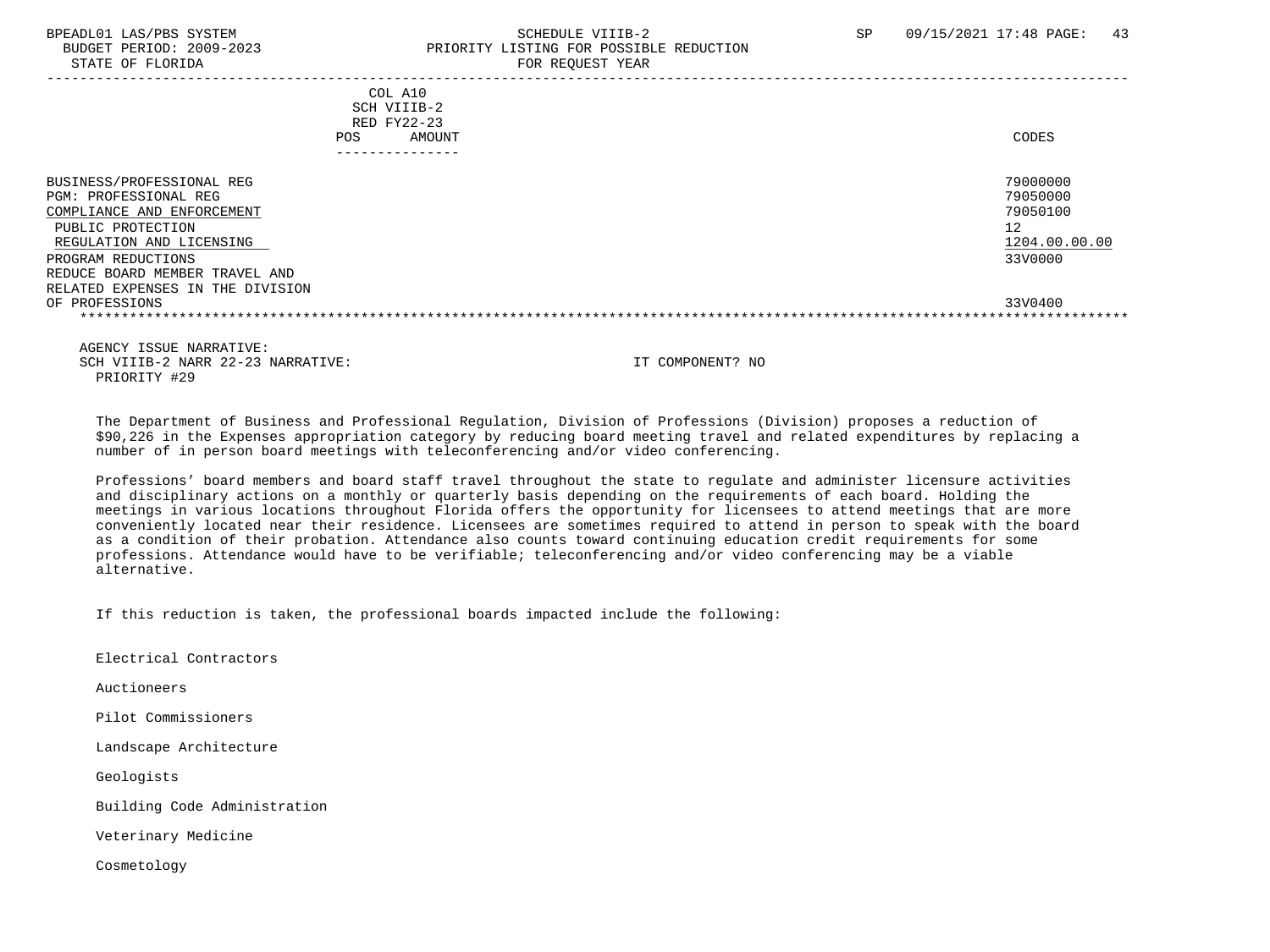STATE OF FLORIDA FOR STATE OF STATE OF STATE OF STATE OF STATE OF STATE OF STATE OF STATE OF STATE OF STATE OF STATE OF STATE OF STATE OF STATE OF STATE OF STATE OF STATE OF STATE OF STATE OF STATE OF STATE OF STATE OF STA

### BPEADL01 LAS/PBS SYSTEM SALL SALL SOMEDULE VIIIB-2 SP 09/15/2021 17:48 PAGE: 43 BUDGET PERIOD: 2009-2023 PRIORITY LISTING FOR POSSIBLE REDUCTION

| COL A10<br>SCH VIIIB-2<br>RED FY22-23<br>AMOUNT<br><b>POS</b>                                                                                                                                                                 | CODES                                                              |
|-------------------------------------------------------------------------------------------------------------------------------------------------------------------------------------------------------------------------------|--------------------------------------------------------------------|
|                                                                                                                                                                                                                               |                                                                    |
| BUSINESS/PROFESSIONAL REG<br>PGM: PROFESSIONAL REG<br>COMPLIANCE AND ENFORCEMENT<br>PUBLIC PROTECTION<br>REGULATION AND LICENSING<br>PROGRAM REDUCTIONS<br>REDUCE BOARD MEMBER TRAVEL AND<br>RELATED EXPENSES IN THE DIVISION | 79000000<br>79050000<br>79050100<br>12<br>1204.00.00.00<br>33V0000 |
| OF PROFESSIONS                                                                                                                                                                                                                | 33V0400                                                            |
|                                                                                                                                                                                                                               |                                                                    |

 AGENCY ISSUE NARRATIVE: SCH VIIIB-2 NARR 22-23 NARRATIVE: IT COMPONENT? NO PRIORITY #29

 The Department of Business and Professional Regulation, Division of Professions (Division) proposes a reduction of \$90,226 in the Expenses appropriation category by reducing board meeting travel and related expenditures by replacing a number of in person board meetings with teleconferencing and/or video conferencing.

 Professions' board members and board staff travel throughout the state to regulate and administer licensure activities and disciplinary actions on a monthly or quarterly basis depending on the requirements of each board. Holding the meetings in various locations throughout Florida offers the opportunity for licensees to attend meetings that are more conveniently located near their residence. Licensees are sometimes required to attend in person to speak with the board as a condition of their probation. Attendance also counts toward continuing education credit requirements for some professions. Attendance would have to be verifiable; teleconferencing and/or video conferencing may be a viable alternative.

If this reduction is taken, the professional boards impacted include the following:

Electrical Contractors

Auctioneers

Pilot Commissioners

Landscape Architecture

Geologists

Building Code Administration

Veterinary Medicine

Cosmetology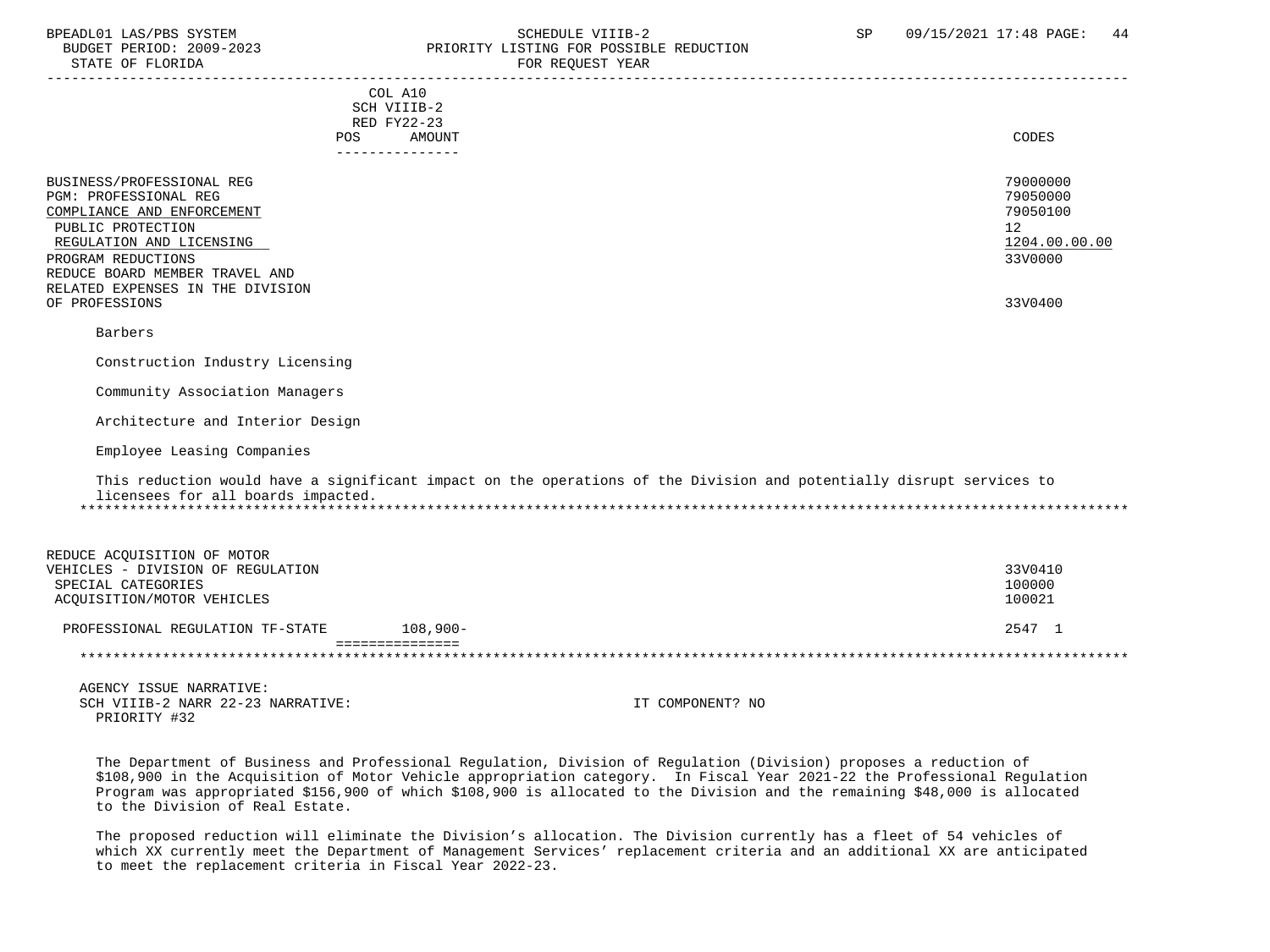#### BPEADL01 LAS/PBS SYSTEM STREADULE SCHEDULE VIIIB-2 SCHEDULE VIIIB-2 SP 09/15/2021 17:48 PAGE: 44 BUDGET PERIOD: 2009-2023<br>
STATE OF FLORIDA<br>
FOR REOUEST YEAR
FOR FRAME OF FLORIDA FOR REQUEST YEAR

| COL A10                                                                                                              |               |
|----------------------------------------------------------------------------------------------------------------------|---------------|
| SCH VIIIB-2                                                                                                          |               |
| RED FY22-23                                                                                                          |               |
| AMOUNT<br>POS.                                                                                                       | <b>CODES</b>  |
| ---------------                                                                                                      |               |
| BUSINESS/PROFESSIONAL REG                                                                                            | 79000000      |
| PGM: PROFESSIONAL REG                                                                                                | 79050000      |
| COMPLIANCE AND ENFORCEMENT                                                                                           | 79050100      |
| PUBLIC PROTECTION                                                                                                    | 12            |
| REGULATION AND LICENSING                                                                                             | 1204.00.00.00 |
| PROGRAM REDUCTIONS                                                                                                   | 33V0000       |
| REDUCE BOARD MEMBER TRAVEL AND                                                                                       |               |
| RELATED EXPENSES IN THE DIVISION                                                                                     |               |
| OF PROFESSIONS                                                                                                       | 33V0400       |
|                                                                                                                      |               |
| Barbers                                                                                                              |               |
|                                                                                                                      |               |
| Construction Industry Licensing                                                                                      |               |
| Community Association Managers                                                                                       |               |
|                                                                                                                      |               |
| Architecture and Interior Design                                                                                     |               |
|                                                                                                                      |               |
| Employee Leasing Companies                                                                                           |               |
|                                                                                                                      |               |
| This reduction would have a significant impact on the operations of the Division and potentially disrupt services to |               |
| licensees for all boards impacted.                                                                                   |               |
|                                                                                                                      |               |
|                                                                                                                      |               |
| REDUCE ACOUISITION OF MOTOR                                                                                          |               |
| VEHICLES - DIVISION OF REGULATION                                                                                    | 33V0410       |
| SPECIAL CATEGORIES                                                                                                   | 100000        |
| ACQUISITION/MOTOR VEHICLES                                                                                           | 100021        |
|                                                                                                                      |               |
| PROFESSIONAL REGULATION TF-STATE<br>$108,900 -$                                                                      | 2547 1        |
|                                                                                                                      |               |
|                                                                                                                      |               |

 AGENCY ISSUE NARRATIVE: SCH VIIIB-2 NARR 22-23 NARRATIVE: IT COMPONENT? NO PRIORITY #32

 The Department of Business and Professional Regulation, Division of Regulation (Division) proposes a reduction of \$108,900 in the Acquisition of Motor Vehicle appropriation category. In Fiscal Year 2021-22 the Professional Regulation Program was appropriated \$156,900 of which \$108,900 is allocated to the Division and the remaining \$48,000 is allocated to the Division of Real Estate.

 The proposed reduction will eliminate the Division's allocation. The Division currently has a fleet of 54 vehicles of which XX currently meet the Department of Management Services' replacement criteria and an additional XX are anticipated to meet the replacement criteria in Fiscal Year 2022-23.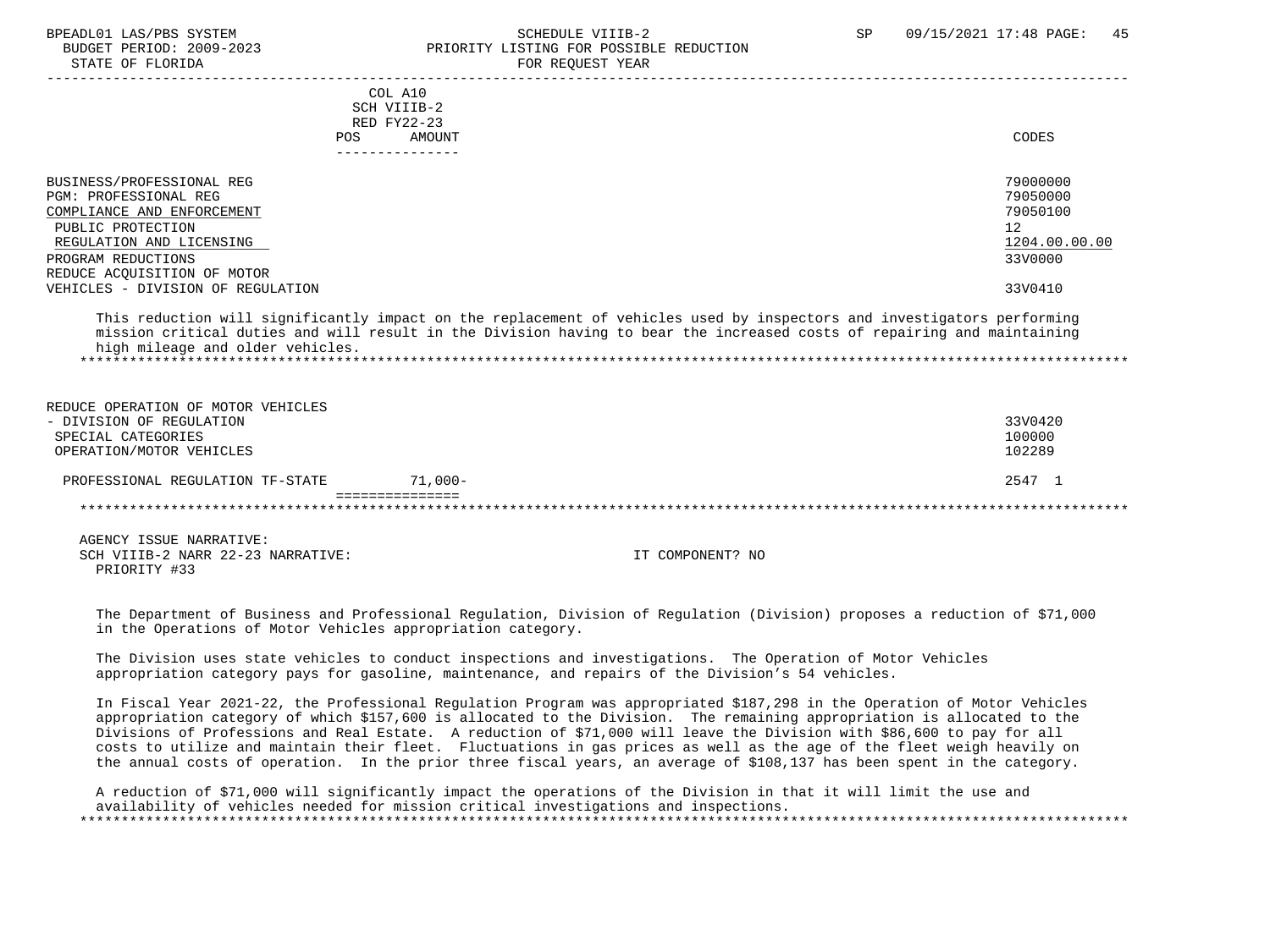STATE OF FLORIDA FOR REQUEST YEAR

### BPEADL01 LAS/PBS SYSTEM SALL SALL SOMEDULE VIIIB-2 SP 09/15/2021 17:48 PAGE: 45 BUDGET PERIOD: 2009-2023 PRIORITY LISTING FOR POSSIBLE REDUCTION

| POS                                                                                                                                                                                                                                | COL A10<br>SCH VIIIB-2<br>RED FY22-23<br>AMOUNT                                                                                                                                                                                                    | CODES                                                                         |
|------------------------------------------------------------------------------------------------------------------------------------------------------------------------------------------------------------------------------------|----------------------------------------------------------------------------------------------------------------------------------------------------------------------------------------------------------------------------------------------------|-------------------------------------------------------------------------------|
| BUSINESS/PROFESSIONAL REG<br><b>PGM: PROFESSIONAL REG</b><br>COMPLIANCE AND ENFORCEMENT<br>PUBLIC PROTECTION<br>REGULATION AND LICENSING<br>PROGRAM REDUCTIONS<br>REDUCE ACQUISITION OF MOTOR<br>VEHICLES - DIVISION OF REGULATION | This reduction will significantly impact on the replacement of vehicles used by inspectors and investigators performing<br>mission critical duties and will result in the Division having to bear the increased costs of repairing and maintaining | 79000000<br>79050000<br>79050100<br>12<br>1204.00.00.00<br>33V0000<br>33V0410 |
| high mileage and older vehicles.                                                                                                                                                                                                   |                                                                                                                                                                                                                                                    |                                                                               |
| REDUCE OPERATION OF MOTOR VEHICLES<br>- DIVISION OF REGULATION<br>SPECIAL CATEGORIES<br>OPERATION/MOTOR VEHICLES                                                                                                                   |                                                                                                                                                                                                                                                    | 33V0420<br>100000<br>102289                                                   |
| PROFESSIONAL REGULATION TF-STATE                                                                                                                                                                                                   | $71,000-$                                                                                                                                                                                                                                          | 2547 1                                                                        |

 =============== \*\*\*\*\*\*\*\*\*\*\*\*\*\*\*\*\*\*\*\*\*\*\*\*\*\*\*\*\*\*\*\*\*\*\*\*\*\*\*\*\*\*\*\*\*\*\*\*\*\*\*\*\*\*\*\*\*\*\*\*\*\*\*\*\*\*\*\*\*\*\*\*\*\*\*\*\*\*\*\*\*\*\*\*\*\*\*\*\*\*\*\*\*\*\*\*\*\*\*\*\*\*\*\*\*\*\*\*\*\*\*\*\*\*\*\*\*\*\*\*\*\*\*\*\*\*\*

 AGENCY ISSUE NARRATIVE: SCH VIIIB-2 NARR 22-23 NARRATIVE: IT COMPONENT? NO PRIORITY #33

 The Department of Business and Professional Regulation, Division of Regulation (Division) proposes a reduction of \$71,000 in the Operations of Motor Vehicles appropriation category.

 The Division uses state vehicles to conduct inspections and investigations. The Operation of Motor Vehicles appropriation category pays for gasoline, maintenance, and repairs of the Division's 54 vehicles.

 In Fiscal Year 2021-22, the Professional Regulation Program was appropriated \$187,298 in the Operation of Motor Vehicles appropriation category of which \$157,600 is allocated to the Division. The remaining appropriation is allocated to the Divisions of Professions and Real Estate. A reduction of \$71,000 will leave the Division with \$86,600 to pay for all costs to utilize and maintain their fleet. Fluctuations in gas prices as well as the age of the fleet weigh heavily on the annual costs of operation. In the prior three fiscal years, an average of \$108,137 has been spent in the category.

 A reduction of \$71,000 will significantly impact the operations of the Division in that it will limit the use and availability of vehicles needed for mission critical investigations and inspections. \*\*\*\*\*\*\*\*\*\*\*\*\*\*\*\*\*\*\*\*\*\*\*\*\*\*\*\*\*\*\*\*\*\*\*\*\*\*\*\*\*\*\*\*\*\*\*\*\*\*\*\*\*\*\*\*\*\*\*\*\*\*\*\*\*\*\*\*\*\*\*\*\*\*\*\*\*\*\*\*\*\*\*\*\*\*\*\*\*\*\*\*\*\*\*\*\*\*\*\*\*\*\*\*\*\*\*\*\*\*\*\*\*\*\*\*\*\*\*\*\*\*\*\*\*\*\*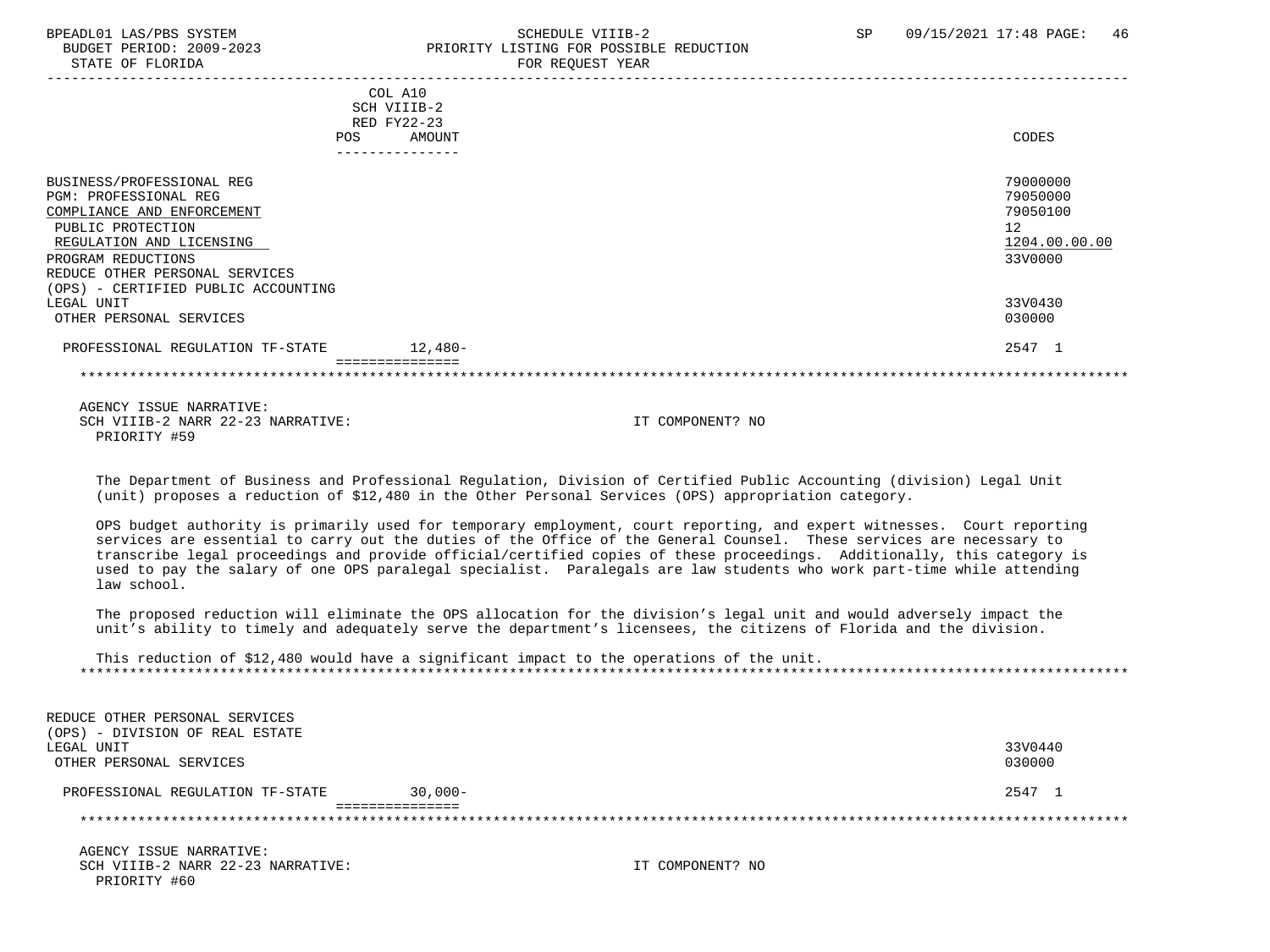# BPEADL01 LAS/PBS SYSTEM SALL SALL SOMEDULE VIIIB-2 SP 09/15/2021 17:48 PAGE: 46 BUDGET PERIOD: 2009-2023 PRIORITY LISTING FOR POSSIBLE REDUCTION

| COL A10<br>SCH VIIIB-2                        |               |
|-----------------------------------------------|---------------|
| RED FY22-23                                   |               |
| AMOUNT<br>POS                                 | CODES         |
|                                               |               |
| BUSINESS/PROFESSIONAL REG                     | 79000000      |
| PGM: PROFESSIONAL REG                         | 79050000      |
| COMPLIANCE AND ENFORCEMENT                    | 79050100      |
|                                               |               |
| PUBLIC PROTECTION                             | 12            |
| REGULATION AND LICENSING                      | 1204.00.00.00 |
| PROGRAM REDUCTIONS                            | 33V0000       |
| REDUCE OTHER PERSONAL SERVICES                |               |
| (OPS) - CERTIFIED PUBLIC ACCOUNTING           |               |
| LEGAL UNIT                                    | 33V0430       |
| OTHER PERSONAL SERVICES                       | 030000        |
| $12,480-$<br>PROFESSIONAL REGULATION TF-STATE | 2547 1        |
|                                               |               |

 AGENCY ISSUE NARRATIVE: SCH VIIIB-2 NARR 22-23 NARRATIVE: IT COMPONENT? NO PRIORITY #59

 The Department of Business and Professional Regulation, Division of Certified Public Accounting (division) Legal Unit (unit) proposes a reduction of \$12,480 in the Other Personal Services (OPS) appropriation category.

 OPS budget authority is primarily used for temporary employment, court reporting, and expert witnesses. Court reporting services are essential to carry out the duties of the Office of the General Counsel. These services are necessary to transcribe legal proceedings and provide official/certified copies of these proceedings. Additionally, this category is used to pay the salary of one OPS paralegal specialist. Paralegals are law students who work part-time while attending law school.

 The proposed reduction will eliminate the OPS allocation for the division's legal unit and would adversely impact the unit's ability to timely and adequately serve the department's licensees, the citizens of Florida and the division.

 This reduction of \$12,480 would have a significant impact to the operations of the unit. \*\*\*\*\*\*\*\*\*\*\*\*\*\*\*\*\*\*\*\*\*\*\*\*\*\*\*\*\*\*\*\*\*\*\*\*\*\*\*\*\*\*\*\*\*\*\*\*\*\*\*\*\*\*\*\*\*\*\*\*\*\*\*\*\*\*\*\*\*\*\*\*\*\*\*\*\*\*\*\*\*\*\*\*\*\*\*\*\*\*\*\*\*\*\*\*\*\*\*\*\*\*\*\*\*\*\*\*\*\*\*\*\*\*\*\*\*\*\*\*\*\*\*\*\*\*\*

| REDUCE OTHER PERSONAL SERVICES   |            |         |
|----------------------------------|------------|---------|
| (OPS) - DIVISION OF REAL ESTATE  |            |         |
| LEGAL UNIT                       |            | 33V0440 |
| OTHER PERSONAL SERVICES          |            | 030000  |
|                                  |            |         |
| PROFESSIONAL REGULATION TF-STATE | $30.000 -$ | 2547 1  |
|                                  |            |         |
|                                  |            |         |
|                                  |            |         |

 AGENCY ISSUE NARRATIVE: SCH VIIIB-2 NARR 22-23 NARRATIVE: IT COMPONENT? NO PRIORITY #60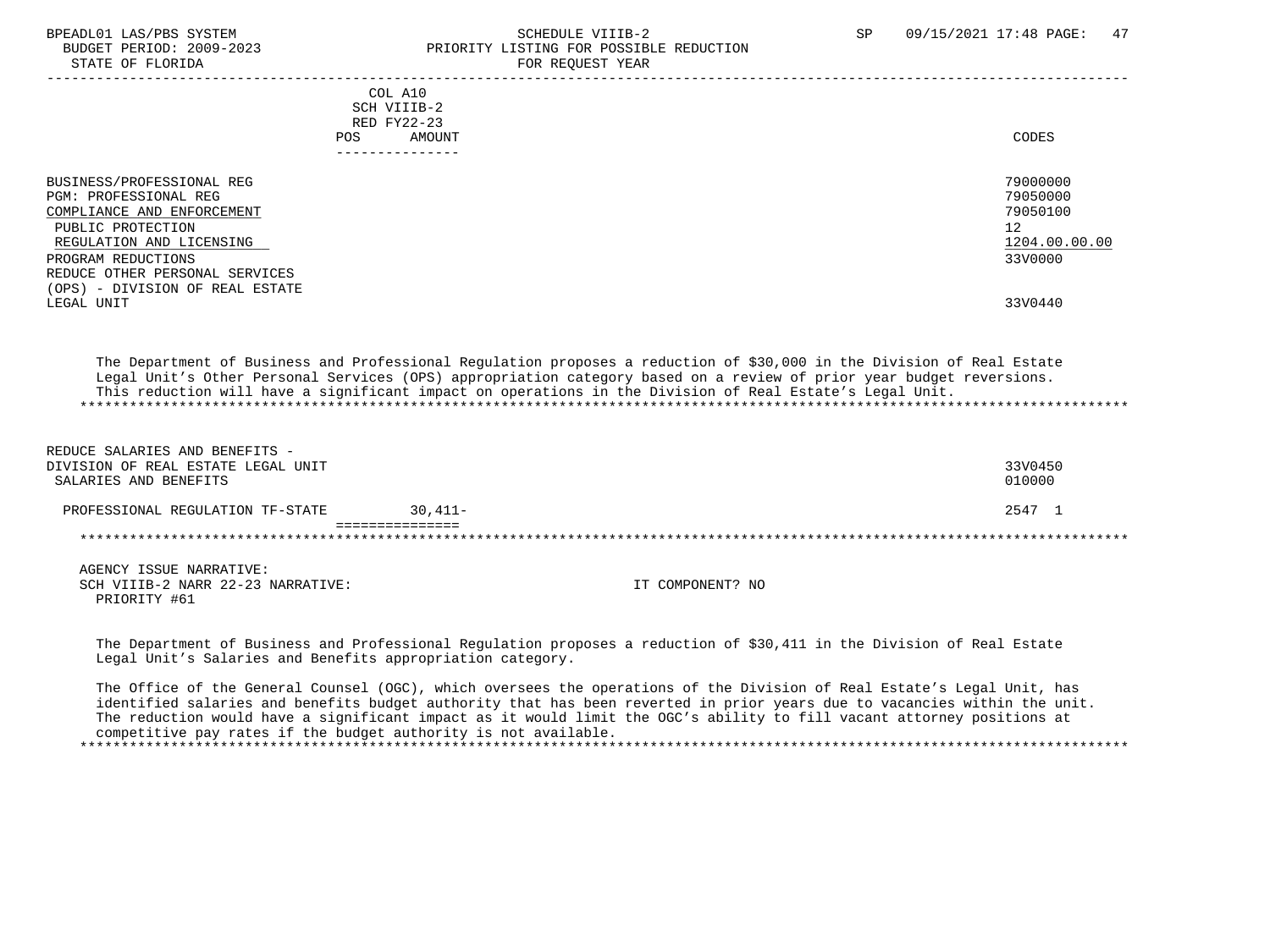BUDGET PERIOD: 2009-2023 PRIORITY LISTING FOR POSSIBLE REDUCTION STATE OF FLORIDA FOR STATE OF STATE OF STATE OF STATE OF STATE OF STATE OF STATE OF STATE OF STATE OF STATE OF STATE OF STATE OF STATE OF STATE OF STATE OF STATE OF STATE OF STATE OF STATE OF STATE OF STATE OF STATE OF STA ----------------------------------------------------------------------------------------------------------------------------------- COL A10 SCH VIIIB-2 RED FY22-23 POS AMOUNT CODES --------------- BUSINESS/PROFESSIONAL REG 79000000<br>PGM: PROFESSIONAL REG 790500000<br>PGM: PROFESSIONAL REG PGM: PROFESSIONAL REG 79050000<br>COMPLIANCE AND ENFORCEMENT COMPLIANCE AND ENFORCEMENT PUBLIC PROTECTION 12<br>REGULATION AND LICENSING NEWSLAUDS AND REGULATION AND LICENSING 1204.00.00.00 REGULATION AND LICENSING  $\frac{1204.00}{3300000}$ PROGRAM REDUCTIONS REDUCE OTHER PERSONAL SERVICES (OPS) - DIVISION OF REAL ESTATE LEGAL UNIT 33V0440 The Department of Business and Professional Regulation proposes a reduction of \$30,000 in the Division of Real Estate Legal Unit's Other Personal Services (OPS) appropriation category based on a review of prior year budget reversions. This reduction will have a significant impact on operations in the Division of Real Estate's Legal Unit. \*\*\*\*\*\*\*\*\*\*\*\*\*\*\*\*\*\*\*\*\*\*\*\*\*\*\*\*\*\*\*\*\*\*\*\*\*\*\*\*\*\*\*\*\*\*\*\*\*\*\*\*\*\*\*\*\*\*\*\*\*\*\*\*\*\*\*\*\*\*\*\*\*\*\*\*\*\*\*\*\*\*\*\*\*\*\*\*\*\*\*\*\*\*\*\*\*\*\*\*\*\*\*\*\*\*\*\*\*\*\*\*\*\*\*\*\*\*\*\*\*\*\*\*\*\*\* REDUCE SALARIES AND BENEFITS - DIVISION OF REAL ESTATE LEGAL UNIT<br>SALARIES AND BENEFITS 010000 SALARIES AND BENEFITS PROFESSIONAL REGULATION TF-STATE 30,411- 2547 1

 =============== \*\*\*\*\*\*\*\*\*\*\*\*\*\*\*\*\*\*\*\*\*\*\*\*\*\*\*\*\*\*\*\*\*\*\*\*\*\*\*\*\*\*\*\*\*\*\*\*\*\*\*\*\*\*\*\*\*\*\*\*\*\*\*\*\*\*\*\*\*\*\*\*\*\*\*\*\*\*\*\*\*\*\*\*\*\*\*\*\*\*\*\*\*\*\*\*\*\*\*\*\*\*\*\*\*\*\*\*\*\*\*\*\*\*\*\*\*\*\*\*\*\*\*\*\*\*\*

 AGENCY ISSUE NARRATIVE: SCH VIIIB-2 NARR 22-23 NARRATIVE: IT COMPONENT? NO PRIORITY #61

 The Department of Business and Professional Regulation proposes a reduction of \$30,411 in the Division of Real Estate Legal Unit's Salaries and Benefits appropriation category.

 The Office of the General Counsel (OGC), which oversees the operations of the Division of Real Estate's Legal Unit, has identified salaries and benefits budget authority that has been reverted in prior years due to vacancies within the unit. The reduction would have a significant impact as it would limit the OGC's ability to fill vacant attorney positions at competitive pay rates if the budget authority is not available. \*\*\*\*\*\*\*\*\*\*\*\*\*\*\*\*\*\*\*\*\*\*\*\*\*\*\*\*\*\*\*\*\*\*\*\*\*\*\*\*\*\*\*\*\*\*\*\*\*\*\*\*\*\*\*\*\*\*\*\*\*\*\*\*\*\*\*\*\*\*\*\*\*\*\*\*\*\*\*\*\*\*\*\*\*\*\*\*\*\*\*\*\*\*\*\*\*\*\*\*\*\*\*\*\*\*\*\*\*\*\*\*\*\*\*\*\*\*\*\*\*\*\*\*\*\*\*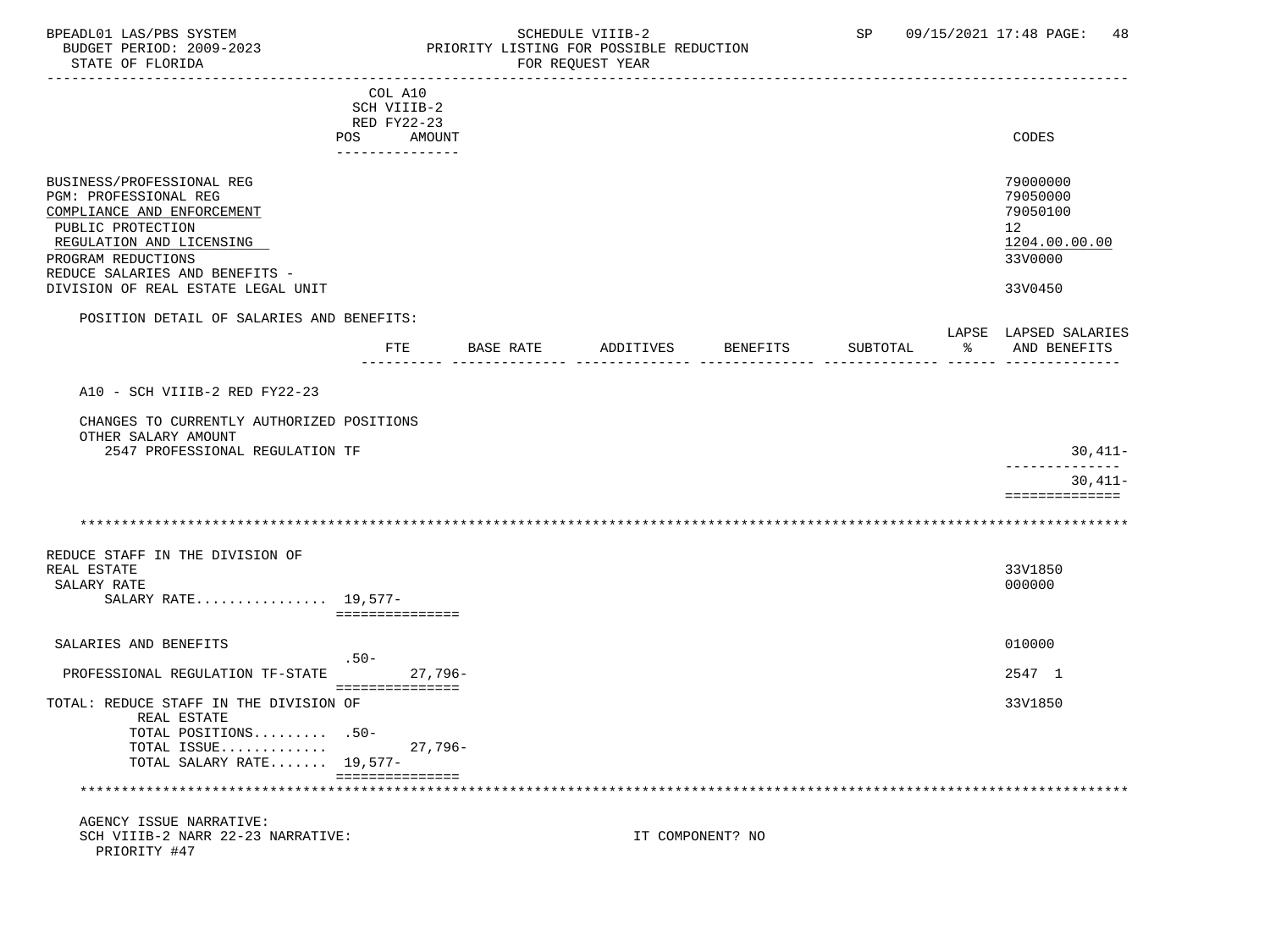### BPEADL01 LAS/PBS SYSTEM SALL SOME SCHEDULE VIIIB-2 SCHEDULE SP 09/15/2021 17:48 PAGE: 48 BUDGET PERIOD: 2009-2023 PRIORITY LISTING FOR POSSIBLE REDUCTION

|                                                                                                                                                                                                                                 | COL A10<br>SCH VIIIB-2<br>RED FY22-23 |           |           |                  |          |   |                                                                               |
|---------------------------------------------------------------------------------------------------------------------------------------------------------------------------------------------------------------------------------|---------------------------------------|-----------|-----------|------------------|----------|---|-------------------------------------------------------------------------------|
|                                                                                                                                                                                                                                 | AMOUNT<br>POS<br>_______________      |           |           |                  |          |   | CODES                                                                         |
| BUSINESS/PROFESSIONAL REG<br>PGM: PROFESSIONAL REG<br>COMPLIANCE AND ENFORCEMENT<br>PUBLIC PROTECTION<br>REGULATION AND LICENSING<br>PROGRAM REDUCTIONS<br>REDUCE SALARIES AND BENEFITS -<br>DIVISION OF REAL ESTATE LEGAL UNIT |                                       |           |           |                  |          |   | 79000000<br>79050000<br>79050100<br>12<br>1204.00.00.00<br>33V0000<br>33V0450 |
| POSITION DETAIL OF SALARIES AND BENEFITS:                                                                                                                                                                                       |                                       |           |           |                  |          |   |                                                                               |
|                                                                                                                                                                                                                                 | FTE                                   | BASE RATE | ADDITIVES | BENEFITS         | SUBTOTAL | ႜ | LAPSE LAPSED SALARIES<br>AND BENEFITS                                         |
| A10 - SCH VIIIB-2 RED FY22-23                                                                                                                                                                                                   |                                       |           |           |                  |          |   |                                                                               |
| CHANGES TO CURRENTLY AUTHORIZED POSITIONS<br>OTHER SALARY AMOUNT                                                                                                                                                                |                                       |           |           |                  |          |   |                                                                               |
| 2547 PROFESSIONAL REGULATION TF                                                                                                                                                                                                 |                                       |           |           |                  |          |   | 30,411-<br>_____________                                                      |
|                                                                                                                                                                                                                                 |                                       |           |           |                  |          |   | $30.411 -$<br>==============                                                  |
|                                                                                                                                                                                                                                 |                                       |           |           |                  |          |   |                                                                               |
| REDUCE STAFF IN THE DIVISION OF<br>REAL ESTATE<br>SALARY RATE<br>SALARY RATE 19,577-                                                                                                                                            | ===============                       |           |           |                  |          |   | 33V1850<br>000000                                                             |
| SALARIES AND BENEFITS                                                                                                                                                                                                           |                                       |           |           |                  |          |   | 010000                                                                        |
| PROFESSIONAL REGULATION TF-STATE                                                                                                                                                                                                | $.50-$                                | 27,796-   |           |                  |          |   | 2547 1                                                                        |
| TOTAL: REDUCE STAFF IN THE DIVISION OF<br>REAL ESTATE                                                                                                                                                                           | ===============                       |           |           |                  |          |   | 33V1850                                                                       |
| TOTAL POSITIONS .50-<br>TOTAL ISSUE<br>TOTAL SALARY RATE 19,577-                                                                                                                                                                |                                       | $27,796-$ |           |                  |          |   |                                                                               |
|                                                                                                                                                                                                                                 | ===============                       |           |           |                  |          |   |                                                                               |
| AGENCY ISSUE NARRATIVE:<br>SCH VIIIB-2 NARR 22-23 NARRATIVE:<br>PRIORITY #47                                                                                                                                                    |                                       |           |           | IT COMPONENT? NO |          |   |                                                                               |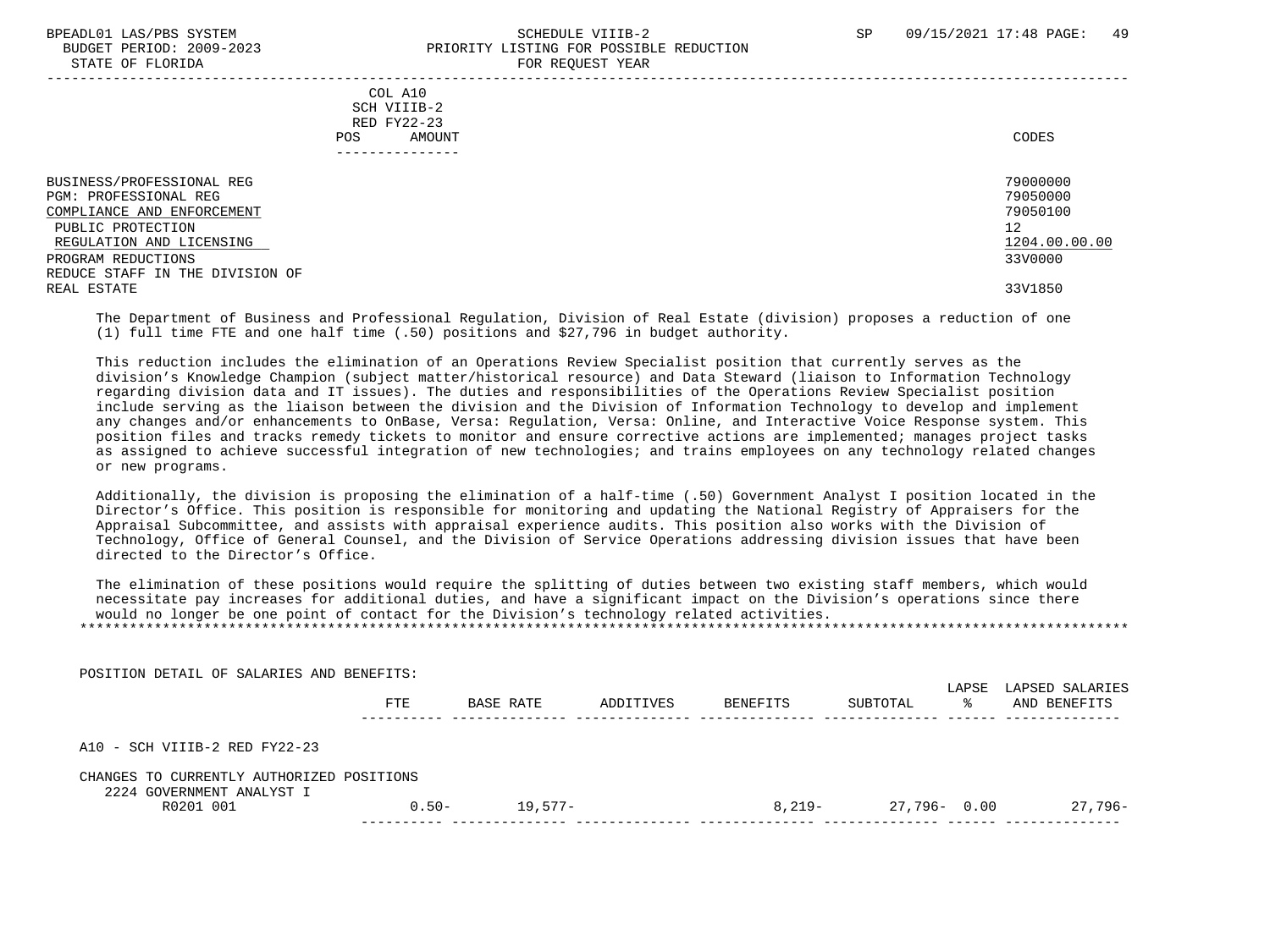#### BPEADL01 LAS/PBS SYSTEM SALL AS A STREADLE SCHEDULE VIIIB-2 SP 09/15/2021 17:48 PAGE: 49 BUDGET PERIOD: 2009-2023<br>
STATE OF FLORIDA STATE OF FLORIDA FOR REQUEST YEAR

| DIAIB OF FEORIDA                                                                                                                                                                                          |                                                                        | TOW WEQUEST TEMM |                                                                               |
|-----------------------------------------------------------------------------------------------------------------------------------------------------------------------------------------------------------|------------------------------------------------------------------------|------------------|-------------------------------------------------------------------------------|
|                                                                                                                                                                                                           | COL A10<br>SCH VIIIB-2<br>RED FY22-23<br>AMOUNT<br>POS<br>------------ |                  | CODES                                                                         |
| BUSINESS/PROFESSIONAL REG<br>PGM: PROFESSIONAL REG<br>COMPLIANCE AND ENFORCEMENT<br>PUBLIC PROTECTION<br>REGULATION AND LICENSING<br>PROGRAM REDUCTIONS<br>REDUCE STAFF IN THE DIVISION OF<br>REAL ESTATE |                                                                        |                  | 79000000<br>79050000<br>79050100<br>12<br>1204.00.00.00<br>33V0000<br>33V1850 |

 The Department of Business and Professional Regulation, Division of Real Estate (division) proposes a reduction of one (1) full time FTE and one half time (.50) positions and \$27,796 in budget authority.

 This reduction includes the elimination of an Operations Review Specialist position that currently serves as the division's Knowledge Champion (subject matter/historical resource) and Data Steward (liaison to Information Technology regarding division data and IT issues). The duties and responsibilities of the Operations Review Specialist position include serving as the liaison between the division and the Division of Information Technology to develop and implement any changes and/or enhancements to OnBase, Versa: Regulation, Versa: Online, and Interactive Voice Response system. This position files and tracks remedy tickets to monitor and ensure corrective actions are implemented; manages project tasks as assigned to achieve successful integration of new technologies; and trains employees on any technology related changes or new programs.

 Additionally, the division is proposing the elimination of a half-time (.50) Government Analyst I position located in the Director's Office. This position is responsible for monitoring and updating the National Registry of Appraisers for the Appraisal Subcommittee, and assists with appraisal experience audits. This position also works with the Division of Technology, Office of General Counsel, and the Division of Service Operations addressing division issues that have been directed to the Director's Office.

 The elimination of these positions would require the splitting of duties between two existing staff members, which would necessitate pay increases for additional duties, and have a significant impact on the Division's operations since there would no longer be one point of contact for the Division's technology related activities. \*\*\*\*\*\*\*\*\*\*\*\*\*\*\*\*\*\*\*\*\*\*\*\*\*\*\*\*\*\*\*\*\*\*\*\*\*\*\*\*\*\*\*\*\*\*\*\*\*\*\*\*\*\*\*\*\*\*\*\*\*\*\*\*\*\*\*\*\*\*\*\*\*\*\*\*\*\*\*\*\*\*\*\*\*\*\*\*\*\*\*\*\*\*\*\*\*\*\*\*\*\*\*\*\*\*\*\*\*\*\*\*\*\*\*\*\*\*\*\*\*\*\*\*\*\*\*

| POSITION DETAIL OF SALARIES AND BENEFITS:                              |          |           |           |           |             |            |                                 |
|------------------------------------------------------------------------|----------|-----------|-----------|-----------|-------------|------------|---------------------------------|
|                                                                        | FTE      | BASE RATE | ADDITIVES | BENEFITS  | SUBTOTAL    | LAPSE<br>ႜ | LAPSED SALARIES<br>AND BENEFITS |
| $A10 - SCH VIIIB-2 RED FY22-23$                                        |          |           |           |           |             |            |                                 |
| CHANGES TO CURRENTLY AUTHORIZED POSITIONS<br>2224 GOVERNMENT ANALYST I |          |           |           |           |             |            |                                 |
| R0201 001                                                              | $0.50 -$ | 19,577-   |           | $8.219 -$ | 27,796-0.00 |            | 27,796-                         |
|                                                                        |          |           |           |           |             |            |                                 |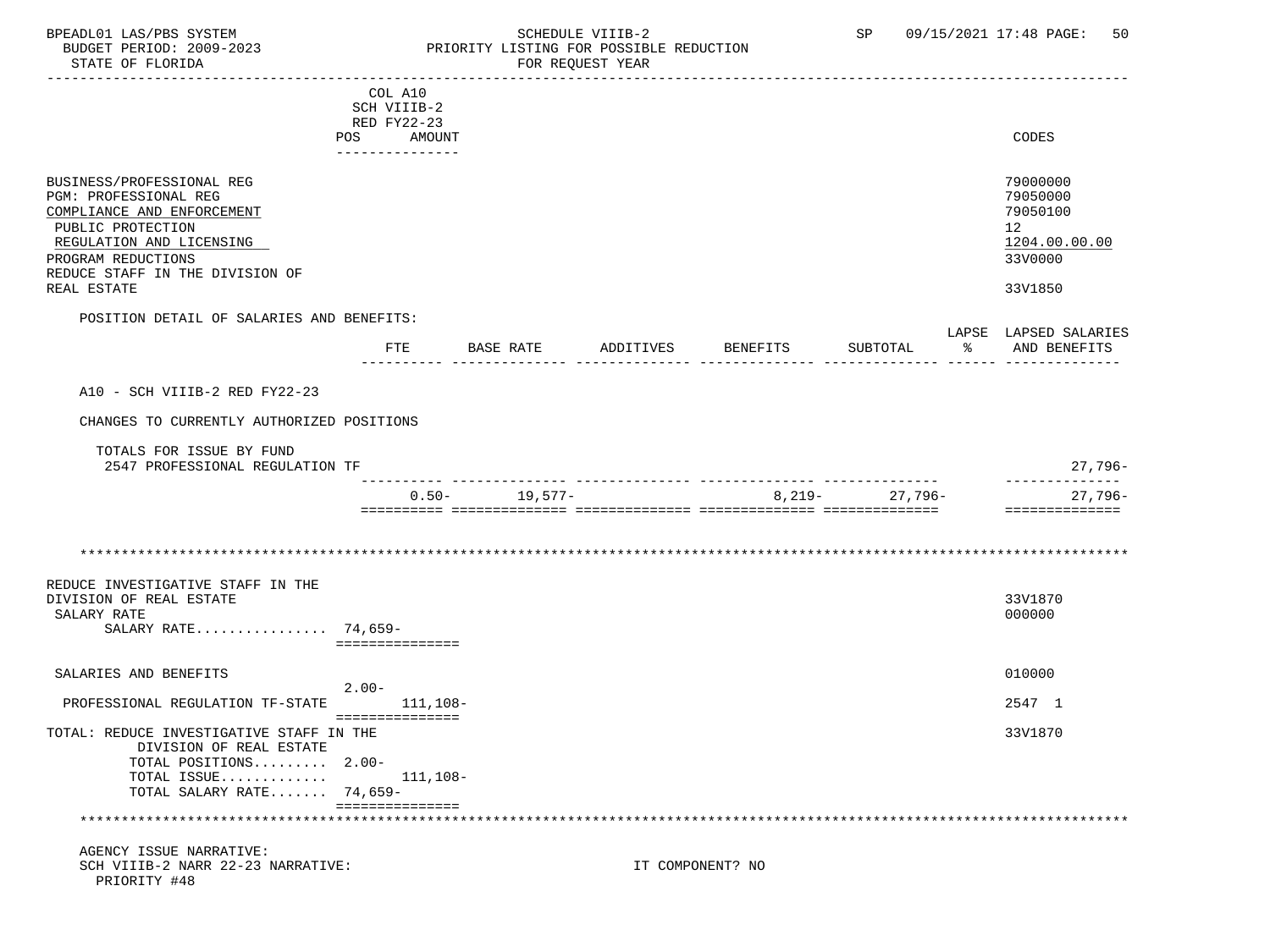### BPEADL01 LAS/PBS SYSTEM SALL SOME SCHEDULE VIIIB-2 SCHEDULE SP 09/15/2021 17:48 PAGE: 50 BUDGET PERIOD: 2009-2023 PRIORITY LISTING FOR POSSIBLE REDUCTION

|                                           | COL A10         |                   |           |                  |                |    |                       |
|-------------------------------------------|-----------------|-------------------|-----------|------------------|----------------|----|-----------------------|
|                                           | SCH VIIIB-2     |                   |           |                  |                |    |                       |
|                                           | RED FY22-23     |                   |           |                  |                |    |                       |
|                                           | POS AMOUNT      |                   |           |                  |                |    | CODES                 |
|                                           | ______________  |                   |           |                  |                |    |                       |
|                                           |                 |                   |           |                  |                |    |                       |
| BUSINESS/PROFESSIONAL REG                 |                 |                   |           |                  |                |    | 79000000              |
| PGM: PROFESSIONAL REG                     |                 |                   |           |                  |                |    | 79050000              |
| COMPLIANCE AND ENFORCEMENT                |                 |                   |           |                  |                |    | 79050100              |
| PUBLIC PROTECTION                         |                 |                   |           |                  |                |    | 12 <sup>°</sup>       |
| REGULATION AND LICENSING                  |                 |                   |           |                  |                |    | 1204.00.00.00         |
| PROGRAM REDUCTIONS                        |                 |                   |           |                  |                |    | 33V0000               |
| REDUCE STAFF IN THE DIVISION OF           |                 |                   |           |                  |                |    |                       |
| REAL ESTATE                               |                 |                   |           |                  |                |    | 33V1850               |
|                                           |                 |                   |           |                  |                |    |                       |
| POSITION DETAIL OF SALARIES AND BENEFITS: |                 |                   |           |                  |                |    |                       |
|                                           |                 |                   |           |                  |                |    | LAPSE LAPSED SALARIES |
|                                           | FTE             | BASE RATE         | ADDITIVES | BENEFITS         | SUBTOTAL       | ႜႂ | AND BENEFITS          |
|                                           |                 |                   |           |                  |                |    |                       |
|                                           |                 |                   |           |                  |                |    |                       |
| A10 - SCH VIIIB-2 RED FY22-23             |                 |                   |           |                  |                |    |                       |
|                                           |                 |                   |           |                  |                |    |                       |
| CHANGES TO CURRENTLY AUTHORIZED POSITIONS |                 |                   |           |                  |                |    |                       |
|                                           |                 |                   |           |                  |                |    |                       |
| TOTALS FOR ISSUE BY FUND                  |                 |                   |           |                  |                |    |                       |
| 2547 PROFESSIONAL REGULATION TF           |                 |                   |           |                  |                |    | $27,796-$             |
|                                           |                 |                   |           |                  |                |    | --------------        |
|                                           |                 | $0.50 - 19.577 -$ |           |                  | 8,219- 27,796- |    | 27,796-               |
|                                           |                 |                   |           |                  |                |    | ==============        |
|                                           |                 |                   |           |                  |                |    |                       |
|                                           |                 |                   |           |                  |                |    |                       |
|                                           |                 |                   |           |                  |                |    |                       |
|                                           |                 |                   |           |                  |                |    |                       |
| REDUCE INVESTIGATIVE STAFF IN THE         |                 |                   |           |                  |                |    |                       |
| DIVISION OF REAL ESTATE                   |                 |                   |           |                  |                |    | 33V1870               |
| SALARY RATE                               |                 |                   |           |                  |                |    | 000000                |
| SALARY RATE 74,659-                       |                 |                   |           |                  |                |    |                       |
|                                           | =============== |                   |           |                  |                |    |                       |
|                                           |                 |                   |           |                  |                |    |                       |
| SALARIES AND BENEFITS                     |                 |                   |           |                  |                |    | 010000                |
|                                           | $2.00-$         |                   |           |                  |                |    |                       |
| PROFESSIONAL REGULATION TF-STATE          |                 | 111,108-          |           |                  |                |    | 2547 1                |
|                                           | =============== |                   |           |                  |                |    |                       |
| TOTAL: REDUCE INVESTIGATIVE STAFF IN THE  |                 |                   |           |                  |                |    | 33V1870               |
| DIVISION OF REAL ESTATE                   |                 |                   |           |                  |                |    |                       |
| TOTAL POSITIONS 2.00-                     |                 |                   |           |                  |                |    |                       |
| TOTAL ISSUE                               |                 | 111,108-          |           |                  |                |    |                       |
| TOTAL SALARY RATE $74.659-$               |                 |                   |           |                  |                |    |                       |
|                                           | =============== |                   |           |                  |                |    |                       |
|                                           |                 |                   |           |                  |                |    |                       |
| AGENCY ISSUE NARRATIVE:                   |                 |                   |           |                  |                |    |                       |
| SCH VIIIB-2 NARR 22-23 NARRATIVE:         |                 |                   |           | IT COMPONENT? NO |                |    |                       |
| PRIORITY #48                              |                 |                   |           |                  |                |    |                       |
|                                           |                 |                   |           |                  |                |    |                       |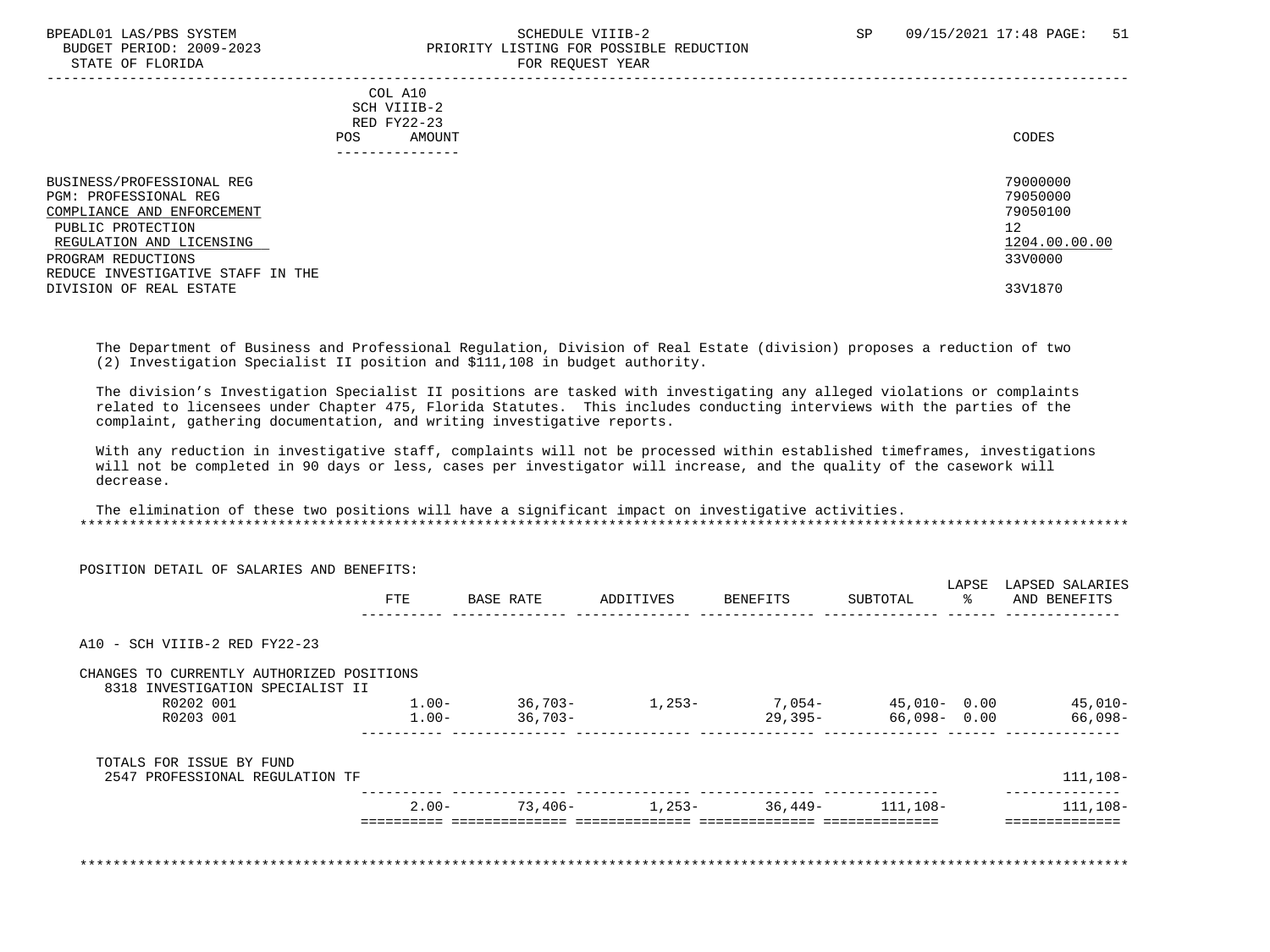#### BPEADL01 LAS/PBS SYSTEM SOHEDULE VIIIB-2 SCHEDULE VIIIB-2 SP 09/15/2021 17:48 PAGE: 51 BUDGET PERIOD: 2009-2023 PRIORITY LISTING FOR POSSIBLE REDUCTION STATE OF FLORIDA FOR REQUEST YEAR

| DIAIB OF FEORIDA                                                        | LOW WEQUEST TEUT |
|-------------------------------------------------------------------------|------------------|
| COL A10<br>SCH VIIIB-2<br>RED FY22-23<br>AMOUNT<br>POS.<br>------------ | CODES            |
| BUSINESS/PROFESSIONAL REG                                               | 79000000         |
| PGM: PROFESSIONAL REG                                                   | 79050000         |
| COMPLIANCE AND ENFORCEMENT                                              | 79050100         |
| PUBLIC PROTECTION                                                       | 12               |
| REGULATION AND LICENSING                                                | 1204.00.00.00    |
| PROGRAM REDUCTIONS                                                      | 33V0000          |
| REDUCE INVESTIGATIVE STAFF IN THE                                       |                  |
| DIVISION OF REAL ESTATE                                                 | 33V1870          |
|                                                                         |                  |

 The Department of Business and Professional Regulation, Division of Real Estate (division) proposes a reduction of two (2) Investigation Specialist II position and \$111,108 in budget authority.

 The division's Investigation Specialist II positions are tasked with investigating any alleged violations or complaints related to licensees under Chapter 475, Florida Statutes. This includes conducting interviews with the parties of the complaint, gathering documentation, and writing investigative reports.

 With any reduction in investigative staff, complaints will not be processed within established timeframes, investigations will not be completed in 90 days or less, cases per investigator will increase, and the quality of the casework will decrease.

 The elimination of these two positions will have a significant impact on investigative activities. \*\*\*\*\*\*\*\*\*\*\*\*\*\*\*\*\*\*\*\*\*\*\*\*\*\*\*\*\*\*\*\*\*\*\*\*\*\*\*\*\*\*\*\*\*\*\*\*\*\*\*\*\*\*\*\*\*\*\*\*\*\*\*\*\*\*\*\*\*\*\*\*\*\*\*\*\*\*\*\*\*\*\*\*\*\*\*\*\*\*\*\*\*\*\*\*\*\*\*\*\*\*\*\*\*\*\*\*\*\*\*\*\*\*\*\*\*\*\*\*\*\*\*\*\*\*\*

| POSITION DETAIL OF SALARIES AND BENEFITS:                                     |          |           |           |                                   |                     | LAPSE       | LAPSED SALARIES |
|-------------------------------------------------------------------------------|----------|-----------|-----------|-----------------------------------|---------------------|-------------|-----------------|
|                                                                               | FTE      | BASE RATE | ADDITIVES | BENEFITS                          | SUBTOTAL            | $rac{8}{6}$ | AND BENEFITS    |
|                                                                               |          |           |           |                                   |                     |             |                 |
| A10 - SCH VIIIB-2 RED FY22-23                                                 |          |           |           |                                   |                     |             |                 |
| CHANGES TO CURRENTLY AUTHORIZED POSITIONS<br>8318 INVESTIGATION SPECIALIST II |          |           |           |                                   |                     |             |                 |
| R0202 001                                                                     | $1.00-$  | $36,703-$ | $1,253-$  |                                   | $7,054-45,010-0.00$ |             | 45,010-         |
| R0203 001                                                                     | $1.00-$  | $36,703-$ |           | 29,395-                           | 66,098- 0.00        |             | 66,098-         |
| TOTALS FOR ISSUE BY FUND                                                      |          |           |           |                                   |                     |             |                 |
| 2547 PROFESSIONAL REGULATION TF                                               |          |           |           |                                   |                     |             | 111,108-        |
|                                                                               | $2.00 -$ |           |           | $73,406-$ 1,253- 36,449- 111,108- |                     |             | 111,108-        |
|                                                                               |          |           |           |                                   |                     |             | =============   |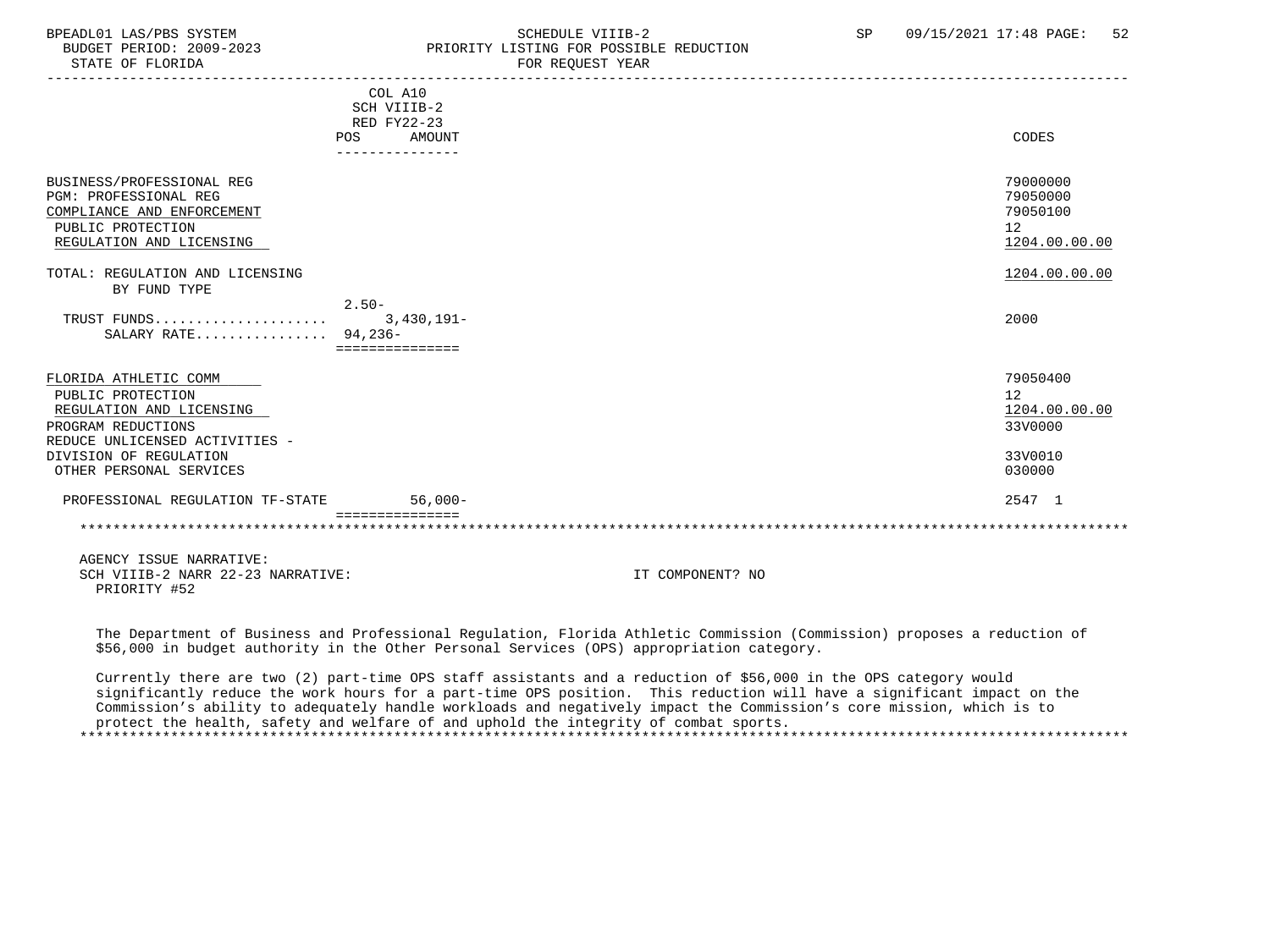#### BPEADL01 LAS/PBS SYSTEM SCHEDULE VIIIB-2 SCHEDULE VIIIB-2 SP 09/15/2021 17:48 PAGE: 52 BUDGET PERIOD: 2009-2023<br>
STATE OF FLORIDA<br>
FOR REOUEST YEAR
FOR FRAME OF FLORIDA FOR REQUEST YEAR

|                                                                                                                                   | COL A10<br>SCH VIIIB-2<br>RED FY22-23<br><b>AMOUNT</b><br><b>POS</b> | CODES                                                   |
|-----------------------------------------------------------------------------------------------------------------------------------|----------------------------------------------------------------------|---------------------------------------------------------|
|                                                                                                                                   |                                                                      |                                                         |
| BUSINESS/PROFESSIONAL REG<br>PGM: PROFESSIONAL REG<br>COMPLIANCE AND ENFORCEMENT<br>PUBLIC PROTECTION<br>REGULATION AND LICENSING |                                                                      | 79000000<br>79050000<br>79050100<br>12<br>1204.00.00.00 |
| TOTAL: REGULATION AND LICENSING                                                                                                   |                                                                      | 1204.00.00.00                                           |
| BY FUND TYPE                                                                                                                      |                                                                      |                                                         |
| TRUST FUNDS<br>SALARY RATE 94,236-                                                                                                | $2.50-$<br>$3,430,191 -$<br>===============                          | 2000                                                    |
| FLORIDA ATHLETIC COMM                                                                                                             |                                                                      | 79050400                                                |
| PUBLIC PROTECTION                                                                                                                 |                                                                      | 12                                                      |
| REGULATION AND LICENSING                                                                                                          |                                                                      | 1204.00.00.00                                           |
| PROGRAM REDUCTIONS<br>REDUCE UNLICENSED ACTIVITIES -                                                                              |                                                                      | 33V0000                                                 |
| DIVISION OF REGULATION                                                                                                            |                                                                      | 33V0010                                                 |
| OTHER PERSONAL SERVICES                                                                                                           |                                                                      | 030000                                                  |
| PROFESSIONAL REGULATION TF-STATE                                                                                                  | $56.000 -$                                                           | 2547 1                                                  |
|                                                                                                                                   |                                                                      |                                                         |

 AGENCY ISSUE NARRATIVE: SCH VIIIB-2 NARR 22-23 NARRATIVE: IT COMPONENT? NO PRIORITY #52

 The Department of Business and Professional Regulation, Florida Athletic Commission (Commission) proposes a reduction of \$56,000 in budget authority in the Other Personal Services (OPS) appropriation category.

 Currently there are two (2) part-time OPS staff assistants and a reduction of \$56,000 in the OPS category would significantly reduce the work hours for a part-time OPS position. This reduction will have a significant impact on the Commission's ability to adequately handle workloads and negatively impact the Commission's core mission, which is to protect the health, safety and welfare of and uphold the integrity of combat sports. \*\*\*\*\*\*\*\*\*\*\*\*\*\*\*\*\*\*\*\*\*\*\*\*\*\*\*\*\*\*\*\*\*\*\*\*\*\*\*\*\*\*\*\*\*\*\*\*\*\*\*\*\*\*\*\*\*\*\*\*\*\*\*\*\*\*\*\*\*\*\*\*\*\*\*\*\*\*\*\*\*\*\*\*\*\*\*\*\*\*\*\*\*\*\*\*\*\*\*\*\*\*\*\*\*\*\*\*\*\*\*\*\*\*\*\*\*\*\*\*\*\*\*\*\*\*\*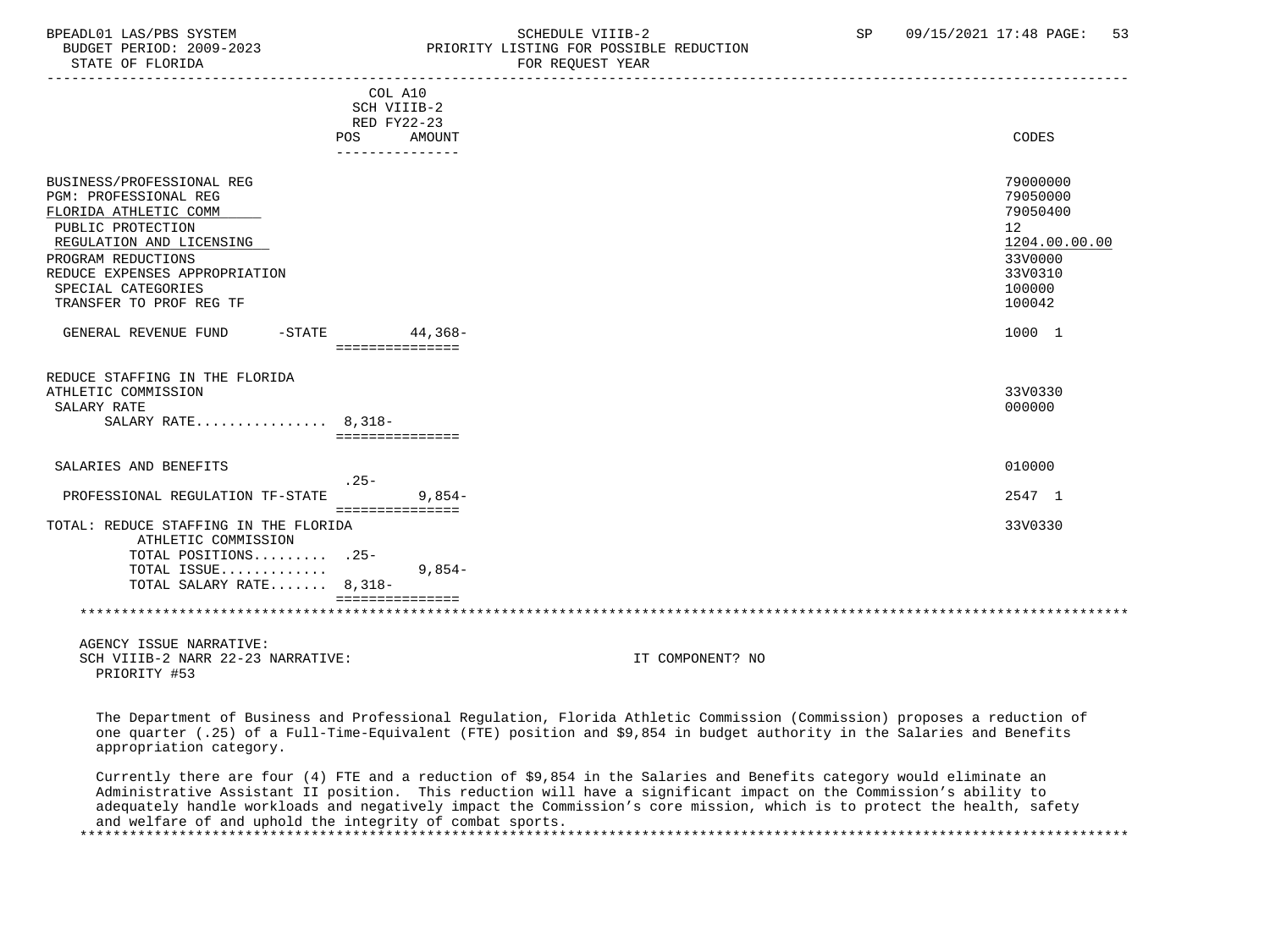### BPEADL01 LAS/PBS SYSTEM SCHEDULE VIIIB-2 SCHEDULE VIIIB-2 SP 09/15/2021 17:48 PAGE: 53 PRIORITY LISTING FOR POSSIBLE REDUCTION

|                                                   | COL A10<br>SCH VIIIB-2      |                                                                                                                          |               |
|---------------------------------------------------|-----------------------------|--------------------------------------------------------------------------------------------------------------------------|---------------|
|                                                   | RED FY22-23                 |                                                                                                                          |               |
|                                                   | POS<br>AMOUNT               |                                                                                                                          | CODES         |
|                                                   | _______________             |                                                                                                                          |               |
| BUSINESS/PROFESSIONAL REG                         |                             |                                                                                                                          | 79000000      |
| PGM: PROFESSIONAL REG                             |                             |                                                                                                                          | 79050000      |
| FLORIDA ATHLETIC COMM                             |                             |                                                                                                                          | 79050400      |
| PUBLIC PROTECTION                                 |                             |                                                                                                                          | 12            |
| REGULATION AND LICENSING                          |                             |                                                                                                                          | 1204.00.00.00 |
| PROGRAM REDUCTIONS                                |                             |                                                                                                                          | 33V0000       |
| REDUCE EXPENSES APPROPRIATION                     |                             |                                                                                                                          | 33V0310       |
| SPECIAL CATEGORIES                                |                             |                                                                                                                          | 100000        |
| TRANSFER TO PROF REG TF                           |                             |                                                                                                                          | 100042        |
|                                                   |                             |                                                                                                                          |               |
| GENERAL REVENUE FUND                              | -STATE 44,368-              |                                                                                                                          | 1000 1        |
|                                                   | ===============             |                                                                                                                          |               |
| REDUCE STAFFING IN THE FLORIDA                    |                             |                                                                                                                          |               |
| ATHLETIC COMMISSION                               |                             |                                                                                                                          | 33V0330       |
| SALARY RATE                                       |                             |                                                                                                                          | 000000        |
| SALARY RATE $8,318-$                              | ===============             |                                                                                                                          |               |
|                                                   |                             |                                                                                                                          |               |
| SALARIES AND BENEFITS                             |                             |                                                                                                                          | 010000        |
|                                                   | $.25-$                      |                                                                                                                          |               |
| PROFESSIONAL REGULATION TF-STATE                  | $9.854-$<br>=============== |                                                                                                                          | 2547 1        |
| TOTAL: REDUCE STAFFING IN THE FLORIDA             |                             |                                                                                                                          | 33V0330       |
| ATHLETIC COMMISSION                               |                             |                                                                                                                          |               |
| TOTAL POSITIONS .25-                              |                             |                                                                                                                          |               |
| TOTAL ISSUE                                       | $9,854-$                    |                                                                                                                          |               |
| TOTAL SALARY RATE 8,318-                          |                             |                                                                                                                          |               |
|                                                   | ===============             |                                                                                                                          |               |
|                                                   |                             |                                                                                                                          |               |
| AGENCY ISSUE NARRATIVE:                           |                             |                                                                                                                          |               |
| SCH VIIIB-2 NARR 22-23 NARRATIVE:<br>PRIORITY #53 |                             | IT COMPONENT? NO                                                                                                         |               |
|                                                   |                             | The Department of Business and Professional Regulation, Florida Athletic Commission (Commission) proposes a reduction of |               |
|                                                   |                             | one quarter (.25) of a Full-Time-Equivalent (FTE) position and \$9.854 in budget authority in the Salaries and Benefits  |               |

quarter (.25) of a Full-Time-Equivalent (FTE) position and  $$9,854$  in budget authority in the Salaries and Bene: appropriation category. Currently there are four (4) FTE and a reduction of \$9,854 in the Salaries and Benefits category would eliminate an

 Administrative Assistant II position. This reduction will have a significant impact on the Commission's ability to adequately handle workloads and negatively impact the Commission's core mission, which is to protect the health, safety and welfare of and uphold the integrity of combat sports. \*\*\*\*\*\*\*\*\*\*\*\*\*\*\*\*\*\*\*\*\*\*\*\*\*\*\*\*\*\*\*\*\*\*\*\*\*\*\*\*\*\*\*\*\*\*\*\*\*\*\*\*\*\*\*\*\*\*\*\*\*\*\*\*\*\*\*\*\*\*\*\*\*\*\*\*\*\*\*\*\*\*\*\*\*\*\*\*\*\*\*\*\*\*\*\*\*\*\*\*\*\*\*\*\*\*\*\*\*\*\*\*\*\*\*\*\*\*\*\*\*\*\*\*\*\*\*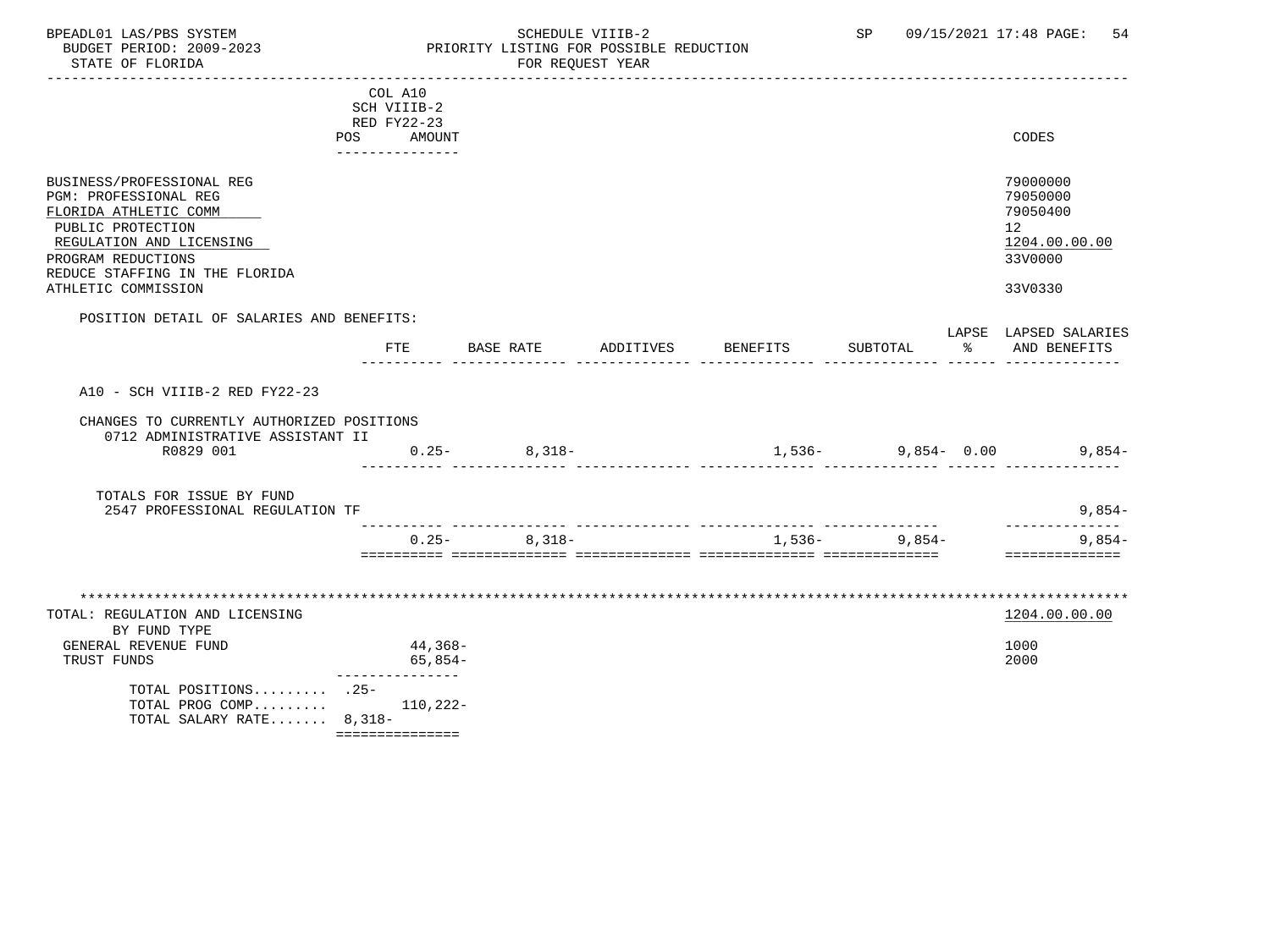### BPEADL01 LAS/PBS SYSTEM SALL SOME SCHEDULE VIIIB-2 SCHEDULE SP 09/15/2021 17:48 PAGE: 54 BUDGET PERIOD: 2009-2023 PRIORITY LISTING FOR POSSIBLE REDUCTION

|                                               | COL A10         |                      |           |          |                      |    |                                  |
|-----------------------------------------------|-----------------|----------------------|-----------|----------|----------------------|----|----------------------------------|
|                                               | SCH VIIIB-2     |                      |           |          |                      |    |                                  |
|                                               | RED FY22-23     |                      |           |          |                      |    |                                  |
|                                               | POS AMOUNT      |                      |           |          |                      |    | CODES                            |
|                                               | --------------  |                      |           |          |                      |    |                                  |
|                                               |                 |                      |           |          |                      |    |                                  |
| BUSINESS/PROFESSIONAL REG                     |                 |                      |           |          |                      |    | 79000000                         |
| PGM: PROFESSIONAL REG                         |                 |                      |           |          |                      |    | 79050000<br>79050400             |
| FLORIDA ATHLETIC COMM                         |                 |                      |           |          |                      |    |                                  |
| PUBLIC PROTECTION<br>REGULATION AND LICENSING |                 |                      |           |          |                      |    | 12 <sub>1</sub><br>1204.00.00.00 |
| PROGRAM REDUCTIONS                            |                 |                      |           |          |                      |    | 33V0000                          |
| REDUCE STAFFING IN THE FLORIDA                |                 |                      |           |          |                      |    |                                  |
| ATHLETIC COMMISSION                           |                 |                      |           |          |                      |    | 33V0330                          |
|                                               |                 |                      |           |          |                      |    |                                  |
| POSITION DETAIL OF SALARIES AND BENEFITS:     |                 |                      |           |          |                      |    |                                  |
|                                               |                 |                      |           |          |                      |    | LAPSE LAPSED SALARIES            |
|                                               | FTE             | BASE RATE            | ADDITIVES | BENEFITS | SUBTOTAL             | ిన | AND BENEFITS                     |
|                                               |                 |                      |           |          |                      |    |                                  |
|                                               |                 |                      |           |          |                      |    |                                  |
| $A10 - SCH VIIIB-2 RED FY22-23$               |                 |                      |           |          |                      |    |                                  |
| CHANGES TO CURRENTLY AUTHORIZED POSITIONS     |                 |                      |           |          |                      |    |                                  |
| 0712 ADMINISTRATIVE ASSISTANT II              |                 |                      |           |          |                      |    |                                  |
| R0829 001                                     |                 | $0.25 - 8,318 -$     |           |          | $1,536-$ 9,854- 0.00 |    | $9,854-$                         |
|                                               |                 |                      |           |          |                      |    |                                  |
|                                               |                 |                      |           |          |                      |    |                                  |
| TOTALS FOR ISSUE BY FUND                      |                 |                      |           |          |                      |    |                                  |
| 2547 PROFESSIONAL REGULATION TF               |                 |                      |           |          |                      |    | $9,854-$<br>____________.        |
|                                               |                 | $0.25 -$<br>$8,318-$ |           |          | $1,536-$ 9,854-      |    | $9,854-$                         |
|                                               |                 |                      |           |          |                      |    | ==============                   |
|                                               |                 |                      |           |          |                      |    |                                  |
|                                               |                 |                      |           |          |                      |    |                                  |
|                                               |                 |                      |           |          |                      |    |                                  |
| TOTAL: REGULATION AND LICENSING               |                 |                      |           |          |                      |    | 1204.00.00.00                    |
| BY FUND TYPE                                  |                 |                      |           |          |                      |    |                                  |
| GENERAL REVENUE FUND                          | $44,368-$       |                      |           |          |                      |    | 1000                             |
| TRUST FUNDS                                   | 65,854-         |                      |           |          |                      |    | 2000                             |
|                                               |                 |                      |           |          |                      |    |                                  |
| TOTAL POSITIONS .25-                          |                 |                      |           |          |                      |    |                                  |
| TOTAL PROG COMP $110,222-$                    |                 |                      |           |          |                      |    |                                  |
| TOTAL SALARY RATE 8,318-                      | =============== |                      |           |          |                      |    |                                  |
|                                               |                 |                      |           |          |                      |    |                                  |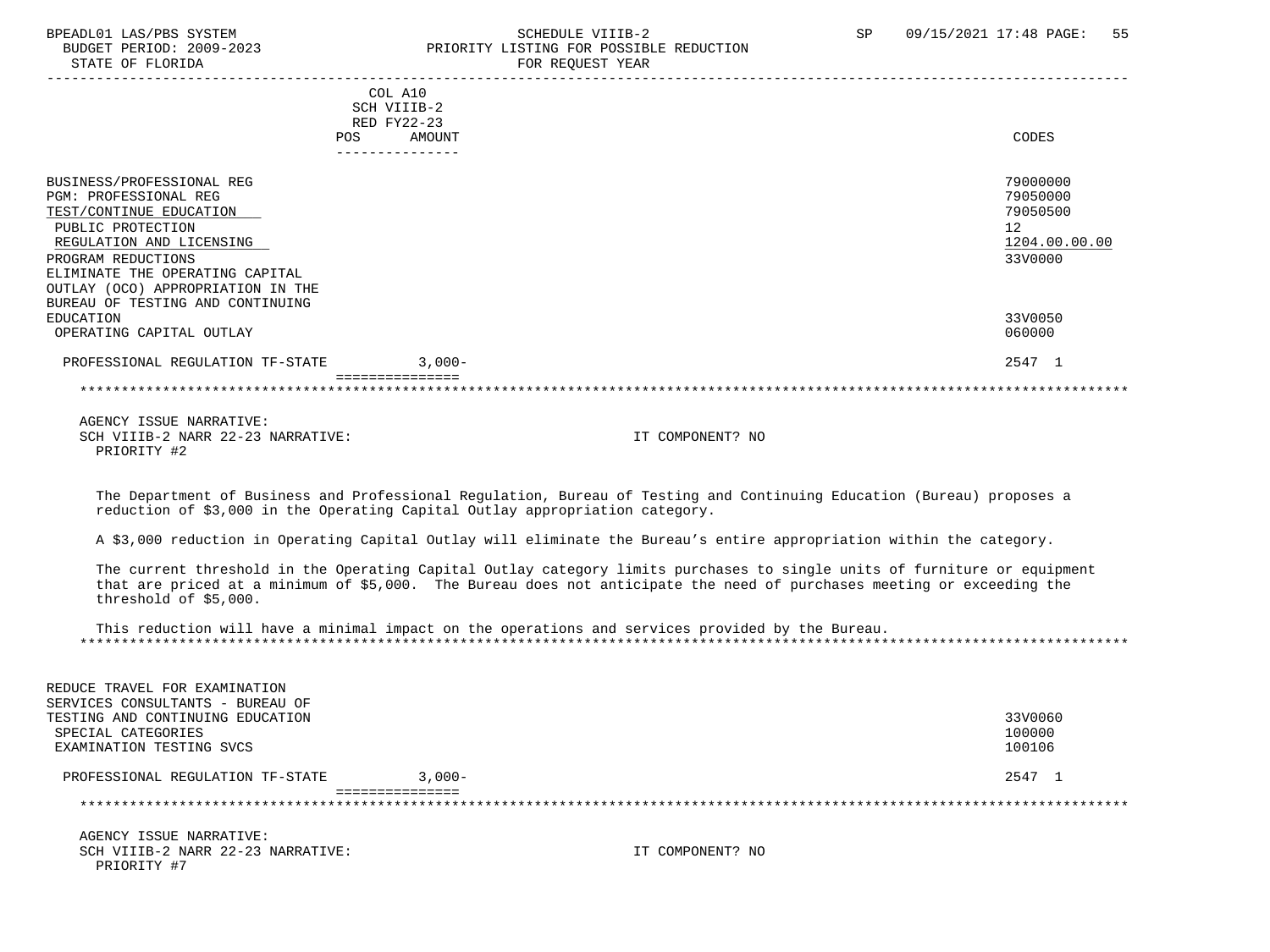#### BPEADL01 LAS/PBS SYSTEM STRING THE SCHEDULE VIIIB-2 SCHEDULE VIIIB-2 SP 09/15/2021 17:48 PAGE: 55 BUDGET PERIOD: 2009-2023 PRIORITY LISTING FOR POSSIBLE REDUCTION<br>STATE OF FLORIDA FOR REQUEST YEAR

|                                                                                                                                                                                                | COL A10<br>SCH VIIIB-2<br>RED FY22-23<br>AMOUNT<br><b>POS</b><br>. _ _ _ _ _ _ _ _ _ _ _ _ _ _ | CODES                                                              |
|------------------------------------------------------------------------------------------------------------------------------------------------------------------------------------------------|------------------------------------------------------------------------------------------------|--------------------------------------------------------------------|
| BUSINESS/PROFESSIONAL REG<br><b>PGM: PROFESSIONAL REG</b><br>TEST/CONTINUE EDUCATION<br>PUBLIC PROTECTION<br>REGULATION AND LICENSING<br>PROGRAM REDUCTIONS<br>ELIMINATE THE OPERATING CAPITAL |                                                                                                | 79000000<br>79050000<br>79050500<br>12<br>1204.00.00.00<br>33V0000 |
| OUTLAY (OCO) APPROPRIATION IN THE<br>BUREAU OF TESTING AND CONTINUING<br>EDUCATION<br>OPERATING CAPITAL OUTLAY                                                                                 |                                                                                                | 33V0050<br>060000                                                  |
| PROFESSIONAL REGULATION TF-STATE                                                                                                                                                               | $3.000 -$                                                                                      | 2547 1                                                             |
|                                                                                                                                                                                                |                                                                                                |                                                                    |

 AGENCY ISSUE NARRATIVE: SCH VIIIB-2 NARR 22-23 NARRATIVE: IT COMPONENT? NO PRIORITY #2

 The Department of Business and Professional Regulation, Bureau of Testing and Continuing Education (Bureau) proposes a reduction of \$3,000 in the Operating Capital Outlay appropriation category.

A \$3,000 reduction in Operating Capital Outlay will eliminate the Bureau's entire appropriation within the category.

 The current threshold in the Operating Capital Outlay category limits purchases to single units of furniture or equipment that are priced at a minimum of \$5,000. The Bureau does not anticipate the need of purchases meeting or exceeding the threshold of \$5,000.

 This reduction will have a minimal impact on the operations and services provided by the Bureau. \*\*\*\*\*\*\*\*\*\*\*\*\*\*\*\*\*\*\*\*\*\*\*\*\*\*\*\*\*\*\*\*\*\*\*\*\*\*\*\*\*\*\*\*\*\*\*\*\*\*\*\*\*\*\*\*\*\*\*\*\*\*\*\*\*\*\*\*\*\*\*\*\*\*\*\*\*\*\*\*\*\*\*\*\*\*\*\*\*\*\*\*\*\*\*\*\*\*\*\*\*\*\*\*\*\*\*\*\*\*\*\*\*\*\*\*\*\*\*\*\*\*\*\*\*\*\*

| REDUCE TRAVEL FOR EXAMINATION    |           |         |
|----------------------------------|-----------|---------|
| SERVICES CONSULTANTS - BUREAU OF |           |         |
| TESTING AND CONTINUING EDUCATION |           | 33V0060 |
| SPECIAL CATEGORIES               |           | 100000  |
| EXAMINATION TESTING SVCS         |           | 100106  |
| PROFESSIONAL REGULATION TF-STATE | $3.000 -$ | 2547 1  |
|                                  |           |         |
|                                  |           |         |
|                                  |           |         |

 AGENCY ISSUE NARRATIVE: SCH VIIIB-2 NARR 22-23 NARRATIVE: IT COMPONENT? NO PRIORITY #7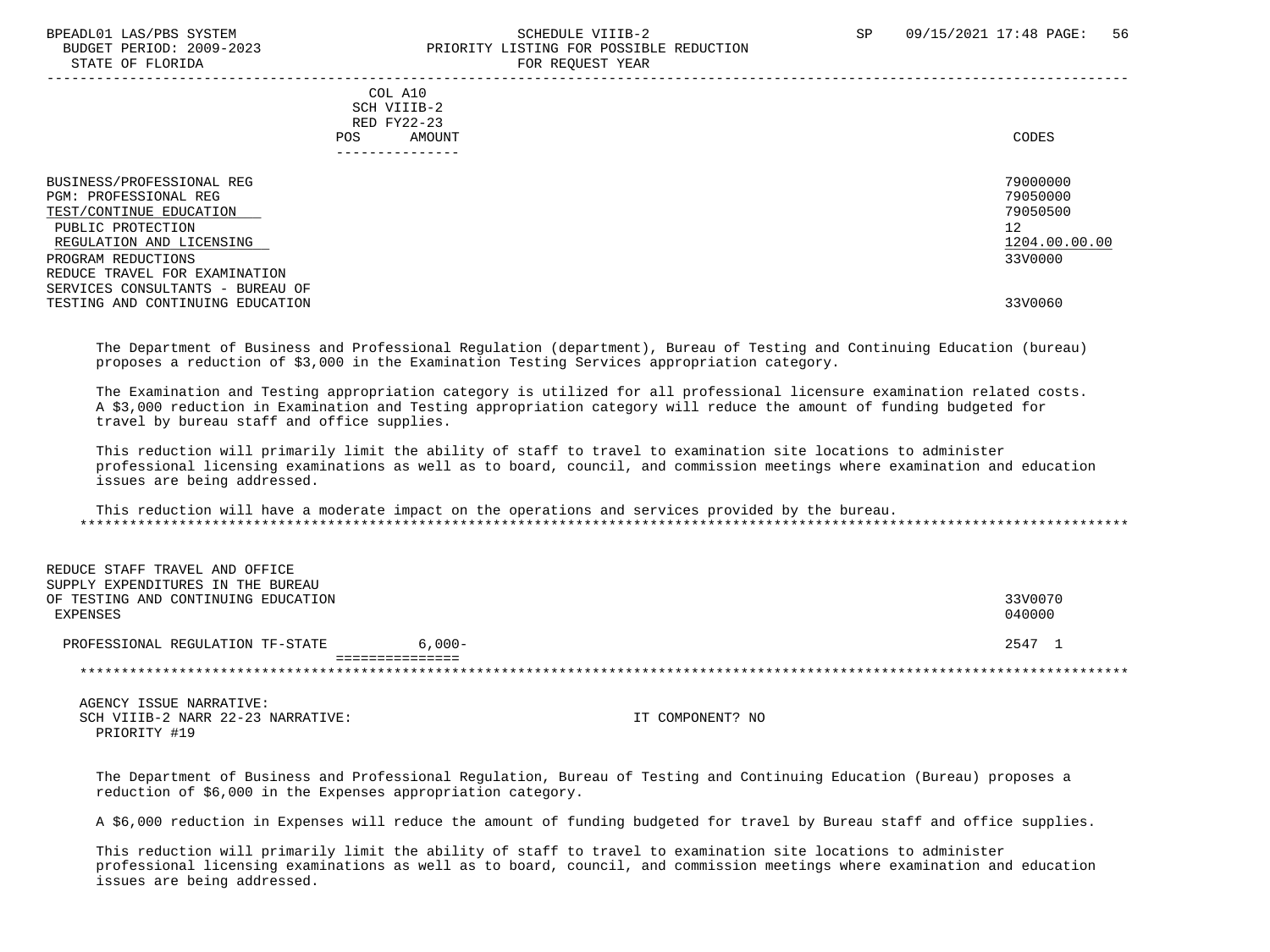#### BPEADL01 LAS/PBS SYSTEM SALL SOLUTION SCHEDULE VIIIB-2 SP 09/15/2021 17:48 PAGE: 56 BUDGET PERIOD: 2009-2023 PRIORITY LISTING FOR POSSIBLE REDUCTION STATE OF FLORIDA FOR REQUEST YEAR

 ----------------------------------------------------------------------------------------------------------------------------------- COL A10 SCH VIIIB-2 RED FY22-23 POS AMOUNT CODES --------------- BUSINESS/PROFESSIONAL REG 20000000 PGM: PROFESSIONAL REG 79050000 TEST/CONTINUE EDUCATION PUBLIC PROTECTION 12 REGULATION AND LICENSING  $\frac{1204.00}{3300000}$ PROGRAM REDUCTIONS REDUCE TRAVEL FOR EXAMINATION SERVICES CONSULTANTS - BUREAU OF TESTING AND CONTINUING EDUCATION 33V0060

 The Department of Business and Professional Regulation (department), Bureau of Testing and Continuing Education (bureau) proposes a reduction of \$3,000 in the Examination Testing Services appropriation category.

 The Examination and Testing appropriation category is utilized for all professional licensure examination related costs. A \$3,000 reduction in Examination and Testing appropriation category will reduce the amount of funding budgeted for travel by bureau staff and office supplies.

 This reduction will primarily limit the ability of staff to travel to examination site locations to administer professional licensing examinations as well as to board, council, and commission meetings where examination and education issues are being addressed.

 This reduction will have a moderate impact on the operations and services provided by the bureau. \*\*\*\*\*\*\*\*\*\*\*\*\*\*\*\*\*\*\*\*\*\*\*\*\*\*\*\*\*\*\*\*\*\*\*\*\*\*\*\*\*\*\*\*\*\*\*\*\*\*\*\*\*\*\*\*\*\*\*\*\*\*\*\*\*\*\*\*\*\*\*\*\*\*\*\*\*\*\*\*\*\*\*\*\*\*\*\*\*\*\*\*\*\*\*\*\*\*\*\*\*\*\*\*\*\*\*\*\*\*\*\*\*\*\*\*\*\*\*\*\*\*\*\*\*\*\*

| REDUCE STAFF TRAVEL AND OFFICE      |           |         |
|-------------------------------------|-----------|---------|
| SUPPLY EXPENDITURES IN THE BUREAU   |           |         |
| OF TESTING AND CONTINUING EDUCATION |           | 33V0070 |
| EXPENSES                            |           | 040000  |
| PROFESSIONAL REGULATION TF-STATE    | $6.000 -$ | 2547 1  |
|                                     |           |         |
|                                     |           |         |
|                                     |           |         |

 AGENCY ISSUE NARRATIVE: SCH VIIIB-2 NARR 22-23 NARRATIVE: IT COMPONENT? NO PRIORITY #19

REDUCE STAFF TRAVEL AND OFFICE

 The Department of Business and Professional Regulation, Bureau of Testing and Continuing Education (Bureau) proposes a reduction of \$6,000 in the Expenses appropriation category.

A \$6,000 reduction in Expenses will reduce the amount of funding budgeted for travel by Bureau staff and office supplies.

 This reduction will primarily limit the ability of staff to travel to examination site locations to administer professional licensing examinations as well as to board, council, and commission meetings where examination and education issues are being addressed.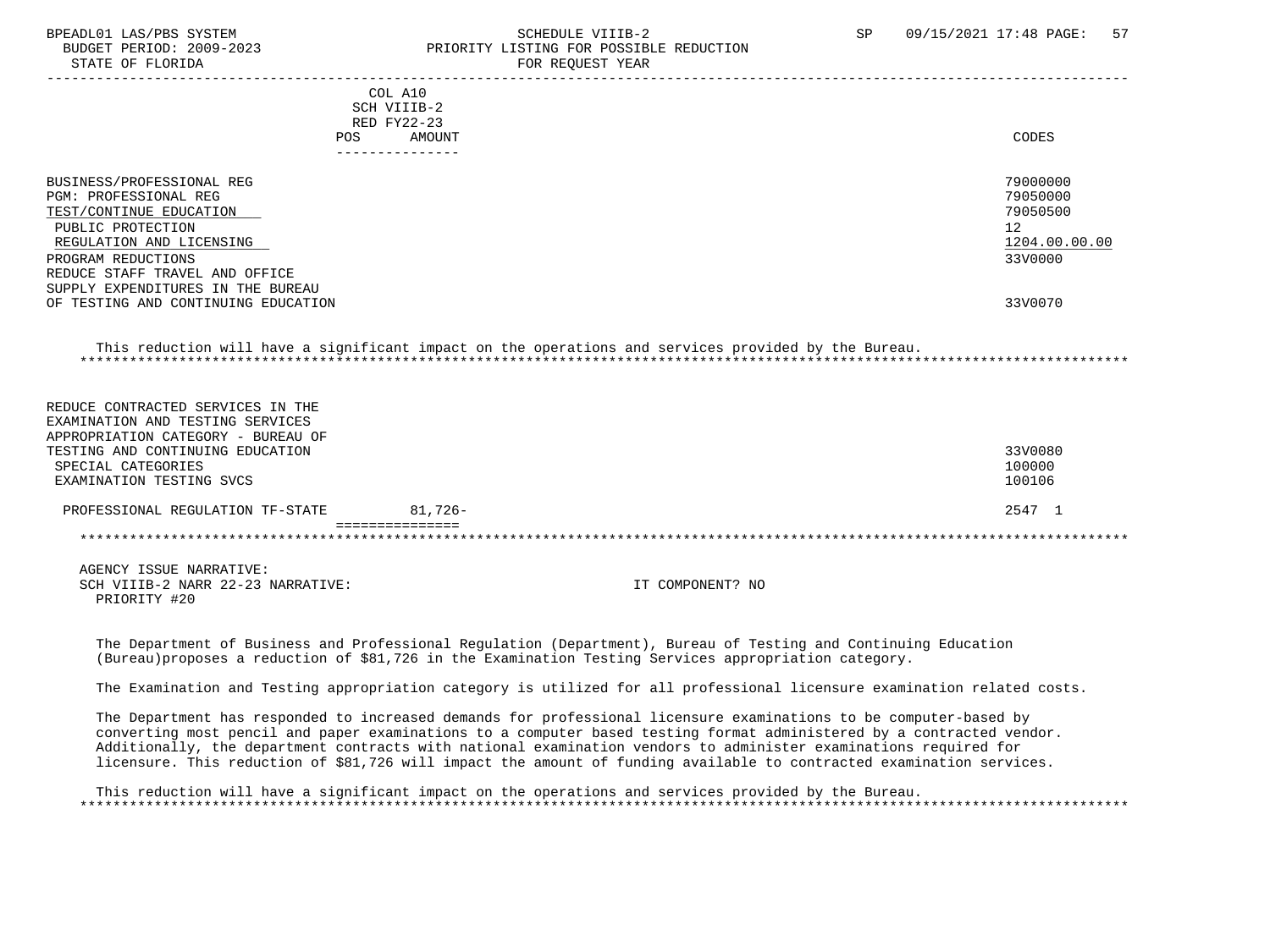STATE OF FLORIDA FOR STATE OF STATE OF STATE OF STATE OF STATE OF STATE OF STATE OF STATE OF STATE OF STATE OF STATE OF STATE OF STATE OF STATE OF STATE OF STATE OF STATE OF STATE OF STATE OF STATE OF STATE OF STATE OF STA

### BPEADL01 LAS/PBS SYSTEM STRANGERS SAND SCHEDULE VIIIB-2 SP 09/15/2021 17:48 PAGE: 57 BUDGET PERIOD: 2009-2023 PRIORITY LISTING FOR POSSIBLE REDUCTION

|                                     |     | COL A10<br>SCH VIIIB-2 |                                                                                                      |               |
|-------------------------------------|-----|------------------------|------------------------------------------------------------------------------------------------------|---------------|
|                                     |     | RED FY22-23            |                                                                                                      |               |
|                                     | POS | <b>AMOUNT</b>          |                                                                                                      | CODES         |
|                                     |     | ---------------        |                                                                                                      |               |
|                                     |     |                        |                                                                                                      |               |
| BUSINESS/PROFESSIONAL REG           |     |                        |                                                                                                      | 79000000      |
| <b>PGM: PROFESSIONAL REG</b>        |     |                        |                                                                                                      | 79050000      |
| TEST/CONTINUE EDUCATION             |     |                        |                                                                                                      | 79050500      |
| PUBLIC PROTECTION                   |     |                        |                                                                                                      | 12            |
| REGULATION AND LICENSING            |     |                        |                                                                                                      | 1204.00.00.00 |
| PROGRAM REDUCTIONS                  |     |                        |                                                                                                      | 33V0000       |
| REDUCE STAFF TRAVEL AND OFFICE      |     |                        |                                                                                                      |               |
| SUPPLY EXPENDITURES IN THE BUREAU   |     |                        |                                                                                                      |               |
| OF TESTING AND CONTINUING EDUCATION |     |                        |                                                                                                      | 33V0070       |
|                                     |     |                        | This reduction will have a significant impact on the operations and services provided by the Bureau. |               |
| REDUCE CONTRACTED SERVICES IN THE   |     |                        |                                                                                                      |               |
| EXAMINATION AND TESTING SERVICES    |     |                        |                                                                                                      |               |
| APPROPRIATION CATEGORY - BUREAU OF  |     |                        |                                                                                                      |               |
| TESTING AND CONTINUING EDUCATION    |     |                        |                                                                                                      | 33V0080       |
| SPECIAL CATEGORIES                  |     |                        |                                                                                                      | 100000        |
| EXAMINATION TESTING SVCS            |     |                        |                                                                                                      | 100106        |
| PROFESSIONAL REGULATION TF-STATE    |     | $81,726-$              |                                                                                                      | 2547 1        |
|                                     |     |                        |                                                                                                      |               |
| AGENCY ISSUE NARRATIVE:             |     |                        |                                                                                                      |               |

SCH VIIIB-2 NARR 22-23 NARRATIVE: IT COMPONENT? NO PRIORITY #20

 The Department of Business and Professional Regulation (Department), Bureau of Testing and Continuing Education (Bureau)proposes a reduction of \$81,726 in the Examination Testing Services appropriation category.

The Examination and Testing appropriation category is utilized for all professional licensure examination related costs.

 The Department has responded to increased demands for professional licensure examinations to be computer-based by converting most pencil and paper examinations to a computer based testing format administered by a contracted vendor. Additionally, the department contracts with national examination vendors to administer examinations required for licensure. This reduction of \$81,726 will impact the amount of funding available to contracted examination services.

 This reduction will have a significant impact on the operations and services provided by the Bureau. \*\*\*\*\*\*\*\*\*\*\*\*\*\*\*\*\*\*\*\*\*\*\*\*\*\*\*\*\*\*\*\*\*\*\*\*\*\*\*\*\*\*\*\*\*\*\*\*\*\*\*\*\*\*\*\*\*\*\*\*\*\*\*\*\*\*\*\*\*\*\*\*\*\*\*\*\*\*\*\*\*\*\*\*\*\*\*\*\*\*\*\*\*\*\*\*\*\*\*\*\*\*\*\*\*\*\*\*\*\*\*\*\*\*\*\*\*\*\*\*\*\*\*\*\*\*\*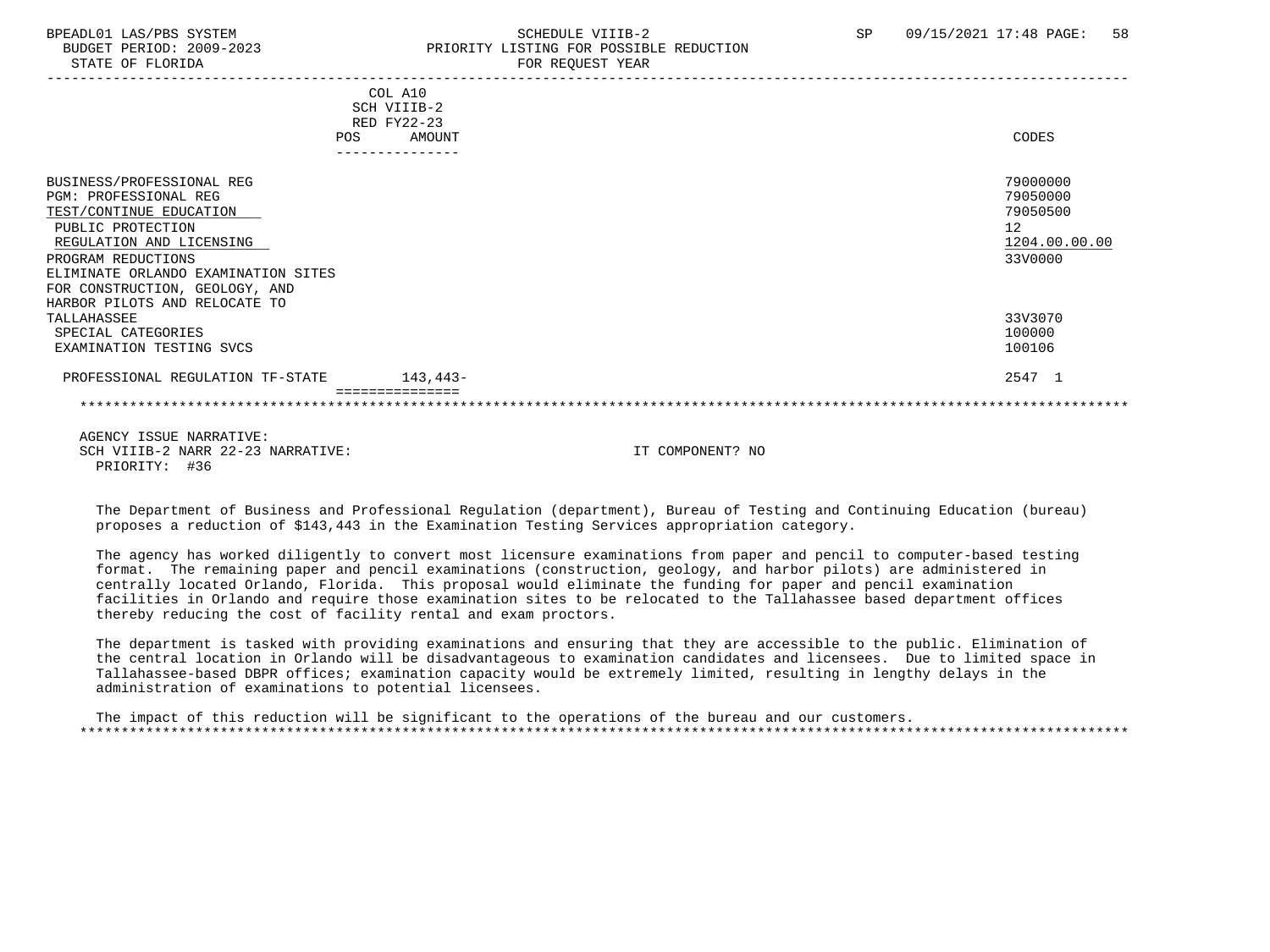PRIORITY: #36

## BPEADL01 LAS/PBS SYSTEM SALL SALL SOMEDULE VIIIB-2 SP 09/15/2021 17:48 PAGE: 58 BUDGET PERIOD: 2009-2023 PRIORITY LISTING FOR POSSIBLE REDUCTION

|                                     | COL A10         |                  |               |
|-------------------------------------|-----------------|------------------|---------------|
|                                     | SCH VIIIB-2     |                  |               |
|                                     | RED FY22-23     |                  |               |
| <b>POS</b>                          |                 | AMOUNT           | CODES         |
|                                     | --------------- |                  |               |
| BUSINESS/PROFESSIONAL REG           |                 |                  | 79000000      |
| <b>PGM: PROFESSIONAL REG</b>        |                 |                  | 79050000      |
| TEST/CONTINUE EDUCATION             |                 |                  | 79050500      |
| PUBLIC PROTECTION                   |                 |                  | 12            |
| REGULATION AND LICENSING            |                 |                  | 1204.00.00.00 |
| PROGRAM REDUCTIONS                  |                 |                  | 33V0000       |
| ELIMINATE ORLANDO EXAMINATION SITES |                 |                  |               |
| FOR CONSTRUCTION, GEOLOGY, AND      |                 |                  |               |
| HARBOR PILOTS AND RELOCATE TO       |                 |                  |               |
| TALLAHASSEE                         |                 |                  | 33V3070       |
| SPECIAL CATEGORIES                  |                 |                  | 100000        |
| EXAMINATION TESTING SVCS            |                 |                  | 100106        |
| PROFESSIONAL REGULATION TF-STATE    | 143,443-        |                  | 2547 1        |
|                                     |                 |                  |               |
| AGENCY ISSUE NARRATIVE:             |                 |                  |               |
| SCH VIIIB-2 NARR 22-23 NARRATIVE:   |                 | IT COMPONENT? NO |               |

 The Department of Business and Professional Regulation (department), Bureau of Testing and Continuing Education (bureau) proposes a reduction of \$143,443 in the Examination Testing Services appropriation category.

 The agency has worked diligently to convert most licensure examinations from paper and pencil to computer-based testing format. The remaining paper and pencil examinations (construction, geology, and harbor pilots) are administered in centrally located Orlando, Florida. This proposal would eliminate the funding for paper and pencil examination facilities in Orlando and require those examination sites to be relocated to the Tallahassee based department offices thereby reducing the cost of facility rental and exam proctors.

 The department is tasked with providing examinations and ensuring that they are accessible to the public. Elimination of the central location in Orlando will be disadvantageous to examination candidates and licensees. Due to limited space in Tallahassee-based DBPR offices; examination capacity would be extremely limited, resulting in lengthy delays in the administration of examinations to potential licensees.

 The impact of this reduction will be significant to the operations of the bureau and our customers. \*\*\*\*\*\*\*\*\*\*\*\*\*\*\*\*\*\*\*\*\*\*\*\*\*\*\*\*\*\*\*\*\*\*\*\*\*\*\*\*\*\*\*\*\*\*\*\*\*\*\*\*\*\*\*\*\*\*\*\*\*\*\*\*\*\*\*\*\*\*\*\*\*\*\*\*\*\*\*\*\*\*\*\*\*\*\*\*\*\*\*\*\*\*\*\*\*\*\*\*\*\*\*\*\*\*\*\*\*\*\*\*\*\*\*\*\*\*\*\*\*\*\*\*\*\*\*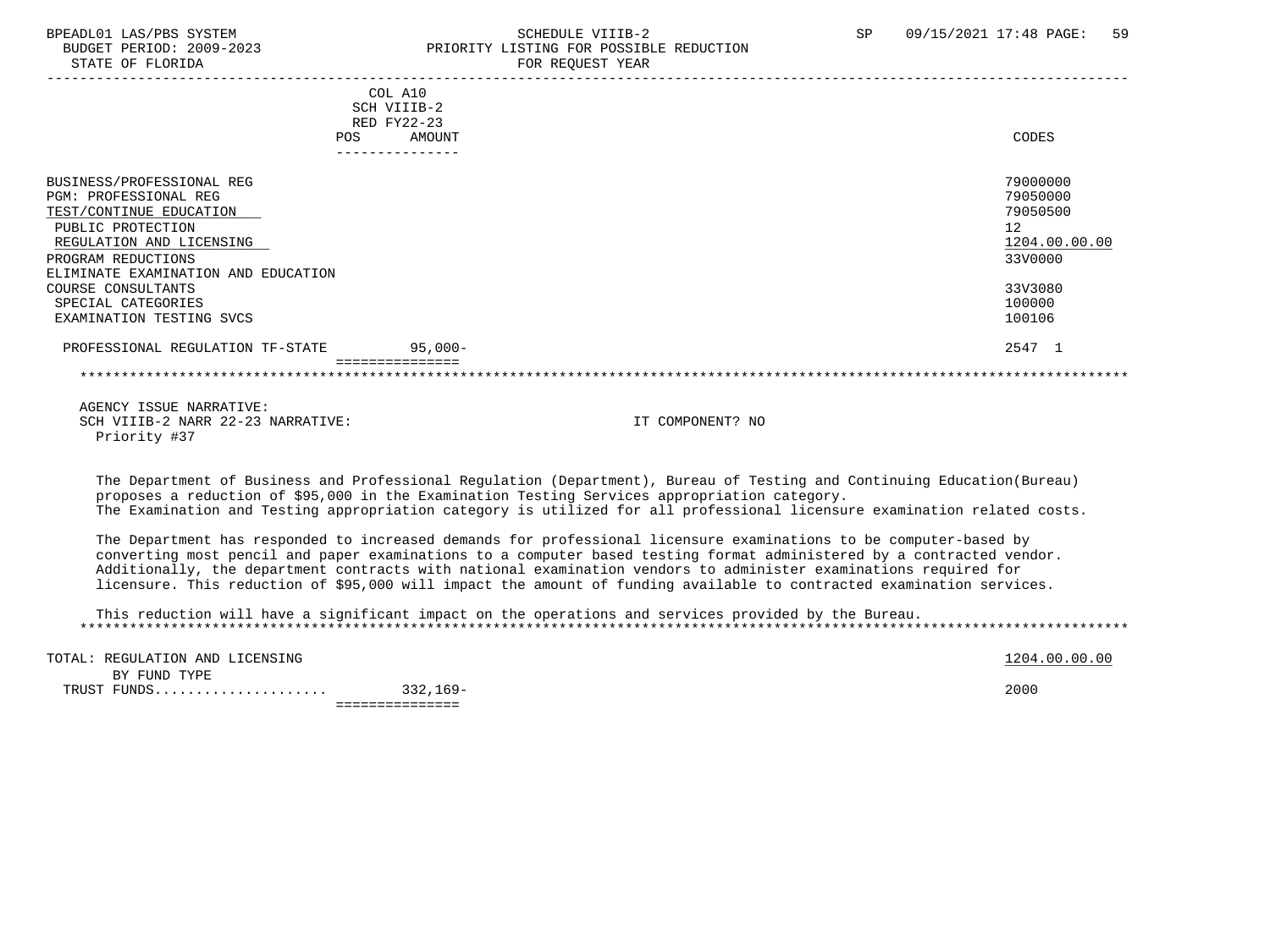# BPEADL01 LAS/PBS SYSTEM SOHEDULE VIIIB-2 SCHEDULE VIIIB-2 SP 09/15/2021 17:48 PAGE: 59<br>BUDGET PERIOD: 2009-2023 SP PRIORITY LISTING FOR POSSIBLE REDUCTION PRIORITY LISTING FOR POSSIBLE REDUCTION

| COL A10<br>SCH VIIIB-2                         |               |
|------------------------------------------------|---------------|
| RED FY22-23                                    |               |
| AMOUNT<br><b>POS</b>                           | CODES         |
|                                                |               |
|                                                |               |
| BUSINESS/PROFESSIONAL REG                      | 79000000      |
| <b>PGM: PROFESSIONAL REG</b>                   | 79050000      |
| TEST/CONTINUE EDUCATION                        | 79050500      |
| PUBLIC PROTECTION                              | 12            |
| REGULATION AND LICENSING                       | 1204.00.00.00 |
| PROGRAM REDUCTIONS                             | 33V0000       |
| ELIMINATE EXAMINATION AND EDUCATION            |               |
| COURSE CONSULTANTS                             | 33V3080       |
| SPECIAL CATEGORIES                             | 100000        |
| EXAMINATION TESTING SVCS                       | 100106        |
| PROFESSIONAL REGULATION TF-STATE<br>$95,000 -$ | 2547 1        |
|                                                |               |

 AGENCY ISSUE NARRATIVE: SCH VIIIB-2 NARR 22-23 NARRATIVE: IT COMPONENT? NO Priority #37

 The Department of Business and Professional Regulation (Department), Bureau of Testing and Continuing Education(Bureau) proposes a reduction of \$95,000 in the Examination Testing Services appropriation category. The Examination and Testing appropriation category is utilized for all professional licensure examination related costs.

 The Department has responded to increased demands for professional licensure examinations to be computer-based by converting most pencil and paper examinations to a computer based testing format administered by a contracted vendor. Additionally, the department contracts with national examination vendors to administer examinations required for licensure. This reduction of \$95,000 will impact the amount of funding available to contracted examination services.

 This reduction will have a significant impact on the operations and services provided by the Bureau. \*\*\*\*\*\*\*\*\*\*\*\*\*\*\*\*\*\*\*\*\*\*\*\*\*\*\*\*\*\*\*\*\*\*\*\*\*\*\*\*\*\*\*\*\*\*\*\*\*\*\*\*\*\*\*\*\*\*\*\*\*\*\*\*\*\*\*\*\*\*\*\*\*\*\*\*\*\*\*\*\*\*\*\*\*\*\*\*\*\*\*\*\*\*\*\*\*\*\*\*\*\*\*\*\*\*\*\*\*\*\*\*\*\*\*\*\*\*\*\*\*\*\*\*\*\*\*

|                                 | _ _ _ _ _ _ _ _ _ _ |                  |
|---------------------------------|---------------------|------------------|
| TRUST FUNDS<br>UNDS             | $332,169-$          | 2000             |
| BY FUND TYPE                    |                     |                  |
| TOTAL: REGULATION AND LICENSING |                     | .00.00.00<br>204 |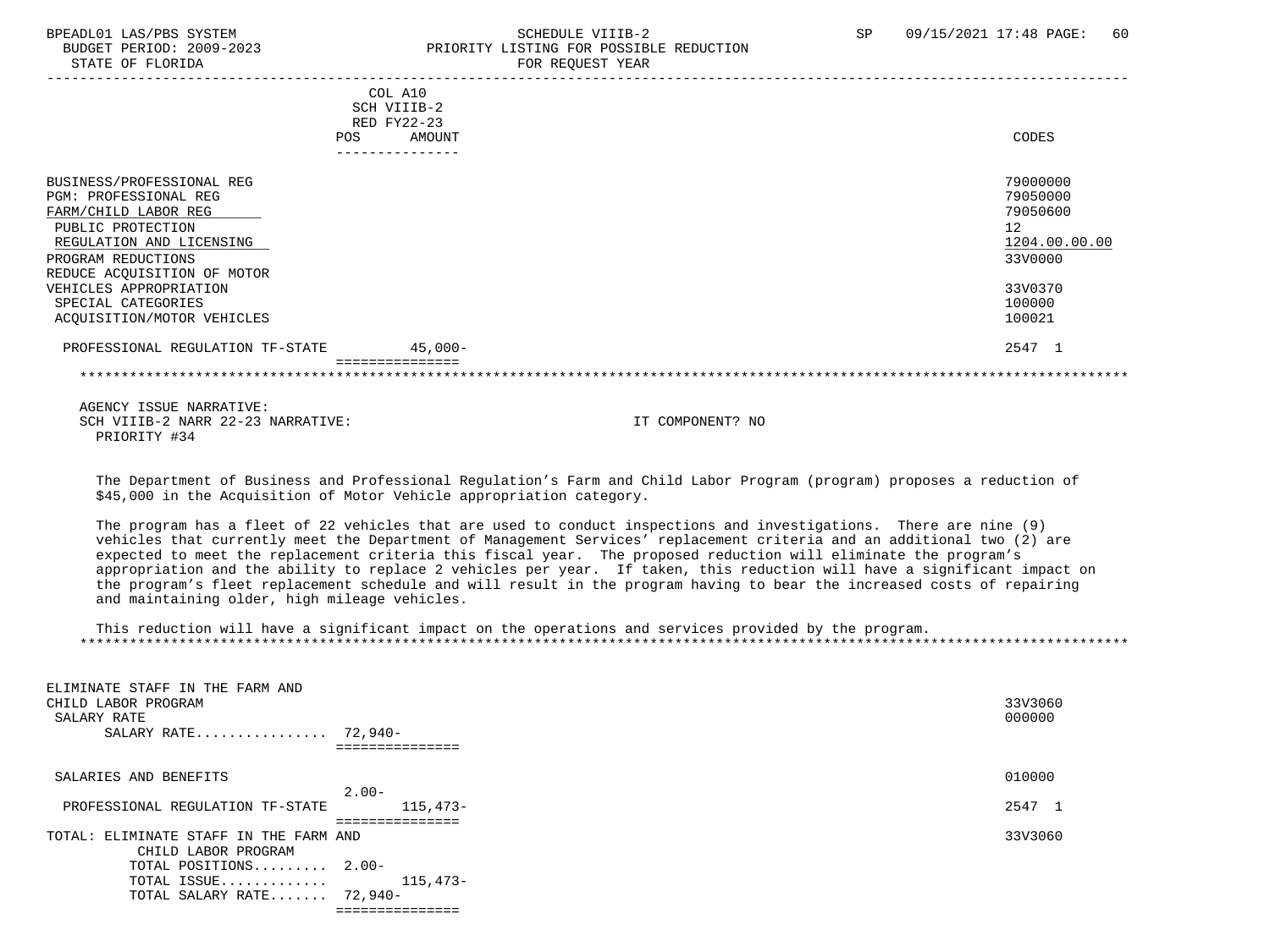### BPEADL01 LAS/PBS SYSTEM SOHEDULE VIIIB-2 SCHEDULE VIIIB-2 SP 09/15/2021 17:48 PAGE: 60 PRIORITY LISTING FOR POSSIBLE REDUCTION

|                                  | COL A10<br>SCH VIIIB-2 |               |
|----------------------------------|------------------------|---------------|
|                                  | $RED$ $FY22-23$        |               |
| <b>POS</b>                       | AMOUNT                 | CODES         |
|                                  |                        |               |
|                                  |                        |               |
| BUSINESS/PROFESSIONAL REG        |                        | 79000000      |
| PGM: PROFESSIONAL REG            |                        | 79050000      |
| FARM/CHILD LABOR REG             |                        | 79050600      |
| PUBLIC PROTECTION                |                        | 12            |
| REGULATION AND LICENSING         |                        | 1204.00.00.00 |
| PROGRAM REDUCTIONS               |                        | 33V0000       |
| REDUCE ACQUISITION OF MOTOR      |                        |               |
| VEHICLES APPROPRIATION           |                        | 33V0370       |
| SPECIAL CATEGORIES               |                        | 100000        |
| ACQUISITION/MOTOR VEHICLES       |                        | 100021        |
| PROFESSIONAL REGULATION TF-STATE | $45,000-$              | 2547 1        |
|                                  |                        |               |

 AGENCY ISSUE NARRATIVE: SCH VIIIB-2 NARR 22-23 NARRATIVE: IT COMPONENT? NO PRIORITY #34

 The Department of Business and Professional Regulation's Farm and Child Labor Program (program) proposes a reduction of \$45,000 in the Acquisition of Motor Vehicle appropriation category.

 The program has a fleet of 22 vehicles that are used to conduct inspections and investigations. There are nine (9) vehicles that currently meet the Department of Management Services' replacement criteria and an additional two (2) are expected to meet the replacement criteria this fiscal year. The proposed reduction will eliminate the program's appropriation and the ability to replace 2 vehicles per year. If taken, this reduction will have a significant impact on the program's fleet replacement schedule and will result in the program having to bear the increased costs of repairing and maintaining older, high mileage vehicles.

 This reduction will have a significant impact on the operations and services provided by the program. \*\*\*\*\*\*\*\*\*\*\*\*\*\*\*\*\*\*\*\*\*\*\*\*\*\*\*\*\*\*\*\*\*\*\*\*\*\*\*\*\*\*\*\*\*\*\*\*\*\*\*\*\*\*\*\*\*\*\*\*\*\*\*\*\*\*\*\*\*\*\*\*\*\*\*\*\*\*\*\*\*\*\*\*\*\*\*\*\*\*\*\*\*\*\*\*\*\*\*\*\*\*\*\*\*\*\*\*\*\*\*\*\*\*\*\*\*\*\*\*\*\*\*\*\*\*\*

| ELIMINATE STAFF IN THE FARM AND              |         |
|----------------------------------------------|---------|
| CHILD LABOR PROGRAM                          | 33V3060 |
| SALARY RATE                                  | 000000  |
| SALARY RATE 72,940-                          |         |
|                                              |         |
| SALARIES AND BENEFITS                        | 010000  |
| $2.00 -$                                     |         |
| 115,473-<br>PROFESSIONAL REGULATION TF-STATE | 2547 1  |
|                                              |         |
| TOTAL: ELIMINATE STAFF IN THE FARM AND       | 33V3060 |
| CHILD LABOR PROGRAM                          |         |
| TOTAL POSITIONS 2.00-                        |         |
| 115,473-<br>TOTAL ISSUE                      |         |
| TOTAL SALARY RATE 72,940-                    |         |
| :============                                |         |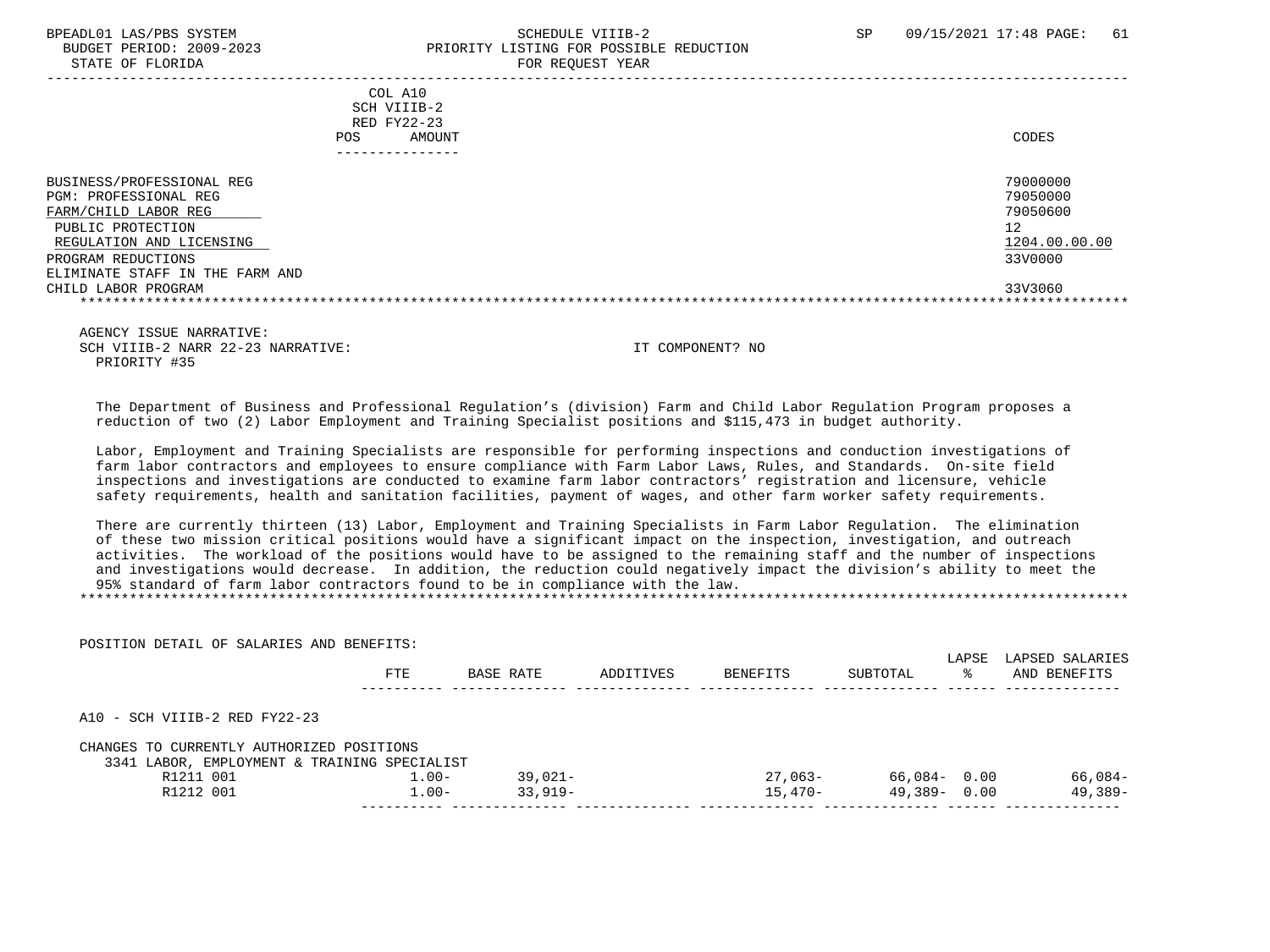STATE OF FLORIDA FOR REQUEST YEAR

### BPEADL01 LAS/PBS SYSTEM SALL SALL SOMEDULE VIIIB-2 SP 09/15/2021 17:48 PAGE: 61 BUDGET PERIOD: 2009-2023 PRIORITY LISTING FOR POSSIBLE REDUCTION

| COL A10<br>SCH VIIIB-2<br>RED FY22-23<br>AMOUNT<br>POS                                                                                                                               | CODES                                                              |
|--------------------------------------------------------------------------------------------------------------------------------------------------------------------------------------|--------------------------------------------------------------------|
| BUSINESS/PROFESSIONAL REG<br>PGM: PROFESSIONAL REG<br>FARM/CHILD LABOR REG<br>PUBLIC PROTECTION<br>REGULATION AND LICENSING<br>PROGRAM REDUCTIONS<br>ELIMINATE STAFF IN THE FARM AND | 79000000<br>79050000<br>79050600<br>12<br>1204.00.00.00<br>33V0000 |
| CHILD LABOR PROGRAM                                                                                                                                                                  | 33V3060                                                            |

 AGENCY ISSUE NARRATIVE: SCH VIIIB-2 NARR 22-23 NARRATIVE: IT COMPONENT? NO PRIORITY #35

 The Department of Business and Professional Regulation's (division) Farm and Child Labor Regulation Program proposes a reduction of two (2) Labor Employment and Training Specialist positions and \$115,473 in budget authority.

 Labor, Employment and Training Specialists are responsible for performing inspections and conduction investigations of farm labor contractors and employees to ensure compliance with Farm Labor Laws, Rules, and Standards. On-site field inspections and investigations are conducted to examine farm labor contractors' registration and licensure, vehicle safety requirements, health and sanitation facilities, payment of wages, and other farm worker safety requirements.

 There are currently thirteen (13) Labor, Employment and Training Specialists in Farm Labor Regulation. The elimination of these two mission critical positions would have a significant impact on the inspection, investigation, and outreach activities. The workload of the positions would have to be assigned to the remaining staff and the number of inspections and investigations would decrease. In addition, the reduction could negatively impact the division's ability to meet the 95% standard of farm labor contractors found to be in compliance with the law. \*\*\*\*\*\*\*\*\*\*\*\*\*\*\*\*\*\*\*\*\*\*\*\*\*\*\*\*\*\*\*\*\*\*\*\*\*\*\*\*\*\*\*\*\*\*\*\*\*\*\*\*\*\*\*\*\*\*\*\*\*\*\*\*\*\*\*\*\*\*\*\*\*\*\*\*\*\*\*\*\*\*\*\*\*\*\*\*\*\*\*\*\*\*\*\*\*\*\*\*\*\*\*\*\*\*\*\*\*\*\*\*\*\*\*\*\*\*\*\*\*\*\*\*\*\*\*

POSITION DETAIL OF SALARIES AND BENEFITS:

|                                                                                           | FTE      | BASE RATE | ADDITIVES | BENEFITS  | SUBTOTAL        | LAPSE<br>ႜႜ | LAPSED SALARIES<br>AND BENEFITS |
|-------------------------------------------------------------------------------------------|----------|-----------|-----------|-----------|-----------------|-------------|---------------------------------|
| A10 - SCH VIIIB-2 RED FY22-23                                                             |          |           |           |           |                 |             |                                 |
| CHANGES TO CURRENTLY AUTHORIZED POSITIONS<br>3341 LABOR, EMPLOYMENT & TRAINING SPECIALIST |          |           |           |           |                 |             |                                 |
| R1211 001                                                                                 | $1.00 -$ | 39,021-   |           | $27.063-$ | 66,084-0.00     |             | 66,084-                         |
| R1212 001                                                                                 | $1.00 -$ | $33,919-$ |           | $15.470-$ | $49,389 - 0.00$ |             | 49,389-                         |
|                                                                                           |          |           |           |           |                 |             |                                 |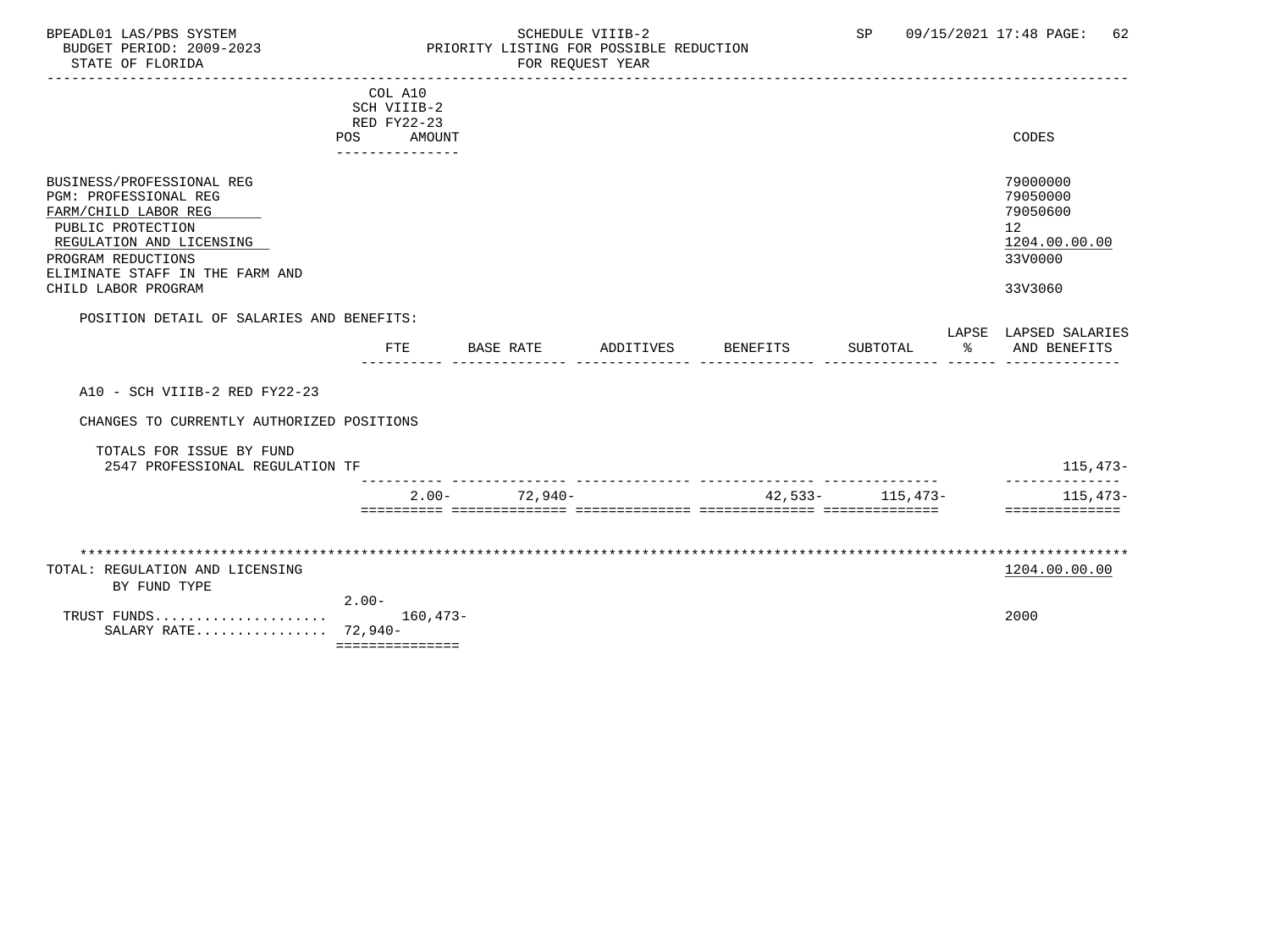#### BPEADL01 LAS/PBS SYSTEM SCHEDULE VIIIB-2 SCHEDULE VIIIB-2 SP 09/15/2021 17:48 PAGE: 62<br>BUDGET PERIOD: 2009-2023 PRIORITY LISTING FOR POSSIBLE REDUCTION BUDGET PERIOD: 2009-2023 PRIORITY LISTING FOR POSSIBLE REDUCTION FOR REQUEST YEAR

|                                                                                                                                                                                                             | POS.    | COL A10<br>SCH VIIIB-2<br>RED FY22-23<br>AMOUNT<br>--------------- |           |            |           |          |                   |        | CODES                                                                         |
|-------------------------------------------------------------------------------------------------------------------------------------------------------------------------------------------------------------|---------|--------------------------------------------------------------------|-----------|------------|-----------|----------|-------------------|--------|-------------------------------------------------------------------------------|
| BUSINESS/PROFESSIONAL REG<br>PGM: PROFESSIONAL REG<br>FARM/CHILD LABOR REG<br>PUBLIC PROTECTION<br>REGULATION AND LICENSING<br>PROGRAM REDUCTIONS<br>ELIMINATE STAFF IN THE FARM AND<br>CHILD LABOR PROGRAM |         |                                                                    |           |            |           |          |                   |        | 79000000<br>79050000<br>79050600<br>12<br>1204.00.00.00<br>33V0000<br>33V3060 |
| POSITION DETAIL OF SALARIES AND BENEFITS:                                                                                                                                                                   |         |                                                                    |           |            |           |          |                   |        | LAPSE LAPSED SALARIES                                                         |
|                                                                                                                                                                                                             |         | <b>FTE</b>                                                         | BASE RATE |            | ADDITIVES | BENEFITS | SUBTOTAL          | $\sim$ | AND BENEFITS                                                                  |
| A10 - SCH VIIIB-2 RED FY22-23<br>CHANGES TO CURRENTLY AUTHORIZED POSITIONS<br>TOTALS FOR ISSUE BY FUND<br>2547 PROFESSIONAL REGULATION TF                                                                   |         |                                                                    |           |            |           |          |                   |        | 115,473-                                                                      |
|                                                                                                                                                                                                             |         | $2.00 -$                                                           |           | $72.940 -$ |           |          | $42,533-115,473-$ |        | 115,473-                                                                      |
| TOTAL: REGULATION AND LICENSING<br>BY FUND TYPE<br>TRUST FUNDS<br>SALARY RATE 72,940-                                                                                                                       | $2.00-$ | $160, 473 -$<br>===============                                    |           |            |           |          |                   |        | ==============<br>1204.00.00.00<br>2000                                       |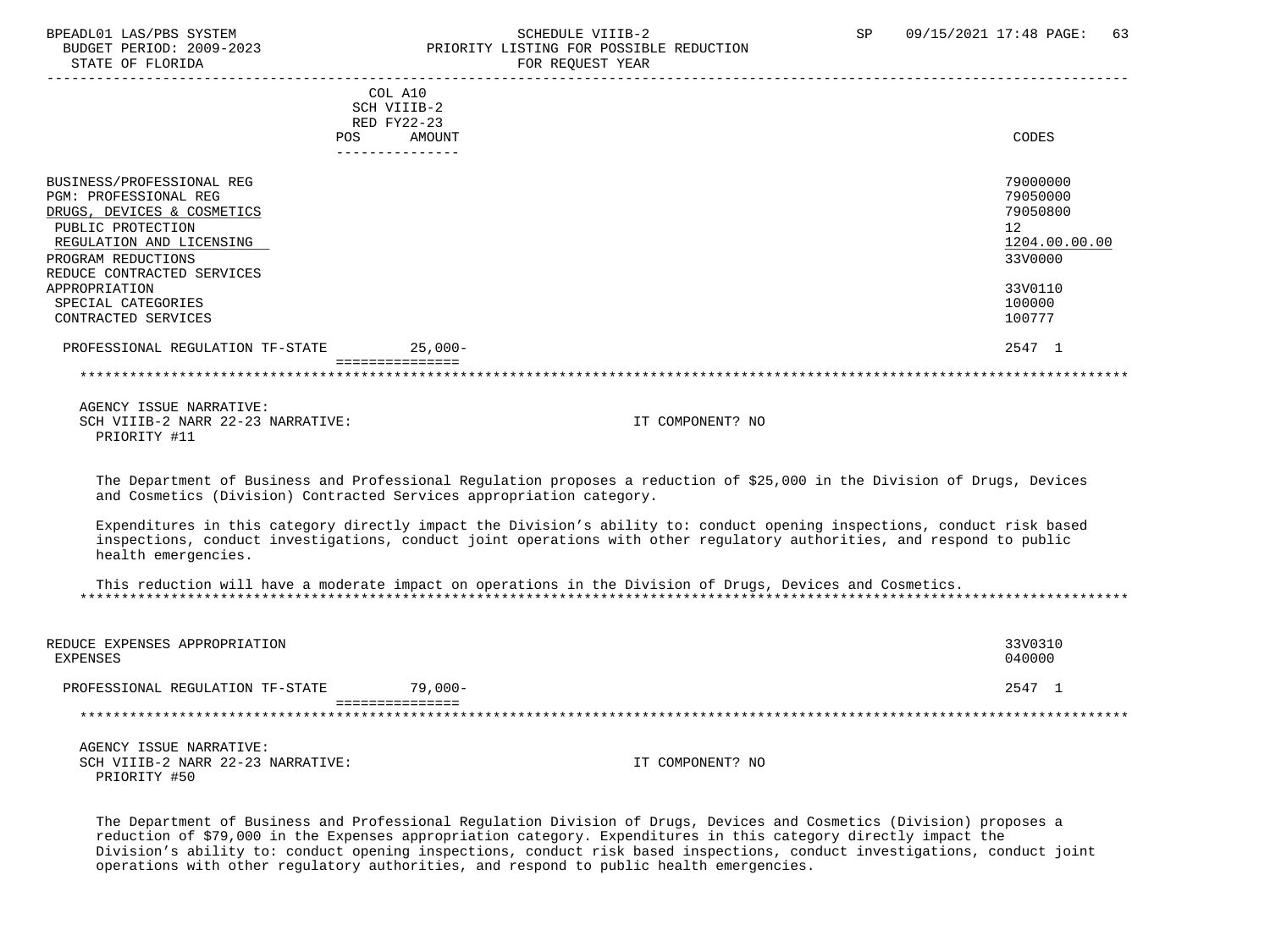## BPEADL01 LAS/PBS SYSTEM SOHEDULE VIIIB-2 SCHEDULE VIIIB-2 SP 09/15/2021 17:48 PAGE: 63<br>BUDGET PERIOD: 2009-2023 PRIORITY LISTING FOR POSSIBLE REDUCTION PRIORITY LISTING FOR POSSIBLE REDUCTION

| STATE OF FLORIDA                                                                                                                                                                                                                    |                                                                    | FOR REQUEST YEAR                                                                                                                                                                                                                                   |                                                                                         |
|-------------------------------------------------------------------------------------------------------------------------------------------------------------------------------------------------------------------------------------|--------------------------------------------------------------------|----------------------------------------------------------------------------------------------------------------------------------------------------------------------------------------------------------------------------------------------------|-----------------------------------------------------------------------------------------|
| <b>POS</b>                                                                                                                                                                                                                          | COL A10<br>SCH VIIIB-2<br>RED FY22-23<br>AMOUNT<br>--------------- |                                                                                                                                                                                                                                                    | CODES                                                                                   |
| BUSINESS/PROFESSIONAL REG<br><b>PGM: PROFESSIONAL REG</b><br>DRUGS, DEVICES & COSMETICS<br>PUBLIC PROTECTION<br>REGULATION AND LICENSING<br>PROGRAM REDUCTIONS<br>REDUCE CONTRACTED SERVICES<br>APPROPRIATION<br>SPECIAL CATEGORIES |                                                                    |                                                                                                                                                                                                                                                    | 79000000<br>79050000<br>79050800<br>12<br>1204.00.00.00<br>33V0000<br>33V0110<br>100000 |
| CONTRACTED SERVICES                                                                                                                                                                                                                 |                                                                    |                                                                                                                                                                                                                                                    | 100777                                                                                  |
| PROFESSIONAL REGULATION TF-STATE                                                                                                                                                                                                    | $25,000-$                                                          |                                                                                                                                                                                                                                                    | 2547 1                                                                                  |
|                                                                                                                                                                                                                                     | ===============                                                    |                                                                                                                                                                                                                                                    |                                                                                         |
| AGENCY ISSUE NARRATIVE:<br>SCH VIIIB-2 NARR 22-23 NARRATIVE:<br>PRIORITY #11                                                                                                                                                        |                                                                    | IT COMPONENT? NO                                                                                                                                                                                                                                   |                                                                                         |
| and Cosmetics (Division) Contracted Services appropriation category.                                                                                                                                                                |                                                                    | The Department of Business and Professional Regulation proposes a reduction of \$25,000 in the Division of Drugs, Devices                                                                                                                          |                                                                                         |
| health emergencies.                                                                                                                                                                                                                 |                                                                    | Expenditures in this category directly impact the Division's ability to: conduct opening inspections, conduct risk based<br>inspections, conduct investigations, conduct joint operations with other regulatory authorities, and respond to public |                                                                                         |
|                                                                                                                                                                                                                                     |                                                                    | This reduction will have a moderate impact on operations in the Division of Drugs, Devices and Cosmetics.                                                                                                                                          |                                                                                         |
| REDUCE EXPENSES APPROPRIATION<br><b>EXPENSES</b>                                                                                                                                                                                    |                                                                    |                                                                                                                                                                                                                                                    | 33V0310<br>040000                                                                       |
| PROFESSIONAL REGULATION TF-STATE                                                                                                                                                                                                    | $79,000-$                                                          |                                                                                                                                                                                                                                                    | 2547 1                                                                                  |
|                                                                                                                                                                                                                                     | ===============                                                    |                                                                                                                                                                                                                                                    |                                                                                         |
| AGENCY ISSUE NARRATIVE:<br>SCH VIIIB-2 NARR 22-23 NARRATIVE:<br>PRIORITY #50                                                                                                                                                        |                                                                    | IT COMPONENT? NO                                                                                                                                                                                                                                   |                                                                                         |

 The Department of Business and Professional Regulation Division of Drugs, Devices and Cosmetics (Division) proposes a reduction of \$79,000 in the Expenses appropriation category. Expenditures in this category directly impact the Division's ability to: conduct opening inspections, conduct risk based inspections, conduct investigations, conduct joint operations with other regulatory authorities, and respond to public health emergencies.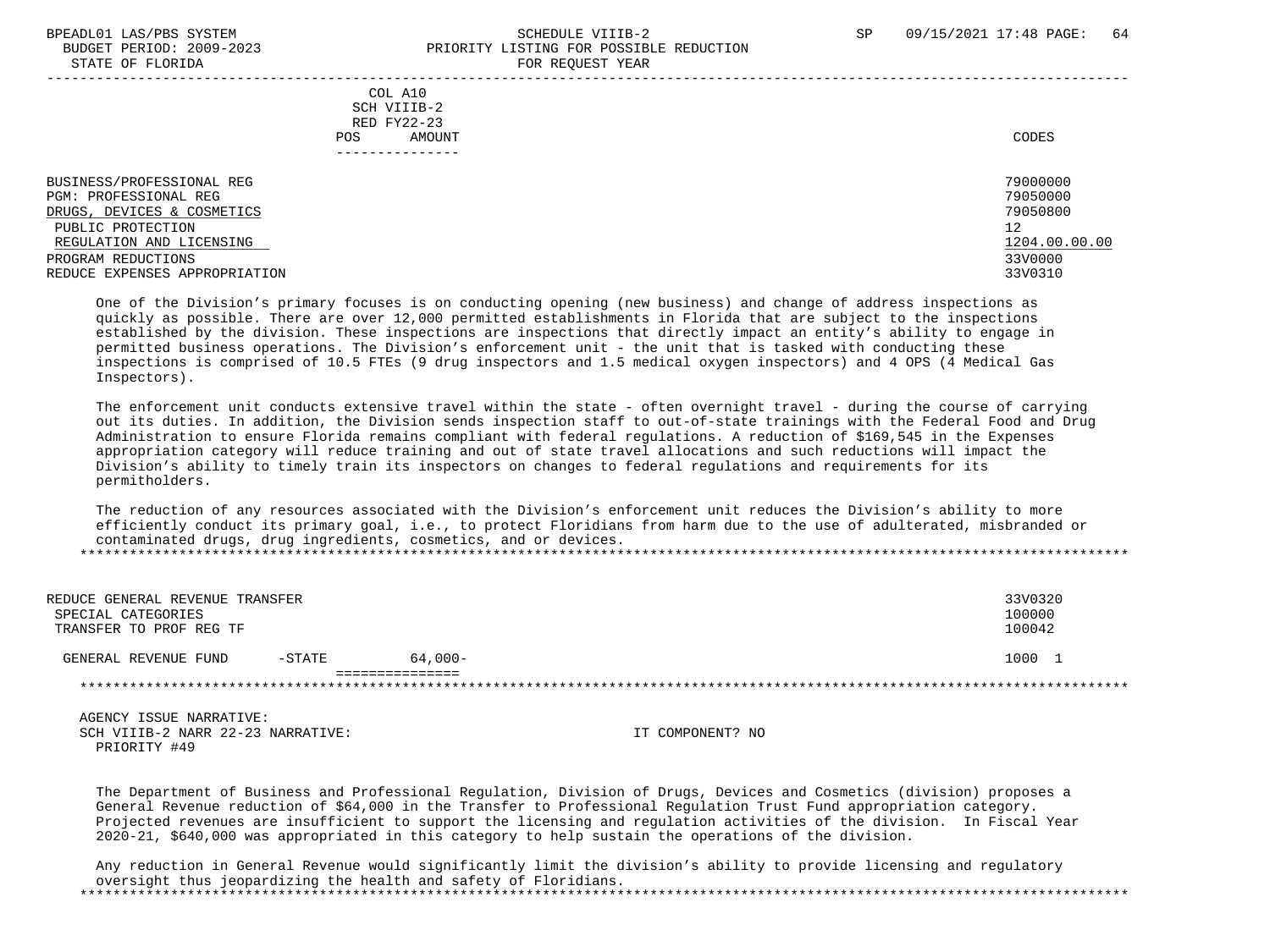#### BPEADL01 LAS/PBS SYSTEM SALL SALL SOMEDULE VIIIB-2 SP 09/15/2021 17:48 PAGE: 64 BUDGET PERIOD: 2009-2023 PRIORITY LISTING FOR POSSIBLE REDUCTION STATE OF FLORIDA **FOR REQUEST YEAR**

| POS.                                                                                                                                                                                     | COL A10<br>SCH VIIIB-2<br>RED FY22-23<br>AMOUNT<br>--------------- | CODES                                                                         |
|------------------------------------------------------------------------------------------------------------------------------------------------------------------------------------------|--------------------------------------------------------------------|-------------------------------------------------------------------------------|
| BUSINESS/PROFESSIONAL REG<br>PGM: PROFESSIONAL REG<br>DRUGS, DEVICES & COSMETICS<br>PUBLIC PROTECTION<br>REGULATION AND LICENSING<br>PROGRAM REDUCTIONS<br>REDUCE EXPENSES APPROPRIATION |                                                                    | 79000000<br>79050000<br>79050800<br>12<br>1204.00.00.00<br>33V0000<br>33V0310 |

 One of the Division's primary focuses is on conducting opening (new business) and change of address inspections as quickly as possible. There are over 12,000 permitted establishments in Florida that are subject to the inspections established by the division. These inspections are inspections that directly impact an entity's ability to engage in permitted business operations. The Division's enforcement unit - the unit that is tasked with conducting these inspections is comprised of 10.5 FTEs (9 drug inspectors and 1.5 medical oxygen inspectors) and 4 OPS (4 Medical Gas Inspectors).

 The enforcement unit conducts extensive travel within the state - often overnight travel - during the course of carrying out its duties. In addition, the Division sends inspection staff to out-of-state trainings with the Federal Food and Drug Administration to ensure Florida remains compliant with federal regulations. A reduction of \$169,545 in the Expenses appropriation category will reduce training and out of state travel allocations and such reductions will impact the Division's ability to timely train its inspectors on changes to federal regulations and requirements for its permitholders.

 The reduction of any resources associated with the Division's enforcement unit reduces the Division's ability to more efficiently conduct its primary goal, i.e., to protect Floridians from harm due to the use of adulterated, misbranded or contaminated drugs, drug ingredients, cosmetics, and or devices. \*\*\*\*\*\*\*\*\*\*\*\*\*\*\*\*\*\*\*\*\*\*\*\*\*\*\*\*\*\*\*\*\*\*\*\*\*\*\*\*\*\*\*\*\*\*\*\*\*\*\*\*\*\*\*\*\*\*\*\*\*\*\*\*\*\*\*\*\*\*\*\*\*\*\*\*\*\*\*\*\*\*\*\*\*\*\*\*\*\*\*\*\*\*\*\*\*\*\*\*\*\*\*\*\*\*\*\*\*\*\*\*\*\*\*\*\*\*\*\*\*\*\*\*\*\*\*

| REDUCE GENERAL REVENUE TRANSFER<br>SPECIAL CATEGORIES<br>TRANSFER TO PROF REG TF |          |            | 33V0320<br>100000<br>100042 |
|----------------------------------------------------------------------------------|----------|------------|-----------------------------|
| GENERAL REVENUE FUND                                                             | $-STATE$ | $64.000 -$ | 1000                        |

 AGENCY ISSUE NARRATIVE: SCH VIIIB-2 NARR 22-23 NARRATIVE: IT COMPONENT? NO PRIORITY #49

 The Department of Business and Professional Regulation, Division of Drugs, Devices and Cosmetics (division) proposes a General Revenue reduction of \$64,000 in the Transfer to Professional Regulation Trust Fund appropriation category. Projected revenues are insufficient to support the licensing and regulation activities of the division. In Fiscal Year 2020-21, \$640,000 was appropriated in this category to help sustain the operations of the division.

 Any reduction in General Revenue would significantly limit the division's ability to provide licensing and regulatory oversight thus jeopardizing the health and safety of Floridians. \*\*\*\*\*\*\*\*\*\*\*\*\*\*\*\*\*\*\*\*\*\*\*\*\*\*\*\*\*\*\*\*\*\*\*\*\*\*\*\*\*\*\*\*\*\*\*\*\*\*\*\*\*\*\*\*\*\*\*\*\*\*\*\*\*\*\*\*\*\*\*\*\*\*\*\*\*\*\*\*\*\*\*\*\*\*\*\*\*\*\*\*\*\*\*\*\*\*\*\*\*\*\*\*\*\*\*\*\*\*\*\*\*\*\*\*\*\*\*\*\*\*\*\*\*\*\*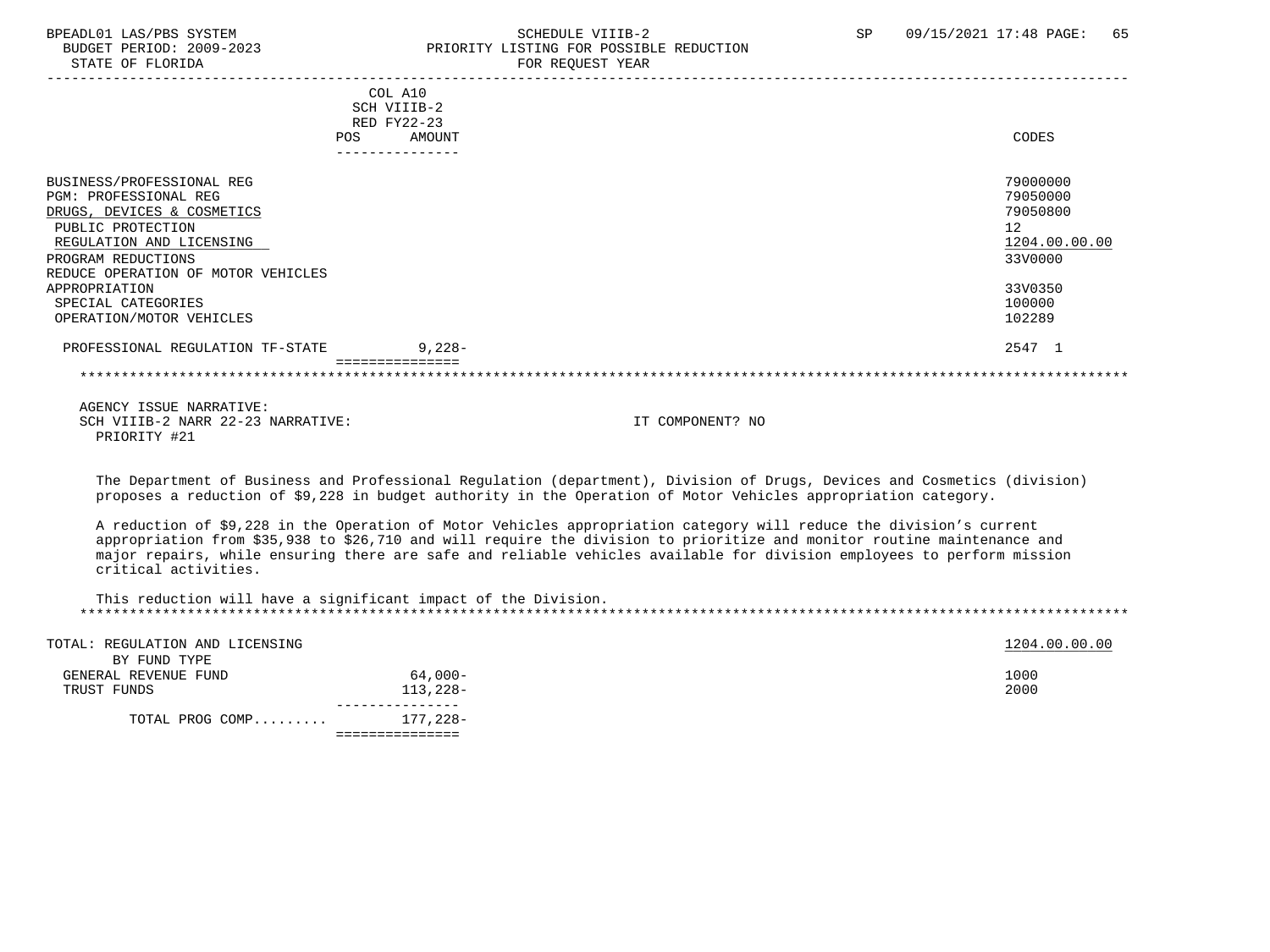PRIORITY #21

#### BPEADL01 LAS/PBS SYSTEM STRING THE SCHEDULE VIIIB-2 SCHEDULE VIIIB-2 SP 09/15/2021 17:48 PAGE: 65 BUDGET PERIOD: 2009-2023<br>
STATE OF FLORIDA<br>
FOR REOUEST YEAR
FOR FRAME OF FLORIDA FOR REQUEST YEAR

|                                    | COL A10     |                  |               |
|------------------------------------|-------------|------------------|---------------|
|                                    | SCH VIIIB-2 |                  |               |
|                                    | RED FY22-23 |                  |               |
| <b>POS</b>                         | AMOUNT      |                  | CODES         |
|                                    |             |                  |               |
| BUSINESS/PROFESSIONAL REG          |             |                  | 79000000      |
| <b>PGM: PROFESSIONAL REG</b>       |             |                  | 79050000      |
| DRUGS, DEVICES & COSMETICS         |             |                  | 79050800      |
| PUBLIC PROTECTION                  |             |                  | 12            |
| REGULATION AND LICENSING           |             |                  | 1204.00.00.00 |
| PROGRAM REDUCTIONS                 |             |                  | 33V0000       |
| REDUCE OPERATION OF MOTOR VEHICLES |             |                  |               |
| APPROPRIATION                      |             |                  | 33V0350       |
| SPECIAL CATEGORIES                 |             |                  | 100000        |
| OPERATION/MOTOR VEHICLES           |             |                  | 102289        |
| PROFESSIONAL REGULATION TF-STATE   | $9,228-$    |                  | 2547 1        |
|                                    |             |                  |               |
| AGENCY ISSUE NARRATIVE:            |             |                  |               |
| SCH VIIIB-2 NARR 22-23 NARRATIVE:  |             | IT COMPONENT? NO |               |

 The Department of Business and Professional Regulation (department), Division of Drugs, Devices and Cosmetics (division) proposes a reduction of \$9,228 in budget authority in the Operation of Motor Vehicles appropriation category.

 A reduction of \$9,228 in the Operation of Motor Vehicles appropriation category will reduce the division's current appropriation from \$35,938 to \$26,710 and will require the division to prioritize and monitor routine maintenance and major repairs, while ensuring there are safe and reliable vehicles available for division employees to perform mission critical activities.

| This reduction will have a significant impact of the Division. |  |
|----------------------------------------------------------------|--|
|                                                                |  |

| TOTAL: REGULATION AND LICENSING |          | 1204.00.00.00 |
|---------------------------------|----------|---------------|
| BY FUND TYPE                    |          |               |
| GENERAL REVENUE FUND            | 64,000-  | 1000          |
| TRUST FUNDS                     | 113,228- | 2000          |
|                                 |          |               |
| TOTAL PROG COMP                 | 177,228- |               |
|                                 |          |               |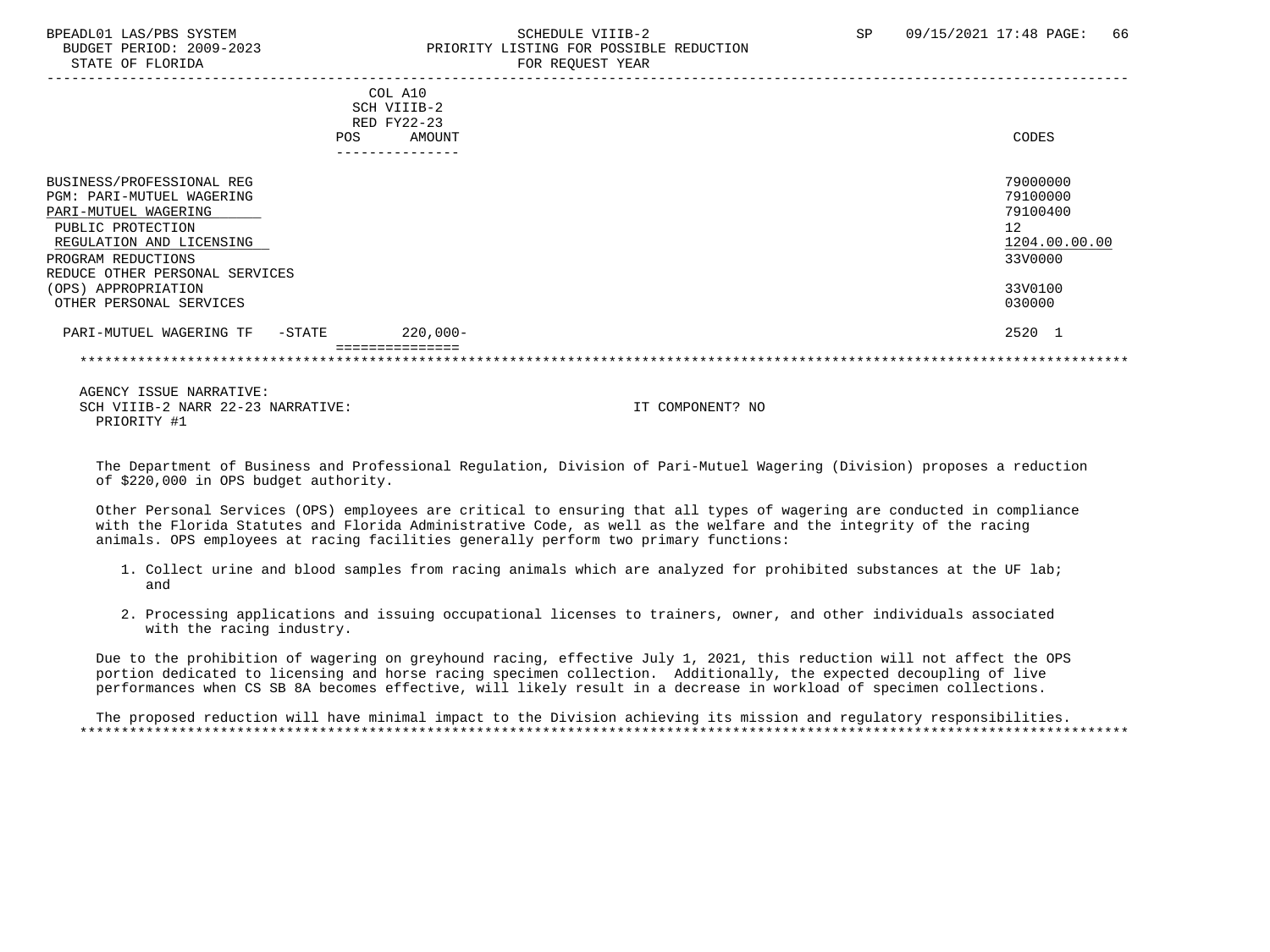# BPEADL01 LAS/PBS SYSTEM SALL SALL SOMEDULE VIIIB-2 SP 09/15/2021 17:48 PAGE: 66 BUDGET PERIOD: 2009-2023 PRIORITY LISTING FOR POSSIBLE REDUCTION

 AGENCY ISSUE NARRATIVE: SCH VIIIB-2 NARR 22-23 NARRATIVE: IT COMPONENT? NO PRIORITY #1

 The Department of Business and Professional Regulation, Division of Pari-Mutuel Wagering (Division) proposes a reduction of \$220,000 in OPS budget authority.

 Other Personal Services (OPS) employees are critical to ensuring that all types of wagering are conducted in compliance with the Florida Statutes and Florida Administrative Code, as well as the welfare and the integrity of the racing animals. OPS employees at racing facilities generally perform two primary functions:

- 1. Collect urine and blood samples from racing animals which are analyzed for prohibited substances at the UF lab; and
- 2. Processing applications and issuing occupational licenses to trainers, owner, and other individuals associated with the racing industry.

 Due to the prohibition of wagering on greyhound racing, effective July 1, 2021, this reduction will not affect the OPS portion dedicated to licensing and horse racing specimen collection. Additionally, the expected decoupling of live performances when CS SB 8A becomes effective, will likely result in a decrease in workload of specimen collections.

 The proposed reduction will have minimal impact to the Division achieving its mission and regulatory responsibilities. \*\*\*\*\*\*\*\*\*\*\*\*\*\*\*\*\*\*\*\*\*\*\*\*\*\*\*\*\*\*\*\*\*\*\*\*\*\*\*\*\*\*\*\*\*\*\*\*\*\*\*\*\*\*\*\*\*\*\*\*\*\*\*\*\*\*\*\*\*\*\*\*\*\*\*\*\*\*\*\*\*\*\*\*\*\*\*\*\*\*\*\*\*\*\*\*\*\*\*\*\*\*\*\*\*\*\*\*\*\*\*\*\*\*\*\*\*\*\*\*\*\*\*\*\*\*\*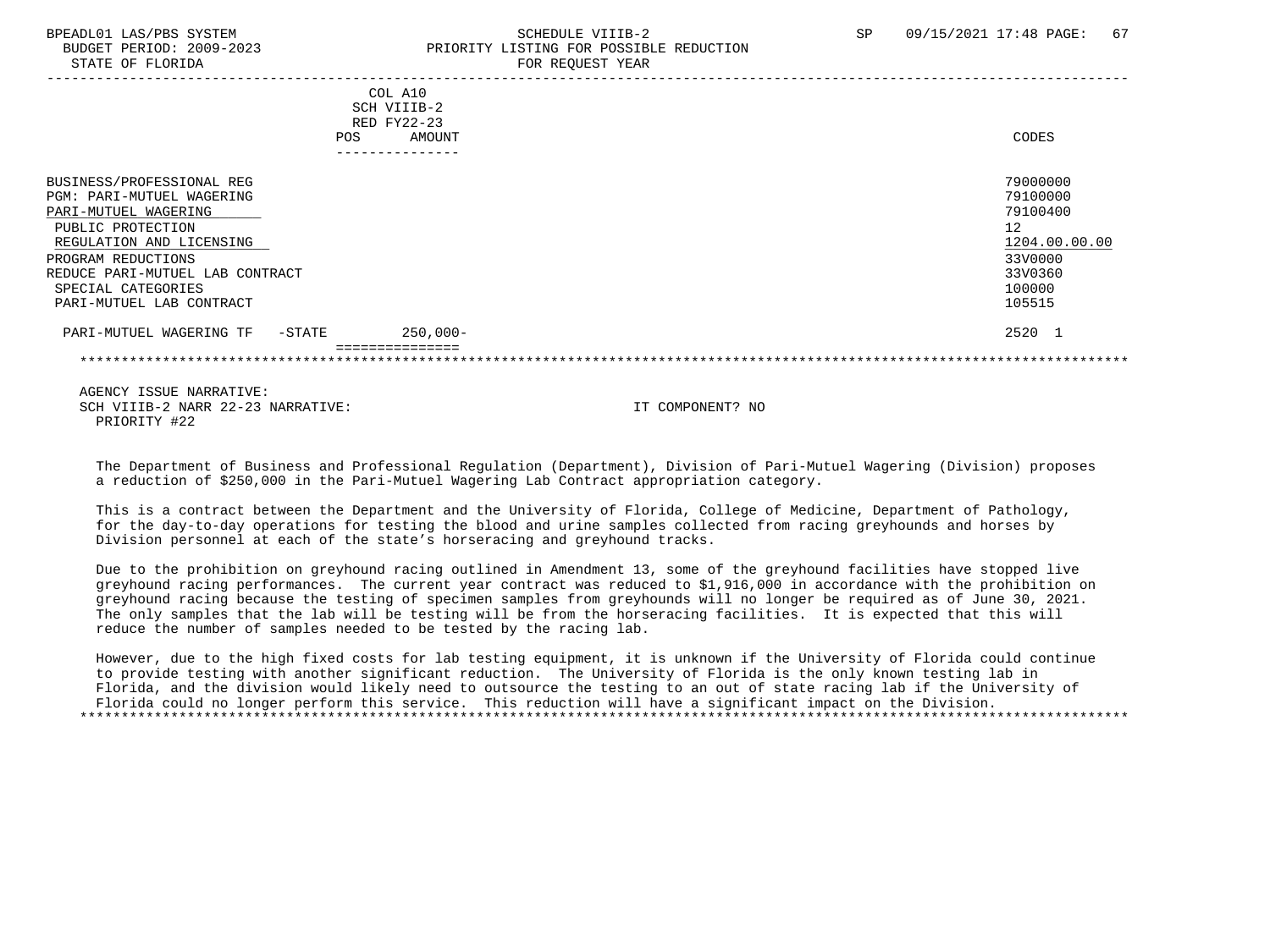# BPEADL01 LAS/PBS SYSTEM SALL SALL SOMEDULE VIIIB-2 SP 09/15/2021 17:48 PAGE: 67 BUDGET PERIOD: 2009-2023 PRIORITY LISTING FOR POSSIBLE REDUCTION

|                                      | COL A10     |               |
|--------------------------------------|-------------|---------------|
|                                      | SCH VIIIB-2 |               |
|                                      | RED FY22-23 |               |
| <b>POS</b>                           | AMOUNT      | CODES         |
|                                      |             |               |
| BUSINESS/PROFESSIONAL REG            |             | 79000000      |
| <b>PGM: PARI-MUTUEL WAGERING</b>     |             | 79100000      |
| PARI-MUTUEL WAGERING                 |             | 79100400      |
| PUBLIC PROTECTION                    |             | 12            |
| REGULATION AND LICENSING             |             | 1204.00.00.00 |
| PROGRAM REDUCTIONS                   |             | 33V0000       |
| REDUCE PARI-MUTUEL LAB CONTRACT      |             | 33V0360       |
| SPECIAL CATEGORIES                   |             | 100000        |
| PARI-MUTUEL LAB CONTRACT             |             | 105515        |
| PARI-MUTUEL WAGERING TF<br>$-$ STATE | $250,000-$  | 2520 1        |
|                                      |             |               |
|                                      |             |               |

 AGENCY ISSUE NARRATIVE: SCH VIIIB-2 NARR 22-23 NARRATIVE: IT COMPONENT? NO PRIORITY #22

 The Department of Business and Professional Regulation (Department), Division of Pari-Mutuel Wagering (Division) proposes a reduction of \$250,000 in the Pari-Mutuel Wagering Lab Contract appropriation category.

 This is a contract between the Department and the University of Florida, College of Medicine, Department of Pathology, for the day-to-day operations for testing the blood and urine samples collected from racing greyhounds and horses by Division personnel at each of the state's horseracing and greyhound tracks.

 Due to the prohibition on greyhound racing outlined in Amendment 13, some of the greyhound facilities have stopped live greyhound racing performances. The current year contract was reduced to \$1,916,000 in accordance with the prohibition on greyhound racing because the testing of specimen samples from greyhounds will no longer be required as of June 30, 2021. The only samples that the lab will be testing will be from the horseracing facilities. It is expected that this will reduce the number of samples needed to be tested by the racing lab.

 However, due to the high fixed costs for lab testing equipment, it is unknown if the University of Florida could continue to provide testing with another significant reduction. The University of Florida is the only known testing lab in Florida, and the division would likely need to outsource the testing to an out of state racing lab if the University of Florida could no longer perform this service. This reduction will have a significant impact on the Division. \*\*\*\*\*\*\*\*\*\*\*\*\*\*\*\*\*\*\*\*\*\*\*\*\*\*\*\*\*\*\*\*\*\*\*\*\*\*\*\*\*\*\*\*\*\*\*\*\*\*\*\*\*\*\*\*\*\*\*\*\*\*\*\*\*\*\*\*\*\*\*\*\*\*\*\*\*\*\*\*\*\*\*\*\*\*\*\*\*\*\*\*\*\*\*\*\*\*\*\*\*\*\*\*\*\*\*\*\*\*\*\*\*\*\*\*\*\*\*\*\*\*\*\*\*\*\*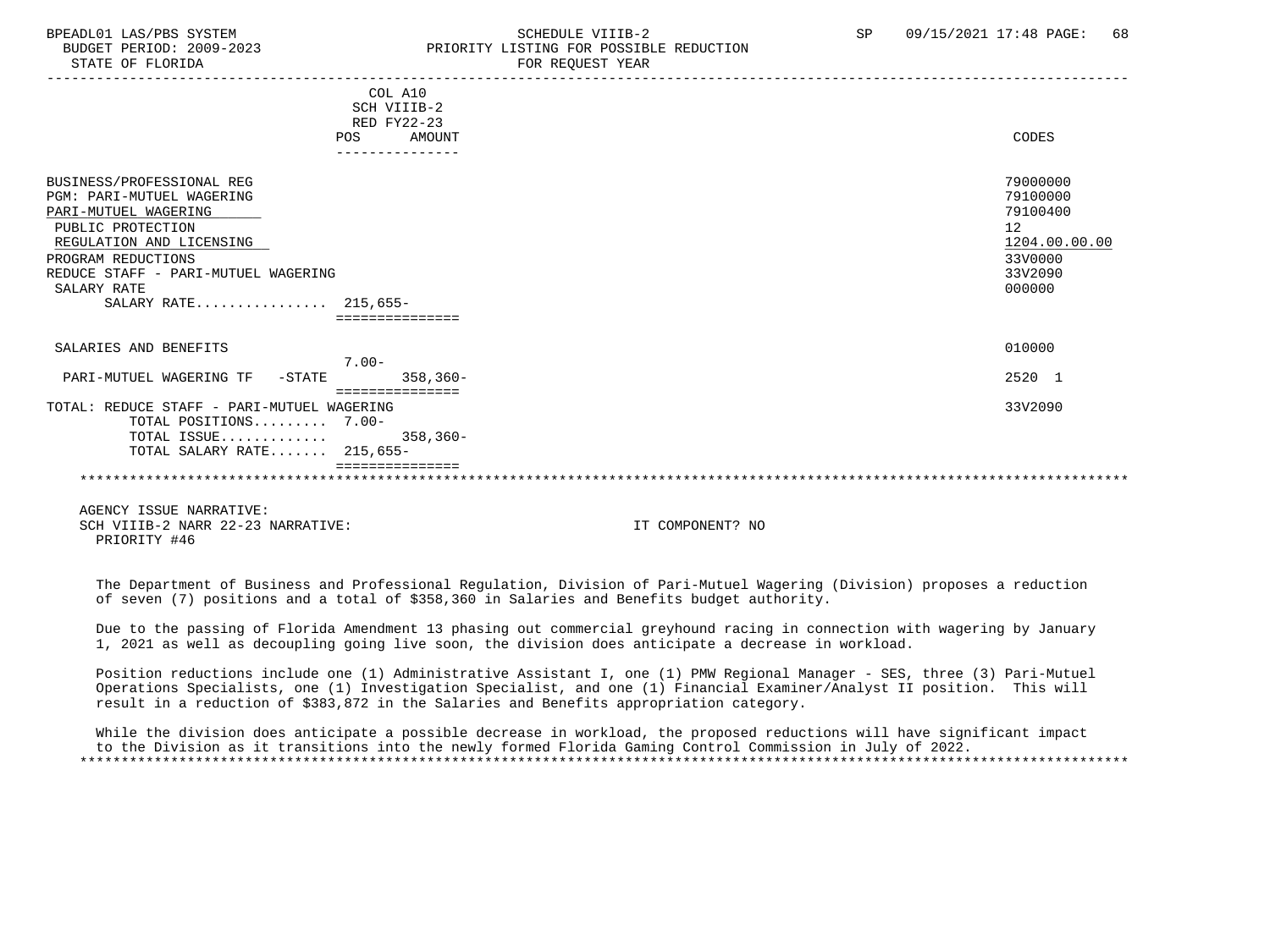BUDGET PERIOD: 2009-2023 PRIORITY LISTING FOR POSSIBLE REDUCTION STATE OF FLORIDA FOR REQUEST YEAR ----------------------------------------------------------------------------------------------------------------------------------- COL A10 SCH VIIIB-2 RED FY22-23 POS AMOUNT CODES --------------- BUSINESS/PROFESSIONAL REG 79000000 POST SERVESS (PROFESSIONAL REG 2000000 POST SERVESS PROFESSIONAL REG 2000000<br>PGM: PART-MITTIRI, WAGERING PGM: PARI-MUTUEL WAGERING 79100000 PARI-MUTUEL WAGERING PUBLIC PROTECTION 12<br>REGULATION AND LICENSING NEWSLAUDS AND REGULATION AND LICENSING 1204.00.00.00 REGULATION AND LICENSING  $\frac{1204.00}{3300000}$ PROGRAM REDUCTIONS REDUCE STAFF - PARI-MUTUEL WAGERING 33V2090  $\texttt{SALARY RATE}$  . The contract of the contract of the contract of the contract of the contract of the contract of the contract of the contract of the contract of the contract of the contract of the contract of the contract o SALARY RATE................ 215,655- ===============

SALARIES AND BENEFITS 010000 7.00-<br>7.00- 7.00- PARI-MUTUEL WAGERING TF -STATE 358,360- 2520 1 =============== TOTAL: REDUCE STAFF - PARI-MUTUEL WAGERING 33V2090 TOTAL POSITIONS......... 7.00- TOTAL ISSUE............. 358,360- TOTAL SALARY RATE....... 215,655- ===============

 AGENCY ISSUE NARRATIVE: SCH VIIIB-2 NARR 22-23 NARRATIVE: IT COMPONENT? NO PRIORITY #46

 The Department of Business and Professional Regulation, Division of Pari-Mutuel Wagering (Division) proposes a reduction of seven (7) positions and a total of \$358,360 in Salaries and Benefits budget authority.

\*\*\*\*\*\*\*\*\*\*\*\*\*\*\*\*\*\*\*\*\*\*\*\*\*\*\*\*\*\*\*\*\*\*\*\*\*\*\*\*\*\*\*\*\*\*\*\*\*\*\*\*\*\*\*\*\*\*\*\*\*\*\*\*\*\*\*\*\*\*\*\*\*\*\*\*\*\*\*\*\*\*\*\*\*\*\*\*\*\*\*\*\*\*\*\*\*\*\*\*\*\*\*\*\*\*\*\*\*\*\*\*\*\*\*\*\*\*\*\*\*\*\*\*\*\*\*

 Due to the passing of Florida Amendment 13 phasing out commercial greyhound racing in connection with wagering by January 1, 2021 as well as decoupling going live soon, the division does anticipate a decrease in workload.

 Position reductions include one (1) Administrative Assistant I, one (1) PMW Regional Manager - SES, three (3) Pari-Mutuel Operations Specialists, one (1) Investigation Specialist, and one (1) Financial Examiner/Analyst II position. This will result in a reduction of \$383,872 in the Salaries and Benefits appropriation category.

 While the division does anticipate a possible decrease in workload, the proposed reductions will have significant impact to the Division as it transitions into the newly formed Florida Gaming Control Commission in July of 2022. \*\*\*\*\*\*\*\*\*\*\*\*\*\*\*\*\*\*\*\*\*\*\*\*\*\*\*\*\*\*\*\*\*\*\*\*\*\*\*\*\*\*\*\*\*\*\*\*\*\*\*\*\*\*\*\*\*\*\*\*\*\*\*\*\*\*\*\*\*\*\*\*\*\*\*\*\*\*\*\*\*\*\*\*\*\*\*\*\*\*\*\*\*\*\*\*\*\*\*\*\*\*\*\*\*\*\*\*\*\*\*\*\*\*\*\*\*\*\*\*\*\*\*\*\*\*\*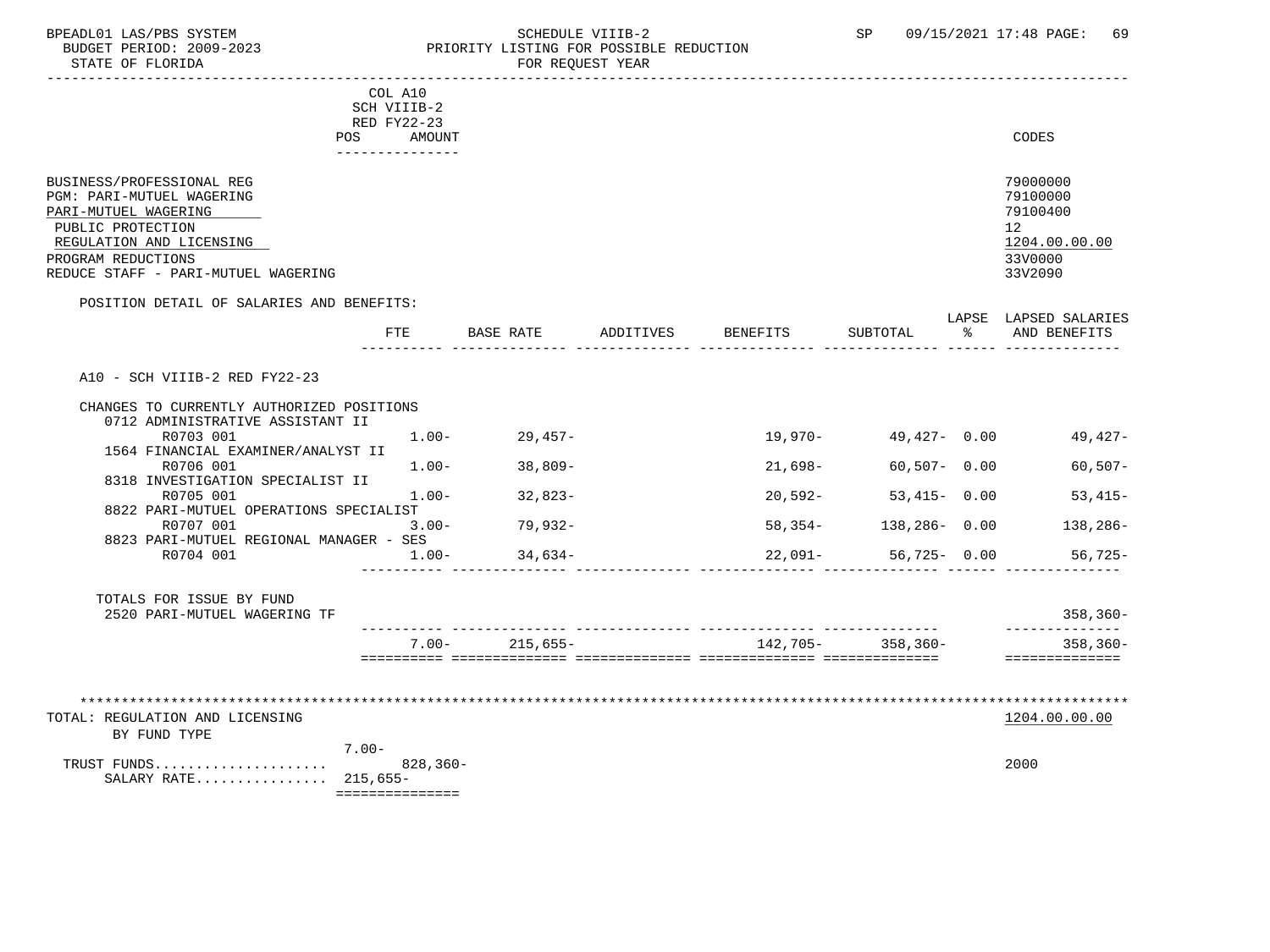STATE OF FLORIDA **FOR STATE OF STATE OF STATE OF STATE** 

### BPEADL01 LAS/PBS SYSTEM SALL SOME SCHEDULE VIIIB-2 SCHEDULE SP 09/15/2021 17:48 PAGE: 69 BUDGET PERIOD: 2009-2023 PRIORITY LISTING FOR POSSIBLE REDUCTION

|                                                                                                                                                                                                                                                                                                                                                | COL A10<br>SCH VIIIB-2                                  |                                                         |           |                                                             |                                                                                         |               |                                                                               |
|------------------------------------------------------------------------------------------------------------------------------------------------------------------------------------------------------------------------------------------------------------------------------------------------------------------------------------------------|---------------------------------------------------------|---------------------------------------------------------|-----------|-------------------------------------------------------------|-----------------------------------------------------------------------------------------|---------------|-------------------------------------------------------------------------------|
| POS                                                                                                                                                                                                                                                                                                                                            | RED FY22-23<br><b>AMOUNT</b>                            |                                                         |           |                                                             |                                                                                         |               | CODES                                                                         |
| BUSINESS/PROFESSIONAL REG<br>PGM: PARI-MUTUEL WAGERING<br>PARI-MUTUEL WAGERING<br>PUBLIC PROTECTION<br>REGULATION AND LICENSING<br>PROGRAM REDUCTIONS<br>REDUCE STAFF - PARI-MUTUEL WAGERING                                                                                                                                                   |                                                         |                                                         |           |                                                             |                                                                                         |               | 79000000<br>79100000<br>79100400<br>12<br>1204.00.00.00<br>33V0000<br>33V2090 |
| POSITION DETAIL OF SALARIES AND BENEFITS:                                                                                                                                                                                                                                                                                                      | FTE                                                     | BASE RATE                                               | ADDITIVES | <b>BENEFITS</b>                                             | SUBTOTAL                                                                                | $\frac{1}{6}$ | LAPSE LAPSED SALARIES<br>AND BENEFITS                                         |
| A10 - SCH VIIIB-2 RED FY22-23<br>CHANGES TO CURRENTLY AUTHORIZED POSITIONS<br>0712 ADMINISTRATIVE ASSISTANT II<br>R0703 001<br>1564 FINANCIAL EXAMINER/ANALYST II<br>R0706 001<br>8318 INVESTIGATION SPECIALIST II<br>R0705 001<br>8822 PARI-MUTUEL OPERATIONS SPECIALIST<br>R0707 001<br>8823 PARI-MUTUEL REGIONAL MANAGER - SES<br>R0704 001 | $1.00 -$<br>$1.00 -$<br>$1.00-$<br>$3.00 -$<br>$1.00 -$ | $29,457-$<br>38,809-<br>$32,823-$<br>79,932-<br>34,634- |           | 19,970-<br>$21,698-$<br>$20,592-$<br>$58,354-$<br>$22,091-$ | 49,427- 0.00<br>$60,507 - 0.00$<br>$53,415 - 0.00$<br>$138, 286 - 0.00$<br>56,725- 0.00 |               | 49,427-<br>$60, 507 -$<br>$53,415-$<br>138,286-<br>56,725-                    |
| TOTALS FOR ISSUE BY FUND<br>2520 PARI-MUTUEL WAGERING TF                                                                                                                                                                                                                                                                                       |                                                         |                                                         |           |                                                             |                                                                                         |               | 358,360-<br>______________                                                    |
|                                                                                                                                                                                                                                                                                                                                                |                                                         | $7.00 - 215,655 -$                                      |           |                                                             | 142,705- 358,360-                                                                       |               | 358,360-<br>==============                                                    |
| **************************<br>TOTAL: REGULATION AND LICENSING<br>BY FUND TYPE                                                                                                                                                                                                                                                                  | $7.00 -$                                                |                                                         |           |                                                             |                                                                                         |               | 1204.00.00.00                                                                 |
| TRUST FUNDS<br>SALARY RATE 215,655-                                                                                                                                                                                                                                                                                                            | $828, 360 -$                                            |                                                         |           |                                                             |                                                                                         |               | 2000                                                                          |

===============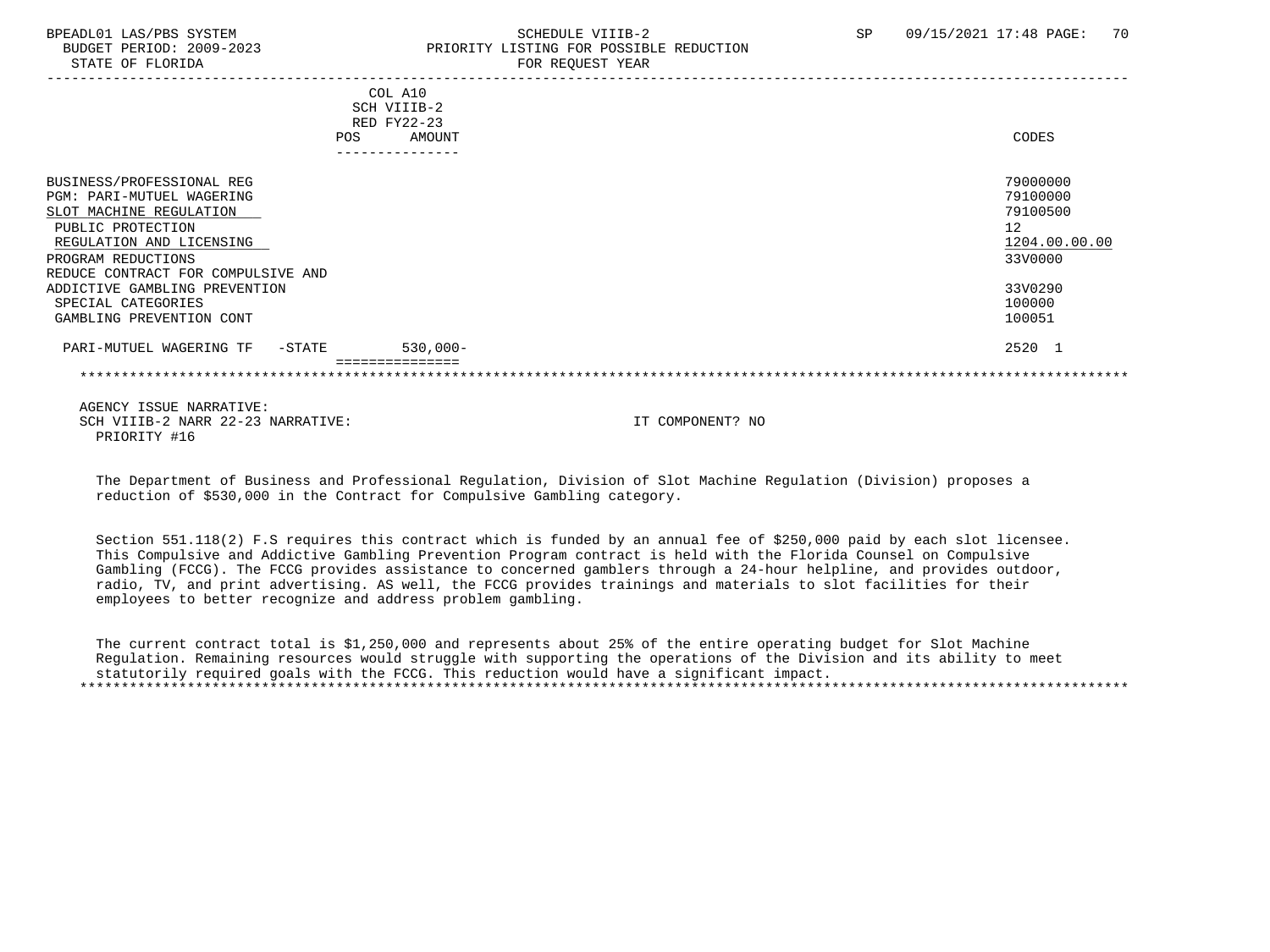# BPEADL01 LAS/PBS SYSTEM SCHEDULE VIIIB-2 SCHEDULE VIIIB-2 SP 09/15/2021 17:48 PAGE: 70 PRIORITY LISTING FOR POSSIBLE REDUCTION

| COL A10<br>SCH VIIIB-2                              |               |
|-----------------------------------------------------|---------------|
| RED FY22-23                                         |               |
| <b>AMOUNT</b><br>POS                                | CODES         |
| ------------                                        |               |
| BUSINESS/PROFESSIONAL REG                           | 79000000      |
| <b>PGM: PARI-MUTUEL WAGERING</b>                    | 79100000      |
| SLOT MACHINE REGULATION                             | 79100500      |
| PUBLIC PROTECTION                                   | 12            |
| REGULATION AND LICENSING                            | 1204.00.00.00 |
| PROGRAM REDUCTIONS                                  | 33V0000       |
| REDUCE CONTRACT FOR COMPULSIVE AND                  |               |
| ADDICTIVE GAMBLING PREVENTION                       | 33V0290       |
| SPECIAL CATEGORIES                                  | 100000        |
| GAMBLING PREVENTION CONT                            | 100051        |
| $530,000 -$<br>PARI-MUTUEL WAGERING TF<br>$-$ STATE | 2520 1        |
| ===============                                     |               |

 AGENCY ISSUE NARRATIVE: SCH VIIIB-2 NARR 22-23 NARRATIVE: IT COMPONENT? NO PRIORITY #16

 The Department of Business and Professional Regulation, Division of Slot Machine Regulation (Division) proposes a reduction of \$530,000 in the Contract for Compulsive Gambling category.

 Section 551.118(2) F.S requires this contract which is funded by an annual fee of \$250,000 paid by each slot licensee. This Compulsive and Addictive Gambling Prevention Program contract is held with the Florida Counsel on Compulsive Gambling (FCCG). The FCCG provides assistance to concerned gamblers through a 24-hour helpline, and provides outdoor, radio, TV, and print advertising. AS well, the FCCG provides trainings and materials to slot facilities for their employees to better recognize and address problem gambling.

 The current contract total is \$1,250,000 and represents about 25% of the entire operating budget for Slot Machine Regulation. Remaining resources would struggle with supporting the operations of the Division and its ability to meet statutorily required goals with the FCCG. This reduction would have a significant impact. \*\*\*\*\*\*\*\*\*\*\*\*\*\*\*\*\*\*\*\*\*\*\*\*\*\*\*\*\*\*\*\*\*\*\*\*\*\*\*\*\*\*\*\*\*\*\*\*\*\*\*\*\*\*\*\*\*\*\*\*\*\*\*\*\*\*\*\*\*\*\*\*\*\*\*\*\*\*\*\*\*\*\*\*\*\*\*\*\*\*\*\*\*\*\*\*\*\*\*\*\*\*\*\*\*\*\*\*\*\*\*\*\*\*\*\*\*\*\*\*\*\*\*\*\*\*\*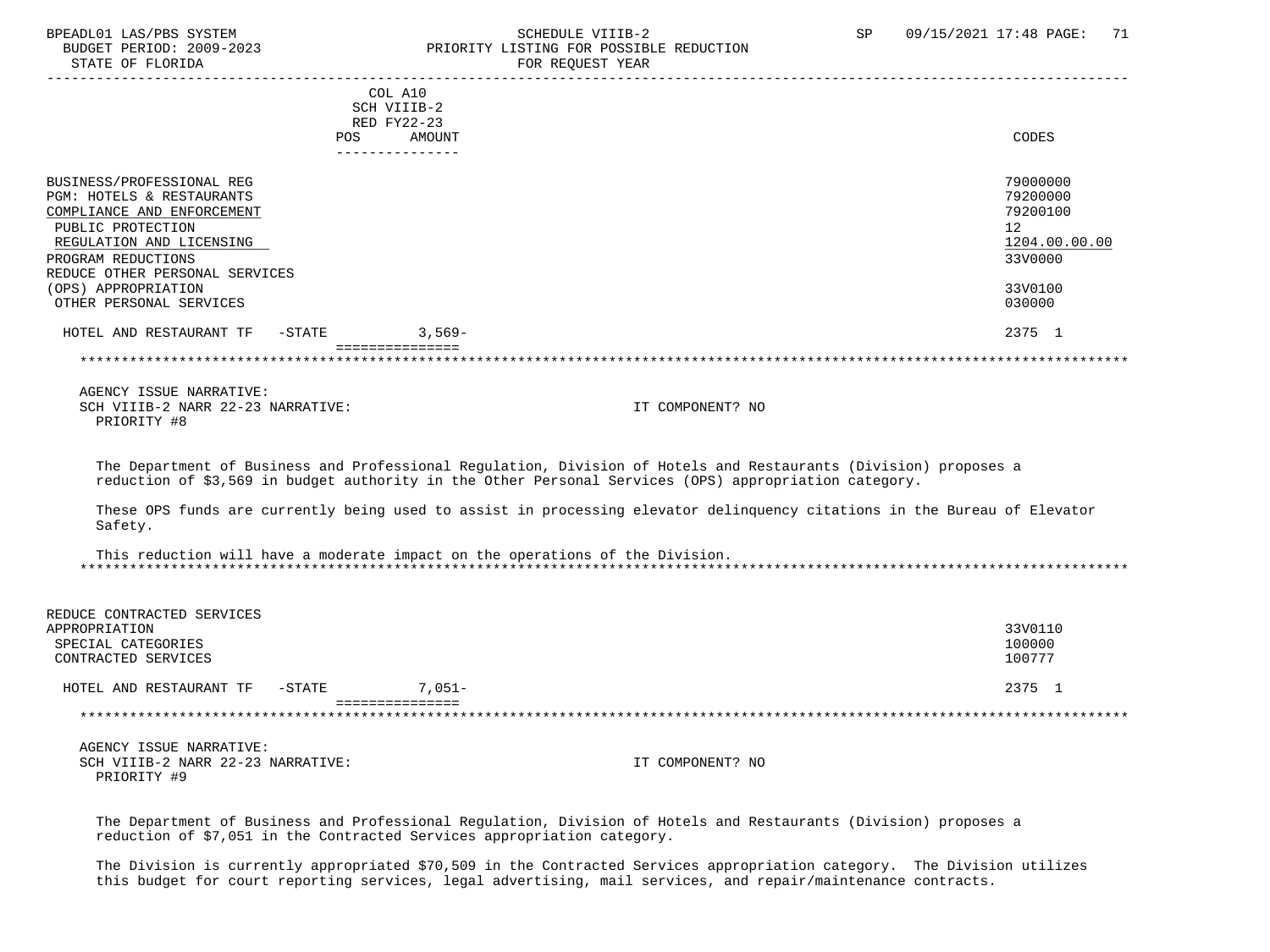#### BPEADL01 LAS/PBS SYSTEM STRING THE SCHEDULE VIIIB-2 SCHEDULE SCHEDULE SENSIBLE REDUCTION SP 09/15/2021 17:48 PAGE: 71 BUDGET PERIOD: 2009-2023 PRIORITY LISTING FOR POSSIBLE REDUCTION<br>STATE OF FLORIDA FOR REQUEST YEAR

| <b>POS</b>                                                                                                                                                                                                           | COL A10<br>SCH VIIIB-2<br>RED FY22-23<br>AMOUNT | CODES                                                                         |
|----------------------------------------------------------------------------------------------------------------------------------------------------------------------------------------------------------------------|-------------------------------------------------|-------------------------------------------------------------------------------|
|                                                                                                                                                                                                                      |                                                 |                                                                               |
| BUSINESS/PROFESSIONAL REG<br>PGM: HOTELS & RESTAURANTS<br>COMPLIANCE AND ENFORCEMENT<br>PUBLIC PROTECTION<br>REGULATION AND LICENSING<br>PROGRAM REDUCTIONS<br>REDUCE OTHER PERSONAL SERVICES<br>(OPS) APPROPRIATION |                                                 | 79000000<br>79200000<br>79200100<br>12<br>1204.00.00.00<br>33V0000<br>33V0100 |
|                                                                                                                                                                                                                      |                                                 |                                                                               |
| OTHER PERSONAL SERVICES                                                                                                                                                                                              |                                                 | 030000                                                                        |
| HOTEL AND RESTAURANT TF<br>$-$ STATE                                                                                                                                                                                 | $3,569-$<br>===============                     | 2375 1                                                                        |
|                                                                                                                                                                                                                      |                                                 |                                                                               |
|                                                                                                                                                                                                                      |                                                 |                                                                               |
|                                                                                                                                                                                                                      |                                                 |                                                                               |

 AGENCY ISSUE NARRATIVE: SCH VIIIB-2 NARR 22-23 NARRATIVE: IT COMPONENT? NO PRIORITY #8

 The Department of Business and Professional Regulation, Division of Hotels and Restaurants (Division) proposes a reduction of \$3,569 in budget authority in the Other Personal Services (OPS) appropriation category.

 These OPS funds are currently being used to assist in processing elevator delinquency citations in the Bureau of Elevator Safety.

 This reduction will have a moderate impact on the operations of the Division. \*\*\*\*\*\*\*\*\*\*\*\*\*\*\*\*\*\*\*\*\*\*\*\*\*\*\*\*\*\*\*\*\*\*\*\*\*\*\*\*\*\*\*\*\*\*\*\*\*\*\*\*\*\*\*\*\*\*\*\*\*\*\*\*\*\*\*\*\*\*\*\*\*\*\*\*\*\*\*\*\*\*\*\*\*\*\*\*\*\*\*\*\*\*\*\*\*\*\*\*\*\*\*\*\*\*\*\*\*\*\*\*\*\*\*\*\*\*\*\*\*\*\*\*\*\*\*

| REDUCE CONTRACTED SERVICES           |           |         |
|--------------------------------------|-----------|---------|
| APPROPRIATION                        |           | 33V0110 |
| SPECIAL CATEGORIES                   |           | 100000  |
| CONTRACTED SERVICES                  |           | 100777  |
| $-$ STATE<br>HOTEL AND RESTAURANT TF | $7.051 -$ | 2375 1  |
|                                      |           |         |
|                                      |           |         |

 AGENCY ISSUE NARRATIVE: SCH VIIIB-2 NARR 22-23 NARRATIVE: IT COMPONENT? NO PRIORITY #9

 The Department of Business and Professional Regulation, Division of Hotels and Restaurants (Division) proposes a reduction of \$7,051 in the Contracted Services appropriation category.

 The Division is currently appropriated \$70,509 in the Contracted Services appropriation category. The Division utilizes this budget for court reporting services, legal advertising, mail services, and repair/maintenance contracts.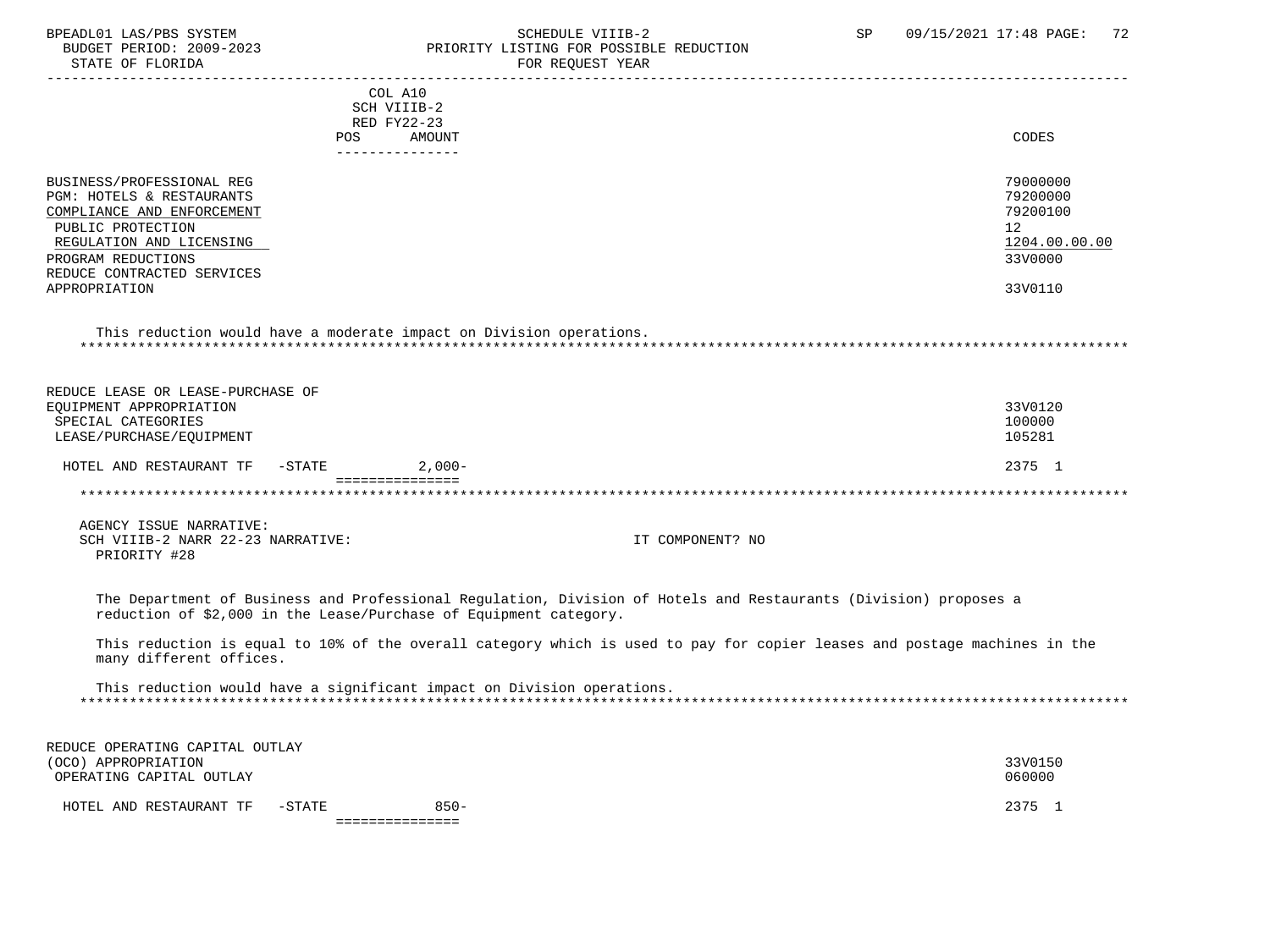#### BPEADL01 LAS/PBS SYSTEM STRING THE SCHEDULE VIIIB-2 SP 09/15/2021 17:48 PAGE: 72<br>BUDGET PERIOD: 2009-2023 PRIORITY LISTING FOR POSSIBLE REDUCTION BUDGET PERIOD: 2009-2023 PRIORITY LISTING FOR POSSIBLE REDUCTION FOR REQUEST YEAR

| POS                                                                                                                                                                                       | COL A10<br>SCH VIIIB-2<br>RED FY22-23<br>AMOUNT                                                                           | CODES                                                              |
|-------------------------------------------------------------------------------------------------------------------------------------------------------------------------------------------|---------------------------------------------------------------------------------------------------------------------------|--------------------------------------------------------------------|
| BUSINESS/PROFESSIONAL REG<br>PGM: HOTELS & RESTAURANTS<br>COMPLIANCE AND ENFORCEMENT<br>PUBLIC PROTECTION<br>REGULATION AND LICENSING<br>PROGRAM REDUCTIONS<br>REDUCE CONTRACTED SERVICES | _______________                                                                                                           | 79000000<br>79200000<br>79200100<br>12<br>1204.00.00.00<br>33V0000 |
| APPROPRIATION                                                                                                                                                                             |                                                                                                                           | 33V0110                                                            |
|                                                                                                                                                                                           | This reduction would have a moderate impact on Division operations.                                                       |                                                                    |
| REDUCE LEASE OR LEASE-PURCHASE OF<br>EQUIPMENT APPROPRIATION<br>SPECIAL CATEGORIES<br>LEASE/PURCHASE/EQUIPMENT                                                                            |                                                                                                                           | 33V0120<br>100000<br>105281                                        |
| HOTEL AND RESTAURANT TF<br>$-\mathtt{STATE}$                                                                                                                                              | $2,000-$                                                                                                                  | 2375 1                                                             |
|                                                                                                                                                                                           | ===============                                                                                                           |                                                                    |
|                                                                                                                                                                                           |                                                                                                                           |                                                                    |
| AGENCY ISSUE NARRATIVE:<br>SCH VIIIB-2 NARR 22-23 NARRATIVE:<br>PRIORITY #28                                                                                                              | IT COMPONENT? NO                                                                                                          |                                                                    |
| reduction of \$2,000 in the Lease/Purchase of Equipment category.                                                                                                                         | The Department of Business and Professional Regulation, Division of Hotels and Restaurants (Division) proposes a          |                                                                    |
| many different offices.                                                                                                                                                                   | This reduction is equal to 10% of the overall category which is used to pay for copier leases and postage machines in the |                                                                    |
|                                                                                                                                                                                           | This reduction would have a significant impact on Division operations.                                                    |                                                                    |
| REDUCE OPERATING CAPITAL OUTLAY<br>(OCO) APPROPRIATION<br>OPERATING CAPITAL OUTLAY                                                                                                        |                                                                                                                           | 33V0150<br>060000                                                  |
| HOTEL AND RESTAURANT TF<br>$-STATE$                                                                                                                                                       | $850 -$<br>________________                                                                                               | 2375 1                                                             |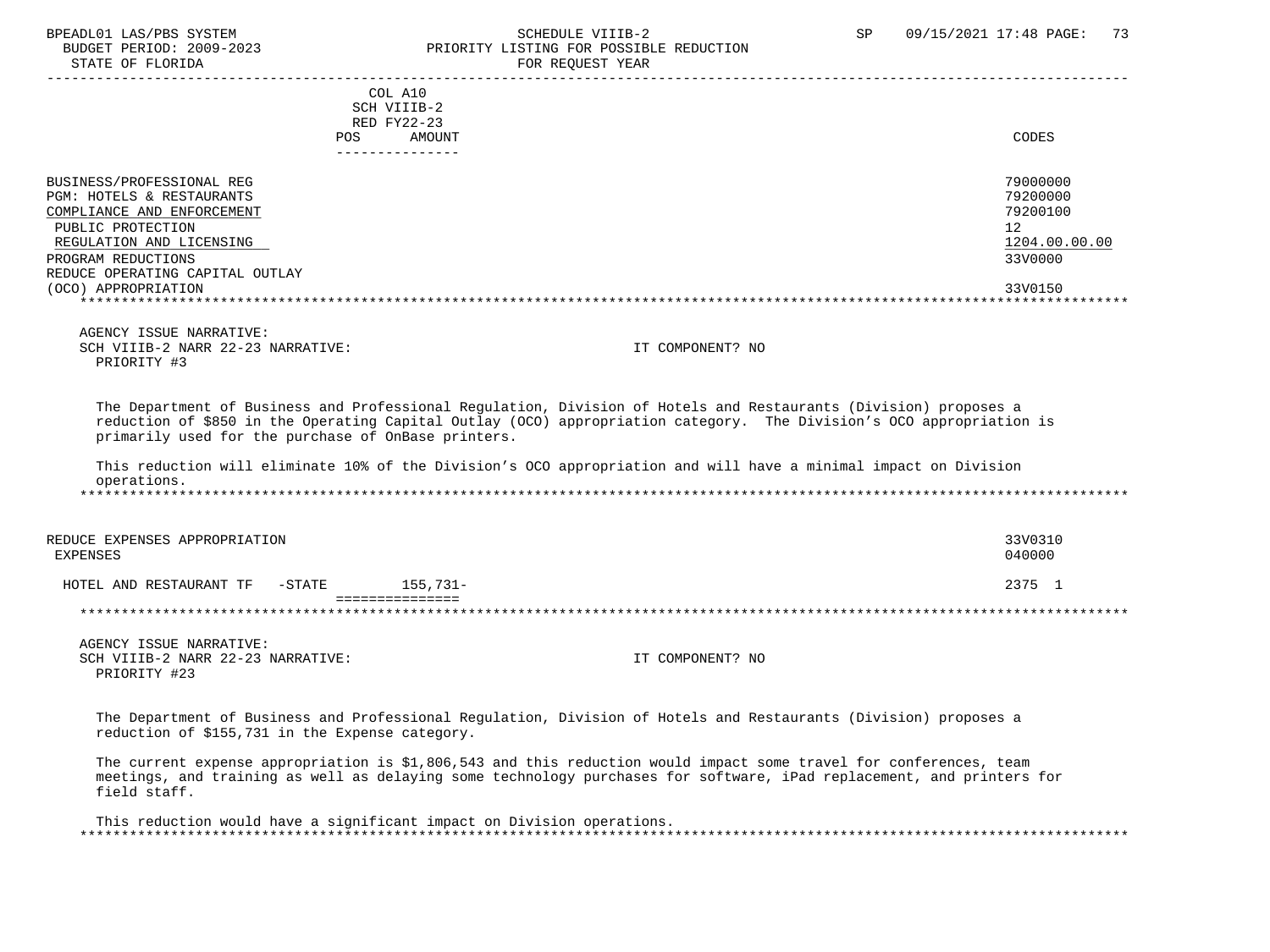# BPEADL01 LAS/PBS SYSTEM SALL SALL SOMEDULE VIIIB-2 SP 09/15/2021 17:48 PAGE: 73 BUDGET PERIOD: 2009-2023 PRIORITY LISTING FOR POSSIBLE REDUCTION

STATE OF FLORIDA FOR STATE OF STATE OF STATE OF STATE OF STATE OF STATE OF STATE OF STATE OF STATE OF STATE OF STATE OF STATE OF STATE OF STATE OF STATE OF STATE OF STATE OF STATE OF STATE OF STATE OF STATE OF STATE OF STA ----------------------------------------------------------------------------------------------------------------------------------- COL A10 SCH VIIIB-2 RED FY22-23 POS AMOUNT NOTES AND AND A RESERVE AND A RESERVE AND LODGED AND LODGED AND LODGED AND LODGED AND LODGED AND LODGED AT A LODGED AND LODGED AT A LODGED AND LODGED AT A LODGED AND LODGED AT A LODGED AND LODGED AT A LODGED AND --------------- BUSINESS/PROFESSIONAL REG 79000000 POST THE SERVICE OF THE SERVICE OF THE SERVICE OF THE SERVICE OF THE SERVICE OF THE SERVICE OF THE SERVICE OF THE SERVICE OF THE SERVICE OF THE SERVICE OF THE SERVICE OF THE SERVICE OF TH PGM: HOTELS & RESTAURANTS 79200000<br>COMPLIANCE AND ENFORCEMENT 79200100 COMPLIANCE AND ENFORCEMENT PUBLIC PROTECTION 12<br>REGULATION AND LICENSING NEWSLAUDS AND REGULATION AND LICENSING 1204.00.00.00 REGULATION AND LICENSING  $\frac{1204.00}{3300000}$ PROGRAM REDUCTIONS REDUCE OPERATING CAPITAL OUTLAY (OCO) APPROPRIATION 33V0150 \*\*\*\*\*\*\*\*\*\*\*\*\*\*\*\*\*\*\*\*\*\*\*\*\*\*\*\*\*\*\*\*\*\*\*\*\*\*\*\*\*\*\*\*\*\*\*\*\*\*\*\*\*\*\*\*\*\*\*\*\*\*\*\*\*\*\*\*\*\*\*\*\*\*\*\*\*\*\*\*\*\*\*\*\*\*\*\*\*\*\*\*\*\*\*\*\*\*\*\*\*\*\*\*\*\*\*\*\*\*\*\*\*\*\*\*\*\*\*\*\*\*\*\*\*\*\* AGENCY ISSUE NARRATIVE: SCH VIIIB-2 NARR 22-23 NARRATIVE: IT COMPONENT? NO PRIORITY #3 The Department of Business and Professional Regulation, Division of Hotels and Restaurants (Division) proposes a reduction of \$850 in the Operating Capital Outlay (OCO) appropriation category. The Division's OCO appropriation is primarily used for the purchase of OnBase printers. This reduction will eliminate 10% of the Division's OCO appropriation and will have a minimal impact on Division operations. \*\*\*\*\*\*\*\*\*\*\*\*\*\*\*\*\*\*\*\*\*\*\*\*\*\*\*\*\*\*\*\*\*\*\*\*\*\*\*\*\*\*\*\*\*\*\*\*\*\*\*\*\*\*\*\*\*\*\*\*\*\*\*\*\*\*\*\*\*\*\*\*\*\*\*\*\*\*\*\*\*\*\*\*\*\*\*\*\*\*\*\*\*\*\*\*\*\*\*\*\*\*\*\*\*\*\*\*\*\*\*\*\*\*\*\*\*\*\*\*\*\*\*\*\*\*\* REDUCE EXPENSES APPROPRIATION 33V0310 EXPENSES 040000 HOTEL AND RESTAURANT TF -STATE 155,731- =============== \*\*\*\*\*\*\*\*\*\*\*\*\*\*\*\*\*\*\*\*\*\*\*\*\*\*\*\*\*\*\*\*\*\*\*\*\*\*\*\*\*\*\*\*\*\*\*\*\*\*\*\*\*\*\*\*\*\*\*\*\*\*\*\*\*\*\*\*\*\*\*\*\*\*\*\*\*\*\*\*\*\*\*\*\*\*\*\*\*\*\*\*\*\*\*\*\*\*\*\*\*\*\*\*\*\*\*\*\*\*\*\*\*\*\*\*\*\*\*\*\*\*\*\*\*\*\* AGENCY ISSUE NARRATIVE: SCH VIIIB-2 NARR 22-23 NARRATIVE: IT COMPONENT? NO PRIORITY #23 The Department of Business and Professional Regulation, Division of Hotels and Restaurants (Division) proposes a reduction of \$155,731 in the Expense category. The current expense appropriation is \$1,806,543 and this reduction would impact some travel for conferences, team meetings, and training as well as delaying some technology purchases for software, iPad replacement, and printers for field staff.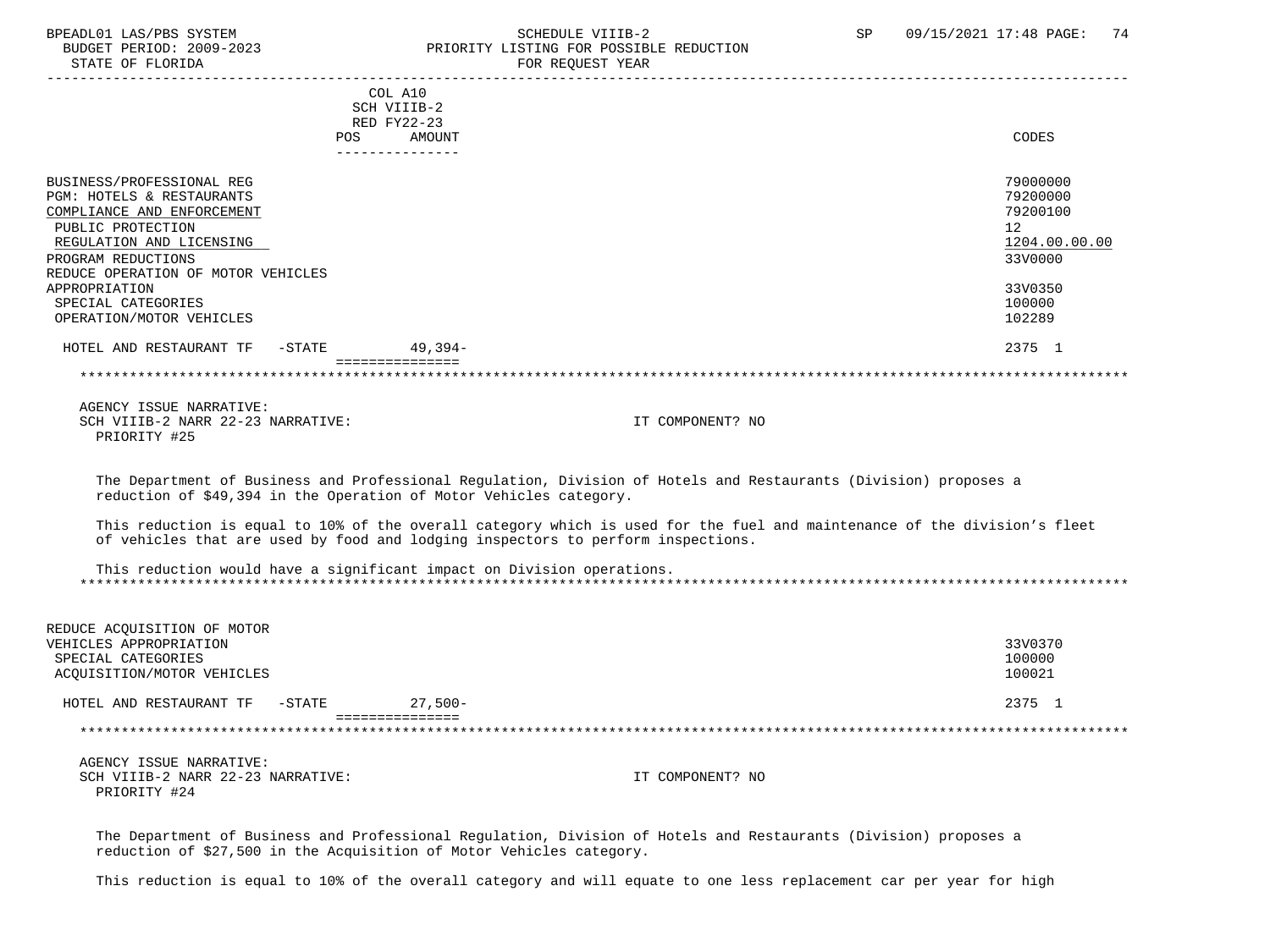# BPEADL01 LAS/PBS SYSTEM STREM SCHEDULE VIIIB-2 SCHEDULE VIIIB-2 SP 09/15/2021 17:48 PAGE: 74 PRIORITY LISTING FOR POSSIBLE REDUCTION<br>FOR REQUEST YEAR

|                                                                                                                                                                                                   |                                                        | L'OIL LLEVUEDI TEAIL                                                                                                                                                                                          |                                                                    |
|---------------------------------------------------------------------------------------------------------------------------------------------------------------------------------------------------|--------------------------------------------------------|---------------------------------------------------------------------------------------------------------------------------------------------------------------------------------------------------------------|--------------------------------------------------------------------|
|                                                                                                                                                                                                   | COL A10<br>SCH VIIIB-2<br>RED FY22-23<br>POS<br>AMOUNT |                                                                                                                                                                                                               | CODES                                                              |
|                                                                                                                                                                                                   | ---------------                                        |                                                                                                                                                                                                               |                                                                    |
| BUSINESS/PROFESSIONAL REG<br>PGM: HOTELS & RESTAURANTS<br>COMPLIANCE AND ENFORCEMENT<br>PUBLIC PROTECTION<br>REGULATION AND LICENSING<br>PROGRAM REDUCTIONS<br>REDUCE OPERATION OF MOTOR VEHICLES |                                                        |                                                                                                                                                                                                               | 79000000<br>79200000<br>79200100<br>12<br>1204.00.00.00<br>33V0000 |
| APPROPRIATION<br>SPECIAL CATEGORIES<br>OPERATION/MOTOR VEHICLES                                                                                                                                   |                                                        |                                                                                                                                                                                                               | 33V0350<br>100000<br>102289                                        |
| HOTEL AND RESTAURANT TF -STATE 49,394-                                                                                                                                                            |                                                        |                                                                                                                                                                                                               | 2375 1                                                             |
|                                                                                                                                                                                                   | ===============                                        |                                                                                                                                                                                                               |                                                                    |
|                                                                                                                                                                                                   |                                                        |                                                                                                                                                                                                               |                                                                    |
| AGENCY ISSUE NARRATIVE:<br>SCH VIIIB-2 NARR 22-23 NARRATIVE:<br>PRIORITY #25                                                                                                                      |                                                        | IT COMPONENT? NO                                                                                                                                                                                              |                                                                    |
| reduction of \$49,394 in the Operation of Motor Vehicles category.                                                                                                                                |                                                        | The Department of Business and Professional Regulation, Division of Hotels and Restaurants (Division) proposes a                                                                                              |                                                                    |
|                                                                                                                                                                                                   |                                                        | This reduction is equal to 10% of the overall category which is used for the fuel and maintenance of the division's fleet<br>of vehicles that are used by food and lodging inspectors to perform inspections. |                                                                    |
| This reduction would have a significant impact on Division operations.                                                                                                                            |                                                        |                                                                                                                                                                                                               |                                                                    |
| REDUCE ACQUISITION OF MOTOR<br>VEHICLES APPROPRIATION<br>SPECIAL CATEGORIES<br>ACQUISITION/MOTOR VEHICLES                                                                                         |                                                        |                                                                                                                                                                                                               | 33V0370<br>100000<br>100021                                        |
| HOTEL AND RESTAURANT TF -STATE 27,500-                                                                                                                                                            |                                                        |                                                                                                                                                                                                               | 2375 1                                                             |
|                                                                                                                                                                                                   | ===============                                        |                                                                                                                                                                                                               |                                                                    |
| AGENCY ISSUE NARRATIVE:<br>SCH VIIIB-2 NARR 22-23 NARRATIVE:<br>PRIORITY #24                                                                                                                      |                                                        | IT COMPONENT? NO                                                                                                                                                                                              |                                                                    |
|                                                                                                                                                                                                   |                                                        | The Department of Business and Professional Regulation, Division of Hotels and Restaurants (Division) proposes a                                                                                              |                                                                    |

reduction of \$27,500 in the Acquisition of Motor Vehicles category.

This reduction is equal to 10% of the overall category and will equate to one less replacement car per year for high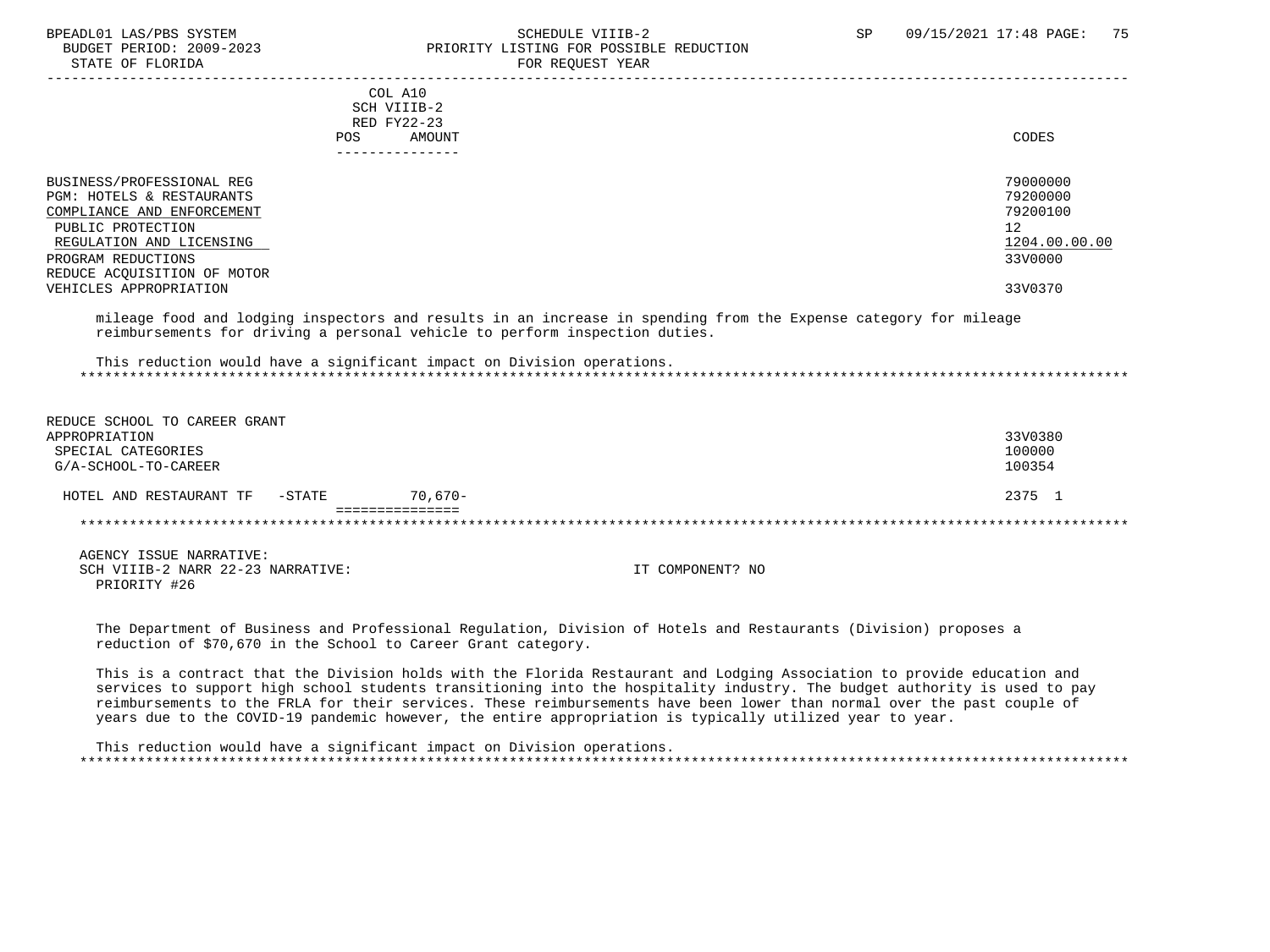#### BPEADL01 LAS/PBS SYSTEM SCHEDULE VIIIB-2 SCHEDULE VIIIB-2 SP 09/15/2021 17:48 PAGE: 75 PRIORITY LISTING FOR POSSIBLE REDUCTION STATE OF FLORIDA FOR REQUEST YEAR FOR REQUEST YEAR

| COL A10                     |               |
|-----------------------------|---------------|
| SCH VIIIB-2                 |               |
| RED FY22-23                 |               |
| AMOUNT                      | CODES         |
| POS.                        |               |
|                             |               |
|                             |               |
| BUSINESS/PROFESSIONAL REG   | 79000000      |
| PGM: HOTELS & RESTAURANTS   | 79200000      |
| COMPLIANCE AND ENFORCEMENT  | 79200100      |
| PUBLIC PROTECTION           | 12            |
| REGULATION AND LICENSING    | 1204.00.00.00 |
| PROGRAM REDUCTIONS          | 33V0000       |
| REDUCE ACQUISITION OF MOTOR |               |
| VEHICLES APPROPRIATION      | 33V0370       |
|                             |               |

 mileage food and lodging inspectors and results in an increase in spending from the Expense category for mileage reimbursements for driving a personal vehicle to perform inspection duties.

 This reduction would have a significant impact on Division operations. \*\*\*\*\*\*\*\*\*\*\*\*\*\*\*\*\*\*\*\*\*\*\*\*\*\*\*\*\*\*\*\*\*\*\*\*\*\*\*\*\*\*\*\*\*\*\*\*\*\*\*\*\*\*\*\*\*\*\*\*\*\*\*\*\*\*\*\*\*\*\*\*\*\*\*\*\*\*\*\*\*\*\*\*\*\*\*\*\*\*\*\*\*\*\*\*\*\*\*\*\*\*\*\*\*\*\*\*\*\*\*\*\*\*\*\*\*\*\*\*\*\*\*\*\*\*\*

| REDUCE SCHOOL TO CAREER GRANT        |            |         |
|--------------------------------------|------------|---------|
| APPROPRIATION                        |            | 33V0380 |
| SPECIAL CATEGORIES                   |            | 100000  |
| G/A-SCHOOL-TO-CAREER                 |            | 100354  |
| $-$ STATE<br>HOTEL AND RESTAURANT TF | $70.670 -$ | 2375 1  |
|                                      |            |         |
|                                      |            |         |

 AGENCY ISSUE NARRATIVE: SCH VIIIB-2 NARR 22-23 NARRATIVE: IT COMPONENT? NO PRIORITY #26

 The Department of Business and Professional Regulation, Division of Hotels and Restaurants (Division) proposes a reduction of \$70,670 in the School to Career Grant category.

 This is a contract that the Division holds with the Florida Restaurant and Lodging Association to provide education and services to support high school students transitioning into the hospitality industry. The budget authority is used to pay reimbursements to the FRLA for their services. These reimbursements have been lower than normal over the past couple of years due to the COVID-19 pandemic however, the entire appropriation is typically utilized year to year.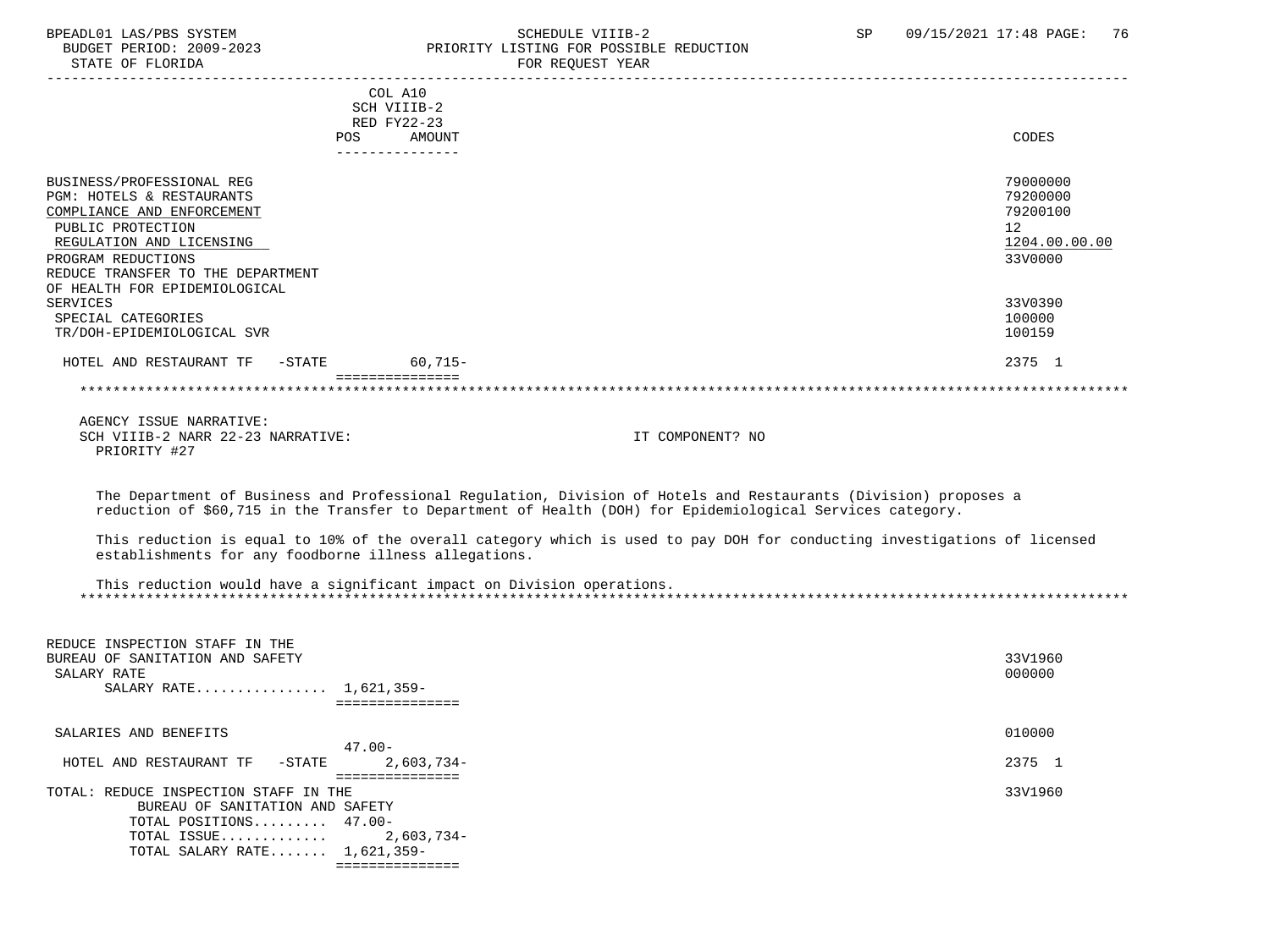#### BPEADL01 LAS/PBS SYSTEM STRING THE SCHEDULE VIIIB-2 SP 09/15/2021 17:48 PAGE: 76<br>BUDGET PERIOD: 2009-2023 PRIORITY LISTING FOR POSSIBLE REDUCTION BUDGET PERIOD: 2009-2023<br>STATE OF FLORIDA STATE OF FLORIDA FOR REQUEST YEAR

| PIAIE OF FLORIDA                                                                                                                                                                                 | FOR REQUEST YEAR                                                                                                                                                                                                               |                                                                                 |
|--------------------------------------------------------------------------------------------------------------------------------------------------------------------------------------------------|--------------------------------------------------------------------------------------------------------------------------------------------------------------------------------------------------------------------------------|---------------------------------------------------------------------------------|
|                                                                                                                                                                                                  | COL A10<br>SCH VIIIB-2<br>RED FY22-23<br>AMOUNT<br><b>POS</b>                                                                                                                                                                  | CODES                                                                           |
| BUSINESS/PROFESSIONAL REG<br>PGM: HOTELS & RESTAURANTS<br>COMPLIANCE AND ENFORCEMENT<br>PUBLIC PROTECTION<br>REGULATION AND LICENSING<br>PROGRAM REDUCTIONS<br>REDUCE TRANSFER TO THE DEPARTMENT | ---------------                                                                                                                                                                                                                | 79000000<br>79200000<br>79200100<br>12 <sup>°</sup><br>1204.00.00.00<br>33V0000 |
| OF HEALTH FOR EPIDEMIOLOGICAL<br><b>SERVICES</b><br>SPECIAL CATEGORIES<br>TR/DOH-EPIDEMIOLOGICAL SVR                                                                                             |                                                                                                                                                                                                                                | 33V0390<br>100000<br>100159                                                     |
| HOTEL AND RESTAURANT TF -STATE 60,715-                                                                                                                                                           |                                                                                                                                                                                                                                | 2375 1                                                                          |
|                                                                                                                                                                                                  | ===============                                                                                                                                                                                                                |                                                                                 |
| AGENCY ISSUE NARRATIVE:<br>SCH VIIIB-2 NARR 22-23 NARRATIVE:<br>PRIORITY #27                                                                                                                     | IT COMPONENT? NO                                                                                                                                                                                                               |                                                                                 |
|                                                                                                                                                                                                  | The Department of Business and Professional Regulation, Division of Hotels and Restaurants (Division) proposes a<br>reduction of \$60,715 in the Transfer to Department of Health (DOH) for Epidemiological Services category. |                                                                                 |
| establishments for any foodborne illness allegations.                                                                                                                                            | This reduction is equal to 10% of the overall category which is used to pay DOH for conducting investigations of licensed                                                                                                      |                                                                                 |
|                                                                                                                                                                                                  | This reduction would have a significant impact on Division operations.                                                                                                                                                         |                                                                                 |
| REDUCE INSPECTION STAFF IN THE<br>BUREAU OF SANITATION AND SAFETY<br>SALARY RATE<br>SALARY RATE 1,621,359-                                                                                       | ===============                                                                                                                                                                                                                | 33V1960<br>000000                                                               |
| SALARIES AND BENEFITS                                                                                                                                                                            | $47.00 -$                                                                                                                                                                                                                      | 010000                                                                          |
| HOTEL AND RESTAURANT TF<br>$-$ STATE                                                                                                                                                             | $2,603,734-$                                                                                                                                                                                                                   | 2375 1                                                                          |
| TOTAL: REDUCE INSPECTION STAFF IN THE<br>BUREAU OF SANITATION AND SAFETY<br>TOTAL POSITIONS 47.00-<br>TOTAL ISSUE<br>TOTAL SALARY RATE 1,621,359-                                                | ===============<br>$2,603,734-$<br>===============                                                                                                                                                                             | 33V1960                                                                         |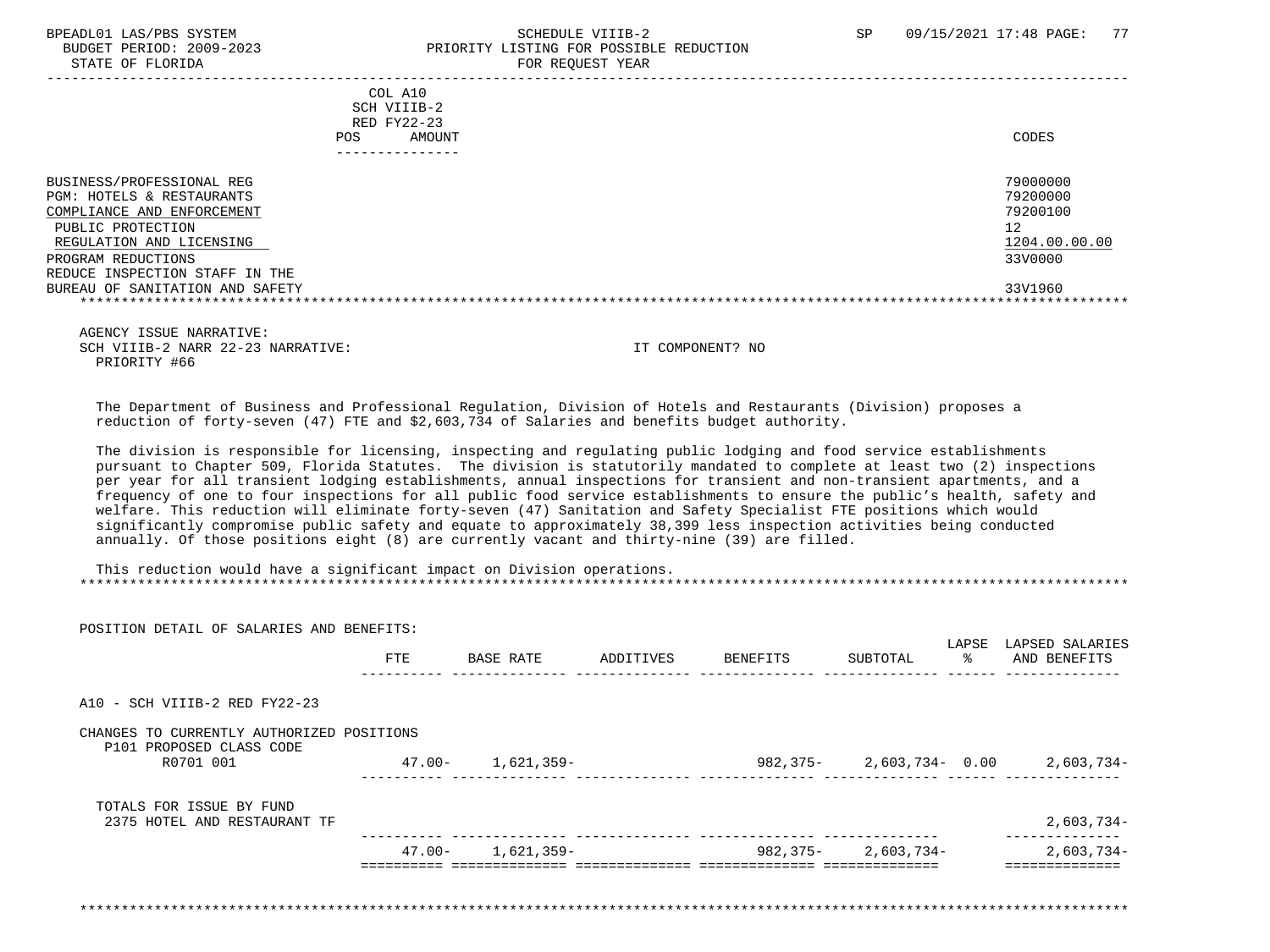STATE OF FLORIDA FOR STATE OF STATE OF STATE OF STATE OF STATE OF STATE OF STATE OF STATE OF STATE OF STATE OF STATE OF STATE OF STATE OF STATE OF STATE OF STATE OF STATE OF STATE OF STATE OF STATE OF STATE OF STATE OF STA

# BPEADL01 LAS/PBS SYSTEM SALL STRINGER STRINGER STRINGER SCHEDULE VIIIB-2 SP 09/15/2021 17:48 PAGE: 77 BUDGET PERIOD: 2009-2023 PRIORITY LISTING FOR POSSIBLE REDUCTION

 ----------------------------------------------------------------------------------------------------------------------------------- COL A10 SCH VIIIB-2 RED FY22-23 POS AMOUNT NOTES AND AND A RESERVE AND A RESERVE AND LODGED AND LODGED AND LODGED AND LODGED AND LODGED AND LODGED AT A LODGED AND LODGED AT A LODGED AND LODGED AT A LODGED AND LODGED AT A LODGED AND LODGED AT A LODGED AND --------------- BUSINESS/PROFESSIONAL REG 79000000 POST THE SERVICE OF THE SERVICE OF THE SERVICE OF THE SERVICE OF THE SERVICE OF THE SERVICE OF THE SERVICE OF THE SERVICE OF THE SERVICE OF THE SERVICE OF THE SERVICE OF THE SERVICE OF TH PGM: HOTELS & RESTAURANTS 79200000<br>
COMPLIANCE AND ENFORCEMENT 79200100 COMPLIANCE AND ENFORCEMENT PUBLIC PROTECTION 12<br>REGULATION AND LICENSING NEWSLAUDS AND REGULATION AND LICENSING 1204.00.00.00 REGULATION AND LICENSING  $\frac{1204.00}{3300000}$ PROGRAM REDUCTIONS REDUCE INSPECTION STAFF IN THE BUREAU OF SANITATION AND SAFETY 33V1960 \*\*\*\*\*\*\*\*\*\*\*\*\*\*\*\*\*\*\*\*\*\*\*\*\*\*\*\*\*\*\*\*\*\*\*\*\*\*\*\*\*\*\*\*\*\*\*\*\*\*\*\*\*\*\*\*\*\*\*\*\*\*\*\*\*\*\*\*\*\*\*\*\*\*\*\*\*\*\*\*\*\*\*\*\*\*\*\*\*\*\*\*\*\*\*\*\*\*\*\*\*\*\*\*\*\*\*\*\*\*\*\*\*\*\*\*\*\*\*\*\*\*\*\*\*\*\*

 AGENCY ISSUE NARRATIVE: SCH VIIIB-2 NARR 22-23 NARRATIVE: IT COMPONENT? NO PRIORITY #66

 The Department of Business and Professional Regulation, Division of Hotels and Restaurants (Division) proposes a reduction of forty-seven (47) FTE and \$2,603,734 of Salaries and benefits budget authority.

 The division is responsible for licensing, inspecting and regulating public lodging and food service establishments pursuant to Chapter 509, Florida Statutes. The division is statutorily mandated to complete at least two (2) inspections per year for all transient lodging establishments, annual inspections for transient and non-transient apartments, and a frequency of one to four inspections for all public food service establishments to ensure the public's health, safety and welfare. This reduction will eliminate forty-seven (47) Sanitation and Safety Specialist FTE positions which would significantly compromise public safety and equate to approximately 38,399 less inspection activities being conducted annually. Of those positions eight (8) are currently vacant and thirty-nine (39) are filled.

| POSITION DETAIL OF SALARIES AND BENEFITS:                             |            |                       |           |          |                    | LAPSE | LAPSED SALARIES                     |
|-----------------------------------------------------------------------|------------|-----------------------|-----------|----------|--------------------|-------|-------------------------------------|
|                                                                       | <b>FTE</b> | BASE RATE             | ADDITIVES | BENEFITS | SUBTOTAL           | ႜႂ    | AND BENEFITS                        |
| A10 - SCH VIIIB-2 RED FY22-23                                         |            |                       |           |          |                    |       |                                     |
| CHANGES TO CURRENTLY AUTHORIZED POSITIONS<br>P101 PROPOSED CLASS CODE |            |                       |           |          |                    |       |                                     |
| R0701 001                                                             | 47.00-     | 1,621,359-            |           |          |                    |       | 982,375- 2,603,734- 0.00 2,603,734- |
| TOTALS FOR ISSUE BY FUND<br>2375 HOTEL AND RESTAURANT TF              |            |                       |           |          |                    |       | 2,603,734-                          |
|                                                                       |            |                       |           |          |                    |       |                                     |
|                                                                       |            | $47.00 - 1.621.359 -$ |           |          | 982,375-2,603,734- |       | 2,603,734-                          |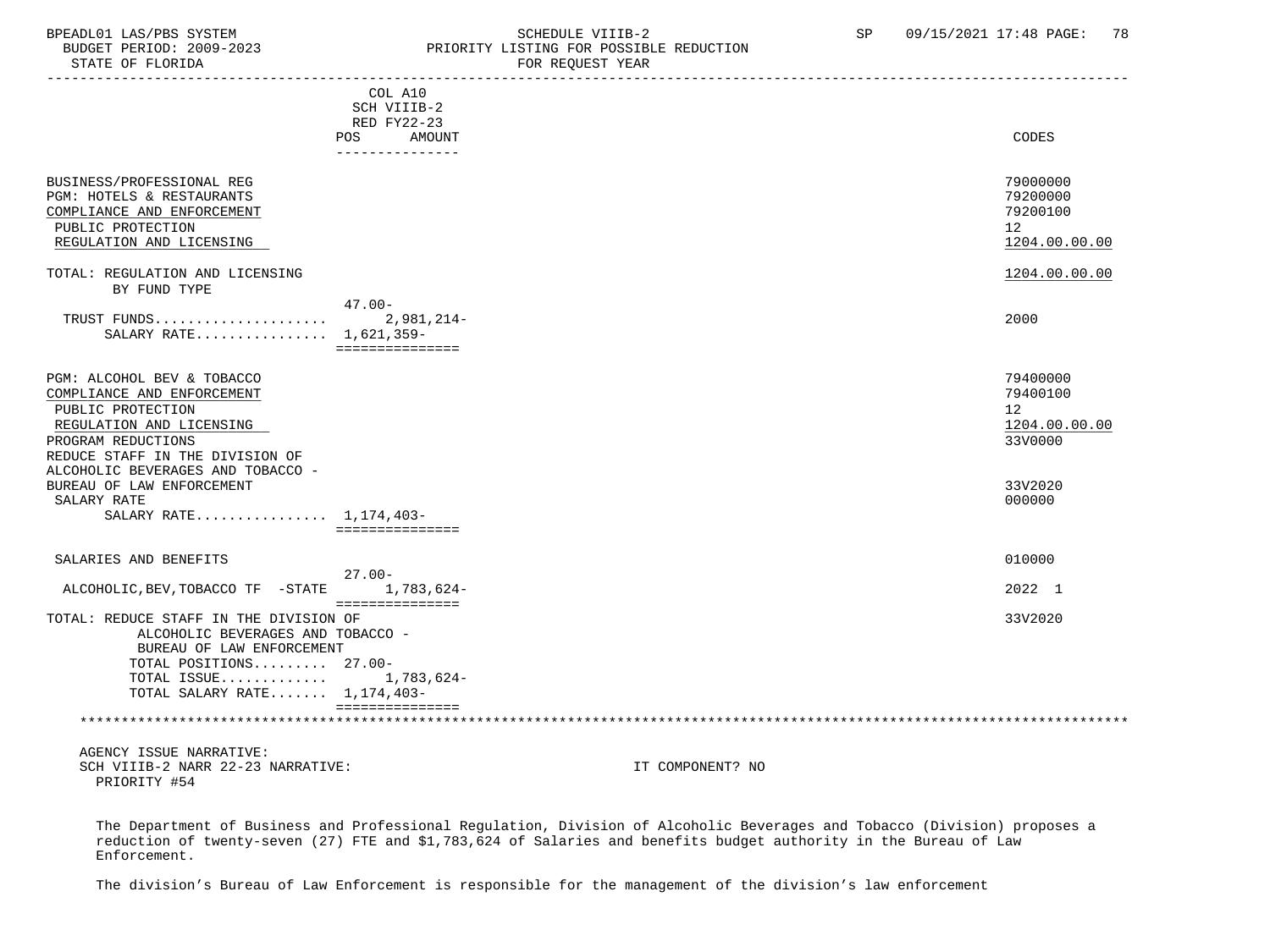## BPEADL01 LAS/PBS SYSTEM STREM SCHEDULE VIIIB-2 SCHEDULE VIIIB-2 SP 09/15/2021 17:48 PAGE: 78 PRIORITY LISTING FOR POSSIBLE REDUCTION

| DIAIB UP FIURIDH                                                                                                                                                                                        |                                                                                  | LAW VEÄNDI IEUV  |                                                                      |
|---------------------------------------------------------------------------------------------------------------------------------------------------------------------------------------------------------|----------------------------------------------------------------------------------|------------------|----------------------------------------------------------------------|
|                                                                                                                                                                                                         | COL A10<br>SCH VIIIB-2<br><b>RED FY22-23</b><br>POS<br>AMOUNT<br>--------------- |                  | CODES                                                                |
| BUSINESS/PROFESSIONAL REG<br>PGM: HOTELS & RESTAURANTS<br>COMPLIANCE AND ENFORCEMENT<br>PUBLIC PROTECTION<br>REGULATION AND LICENSING                                                                   |                                                                                  |                  | 79000000<br>79200000<br>79200100<br>12 <sup>°</sup><br>1204.00.00.00 |
| TOTAL: REGULATION AND LICENSING<br>BY FUND TYPE                                                                                                                                                         |                                                                                  |                  | 1204.00.00.00                                                        |
| SALARY RATE 1,621,359-                                                                                                                                                                                  | $47.00 -$<br>2,981,214-<br>===============                                       |                  | 2000                                                                 |
| PGM: ALCOHOL BEV & TOBACCO<br>COMPLIANCE AND ENFORCEMENT<br>PUBLIC PROTECTION<br>REGULATION AND LICENSING<br>PROGRAM REDUCTIONS<br>REDUCE STAFF IN THE DIVISION OF<br>ALCOHOLIC BEVERAGES AND TOBACCO - |                                                                                  |                  | 79400000<br>79400100<br>12 <sup>°</sup><br>1204.00.00.00<br>33V0000  |
| BUREAU OF LAW ENFORCEMENT<br>SALARY RATE<br>SALARY RATE 1,174,403-                                                                                                                                      |                                                                                  |                  | 33V2020<br>000000                                                    |
|                                                                                                                                                                                                         | ===============                                                                  |                  |                                                                      |
| SALARIES AND BENEFITS                                                                                                                                                                                   | $27.00 -$                                                                        |                  | 010000                                                               |
| ALCOHOLIC, BEV, TOBACCO TF -STATE                                                                                                                                                                       | 1,783,624-<br>===============                                                    |                  | 2022 1                                                               |
| TOTAL: REDUCE STAFF IN THE DIVISION OF<br>ALCOHOLIC BEVERAGES AND TOBACCO -<br>BUREAU OF LAW ENFORCEMENT<br>TOTAL POSITIONS 27.00-<br>TOTAL ISSUE 1,783,624-<br>TOTAL SALARY RATE 1,174,403-            | essessessessess                                                                  |                  | 33V2020                                                              |
|                                                                                                                                                                                                         |                                                                                  |                  |                                                                      |
| AGENCY ISSUE NARRATIVE:<br>SCH VIIIB-2 NARR 22-23 NARRATIVE:<br>PRIORITY #54                                                                                                                            |                                                                                  | IT COMPONENT? NO |                                                                      |

 The Department of Business and Professional Regulation, Division of Alcoholic Beverages and Tobacco (Division) proposes a reduction of twenty-seven (27) FTE and \$1,783,624 of Salaries and benefits budget authority in the Bureau of Law Enforcement.

The division's Bureau of Law Enforcement is responsible for the management of the division's law enforcement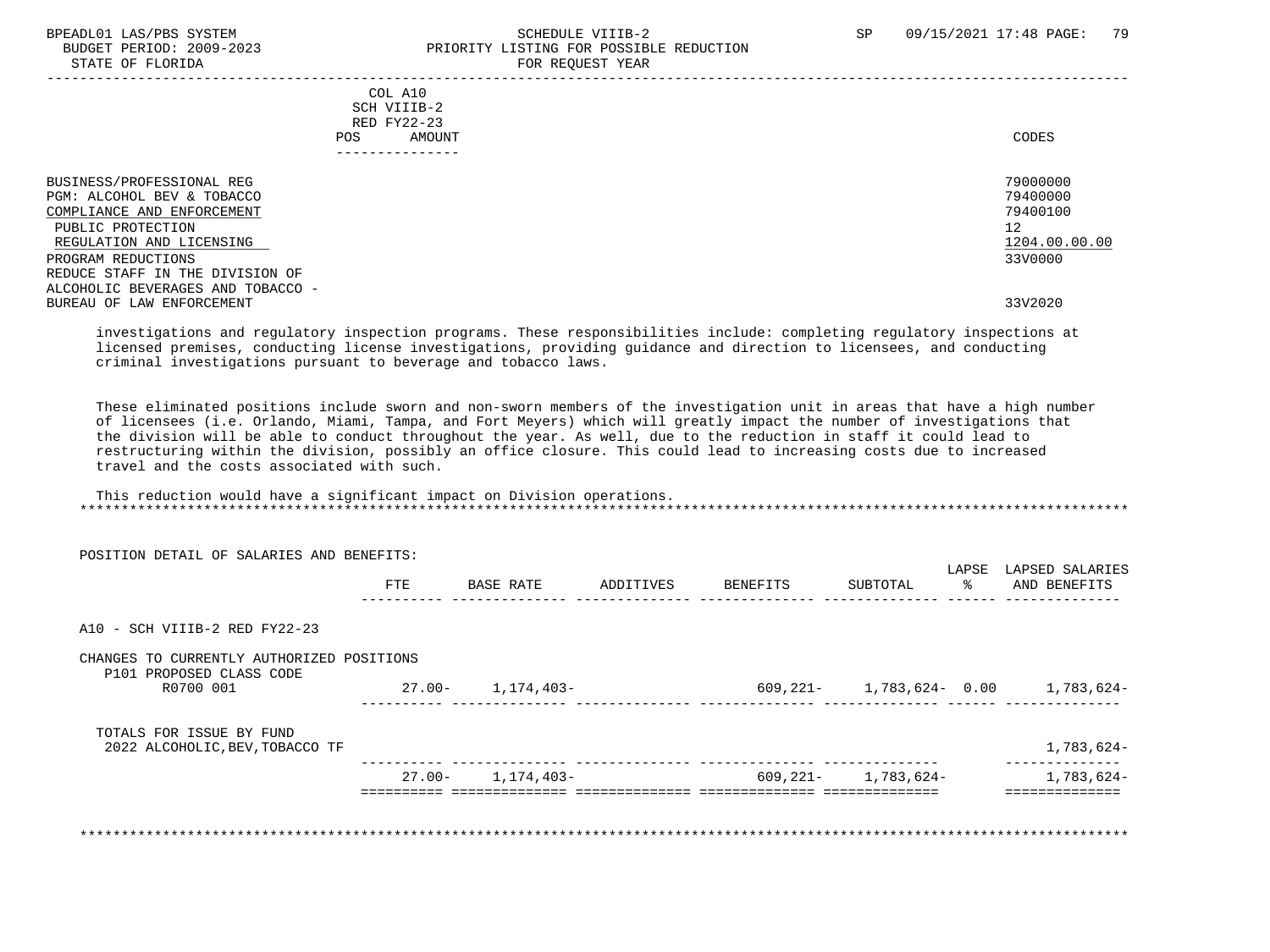#### BPEADL01 LAS/PBS SYSTEM SOHEDULE VIIIB-2 SCHEDULE VIIIB-2 SP 09/15/2021 17:48 PAGE: 79 PRIORITY LISTING FOR POSSIBLE REDUCTION STATE OF FLORIDA FOR REQUEST YEAR FOR REQUEST YEAR

| COL A10<br>SCH VIIIB-2<br>RED FY22-23<br>AMOUNT<br>POS.                                                                                                                                         | CODES                                                              |
|-------------------------------------------------------------------------------------------------------------------------------------------------------------------------------------------------|--------------------------------------------------------------------|
| BUSINESS/PROFESSIONAL REG<br>PGM: ALCOHOL BEV & TOBACCO<br>COMPLIANCE AND ENFORCEMENT<br>PUBLIC PROTECTION<br>REGULATION AND LICENSING<br>PROGRAM REDUCTIONS<br>REDUCE STAFF IN THE DIVISION OF | 79000000<br>79400000<br>79400100<br>12<br>1204.00.00.00<br>33V0000 |
| ALCOHOLIC BEVERAGES AND TOBACCO -<br>BUREAU OF LAW ENFORCEMENT                                                                                                                                  | 33V2020                                                            |

 investigations and regulatory inspection programs. These responsibilities include: completing regulatory inspections at licensed premises, conducting license investigations, providing guidance and direction to licensees, and conducting criminal investigations pursuant to beverage and tobacco laws.

 These eliminated positions include sworn and non-sworn members of the investigation unit in areas that have a high number of licensees (i.e. Orlando, Miami, Tampa, and Fort Meyers) which will greatly impact the number of investigations that the division will be able to conduct throughout the year. As well, due to the reduction in staff it could lead to restructuring within the division, possibly an office closure. This could lead to increasing costs due to increased travel and the costs associated with such.

| This reduction would have a significant impact on Division operations. |  |  |  |
|------------------------------------------------------------------------|--|--|--|
|                                                                        |  |  |  |
|                                                                        |  |  |  |

| <b>FTE</b>                                |            |                                 |          |          |                                                                     |                                 |
|-------------------------------------------|------------|---------------------------------|----------|----------|---------------------------------------------------------------------|---------------------------------|
|                                           | BASE RATE  | ADDITIVES                       | BENEFITS | SUBTOTAL | LAPSE<br>ႜႂ                                                         | LAPSED SALARIES<br>AND BENEFITS |
|                                           |            |                                 |          |          |                                                                     |                                 |
| CHANGES TO CURRENTLY AUTHORIZED POSITIONS |            |                                 |          |          |                                                                     |                                 |
|                                           | 1,174,403- |                                 |          |          |                                                                     |                                 |
|                                           |            |                                 |          |          |                                                                     |                                 |
|                                           |            |                                 |          |          |                                                                     | 1,783,624-                      |
|                                           |            |                                 |          |          |                                                                     | 1,783,624-                      |
|                                           |            | 27.00-<br>$27.00 - 1.174.403 -$ |          |          | 609,221-<br>---- --------------- -------<br>$609,221 - 1,783,624 -$ | 1,783,624- 0.00 1,783,624-      |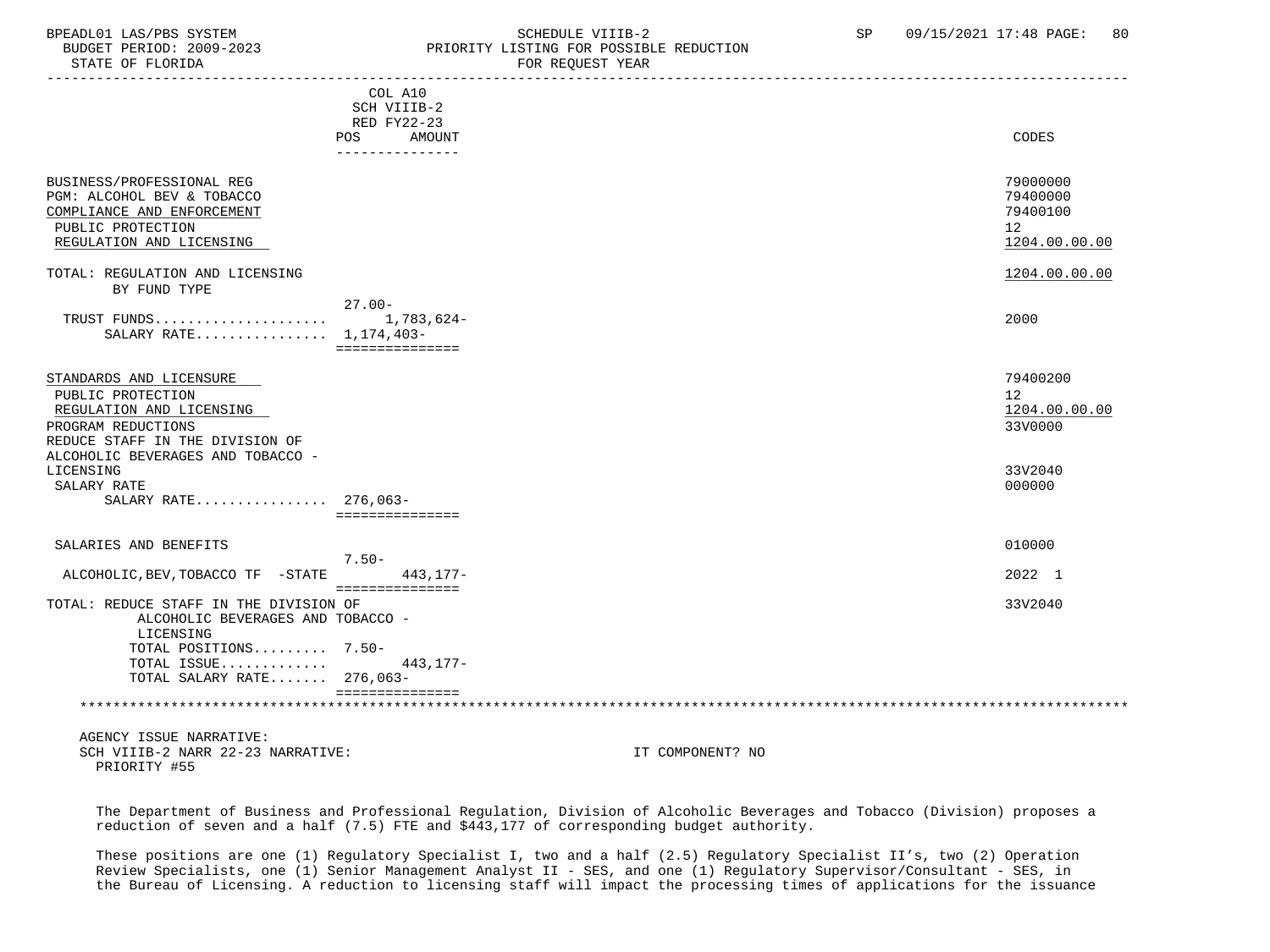#### BPEADL01 LAS/PBS SYSTEM SOHEDULE VIIIB-2 SCHEDULE VIIIB-2 SP 09/15/2021 17:48 PAGE: 80 BUDGET PERIOD: 2009-2023 PRIORITY LISTING FOR POSSIBLE REDUCTION FOR REQUEST YEAR

|                                                                                                                                        |                                            | row wagoaci taur                                        |
|----------------------------------------------------------------------------------------------------------------------------------------|--------------------------------------------|---------------------------------------------------------|
|                                                                                                                                        | COL A10<br>SCH VIIIB-2<br>RED FY22-23      |                                                         |
|                                                                                                                                        | <b>POS</b><br>AMOUNT<br>_______________    | CODES                                                   |
| BUSINESS/PROFESSIONAL REG<br>PGM: ALCOHOL BEV & TOBACCO<br>COMPLIANCE AND ENFORCEMENT<br>PUBLIC PROTECTION<br>REGULATION AND LICENSING |                                            | 79000000<br>79400000<br>79400100<br>12<br>1204.00.00.00 |
| TOTAL: REGULATION AND LICENSING                                                                                                        |                                            | 1204.00.00.00                                           |
| BY FUND TYPE                                                                                                                           |                                            |                                                         |
| TRUST FUNDS<br>SALARY RATE 1,174,403-                                                                                                  | $27.00 -$<br>1,783,624-<br>=============== | 2000                                                    |
| STANDARDS AND LICENSURE<br>PUBLIC PROTECTION<br>REGULATION AND LICENSING<br>PROGRAM REDUCTIONS<br>REDUCE STAFF IN THE DIVISION OF      |                                            | 79400200<br>12<br>1204.00.00.00<br>33V0000              |
| ALCOHOLIC BEVERAGES AND TOBACCO -<br>LICENSING<br>SALARY RATE                                                                          |                                            | 33V2040<br>000000                                       |
| SALARY RATE 276,063-                                                                                                                   | ===============                            |                                                         |
| SALARIES AND BENEFITS                                                                                                                  | $7.50 -$                                   | 010000                                                  |
| ALCOHOLIC, BEV, TOBACCO TF -STATE                                                                                                      | $443, 177 -$<br>===============            | 2022 1                                                  |
| TOTAL: REDUCE STAFF IN THE DIVISION OF<br>ALCOHOLIC BEVERAGES AND TOBACCO -<br>LICENSING                                               |                                            | 33V2040                                                 |
| TOTAL POSITIONS 7.50-<br>TOTAL ISSUE                                                                                                   | $443, 177 -$                               |                                                         |
| TOTAL SALARY RATE 276,063-                                                                                                             | ===============                            |                                                         |
|                                                                                                                                        |                                            |                                                         |
| AGENCY ISSUE NARRATIVE:<br>SCH VIIIB-2 NARR 22-23 NARRATIVE:                                                                           |                                            | IT COMPONENT? NO                                        |

PRIORITY #55

 The Department of Business and Professional Regulation, Division of Alcoholic Beverages and Tobacco (Division) proposes a reduction of seven and a half (7.5) FTE and \$443,177 of corresponding budget authority.

 These positions are one (1) Regulatory Specialist I, two and a half (2.5) Regulatory Specialist II's, two (2) Operation Review Specialists, one (1) Senior Management Analyst II - SES, and one (1) Regulatory Supervisor/Consultant - SES, in the Bureau of Licensing. A reduction to licensing staff will impact the processing times of applications for the issuance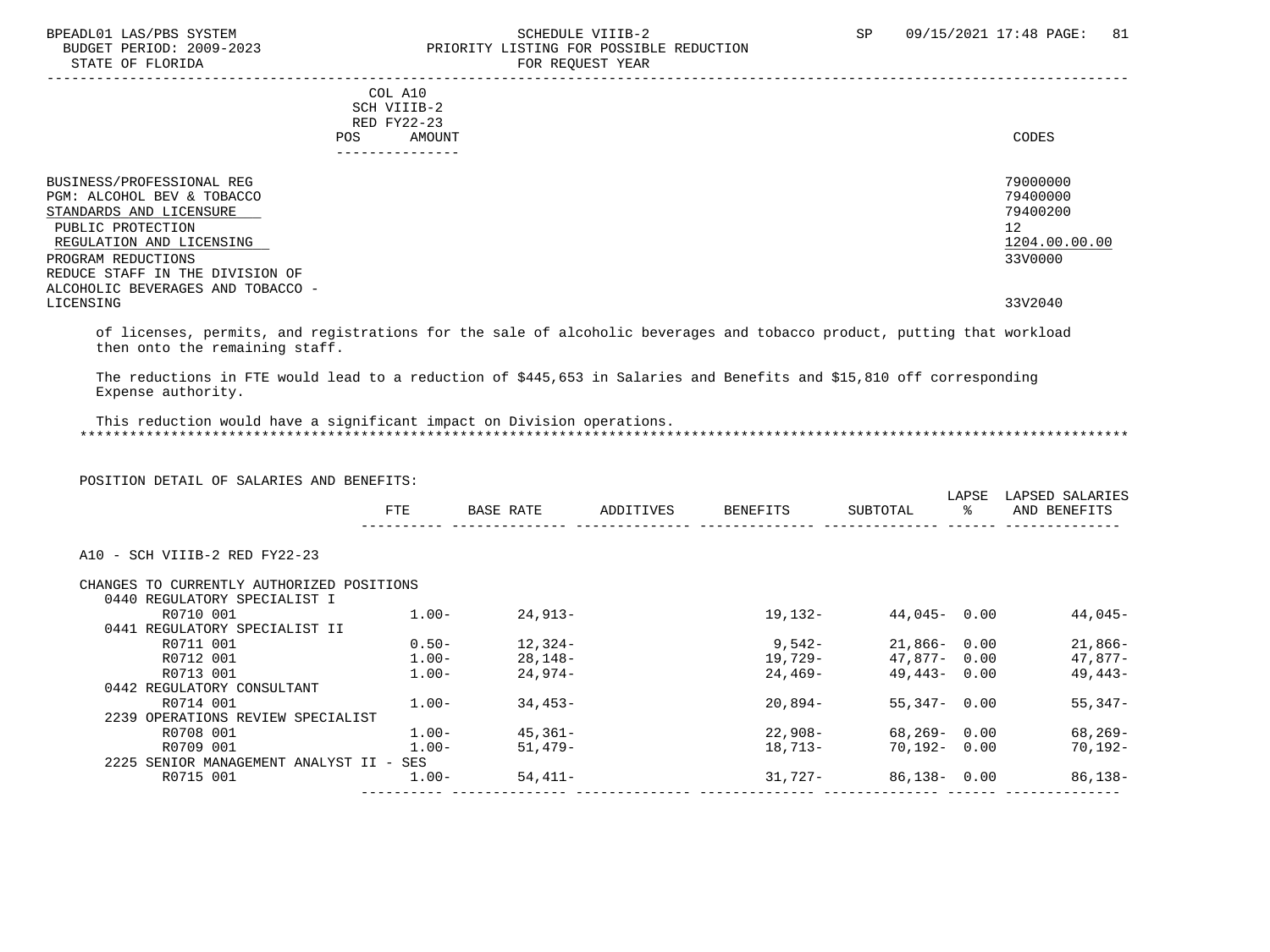## BPEADL01 LAS/PBS SYSTEM STRING THE SCHEDULE VIIIB-2 SCHEDULE VIIIB-2 SP 09/15/2021 17:48 PAGE: 81 PRIORITY LISTING FOR POSSIBLE REDUCTION -----------------------------------------------------------------------------------------------------------------------------------

 COL A10 SCH VIIIB-2 RED FY22-23 POS AMOUNT NOTES AND AND A RESERVE AND A RESERVE AND LODGED AND LODGED AND LODGED AND LODGED AND LODGED AND LODGED AT A LODGED AND LODGED AT A LODGED AND LODGED AT A LODGED AND LODGED AT A LODGED AND LODGED AT A LODGED AND ---------------

| BUSINESS/PROFESSIONAL REG         | 79000000      |
|-----------------------------------|---------------|
| PGM: ALCOHOL BEV & TOBACCO        | 79400000      |
| STANDARDS AND LICENSURE           | 79400200      |
| PUBLIC PROTECTION                 | 12            |
| REGULATION AND LICENSING          | 1204.00.00.00 |
| PROGRAM REDUCTIONS                | 33V0000       |
| REDUCE STAFF IN THE DIVISION OF   |               |
| ALCOHOLIC BEVERAGES AND TOBACCO - |               |
| LICENSING                         | 33V2040       |
|                                   |               |

 of licenses, permits, and registrations for the sale of alcoholic beverages and tobacco product, putting that workload then onto the remaining staff.

 The reductions in FTE would lead to a reduction of \$445,653 in Salaries and Benefits and \$15,810 off corresponding Expense authority.

 This reduction would have a significant impact on Division operations. \*\*\*\*\*\*\*\*\*\*\*\*\*\*\*\*\*\*\*\*\*\*\*\*\*\*\*\*\*\*\*\*\*\*\*\*\*\*\*\*\*\*\*\*\*\*\*\*\*\*\*\*\*\*\*\*\*\*\*\*\*\*\*\*\*\*\*\*\*\*\*\*\*\*\*\*\*\*\*\*\*\*\*\*\*\*\*\*\*\*\*\*\*\*\*\*\*\*\*\*\*\*\*\*\*\*\*\*\*\*\*\*\*\*\*\*\*\*\*\*\*\*\*\*\*\*\*

POSITION DETAIL OF SALARIES AND BENEFITS:

|                                           | <b>FTE</b> | BASE RATE | ADDITIVES | BENEFITS | SUBTOTAL        | LAPSE<br>ႜ | LAPSED SALARIES<br>AND BENEFITS |
|-------------------------------------------|------------|-----------|-----------|----------|-----------------|------------|---------------------------------|
| A10 - SCH VIIIB-2 RED FY22-23             |            |           |           |          |                 |            |                                 |
| CHANGES TO CURRENTLY AUTHORIZED POSITIONS |            |           |           |          |                 |            |                                 |
| 0440 REGULATORY SPECIALIST I              |            |           |           |          |                 |            |                                 |
| R0710 001                                 | $1.00 -$   | 24,913-   |           | 19,132-  | $44,045 - 0.00$ |            | 44,045-                         |
| 0441 REGULATORY SPECIALIST II             |            |           |           |          |                 |            |                                 |
| R0711 001                                 | $0.50 -$   | 12,324-   |           | 9,542-   | 21,866- 0.00    |            | 21,866-                         |
| R0712 001                                 | $1.00-$    | 28,148-   |           | 19,729-  | 47.877-0.00     |            | 47,877-                         |
| R0713 001                                 | $1.00 -$   | 24,974-   |           | 24,469-  | $49.443 - 0.00$ |            | 49,443-                         |
| 0442 REGULATORY CONSULTANT                |            |           |           |          |                 |            |                                 |
| R0714 001                                 | $1.00-$    | 34,453-   |           | 20,894-  | 55,347- 0.00    |            | $55,347-$                       |
| 2239 OPERATIONS REVIEW SPECIALIST         |            |           |           |          |                 |            |                                 |
| R0708 001                                 | $1.00 -$   | 45,361-   |           | 22,908-  | 68,269-0.00     |            | 68,269-                         |
| R0709 001                                 | $1.00 -$   | $51.479-$ |           | 18,713-  | 70,192- 0.00    |            | 70,192-                         |
| 2225 SENIOR MANAGEMENT ANALYST II - SES   |            |           |           |          |                 |            |                                 |
| R0715 001                                 | $1.00-$    | 54,411-   |           | 31,727-  | 86,138- 0.00    |            | 86,138-                         |
|                                           |            |           |           |          |                 |            |                                 |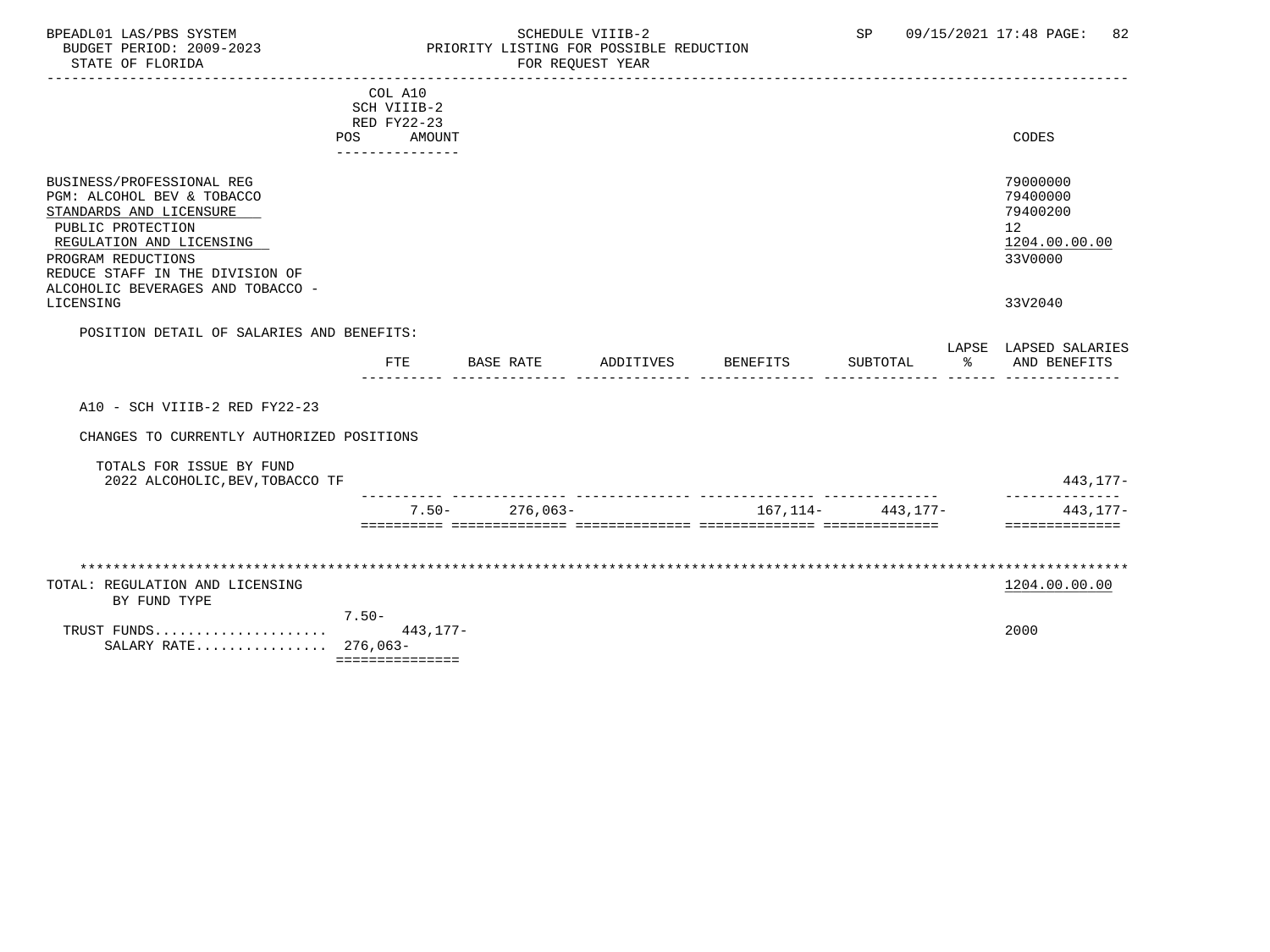### BPEADL01 LAS/PBS SYSTEM STRING THE SCHEDULE VIIIB-2 SP 09/15/2021 17:48 PAGE: 82<br>BUDGET PERIOD: 2009-2023 PRIORITY LISTING FOR POSSIBLE REDUCTION BUDGET PERIOD: 2009-2023 PRIORITY LISTING FOR POSSIBLE REDUCTION<br>STATE OF FLORIDA POR REQUEST YEAR FOR REQUEST YEAR

|                                           |                                                                                                                   |                                                                                                                  |           |                         |                 |          | CODES                                                                         |
|-------------------------------------------|-------------------------------------------------------------------------------------------------------------------|------------------------------------------------------------------------------------------------------------------|-----------|-------------------------|-----------------|----------|-------------------------------------------------------------------------------|
|                                           |                                                                                                                   |                                                                                                                  |           |                         |                 |          |                                                                               |
|                                           |                                                                                                                   |                                                                                                                  |           |                         |                 |          | 79000000<br>79400000<br>79400200<br>12<br>1204.00.00.00<br>33V0000<br>33V2040 |
|                                           |                                                                                                                   |                                                                                                                  |           |                         |                 |          |                                                                               |
|                                           |                                                                                                                   |                                                                                                                  |           |                         |                 |          |                                                                               |
|                                           |                                                                                                                   |                                                                                                                  |           |                         |                 |          | LAPSE LAPSED SALARIES<br>AND BENEFITS                                         |
|                                           |                                                                                                                   |                                                                                                                  |           |                         |                 |          |                                                                               |
|                                           |                                                                                                                   |                                                                                                                  |           |                         |                 |          |                                                                               |
| CHANGES TO CURRENTLY AUTHORIZED POSITIONS |                                                                                                                   |                                                                                                                  |           |                         |                 |          |                                                                               |
|                                           |                                                                                                                   |                                                                                                                  |           |                         |                 |          |                                                                               |
| 2022 ALCOHOLIC, BEV, TOBACCO TF           |                                                                                                                   |                                                                                                                  |           |                         |                 |          | 443,177-                                                                      |
|                                           |                                                                                                                   |                                                                                                                  |           | 167,114-                |                 |          | 443,177-                                                                      |
|                                           |                                                                                                                   |                                                                                                                  |           |                         |                 |          | ==============                                                                |
|                                           |                                                                                                                   |                                                                                                                  |           |                         |                 |          |                                                                               |
|                                           |                                                                                                                   |                                                                                                                  |           |                         |                 |          |                                                                               |
|                                           |                                                                                                                   |                                                                                                                  |           |                         |                 |          | 1204.00.00.00                                                                 |
|                                           |                                                                                                                   |                                                                                                                  |           |                         |                 |          |                                                                               |
|                                           |                                                                                                                   |                                                                                                                  |           |                         |                 |          | 2000                                                                          |
|                                           |                                                                                                                   |                                                                                                                  |           |                         |                 |          |                                                                               |
|                                           |                                                                                                                   |                                                                                                                  |           |                         |                 |          |                                                                               |
|                                           | POS<br>POSITION DETAIL OF SALARIES AND BENEFITS:<br><b>FTE</b><br>$7.50 -$<br>TRUST FUNDS<br>SALARY RATE 276,063- | COL A10<br>SCH VIIIB-2<br>RED FY22-23<br>AMOUNT<br>________________<br>$7.50 -$<br>$443.177-$<br>=============== | BASE RATE | ADDITIVES<br>$276.063-$ | <b>BENEFITS</b> | SUBTOTAL | ႜႂ<br>443.177-                                                                |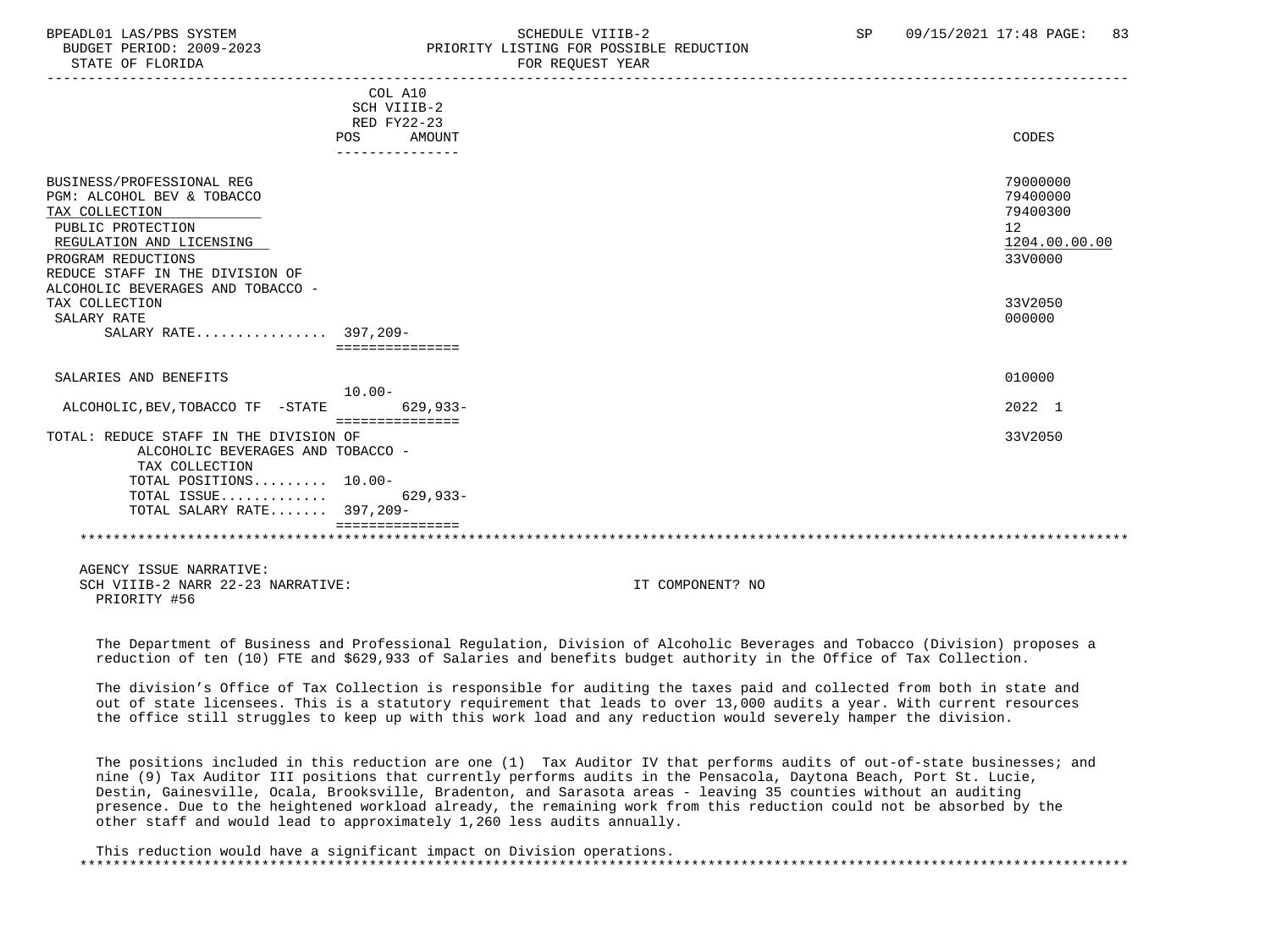## BPEADL01 LAS/PBS SYSTEM SALL SALL SOMEDULE VIIIB-2 SP 09/15/2021 17:48 PAGE: 83 BUDGET PERIOD: 2009-2023 PRIORITY LISTING FOR POSSIBLE REDUCTION

-----------------------------------------------------------------------------------------------------------------------------------

|                                          | COL A10<br>SCH VIIIB-2 |               |
|------------------------------------------|------------------------|---------------|
|                                          | RED FY22-23            |               |
|                                          | AMOUNT<br>POS          | CODES         |
|                                          | --------------         |               |
| BUSINESS/PROFESSIONAL REG                |                        | 79000000      |
| PGM: ALCOHOL BEV & TOBACCO               |                        | 79400000      |
| TAX COLLECTION                           |                        | 79400300      |
| PUBLIC PROTECTION                        |                        | 12            |
| REGULATION AND LICENSING                 |                        | 1204.00.00.00 |
| PROGRAM REDUCTIONS                       |                        | 33V0000       |
| REDUCE STAFF IN THE DIVISION OF          |                        |               |
| ALCOHOLIC BEVERAGES AND TOBACCO -        |                        |               |
| TAX COLLECTION                           |                        | 33V2050       |
| SALARY RATE                              |                        | 000000        |
| SALARY RATE 397,209-                     |                        |               |
|                                          | ===============        |               |
| SALARIES AND BENEFITS                    |                        | 010000        |
|                                          | $10.00 -$              |               |
| ALCOHOLIC, BEV, TOBACCO TF<br>-STATE     | $629.933 -$            | 2022 1        |
|                                          | ===============        |               |
| TOTAL: REDUCE STAFF IN THE DIVISION OF   |                        | 33V2050       |
| ALCOHOLIC BEVERAGES AND TOBACCO -        |                        |               |
| TAX COLLECTION<br>TOTAL POSITIONS 10.00- |                        |               |
| TOTAL ISSUE                              | $629,933-$             |               |
| TOTAL SALARY RATE 397,209-               |                        |               |
|                                          |                        |               |
|                                          |                        |               |
|                                          |                        |               |

 AGENCY ISSUE NARRATIVE: SCH VIIIB-2 NARR 22-23 NARRATIVE: IT COMPONENT? NO PRIORITY #56

 The Department of Business and Professional Regulation, Division of Alcoholic Beverages and Tobacco (Division) proposes a reduction of ten (10) FTE and \$629,933 of Salaries and benefits budget authority in the Office of Tax Collection.

 The division's Office of Tax Collection is responsible for auditing the taxes paid and collected from both in state and out of state licensees. This is a statutory requirement that leads to over 13,000 audits a year. With current resources the office still struggles to keep up with this work load and any reduction would severely hamper the division.

 The positions included in this reduction are one (1) Tax Auditor IV that performs audits of out-of-state businesses; and nine (9) Tax Auditor III positions that currently performs audits in the Pensacola, Daytona Beach, Port St. Lucie, Destin, Gainesville, Ocala, Brooksville, Bradenton, and Sarasota areas - leaving 35 counties without an auditing presence. Due to the heightened workload already, the remaining work from this reduction could not be absorbed by the other staff and would lead to approximately 1,260 less audits annually.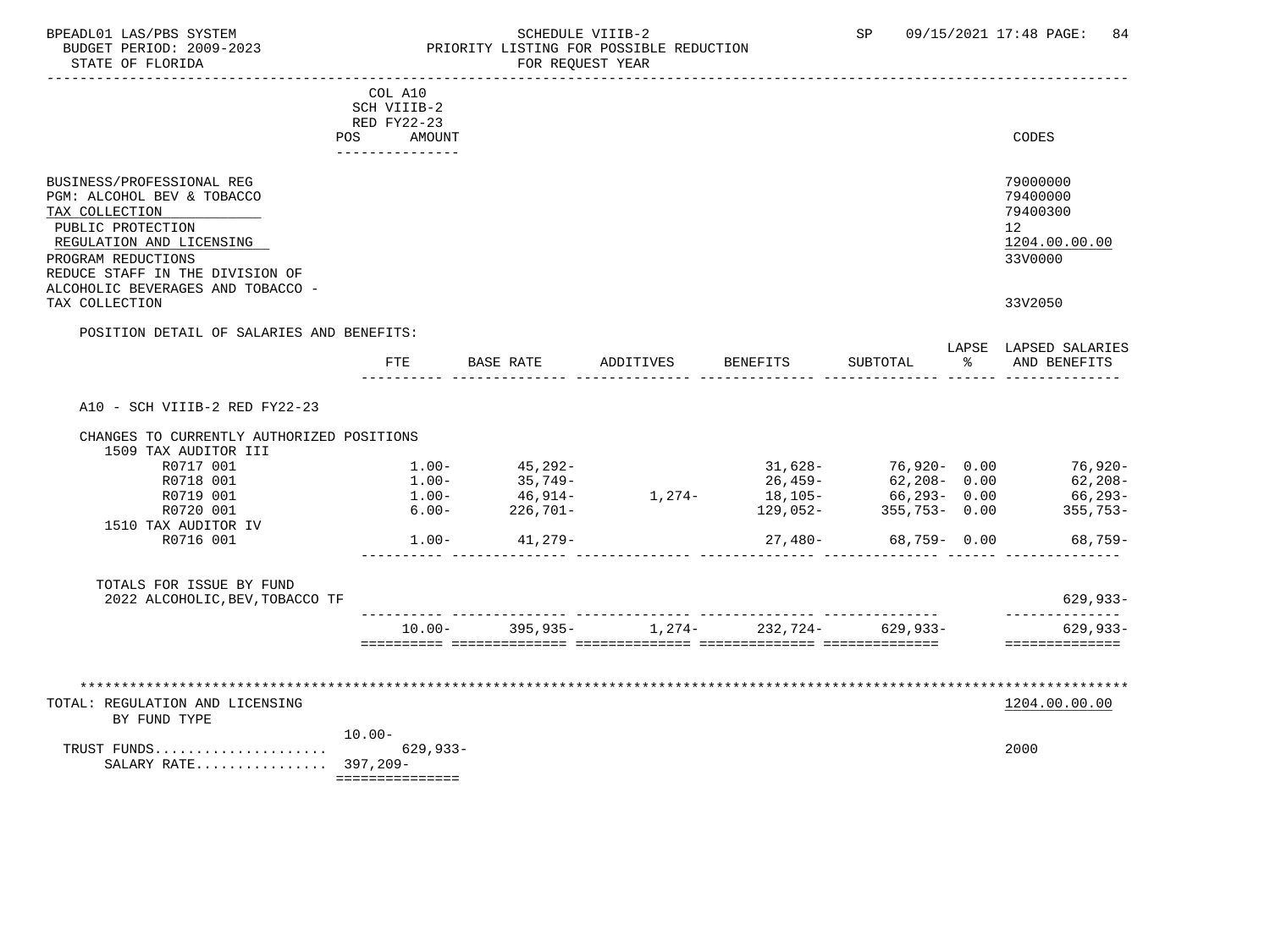### BPEADL01 LAS/PBS SYSTEM SCHEDULE VIIIB-2 SCHEDULE VIIIB-2 SP 09/15/2021 17:48 PAGE: 84 BUDGET PERIOD: 2009-2023 PRIORITY LISTING FOR POSSIBLE REDUCTION FOR REQUEST YEAR

|                                                                                                                                                                                                                          | COL A10<br>SCH VIIIB-2<br>RED FY22-23<br>POS.<br>AMOUNT |                    |                                      |                             |                      |    | CODES                                                              |
|--------------------------------------------------------------------------------------------------------------------------------------------------------------------------------------------------------------------------|---------------------------------------------------------|--------------------|--------------------------------------|-----------------------------|----------------------|----|--------------------------------------------------------------------|
| BUSINESS/PROFESSIONAL REG<br>PGM: ALCOHOL BEV & TOBACCO<br>TAX COLLECTION<br>PUBLIC PROTECTION<br>REGULATION AND LICENSING<br>PROGRAM REDUCTIONS<br>REDUCE STAFF IN THE DIVISION OF<br>ALCOHOLIC BEVERAGES AND TOBACCO - | _______________                                         |                    |                                      |                             |                      |    | 79000000<br>79400000<br>79400300<br>12<br>1204.00.00.00<br>33V0000 |
| TAX COLLECTION                                                                                                                                                                                                           |                                                         |                    |                                      |                             |                      |    | 33V2050                                                            |
| POSITION DETAIL OF SALARIES AND BENEFITS:                                                                                                                                                                                |                                                         |                    |                                      |                             |                      |    |                                                                    |
|                                                                                                                                                                                                                          | FTE                                                     | BASE RATE          | ADDITIVES                            | BENEFITS                    | SUBTOTAL             | ႜႂ | LAPSE LAPSED SALARIES<br>AND BENEFITS                              |
| A10 - SCH VIIIB-2 RED FY22-23                                                                                                                                                                                            |                                                         |                    |                                      |                             |                      |    |                                                                    |
| CHANGES TO CURRENTLY AUTHORIZED POSITIONS                                                                                                                                                                                |                                                         |                    |                                      |                             |                      |    |                                                                    |
| 1509 TAX AUDITOR III                                                                                                                                                                                                     |                                                         |                    |                                      |                             |                      |    |                                                                    |
| R0717 001                                                                                                                                                                                                                | $1.00 -$                                                | $45, 292 -$        |                                      |                             | $31,628-76,920-0.00$ |    | 76,920-                                                            |
| R0718 001                                                                                                                                                                                                                | $1.00 -$                                                | 35,749-<br>46,914- |                                      | 26,459-                     | $62,208 - 0.00$      |    | 62,208-                                                            |
| R0719 001                                                                                                                                                                                                                | $1.00 -$                                                |                    |                                      | $1,274 18,105 66,293-$ 0.00 |                      |    | 66,293-                                                            |
| R0720 001                                                                                                                                                                                                                | $6.00 -$                                                | 226,701-           |                                      | 129,052-                    | $355,753 - 0.00$     |    | 355,753-                                                           |
| 1510 TAX AUDITOR IV                                                                                                                                                                                                      |                                                         |                    |                                      |                             |                      |    |                                                                    |
| R0716 001                                                                                                                                                                                                                | $1.00-$                                                 | 41,279-            |                                      | 27,480-                     | 68,759-0.00          |    | $68,759-$                                                          |
| TOTALS FOR ISSUE BY FUND<br>2022 ALCOHOLIC, BEV, TOBACCO TF                                                                                                                                                              |                                                         |                    |                                      |                             |                      |    | $629, 933 -$                                                       |
|                                                                                                                                                                                                                          | $10.00 -$                                               |                    | $395,935$ - 1,274- 232,724- 629,933- |                             |                      |    | --------------<br>$629, 933 -$                                     |
|                                                                                                                                                                                                                          |                                                         |                    | ************************             |                             |                      |    | ==============                                                     |
| TOTAL: REGULATION AND LICENSING<br>BY FUND TYPE                                                                                                                                                                          | $10.00 -$                                               |                    |                                      |                             |                      |    | 1204.00.00.00                                                      |
| TRUST FUNDS                                                                                                                                                                                                              | 629,933-                                                |                    |                                      |                             |                      |    | 2000                                                               |
| SALARY RATE 397,209-                                                                                                                                                                                                     | ===============                                         |                    |                                      |                             |                      |    |                                                                    |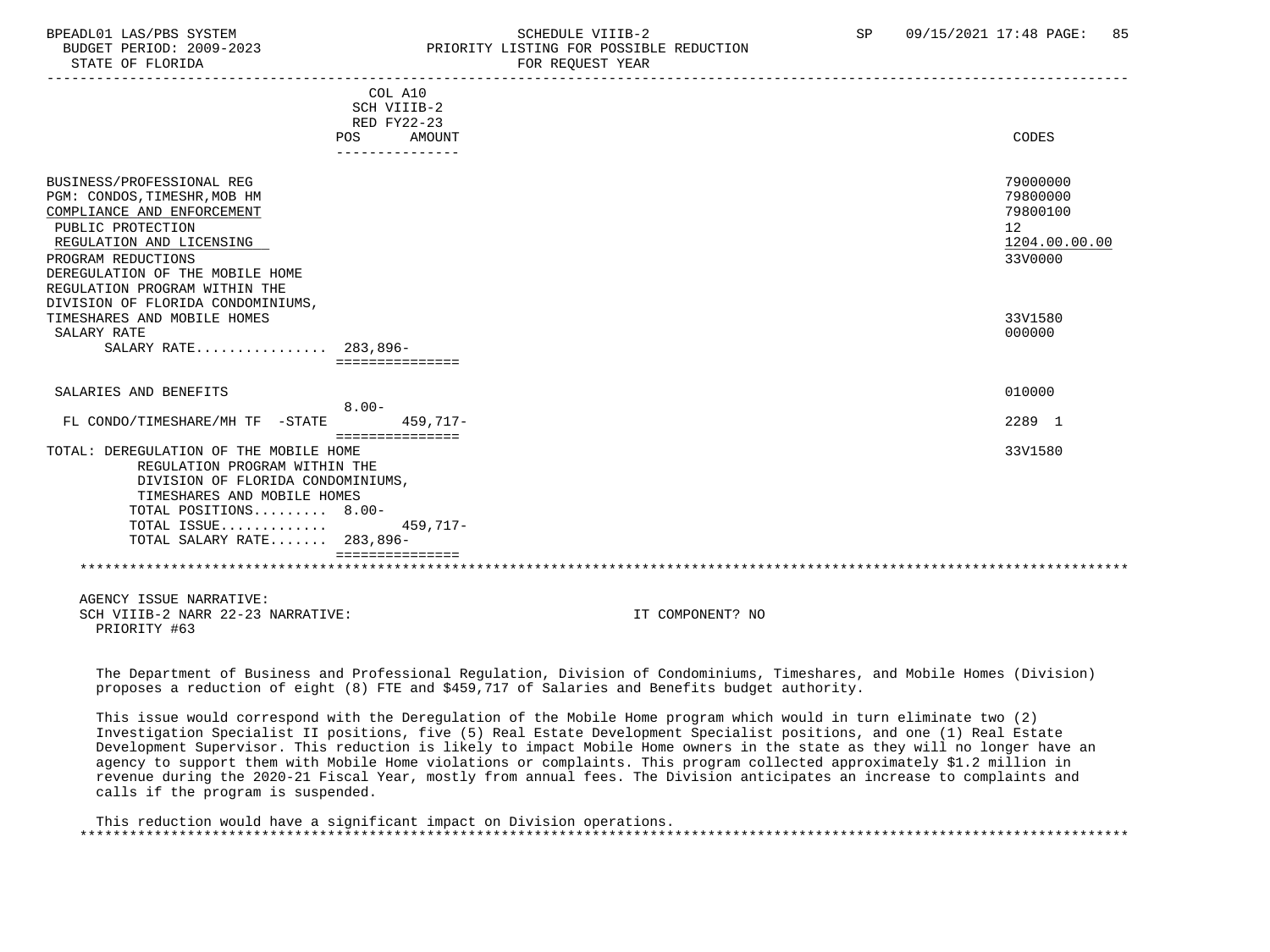## BPEADL01 LAS/PBS SYSTEM STREADLE SCHEDULE VIIIB-2 SP 09/15/2021 17:48 PAGE: 85 BUDGET PERIOD: 2009-2023 PRIORITY LISTING FOR POSSIBLE REDUCTION

|                                                                                                                                                                                                                                                                         | <b>POS</b> | COL A10<br>SCH VIIIB-2<br>RED FY22-23<br>AMOUNT<br>--------------- |                  | CODES                                                                           |
|-------------------------------------------------------------------------------------------------------------------------------------------------------------------------------------------------------------------------------------------------------------------------|------------|--------------------------------------------------------------------|------------------|---------------------------------------------------------------------------------|
| BUSINESS/PROFESSIONAL REG<br>PGM: CONDOS, TIMESHR, MOB HM<br>COMPLIANCE AND ENFORCEMENT<br>PUBLIC PROTECTION<br>REGULATION AND LICENSING<br>PROGRAM REDUCTIONS<br>DEREGULATION OF THE MOBILE HOME<br>REGULATION PROGRAM WITHIN THE<br>DIVISION OF FLORIDA CONDOMINIUMS, |            |                                                                    |                  | 79000000<br>79800000<br>79800100<br>12 <sup>°</sup><br>1204.00.00.00<br>33V0000 |
| TIMESHARES AND MOBILE HOMES                                                                                                                                                                                                                                             |            |                                                                    |                  | 33V1580                                                                         |
| SALARY RATE                                                                                                                                                                                                                                                             |            |                                                                    |                  | 000000                                                                          |
| SALARY RATE 283,896-                                                                                                                                                                                                                                                    |            |                                                                    |                  |                                                                                 |
|                                                                                                                                                                                                                                                                         |            | ===============                                                    |                  |                                                                                 |
| SALARIES AND BENEFITS                                                                                                                                                                                                                                                   | $8.00 -$   |                                                                    |                  | 010000                                                                          |
| FL CONDO/TIMESHARE/MH TF -STATE                                                                                                                                                                                                                                         |            | 459,717-                                                           |                  | 2289 1                                                                          |
|                                                                                                                                                                                                                                                                         |            | ===============                                                    |                  |                                                                                 |
| TOTAL: DEREGULATION OF THE MOBILE HOME<br>REGULATION PROGRAM WITHIN THE<br>DIVISION OF FLORIDA CONDOMINIUMS,<br>TIMESHARES AND MOBILE HOMES<br>TOTAL POSITIONS 8.00-<br>TOTAL ISSUE<br>TOTAL SALARY RATE 283,896-                                                       |            | $459,717-$                                                         |                  | 33V1580                                                                         |
|                                                                                                                                                                                                                                                                         |            |                                                                    |                  |                                                                                 |
|                                                                                                                                                                                                                                                                         |            |                                                                    |                  |                                                                                 |
| AGENCY ISSUE NARRATIVE:                                                                                                                                                                                                                                                 |            |                                                                    |                  |                                                                                 |
| SCH VIIIB-2 NARR 22-23 NARRATIVE:<br>PRIORITY #63                                                                                                                                                                                                                       |            |                                                                    | IT COMPONENT? NO |                                                                                 |

 The Department of Business and Professional Regulation, Division of Condominiums, Timeshares, and Mobile Homes (Division) proposes a reduction of eight (8) FTE and \$459,717 of Salaries and Benefits budget authority.

 This issue would correspond with the Deregulation of the Mobile Home program which would in turn eliminate two (2) Investigation Specialist II positions, five (5) Real Estate Development Specialist positions, and one (1) Real Estate Development Supervisor. This reduction is likely to impact Mobile Home owners in the state as they will no longer have an agency to support them with Mobile Home violations or complaints. This program collected approximately \$1.2 million in revenue during the 2020-21 Fiscal Year, mostly from annual fees. The Division anticipates an increase to complaints and calls if the program is suspended.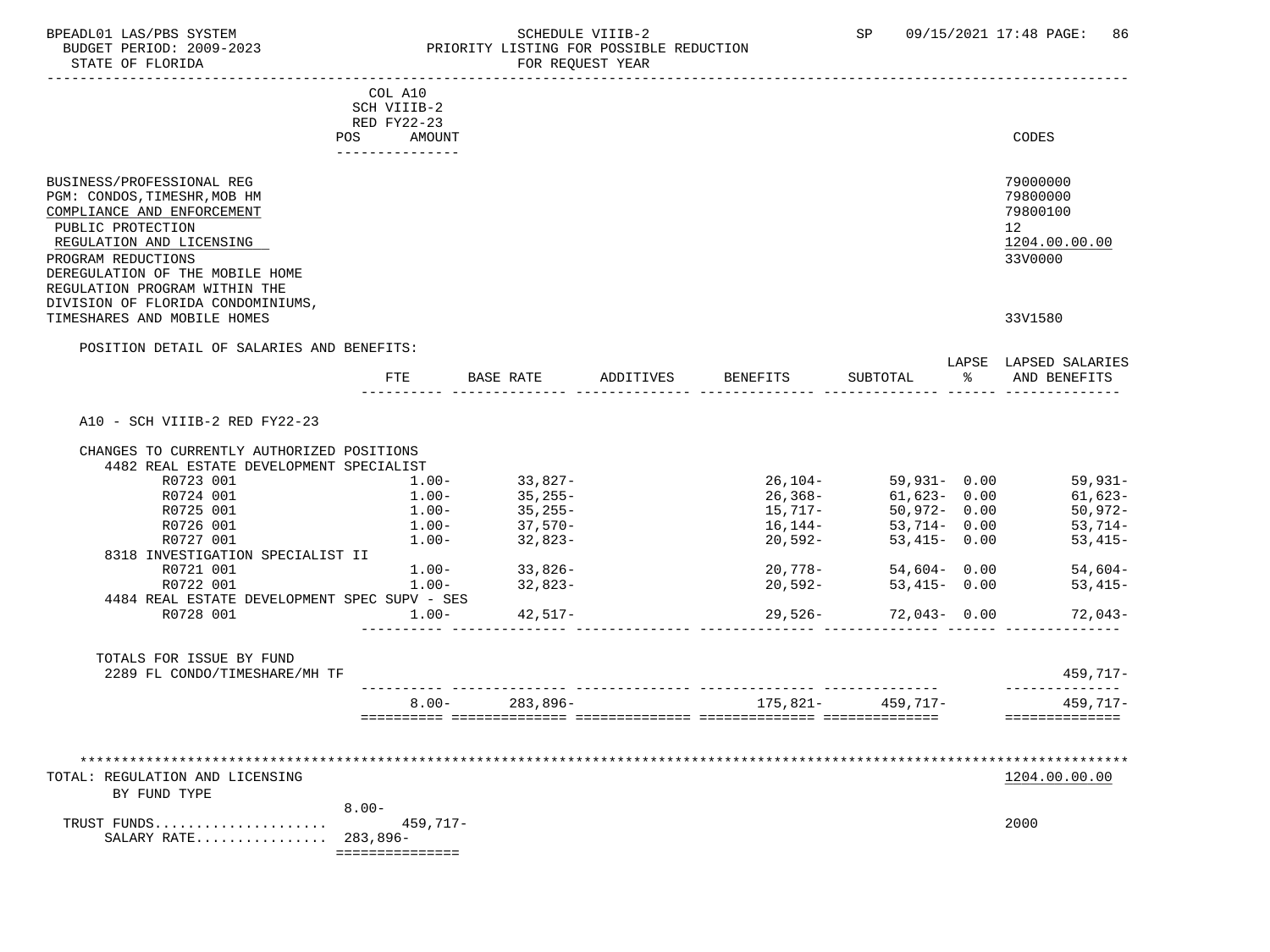### BPEADL01 LAS/PBS SYSTEM STRING THE SCHEDULE VIIIB-2 SP 09/15/2021 17:48 PAGE: 86<br>BUDGET PERIOD: 2009-2023 PRIORITY LISTING FOR POSSIBLE REDUCTION BUDGET PERIOD: 2009-2023 PRIORITY LISTING FOR POSSIBLE REDUCTION<br>FOR REQUEST YEAR FOR REQUEST YEAR

|                                              | COL A10                  |                                               |                    |                                                                                                                                                                                        |                              |
|----------------------------------------------|--------------------------|-----------------------------------------------|--------------------|----------------------------------------------------------------------------------------------------------------------------------------------------------------------------------------|------------------------------|
|                                              | SCH VIIIB-2              |                                               |                    |                                                                                                                                                                                        |                              |
|                                              | RED FY22-23              |                                               |                    |                                                                                                                                                                                        |                              |
|                                              | POS<br>AMOUNT            |                                               |                    |                                                                                                                                                                                        | CODES                        |
|                                              |                          |                                               |                    |                                                                                                                                                                                        |                              |
| BUSINESS/PROFESSIONAL REG                    |                          |                                               |                    |                                                                                                                                                                                        | 79000000                     |
| PGM: CONDOS, TIMESHR, MOB HM                 |                          |                                               |                    |                                                                                                                                                                                        | 79800000                     |
| COMPLIANCE AND ENFORCEMENT                   |                          |                                               |                    |                                                                                                                                                                                        | 79800100                     |
| PUBLIC PROTECTION                            |                          |                                               |                    |                                                                                                                                                                                        | 12 <sup>°</sup>              |
| REGULATION AND LICENSING                     |                          |                                               |                    |                                                                                                                                                                                        | 1204.00.00.00                |
| PROGRAM REDUCTIONS                           |                          |                                               |                    |                                                                                                                                                                                        | 33V0000                      |
| DEREGULATION OF THE MOBILE HOME              |                          |                                               |                    |                                                                                                                                                                                        |                              |
| REGULATION PROGRAM WITHIN THE                |                          |                                               |                    |                                                                                                                                                                                        |                              |
| DIVISION OF FLORIDA CONDOMINIUMS,            |                          |                                               |                    |                                                                                                                                                                                        |                              |
| TIMESHARES AND MOBILE HOMES                  |                          |                                               |                    |                                                                                                                                                                                        | 33V1580                      |
| POSITION DETAIL OF SALARIES AND BENEFITS:    |                          |                                               |                    |                                                                                                                                                                                        |                              |
|                                              |                          |                                               |                    |                                                                                                                                                                                        | LAPSE LAPSED SALARIES        |
|                                              | FTE                      | BASE RATE                                     | ADDITIVES BENEFITS | SUBTOTAL                                                                                                                                                                               | AND BENEFITS                 |
|                                              |                          |                                               |                    |                                                                                                                                                                                        |                              |
| A10 - SCH VIIIB-2 RED FY22-23                |                          |                                               |                    |                                                                                                                                                                                        |                              |
| CHANGES TO CURRENTLY AUTHORIZED POSITIONS    |                          |                                               |                    |                                                                                                                                                                                        |                              |
| 4482 REAL ESTATE DEVELOPMENT SPECIALIST      |                          |                                               |                    |                                                                                                                                                                                        |                              |
| R0723 001                                    | $1.00-$                  |                                               |                    | 26,104-<br>26,368-<br>26,368-<br>15,717-<br>50,972-<br>50,972-<br>53,714-<br>53,714-<br>53,714-<br>53,714-<br>53,714-<br>53,714-<br>53,714-<br>53,714-<br>53,714-<br>53,714-<br>54,000 | 59,931-                      |
| R0724 001                                    | $1.00 -$                 | 33,827–<br>35,255–                            |                    |                                                                                                                                                                                        | $61,623-$                    |
| R0725 001                                    | $1.00-$                  | $35,255-$                                     |                    |                                                                                                                                                                                        | $50,972-$                    |
| R0726 001                                    |                          | $\frac{1}{37}, \frac{570}{32}, \frac{1}{823}$ |                    |                                                                                                                                                                                        | $53,714-$                    |
| R0727 001                                    | $1.00 - 1.00 -$          |                                               | 20,592-            | 53,415- 0.00                                                                                                                                                                           | $53,415-$                    |
| 8318 INVESTIGATION SPECIALIST II             |                          |                                               |                    |                                                                                                                                                                                        |                              |
| R0721 001                                    |                          | $1.00 - 33,826 -$                             | $20,778-$          | 54,604-0.00                                                                                                                                                                            | $54,604-$                    |
| R0722 001                                    | $1.00 -$                 | 32,823-                                       | 20,592-            | 53,415- 0.00                                                                                                                                                                           | $53,415-$                    |
| 4484 REAL ESTATE DEVELOPMENT SPEC SUPV - SES |                          |                                               |                    |                                                                                                                                                                                        |                              |
| R0728 001                                    | $1.00-$                  | $42,517-$                                     | 29,526-            | 72,043-0.00                                                                                                                                                                            | 72,043-                      |
|                                              |                          |                                               |                    |                                                                                                                                                                                        |                              |
| TOTALS FOR ISSUE BY FUND                     |                          |                                               |                    |                                                                                                                                                                                        |                              |
| 2289 FL CONDO/TIMESHARE/MH TF                |                          |                                               |                    |                                                                                                                                                                                        | $459,717-$<br>-------------- |
|                                              |                          | $8.00 - 283,896 -$                            |                    | $175,821 - 459,717 -$                                                                                                                                                                  | 459,717-                     |
|                                              |                          |                                               |                    |                                                                                                                                                                                        | ===============              |
|                                              |                          |                                               |                    |                                                                                                                                                                                        |                              |
|                                              |                          |                                               |                    |                                                                                                                                                                                        |                              |
| TOTAL: REGULATION AND LICENSING              |                          |                                               |                    |                                                                                                                                                                                        | 1204.00.00.00                |
| BY FUND TYPE                                 |                          |                                               |                    |                                                                                                                                                                                        |                              |
|                                              | $8.00 -$                 |                                               |                    |                                                                                                                                                                                        |                              |
| TRUST FUNDS                                  | $459,717-$               |                                               |                    |                                                                                                                                                                                        | 2000                         |
| SALARY RATE 283,896-                         |                          |                                               |                    |                                                                                                                                                                                        |                              |
|                                              | ________________________ |                                               |                    |                                                                                                                                                                                        |                              |